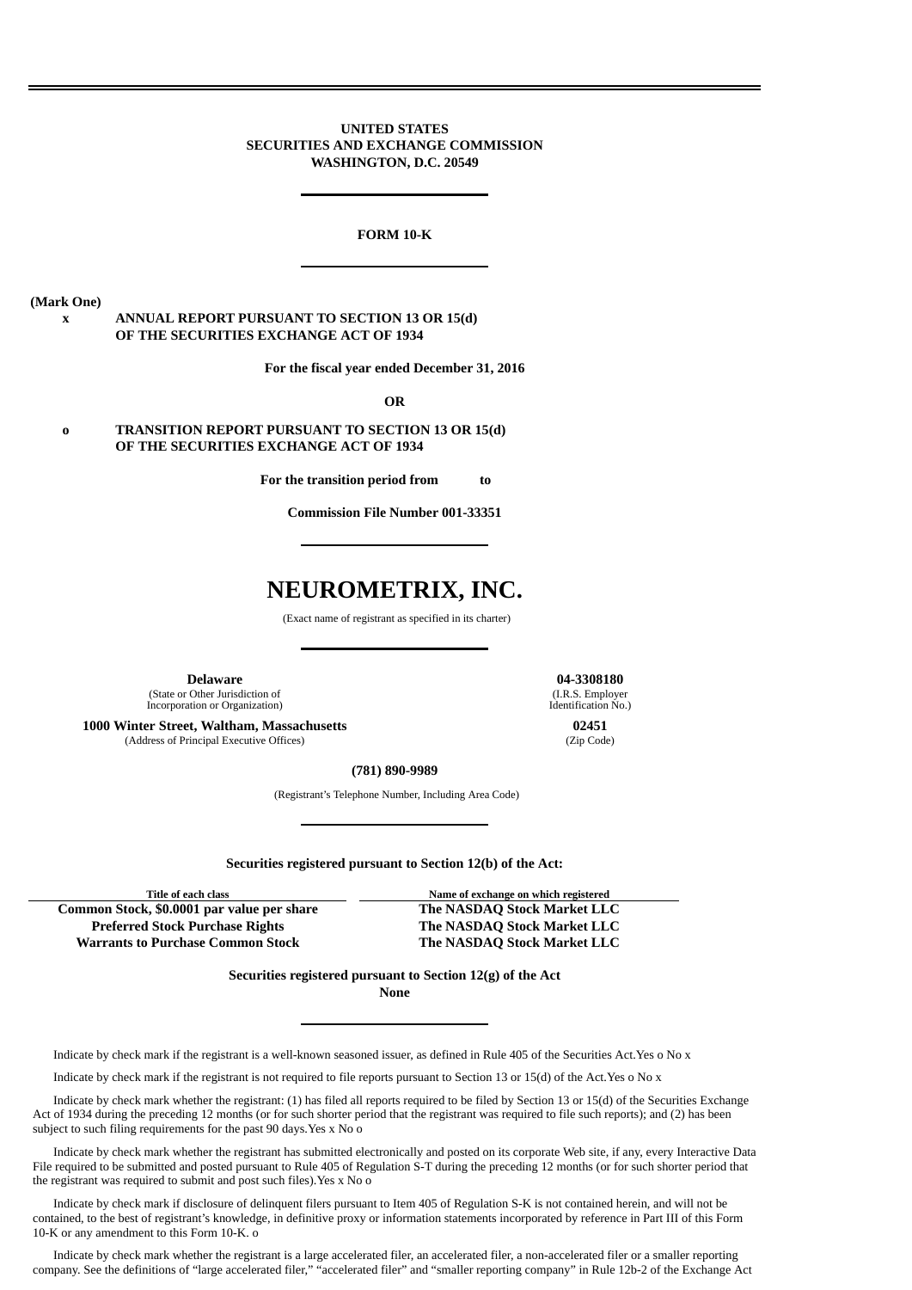### **UNITED STATES SECURITIES AND EXCHANGE COMMISSION WASHINGTON, D.C. 20549**

### **FORM 10-K**

**(Mark One)**

# **x ANNUAL REPORT PURSUANT TO SECTION 13 OR 15(d) OF THE SECURITIES EXCHANGE ACT OF 1934**

**For the fiscal year ended December 31, 2016**

**OR**

# **o TRANSITION REPORT PURSUANT TO SECTION 13 OR 15(d) OF THE SECURITIES EXCHANGE ACT OF 1934**

**For the transition period from to**

**Commission File Number 001-33351**

# **NEUROMETRIX, INC.**

(Exact name of registrant as specified in its charter)

**Delaware 04-3308180**

(State or Other Jurisdiction of Incorporation or Organization)

**1000 Winter Street, Waltham, Massachusetts 02451**

(I.R.S. Employer Identification No.)

(Address of Principal Executive Offices) (Zip Code)

**(781) 890-9989**

(Registrant's Telephone Number, Including Area Code)

**Securities registered pursuant to Section 12(b) of the Act:**

**Common Stock, \$0.0001 par value per share The NASDAQ Stock Market LLC Preferred Stock Purchase Rights The NASDAQ Stock Market LLC Warrants to Purchase Common Stock The NASDAQ Stock Market LLC**

**Title of each class Name of exchange on which registered**

**Securities registered pursuant to Section 12(g) of the Act**

**None**

Indicate by check mark if the registrant is a well-known seasoned issuer, as defined in Rule 405 of the Securities Act.Yes o No x

Indicate by check mark if the registrant is not required to file reports pursuant to Section 13 or 15(d) of the Act.Yes o No x

Indicate by check mark whether the registrant: (1) has filed all reports required to be filed by Section 13 or 15(d) of the Securities Exchange Act of 1934 during the preceding 12 months (or for such shorter period that the registrant was required to file such reports); and (2) has been subject to such filing requirements for the past 90 days.Yes x No o

Indicate by check mark whether the registrant has submitted electronically and posted on its corporate Web site, if any, every Interactive Data File required to be submitted and posted pursuant to Rule 405 of Regulation S-T during the preceding 12 months (or for such shorter period that the registrant was required to submit and post such files).Yes x No o

Indicate by check mark if disclosure of delinquent filers pursuant to Item 405 of Regulation S-K is not contained herein, and will not be contained, to the best of registrant's knowledge, in definitive proxy or information statements incorporated by reference in Part III of this Form 10-K or any amendment to this Form 10-K. o

Indicate by check mark whether the registrant is a large accelerated filer, an accelerated filer, a non-accelerated filer or a smaller reporting company. See the definitions of "large accelerated filer," "accelerated filer" and "smaller reporting company" in Rule 12b-2 of the Exchange Act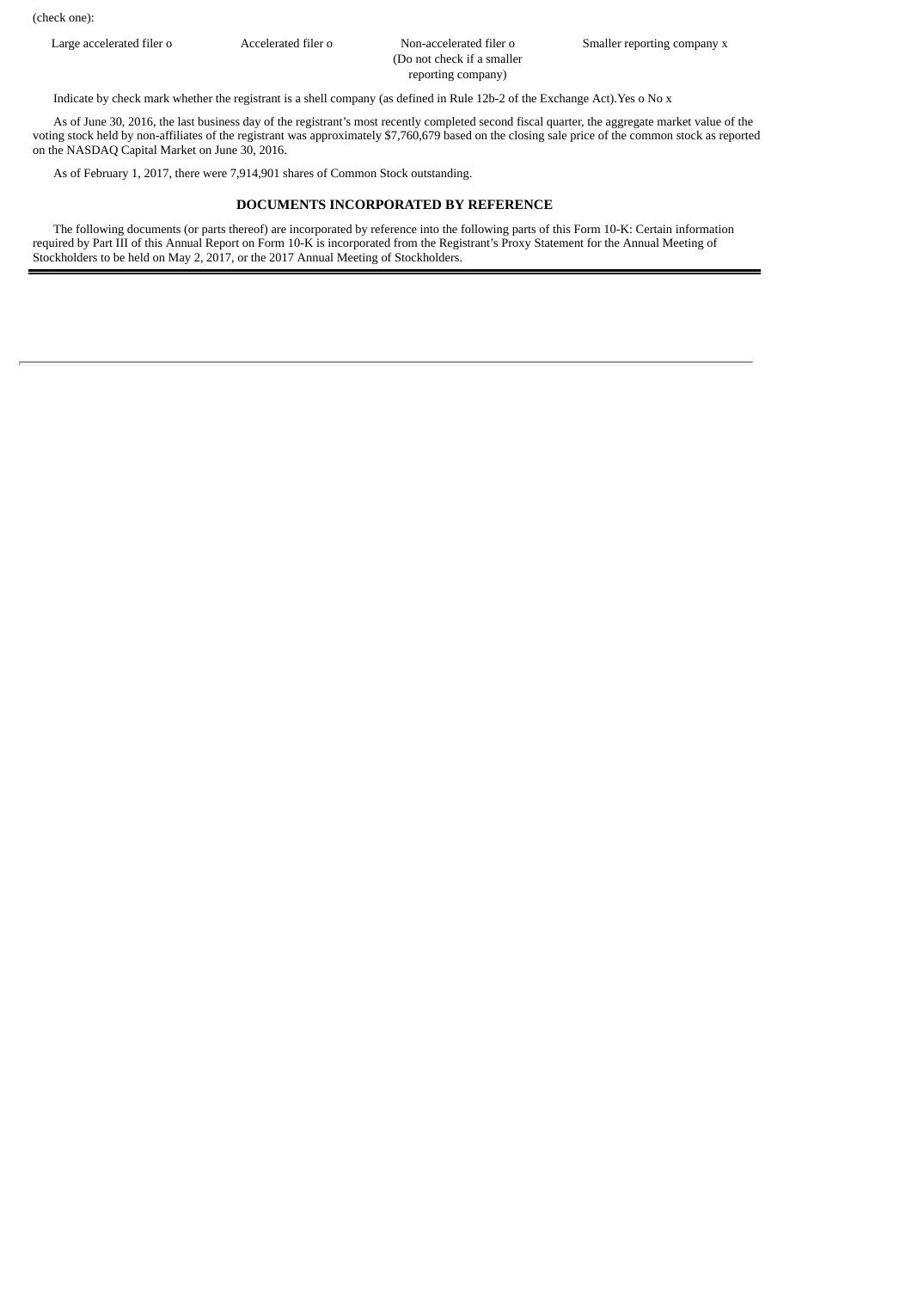(check one):

# Large accelerated filer o **Accelerated filer o** Non-accelerated filer o (Do not check if a smaller reporting company)

Indicate by check mark whether the registrant is a shell company (as defined in Rule 12b-2 of the Exchange Act).Yes o No x

As of June 30, 2016, the last business day of the registrant's most recently completed second fiscal quarter, the aggregate market value of the voting stock held by non-affiliates of the registrant was approximately \$7,760,679 based on the closing sale price of the common stock as reported on the NASDAQ Capital Market on June 30, 2016.

As of February 1, 2017, there were 7,914,901 shares of Common Stock outstanding.

### **DOCUMENTS INCORPORATED BY REFERENCE**

The following documents (or parts thereof) are incorporated by reference into the following parts of this Form 10-K: Certain information required by Part III of this Annual Report on Form 10-K is incorporated from the Registrant's Proxy Statement for the Annual Meeting of Stockholders to be held on May 2, 2017, or the 2017 Annual Meeting of Stockholders.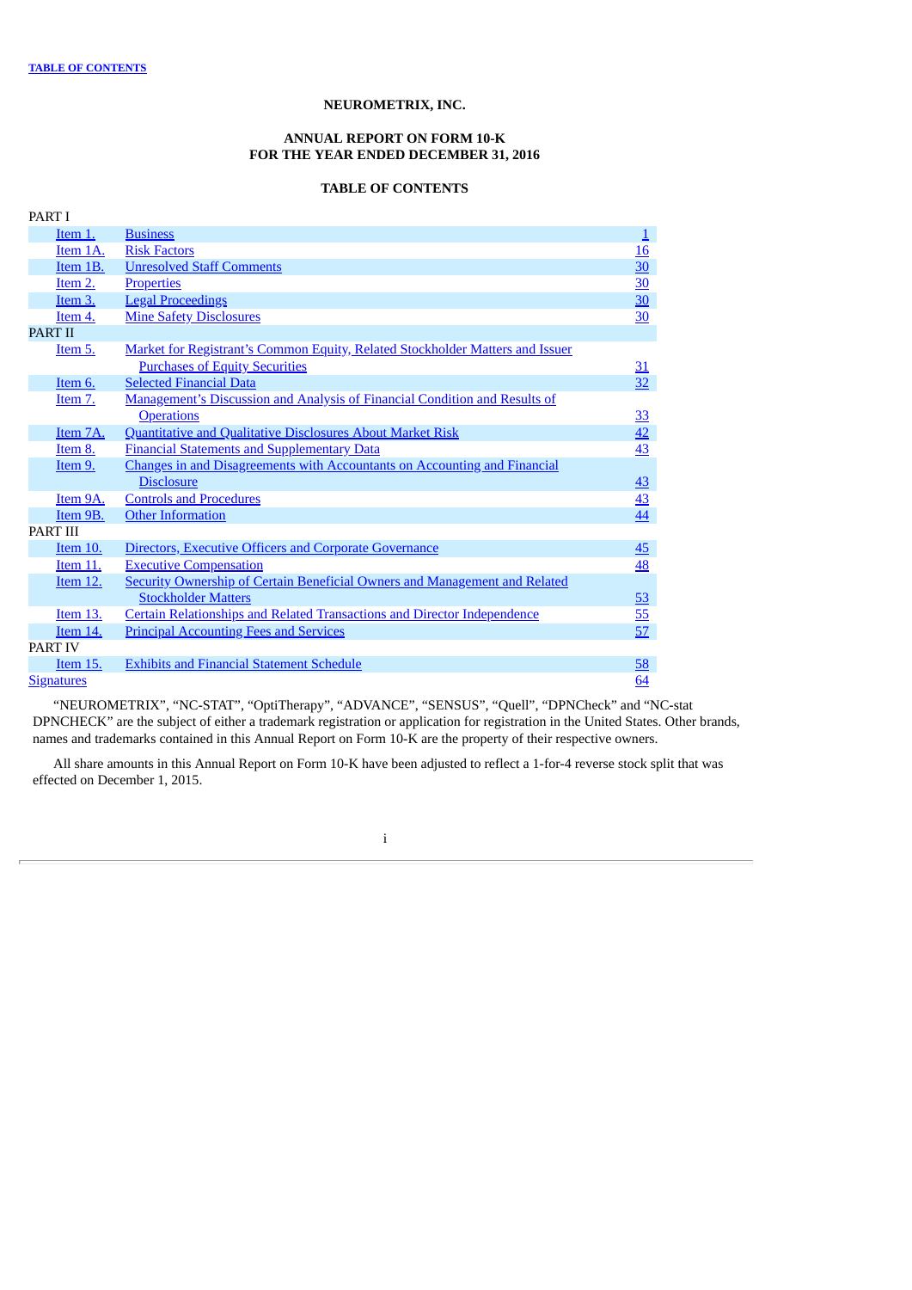# **NEUROMETRIX, INC.**

# **ANNUAL REPORT ON FORM 10-K FOR THE YEAR ENDED DECEMBER 31, 2016**

# **TABLE OF CONTENTS**

<span id="page-2-0"></span>

| PART I            |                                                                                   |                 |
|-------------------|-----------------------------------------------------------------------------------|-----------------|
| Item 1.           | <b>Business</b>                                                                   | $\overline{1}$  |
| Item 1A.          | <b>Risk Factors</b>                                                               | 16              |
| Item 1B.          | <b>Unresolved Staff Comments</b>                                                  | 30              |
| Item 2.           | <b>Properties</b>                                                                 | 30              |
| Item 3.           | <b>Legal Proceedings</b>                                                          | 30              |
| Item 4.           | <b>Mine Safety Disclosures</b>                                                    | 30              |
| <b>PART II</b>    |                                                                                   |                 |
| Item 5.           | Market for Registrant's Common Equity, Related Stockholder Matters and Issuer     |                 |
|                   | <b>Purchases of Equity Securities</b>                                             | <u>31</u>       |
| Item 6.           | <b>Selected Financial Data</b>                                                    | 32              |
| Item 7.           | Management's Discussion and Analysis of Financial Condition and Results of        |                 |
|                   | <b>Operations</b>                                                                 | 33              |
| Item 7A.          | <b>Quantitative and Qualitative Disclosures About Market Risk</b>                 | 42              |
| Item 8.           | <b>Financial Statements and Supplementary Data</b>                                | 43              |
| Item 9.           | Changes in and Disagreements with Accountants on Accounting and Financial         |                 |
|                   | <b>Disclosure</b>                                                                 | 43              |
| Item 9A.          | <b>Controls and Procedures</b>                                                    | $\frac{43}{44}$ |
| Item 9B.          | <b>Other Information</b>                                                          |                 |
| <b>PART III</b>   |                                                                                   |                 |
| Item 10.          | Directors, Executive Officers and Corporate Governance                            | 45              |
| Item 11.          | <b>Executive Compensation</b>                                                     | 48              |
| Item 12.          | <b>Security Ownership of Certain Beneficial Owners and Management and Related</b> |                 |
|                   | <b>Stockholder Matters</b>                                                        | 53              |
| Item 13.          | <b>Certain Relationships and Related Transactions and Director Independence</b>   | 55              |
| Item 14.          | <b>Principal Accounting Fees and Services</b>                                     | 57              |
| <b>PART IV</b>    |                                                                                   |                 |
| Item 15.          | <b>Exhibits and Financial Statement Schedule</b>                                  | 58              |
| <b>Signatures</b> |                                                                                   | 64              |

"NEUROMETRIX", "NC-STAT", "OptiTherapy", "ADVANCE", "SENSUS", "Quell", "DPNCheck" and "NC-stat DPNCHECK" are the subject of either a trademark registration or application for registration in the United States. Other brands, names and trademarks contained in this Annual Report on Form 10-K are the property of their respective owners.

All share amounts in this Annual Report on Form 10-K have been adjusted to reflect a 1-for-4 reverse stock split that was effected on December 1, 2015.

i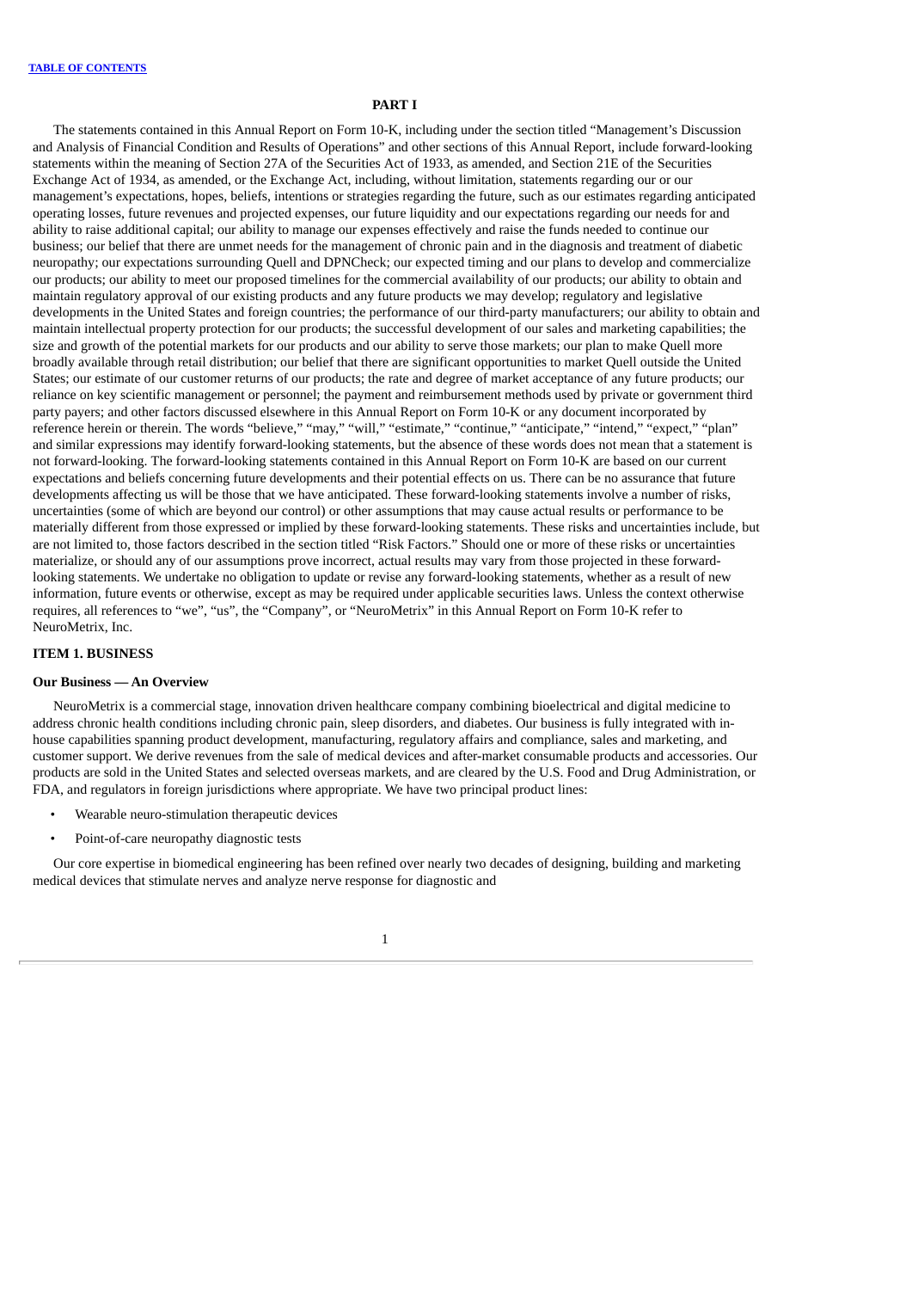### **PART I**

The statements contained in this Annual Report on Form 10-K, including under the section titled "Management's Discussion and Analysis of Financial Condition and Results of Operations" and other sections of this Annual Report, include forward-looking statements within the meaning of Section 27A of the Securities Act of 1933, as amended, and Section 21E of the Securities Exchange Act of 1934, as amended, or the Exchange Act, including, without limitation, statements regarding our or our management's expectations, hopes, beliefs, intentions or strategies regarding the future, such as our estimates regarding anticipated operating losses, future revenues and projected expenses, our future liquidity and our expectations regarding our needs for and ability to raise additional capital; our ability to manage our expenses effectively and raise the funds needed to continue our business; our belief that there are unmet needs for the management of chronic pain and in the diagnosis and treatment of diabetic neuropathy; our expectations surrounding Quell and DPNCheck; our expected timing and our plans to develop and commercialize our products; our ability to meet our proposed timelines for the commercial availability of our products; our ability to obtain and maintain regulatory approval of our existing products and any future products we may develop; regulatory and legislative developments in the United States and foreign countries; the performance of our third-party manufacturers; our ability to obtain and maintain intellectual property protection for our products; the successful development of our sales and marketing capabilities; the size and growth of the potential markets for our products and our ability to serve those markets; our plan to make Quell more broadly available through retail distribution; our belief that there are significant opportunities to market Quell outside the United States; our estimate of our customer returns of our products; the rate and degree of market acceptance of any future products; our reliance on key scientific management or personnel; the payment and reimbursement methods used by private or government third party payers; and other factors discussed elsewhere in this Annual Report on Form 10-K or any document incorporated by reference herein or therein. The words "believe," "may," "will," "estimate," "continue," "anticipate," "intend," "expect," "plan" and similar expressions may identify forward-looking statements, but the absence of these words does not mean that a statement is not forward-looking. The forward-looking statements contained in this Annual Report on Form 10-K are based on our current expectations and beliefs concerning future developments and their potential effects on us. There can be no assurance that future developments affecting us will be those that we have anticipated. These forward-looking statements involve a number of risks, uncertainties (some of which are beyond our control) or other assumptions that may cause actual results or performance to be materially different from those expressed or implied by these forward-looking statements. These risks and uncertainties include, but are not limited to, those factors described in the section titled "Risk Factors." Should one or more of these risks or uncertainties materialize, or should any of our assumptions prove incorrect, actual results may vary from those projected in these forwardlooking statements. We undertake no obligation to update or revise any forward-looking statements, whether as a result of new information, future events or otherwise, except as may be required under applicable securities laws. Unless the context otherwise requires, all references to "we", "us", the "Company", or "NeuroMetrix" in this Annual Report on Form 10-K refer to NeuroMetrix, Inc.

### <span id="page-3-0"></span>**ITEM 1. BUSINESS**

### **Our Business — An Overview**

NeuroMetrix is a commercial stage, innovation driven healthcare company combining bioelectrical and digital medicine to address chronic health conditions including chronic pain, sleep disorders, and diabetes. Our business is fully integrated with inhouse capabilities spanning product development, manufacturing, regulatory affairs and compliance, sales and marketing, and customer support. We derive revenues from the sale of medical devices and after-market consumable products and accessories. Our products are sold in the United States and selected overseas markets, and are cleared by the U.S. Food and Drug Administration, or FDA, and regulators in foreign jurisdictions where appropriate. We have two principal product lines:

- Wearable neuro-stimulation therapeutic devices
- Point-of-care neuropathy diagnostic tests

Our core expertise in biomedical engineering has been refined over nearly two decades of designing, building and marketing medical devices that stimulate nerves and analyze nerve response for diagnostic and

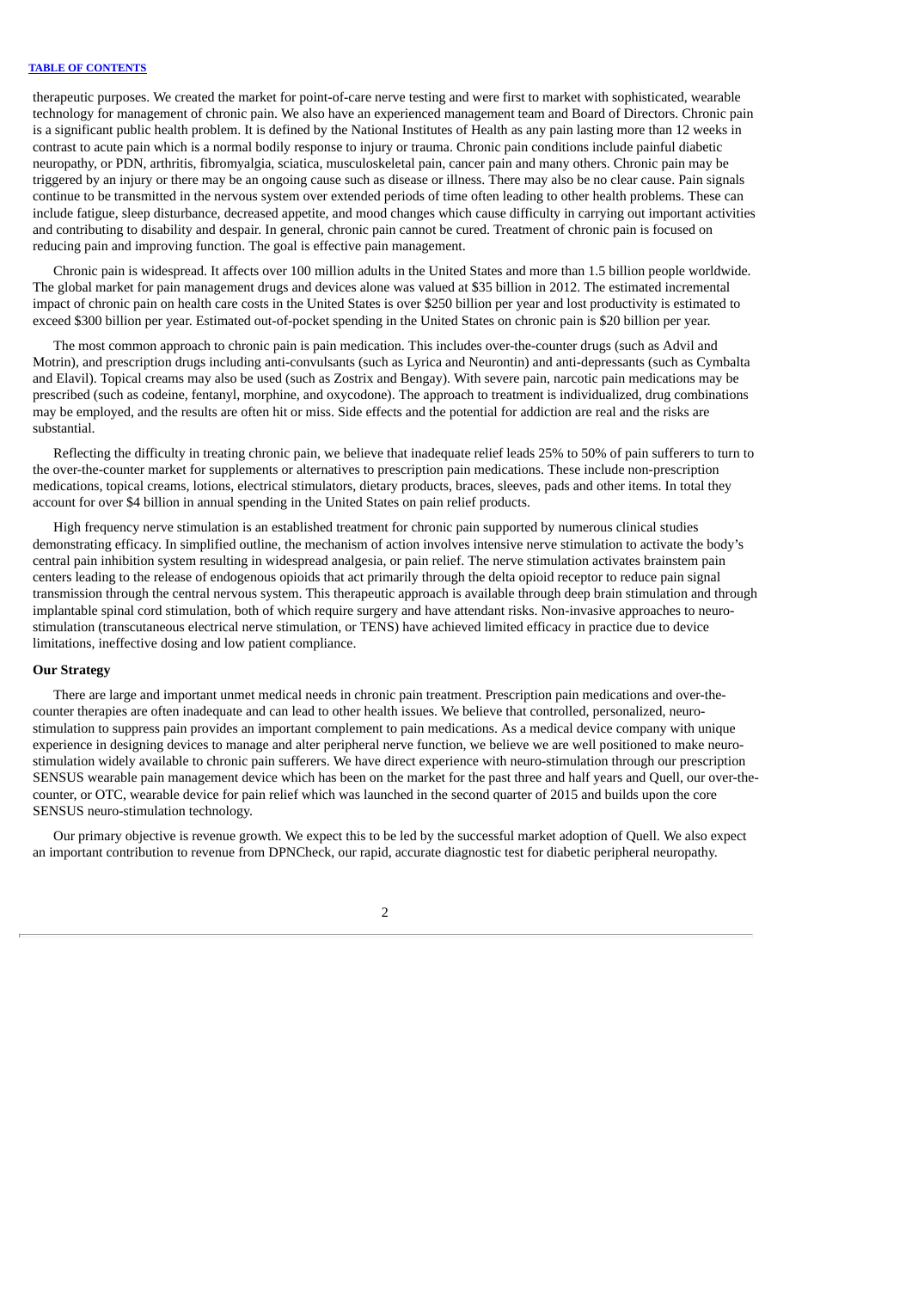therapeutic purposes. We created the market for point-of-care nerve testing and were first to market with sophisticated, wearable technology for management of chronic pain. We also have an experienced management team and Board of Directors. Chronic pain is a significant public health problem. It is defined by the National Institutes of Health as any pain lasting more than 12 weeks in contrast to acute pain which is a normal bodily response to injury or trauma. Chronic pain conditions include painful diabetic neuropathy, or PDN, arthritis, fibromyalgia, sciatica, musculoskeletal pain, cancer pain and many others. Chronic pain may be triggered by an injury or there may be an ongoing cause such as disease or illness. There may also be no clear cause. Pain signals continue to be transmitted in the nervous system over extended periods of time often leading to other health problems. These can include fatigue, sleep disturbance, decreased appetite, and mood changes which cause difficulty in carrying out important activities and contributing to disability and despair. In general, chronic pain cannot be cured. Treatment of chronic pain is focused on reducing pain and improving function. The goal is effective pain management.

Chronic pain is widespread. It affects over 100 million adults in the United States and more than 1.5 billion people worldwide. The global market for pain management drugs and devices alone was valued at \$35 billion in 2012. The estimated incremental impact of chronic pain on health care costs in the United States is over \$250 billion per year and lost productivity is estimated to exceed \$300 billion per year. Estimated out-of-pocket spending in the United States on chronic pain is \$20 billion per year.

The most common approach to chronic pain is pain medication. This includes over-the-counter drugs (such as Advil and Motrin), and prescription drugs including anti-convulsants (such as Lyrica and Neurontin) and anti-depressants (such as Cymbalta and Elavil). Topical creams may also be used (such as Zostrix and Bengay). With severe pain, narcotic pain medications may be prescribed (such as codeine, fentanyl, morphine, and oxycodone). The approach to treatment is individualized, drug combinations may be employed, and the results are often hit or miss. Side effects and the potential for addiction are real and the risks are substantial.

Reflecting the difficulty in treating chronic pain, we believe that inadequate relief leads 25% to 50% of pain sufferers to turn to the over-the-counter market for supplements or alternatives to prescription pain medications. These include non-prescription medications, topical creams, lotions, electrical stimulators, dietary products, braces, sleeves, pads and other items. In total they account for over \$4 billion in annual spending in the United States on pain relief products.

High frequency nerve stimulation is an established treatment for chronic pain supported by numerous clinical studies demonstrating efficacy. In simplified outline, the mechanism of action involves intensive nerve stimulation to activate the body's central pain inhibition system resulting in widespread analgesia, or pain relief. The nerve stimulation activates brainstem pain centers leading to the release of endogenous opioids that act primarily through the delta opioid receptor to reduce pain signal transmission through the central nervous system. This therapeutic approach is available through deep brain stimulation and through implantable spinal cord stimulation, both of which require surgery and have attendant risks. Non-invasive approaches to neurostimulation (transcutaneous electrical nerve stimulation, or TENS) have achieved limited efficacy in practice due to device limitations, ineffective dosing and low patient compliance.

#### **Our Strategy**

There are large and important unmet medical needs in chronic pain treatment. Prescription pain medications and over-thecounter therapies are often inadequate and can lead to other health issues. We believe that controlled, personalized, neurostimulation to suppress pain provides an important complement to pain medications. As a medical device company with unique experience in designing devices to manage and alter peripheral nerve function, we believe we are well positioned to make neurostimulation widely available to chronic pain sufferers. We have direct experience with neuro-stimulation through our prescription SENSUS wearable pain management device which has been on the market for the past three and half years and Quell, our over-thecounter, or OTC, wearable device for pain relief which was launched in the second quarter of 2015 and builds upon the core SENSUS neuro-stimulation technology.

Our primary objective is revenue growth. We expect this to be led by the successful market adoption of Quell. We also expect an important contribution to revenue from DPNCheck, our rapid, accurate diagnostic test for diabetic peripheral neuropathy.

# $\overline{2}$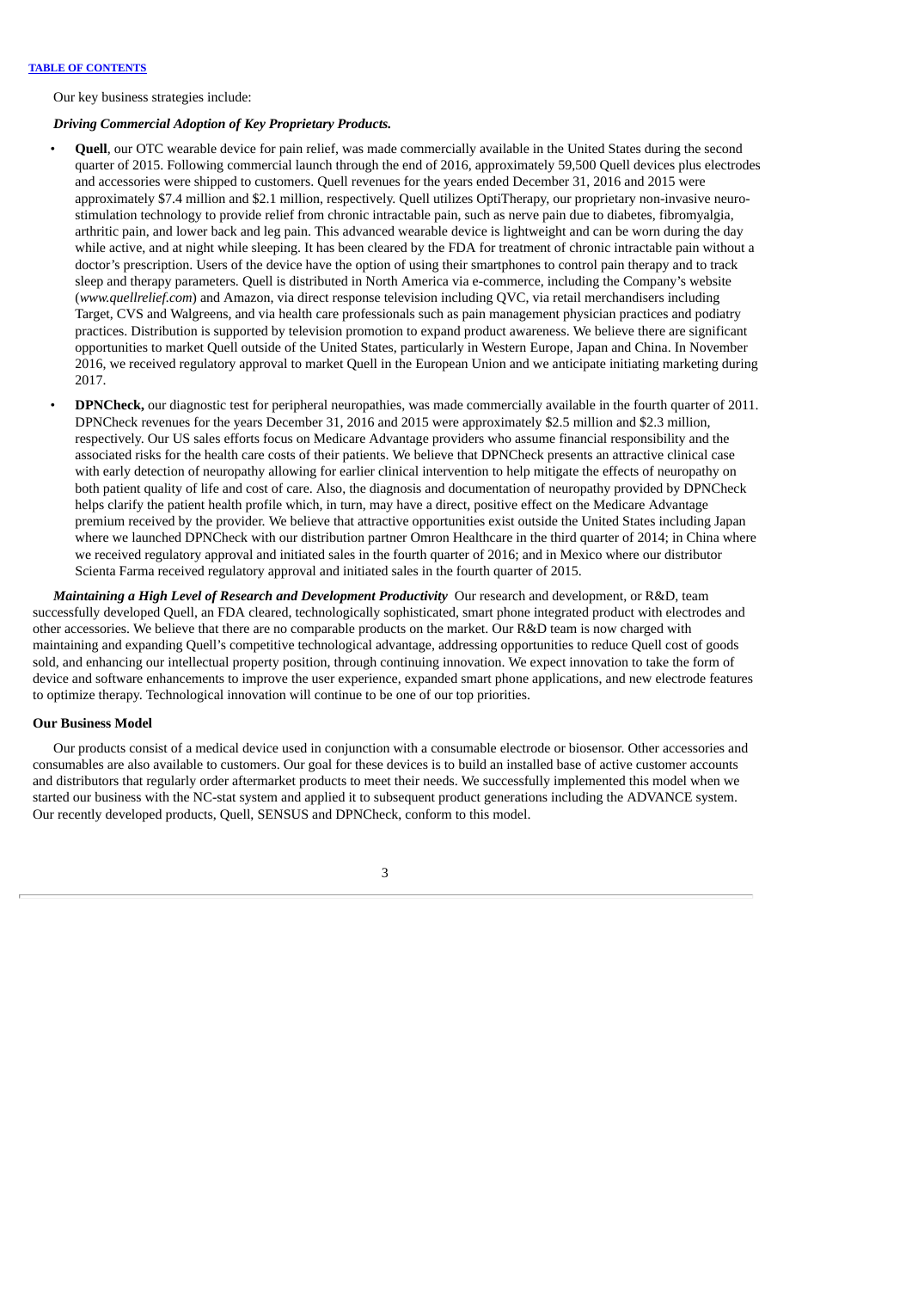Our key business strategies include:

# *Driving Commercial Adoption of Key Proprietary Products.*

- **Quell**, our OTC wearable device for pain relief, was made commercially available in the United States during the second quarter of 2015. Following commercial launch through the end of 2016, approximately 59,500 Quell devices plus electrodes and accessories were shipped to customers. Quell revenues for the years ended December 31, 2016 and 2015 were approximately \$7.4 million and \$2.1 million, respectively. Quell utilizes OptiTherapy, our proprietary non-invasive neurostimulation technology to provide relief from chronic intractable pain, such as nerve pain due to diabetes, fibromyalgia, arthritic pain, and lower back and leg pain. This advanced wearable device is lightweight and can be worn during the day while active, and at night while sleeping. It has been cleared by the FDA for treatment of chronic intractable pain without a doctor's prescription. Users of the device have the option of using their smartphones to control pain therapy and to track sleep and therapy parameters. Quell is distributed in North America via e-commerce, including the Company's website (*www.quellrelief.com*) and Amazon, via direct response television including QVC, via retail merchandisers including Target, CVS and Walgreens, and via health care professionals such as pain management physician practices and podiatry practices. Distribution is supported by television promotion to expand product awareness. We believe there are significant opportunities to market Quell outside of the United States, particularly in Western Europe, Japan and China. In November 2016, we received regulatory approval to market Quell in the European Union and we anticipate initiating marketing during 2017.
- **DPNCheck,** our diagnostic test for peripheral neuropathies, was made commercially available in the fourth quarter of 2011. DPNCheck revenues for the years December 31, 2016 and 2015 were approximately \$2.5 million and \$2.3 million, respectively. Our US sales efforts focus on Medicare Advantage providers who assume financial responsibility and the associated risks for the health care costs of their patients. We believe that DPNCheck presents an attractive clinical case with early detection of neuropathy allowing for earlier clinical intervention to help mitigate the effects of neuropathy on both patient quality of life and cost of care. Also, the diagnosis and documentation of neuropathy provided by DPNCheck helps clarify the patient health profile which, in turn, may have a direct, positive effect on the Medicare Advantage premium received by the provider. We believe that attractive opportunities exist outside the United States including Japan where we launched DPNCheck with our distribution partner Omron Healthcare in the third quarter of 2014; in China where we received regulatory approval and initiated sales in the fourth quarter of 2016; and in Mexico where our distributor Scienta Farma received regulatory approval and initiated sales in the fourth quarter of 2015.

*Maintaining a High Level of Research and Development Productivity* Our research and development, or R&D, team successfully developed Quell, an FDA cleared, technologically sophisticated, smart phone integrated product with electrodes and other accessories. We believe that there are no comparable products on the market. Our R&D team is now charged with maintaining and expanding Quell's competitive technological advantage, addressing opportunities to reduce Quell cost of goods sold, and enhancing our intellectual property position, through continuing innovation. We expect innovation to take the form of device and software enhancements to improve the user experience, expanded smart phone applications, and new electrode features to optimize therapy. Technological innovation will continue to be one of our top priorities.

### **Our Business Model**

Our products consist of a medical device used in conjunction with a consumable electrode or biosensor. Other accessories and consumables are also available to customers. Our goal for these devices is to build an installed base of active customer accounts and distributors that regularly order aftermarket products to meet their needs. We successfully implemented this model when we started our business with the NC-stat system and applied it to subsequent product generations including the ADVANCE system. Our recently developed products, Quell, SENSUS and DPNCheck, conform to this model.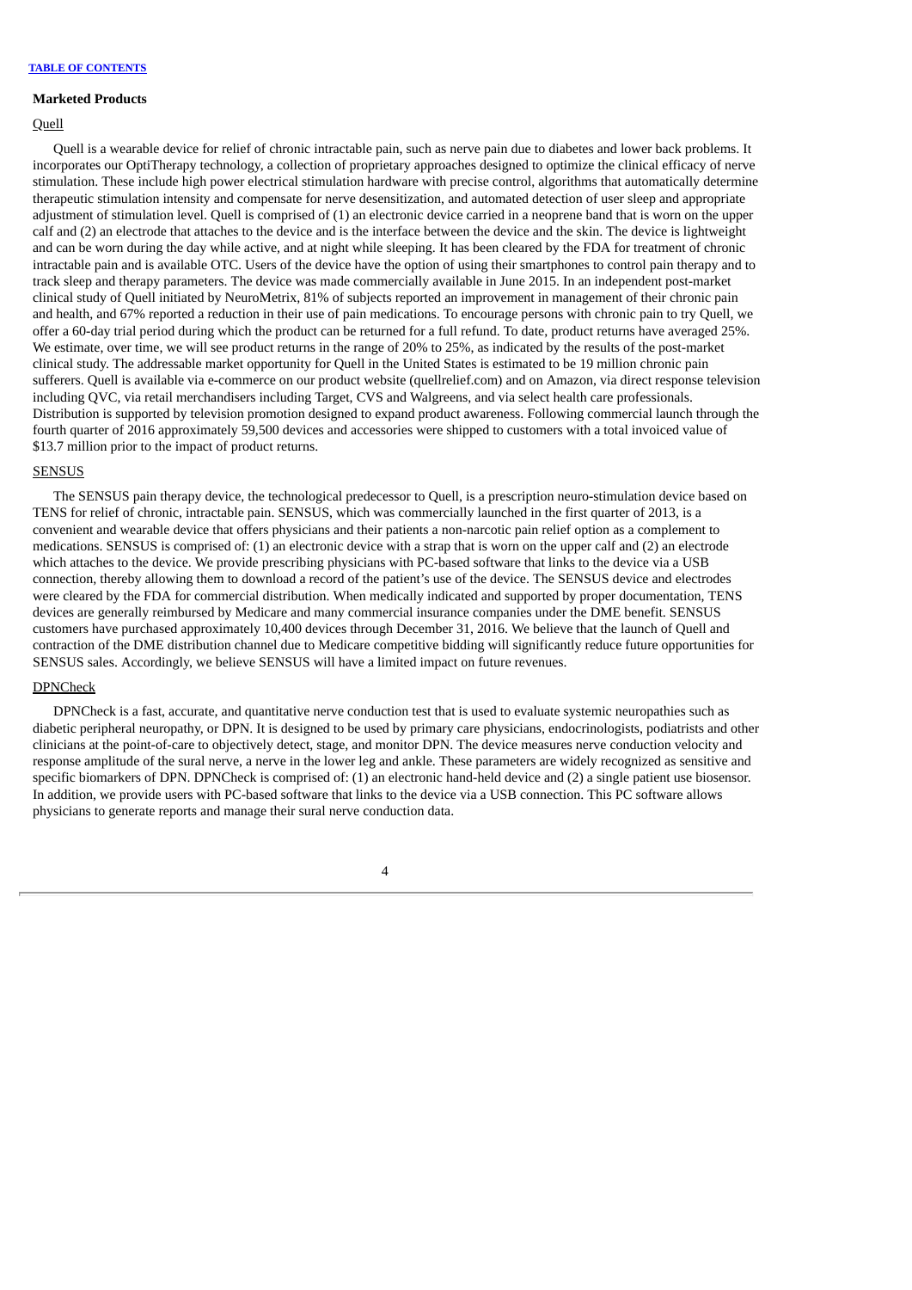#### **Marketed Products**

#### Quell

Quell is a wearable device for relief of chronic intractable pain, such as nerve pain due to diabetes and lower back problems. It incorporates our OptiTherapy technology, a collection of proprietary approaches designed to optimize the clinical efficacy of nerve stimulation. These include high power electrical stimulation hardware with precise control, algorithms that automatically determine therapeutic stimulation intensity and compensate for nerve desensitization, and automated detection of user sleep and appropriate adjustment of stimulation level. Quell is comprised of (1) an electronic device carried in a neoprene band that is worn on the upper calf and (2) an electrode that attaches to the device and is the interface between the device and the skin. The device is lightweight and can be worn during the day while active, and at night while sleeping. It has been cleared by the FDA for treatment of chronic intractable pain and is available OTC. Users of the device have the option of using their smartphones to control pain therapy and to track sleep and therapy parameters. The device was made commercially available in June 2015. In an independent post-market clinical study of Quell initiated by NeuroMetrix, 81% of subjects reported an improvement in management of their chronic pain and health, and 67% reported a reduction in their use of pain medications. To encourage persons with chronic pain to try Quell, we offer a 60-day trial period during which the product can be returned for a full refund. To date, product returns have averaged 25%. We estimate, over time, we will see product returns in the range of 20% to 25%, as indicated by the results of the post-market clinical study. The addressable market opportunity for Quell in the United States is estimated to be 19 million chronic pain sufferers. Quell is available via e-commerce on our product website (quellrelief.com) and on Amazon, via direct response television including QVC, via retail merchandisers including Target, CVS and Walgreens, and via select health care professionals. Distribution is supported by television promotion designed to expand product awareness. Following commercial launch through the fourth quarter of 2016 approximately 59,500 devices and accessories were shipped to customers with a total invoiced value of \$13.7 million prior to the impact of product returns.

### SENSUS

The SENSUS pain therapy device, the technological predecessor to Quell, is a prescription neuro-stimulation device based on TENS for relief of chronic, intractable pain. SENSUS, which was commercially launched in the first quarter of 2013, is a convenient and wearable device that offers physicians and their patients a non-narcotic pain relief option as a complement to medications. SENSUS is comprised of: (1) an electronic device with a strap that is worn on the upper calf and (2) an electrode which attaches to the device. We provide prescribing physicians with PC-based software that links to the device via a USB connection, thereby allowing them to download a record of the patient's use of the device. The SENSUS device and electrodes were cleared by the FDA for commercial distribution. When medically indicated and supported by proper documentation, TENS devices are generally reimbursed by Medicare and many commercial insurance companies under the DME benefit. SENSUS customers have purchased approximately 10,400 devices through December 31, 2016. We believe that the launch of Quell and contraction of the DME distribution channel due to Medicare competitive bidding will significantly reduce future opportunities for SENSUS sales. Accordingly, we believe SENSUS will have a limited impact on future revenues.

### DPNCheck

DPNCheck is a fast, accurate, and quantitative nerve conduction test that is used to evaluate systemic neuropathies such as diabetic peripheral neuropathy, or DPN. It is designed to be used by primary care physicians, endocrinologists, podiatrists and other clinicians at the point-of-care to objectively detect, stage, and monitor DPN. The device measures nerve conduction velocity and response amplitude of the sural nerve, a nerve in the lower leg and ankle. These parameters are widely recognized as sensitive and specific biomarkers of DPN. DPNCheck is comprised of: (1) an electronic hand-held device and (2) a single patient use biosensor. In addition, we provide users with PC-based software that links to the device via a USB connection. This PC software allows physicians to generate reports and manage their sural nerve conduction data.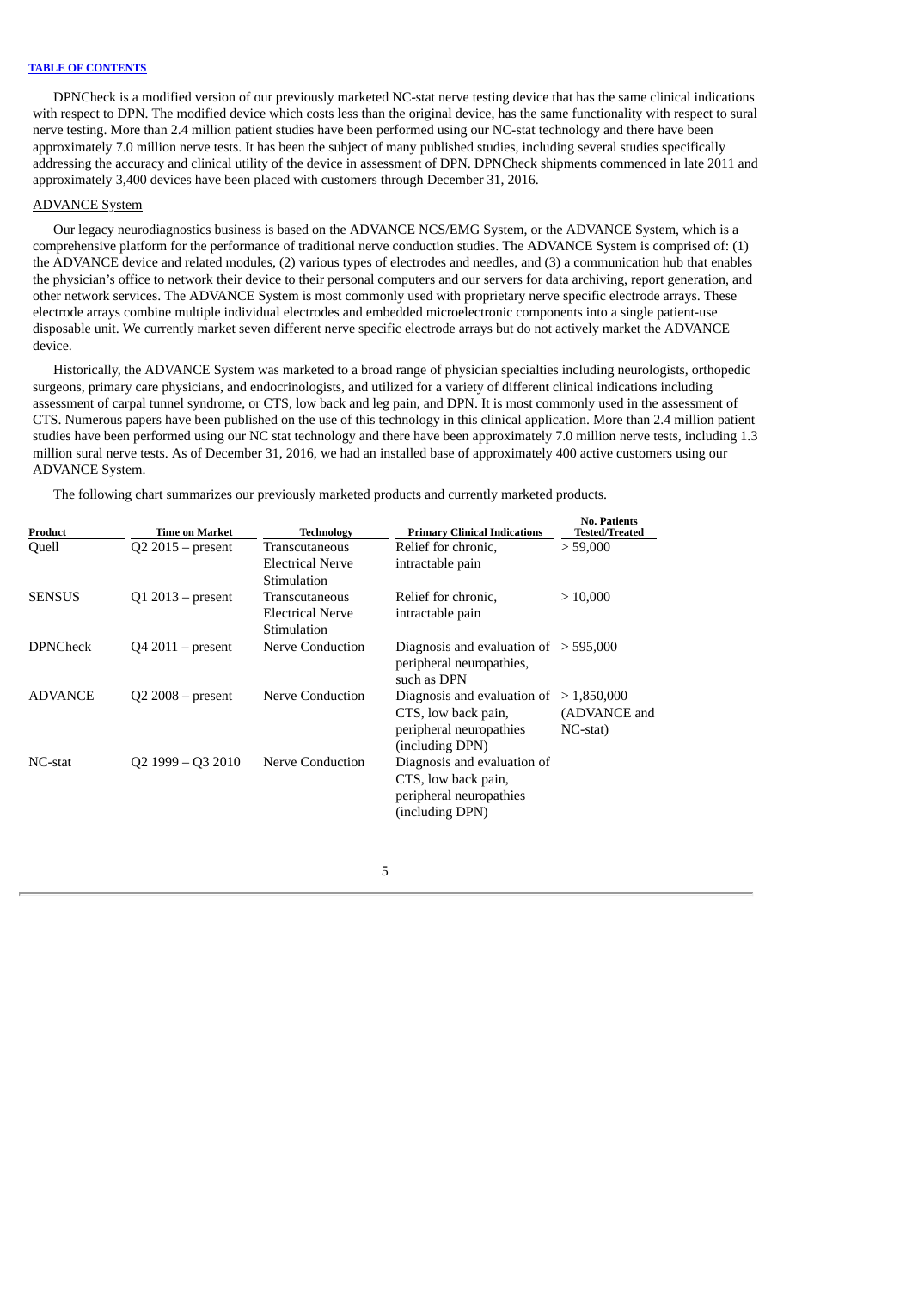DPNCheck is a modified version of our previously marketed NC-stat nerve testing device that has the same clinical indications with respect to DPN. The modified device which costs less than the original device, has the same functionality with respect to sural nerve testing. More than 2.4 million patient studies have been performed using our NC-stat technology and there have been approximately 7.0 million nerve tests. It has been the subject of many published studies, including several studies specifically addressing the accuracy and clinical utility of the device in assessment of DPN. DPNCheck shipments commenced in late 2011 and approximately 3,400 devices have been placed with customers through December 31, 2016.

### ADVANCE System

Our legacy neurodiagnostics business is based on the ADVANCE NCS/EMG System, or the ADVANCE System, which is a comprehensive platform for the performance of traditional nerve conduction studies. The ADVANCE System is comprised of: (1) the ADVANCE device and related modules, (2) various types of electrodes and needles, and (3) a communication hub that enables the physician's office to network their device to their personal computers and our servers for data archiving, report generation, and other network services. The ADVANCE System is most commonly used with proprietary nerve specific electrode arrays. These electrode arrays combine multiple individual electrodes and embedded microelectronic components into a single patient-use disposable unit. We currently market seven different nerve specific electrode arrays but do not actively market the ADVANCE device.

Historically, the ADVANCE System was marketed to a broad range of physician specialties including neurologists, orthopedic surgeons, primary care physicians, and endocrinologists, and utilized for a variety of different clinical indications including assessment of carpal tunnel syndrome, or CTS, low back and leg pain, and DPN. It is most commonly used in the assessment of CTS. Numerous papers have been published on the use of this technology in this clinical application. More than 2.4 million patient studies have been performed using our NC stat technology and there have been approximately 7.0 million nerve tests, including 1.3 million sural nerve tests. As of December 31, 2016, we had an installed base of approximately 400 active customers using our ADVANCE System.

**No. Patients**

The following chart summarizes our previously marketed products and currently marketed products.

| Product         | Time on Market      | Technology              | <b>Primary Clinical Indications</b>     | то. т ансию<br><b>Tested/Treated</b> |
|-----------------|---------------------|-------------------------|-----------------------------------------|--------------------------------------|
| Quell           | $Q2 2015 - present$ | Transcutaneous          | Relief for chronic,                     | > 59,000                             |
|                 |                     | Electrical Nerve        | intractable pain                        |                                      |
|                 |                     | Stimulation             |                                         |                                      |
| <b>SENSUS</b>   | $Q1 2013 - present$ | Transcutaneous          | Relief for chronic,                     | > 10,000                             |
|                 |                     | <b>Electrical Nerve</b> | intractable pain                        |                                      |
|                 |                     | Stimulation             |                                         |                                      |
| <b>DPNCheck</b> | $Q4 2011 - present$ | <b>Nerve Conduction</b> | Diagnosis and evaluation of $>$ 595,000 |                                      |
|                 |                     |                         | peripheral neuropathies,                |                                      |
|                 |                     |                         | such as DPN                             |                                      |
| <b>ADVANCE</b>  | $Q2 2008 - present$ | <b>Nerve Conduction</b> | Diagnosis and evaluation of             | >1,850,000                           |
|                 |                     |                         | CTS, low back pain,                     | (ADVANCE and                         |
|                 |                     |                         | peripheral neuropathies                 | $NC$ -stat $)$                       |
|                 |                     |                         | (including DPN)                         |                                      |
| NC-stat         | $Q2$ 1999 - Q3 2010 | <b>Nerve Conduction</b> | Diagnosis and evaluation of             |                                      |
|                 |                     |                         | CTS, low back pain,                     |                                      |
|                 |                     |                         | peripheral neuropathies                 |                                      |
|                 |                     |                         | (including DPN)                         |                                      |
|                 |                     |                         |                                         |                                      |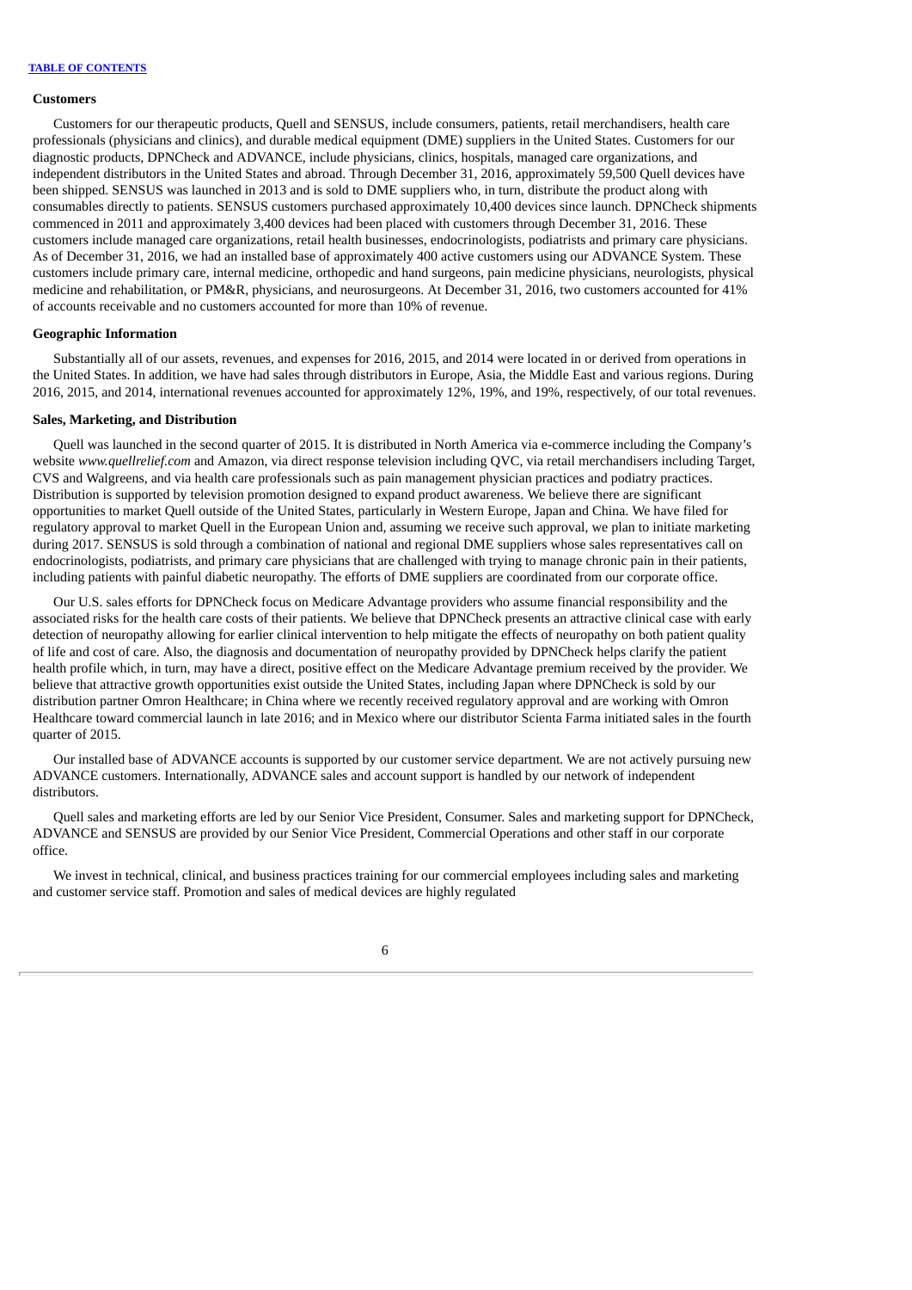#### **Customers**

Customers for our therapeutic products, Quell and SENSUS, include consumers, patients, retail merchandisers, health care professionals (physicians and clinics), and durable medical equipment (DME) suppliers in the United States. Customers for our diagnostic products, DPNCheck and ADVANCE, include physicians, clinics, hospitals, managed care organizations, and independent distributors in the United States and abroad. Through December 31, 2016, approximately 59,500 Quell devices have been shipped. SENSUS was launched in 2013 and is sold to DME suppliers who, in turn, distribute the product along with consumables directly to patients. SENSUS customers purchased approximately 10,400 devices since launch. DPNCheck shipments commenced in 2011 and approximately 3,400 devices had been placed with customers through December 31, 2016. These customers include managed care organizations, retail health businesses, endocrinologists, podiatrists and primary care physicians. As of December 31, 2016, we had an installed base of approximately 400 active customers using our ADVANCE System. These customers include primary care, internal medicine, orthopedic and hand surgeons, pain medicine physicians, neurologists, physical medicine and rehabilitation, or PM&R, physicians, and neurosurgeons. At December 31, 2016, two customers accounted for 41% of accounts receivable and no customers accounted for more than 10% of revenue.

### **Geographic Information**

Substantially all of our assets, revenues, and expenses for 2016, 2015, and 2014 were located in or derived from operations in the United States. In addition, we have had sales through distributors in Europe, Asia, the Middle East and various regions. During 2016, 2015, and 2014, international revenues accounted for approximately 12%, 19%, and 19%, respectively, of our total revenues.

#### **Sales, Marketing, and Distribution**

Quell was launched in the second quarter of 2015. It is distributed in North America via e-commerce including the Company's website *www.quellrelief.com* and Amazon, via direct response television including QVC, via retail merchandisers including Target, CVS and Walgreens, and via health care professionals such as pain management physician practices and podiatry practices. Distribution is supported by television promotion designed to expand product awareness. We believe there are significant opportunities to market Quell outside of the United States, particularly in Western Europe, Japan and China. We have filed for regulatory approval to market Quell in the European Union and, assuming we receive such approval, we plan to initiate marketing during 2017. SENSUS is sold through a combination of national and regional DME suppliers whose sales representatives call on endocrinologists, podiatrists, and primary care physicians that are challenged with trying to manage chronic pain in their patients, including patients with painful diabetic neuropathy. The efforts of DME suppliers are coordinated from our corporate office.

Our U.S. sales efforts for DPNCheck focus on Medicare Advantage providers who assume financial responsibility and the associated risks for the health care costs of their patients. We believe that DPNCheck presents an attractive clinical case with early detection of neuropathy allowing for earlier clinical intervention to help mitigate the effects of neuropathy on both patient quality of life and cost of care. Also, the diagnosis and documentation of neuropathy provided by DPNCheck helps clarify the patient health profile which, in turn, may have a direct, positive effect on the Medicare Advantage premium received by the provider. We believe that attractive growth opportunities exist outside the United States, including Japan where DPNCheck is sold by our distribution partner Omron Healthcare; in China where we recently received regulatory approval and are working with Omron Healthcare toward commercial launch in late 2016; and in Mexico where our distributor Scienta Farma initiated sales in the fourth quarter of 2015.

Our installed base of ADVANCE accounts is supported by our customer service department. We are not actively pursuing new ADVANCE customers. Internationally, ADVANCE sales and account support is handled by our network of independent distributors.

Quell sales and marketing efforts are led by our Senior Vice President, Consumer. Sales and marketing support for DPNCheck, ADVANCE and SENSUS are provided by our Senior Vice President, Commercial Operations and other staff in our corporate office.

We invest in technical, clinical, and business practices training for our commercial employees including sales and marketing and customer service staff. Promotion and sales of medical devices are highly regulated

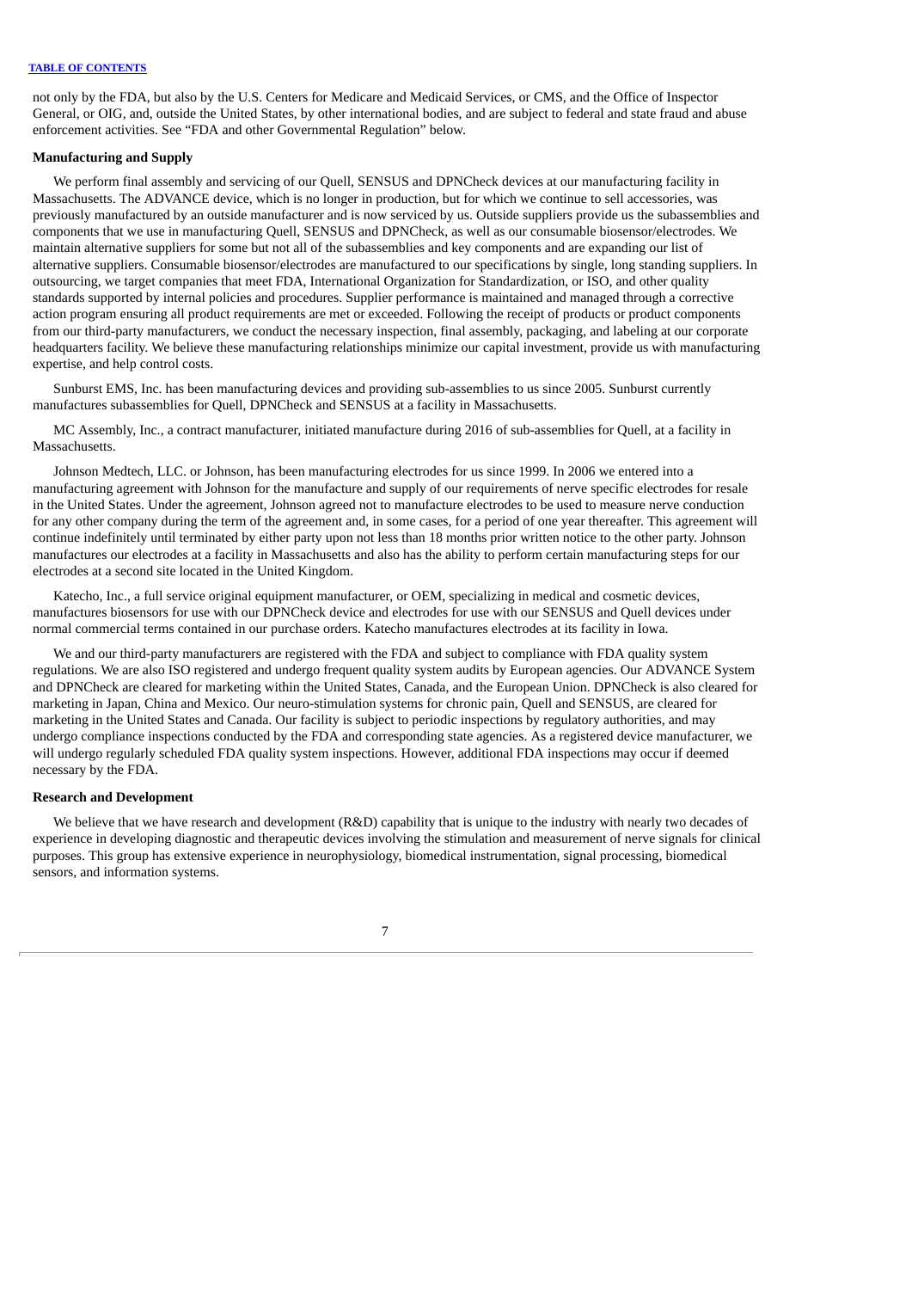not only by the FDA, but also by the U.S. Centers for Medicare and Medicaid Services, or CMS, and the Office of Inspector General, or OIG, and, outside the United States, by other international bodies, and are subject to federal and state fraud and abuse enforcement activities. See "FDA and other Governmental Regulation" below.

### **Manufacturing and Supply**

We perform final assembly and servicing of our Quell, SENSUS and DPNCheck devices at our manufacturing facility in Massachusetts. The ADVANCE device, which is no longer in production, but for which we continue to sell accessories, was previously manufactured by an outside manufacturer and is now serviced by us. Outside suppliers provide us the subassemblies and components that we use in manufacturing Quell, SENSUS and DPNCheck, as well as our consumable biosensor/electrodes. We maintain alternative suppliers for some but not all of the subassemblies and key components and are expanding our list of alternative suppliers. Consumable biosensor/electrodes are manufactured to our specifications by single, long standing suppliers. In outsourcing, we target companies that meet FDA, International Organization for Standardization, or ISO, and other quality standards supported by internal policies and procedures. Supplier performance is maintained and managed through a corrective action program ensuring all product requirements are met or exceeded. Following the receipt of products or product components from our third-party manufacturers, we conduct the necessary inspection, final assembly, packaging, and labeling at our corporate headquarters facility. We believe these manufacturing relationships minimize our capital investment, provide us with manufacturing expertise, and help control costs.

Sunburst EMS, Inc. has been manufacturing devices and providing sub-assemblies to us since 2005. Sunburst currently manufactures subassemblies for Quell, DPNCheck and SENSUS at a facility in Massachusetts.

MC Assembly, Inc., a contract manufacturer, initiated manufacture during 2016 of sub-assemblies for Quell, at a facility in Massachusetts.

Johnson Medtech, LLC. or Johnson, has been manufacturing electrodes for us since 1999. In 2006 we entered into a manufacturing agreement with Johnson for the manufacture and supply of our requirements of nerve specific electrodes for resale in the United States. Under the agreement, Johnson agreed not to manufacture electrodes to be used to measure nerve conduction for any other company during the term of the agreement and, in some cases, for a period of one year thereafter. This agreement will continue indefinitely until terminated by either party upon not less than 18 months prior written notice to the other party. Johnson manufactures our electrodes at a facility in Massachusetts and also has the ability to perform certain manufacturing steps for our electrodes at a second site located in the United Kingdom.

Katecho, Inc., a full service original equipment manufacturer, or OEM, specializing in medical and cosmetic devices, manufactures biosensors for use with our DPNCheck device and electrodes for use with our SENSUS and Quell devices under normal commercial terms contained in our purchase orders. Katecho manufactures electrodes at its facility in Iowa.

We and our third-party manufacturers are registered with the FDA and subject to compliance with FDA quality system regulations. We are also ISO registered and undergo frequent quality system audits by European agencies. Our ADVANCE System and DPNCheck are cleared for marketing within the United States, Canada, and the European Union. DPNCheck is also cleared for marketing in Japan, China and Mexico. Our neuro-stimulation systems for chronic pain, Quell and SENSUS, are cleared for marketing in the United States and Canada. Our facility is subject to periodic inspections by regulatory authorities, and may undergo compliance inspections conducted by the FDA and corresponding state agencies. As a registered device manufacturer, we will undergo regularly scheduled FDA quality system inspections. However, additional FDA inspections may occur if deemed necessary by the FDA.

# **Research and Development**

We believe that we have research and development (R&D) capability that is unique to the industry with nearly two decades of experience in developing diagnostic and therapeutic devices involving the stimulation and measurement of nerve signals for clinical purposes. This group has extensive experience in neurophysiology, biomedical instrumentation, signal processing, biomedical sensors, and information systems.

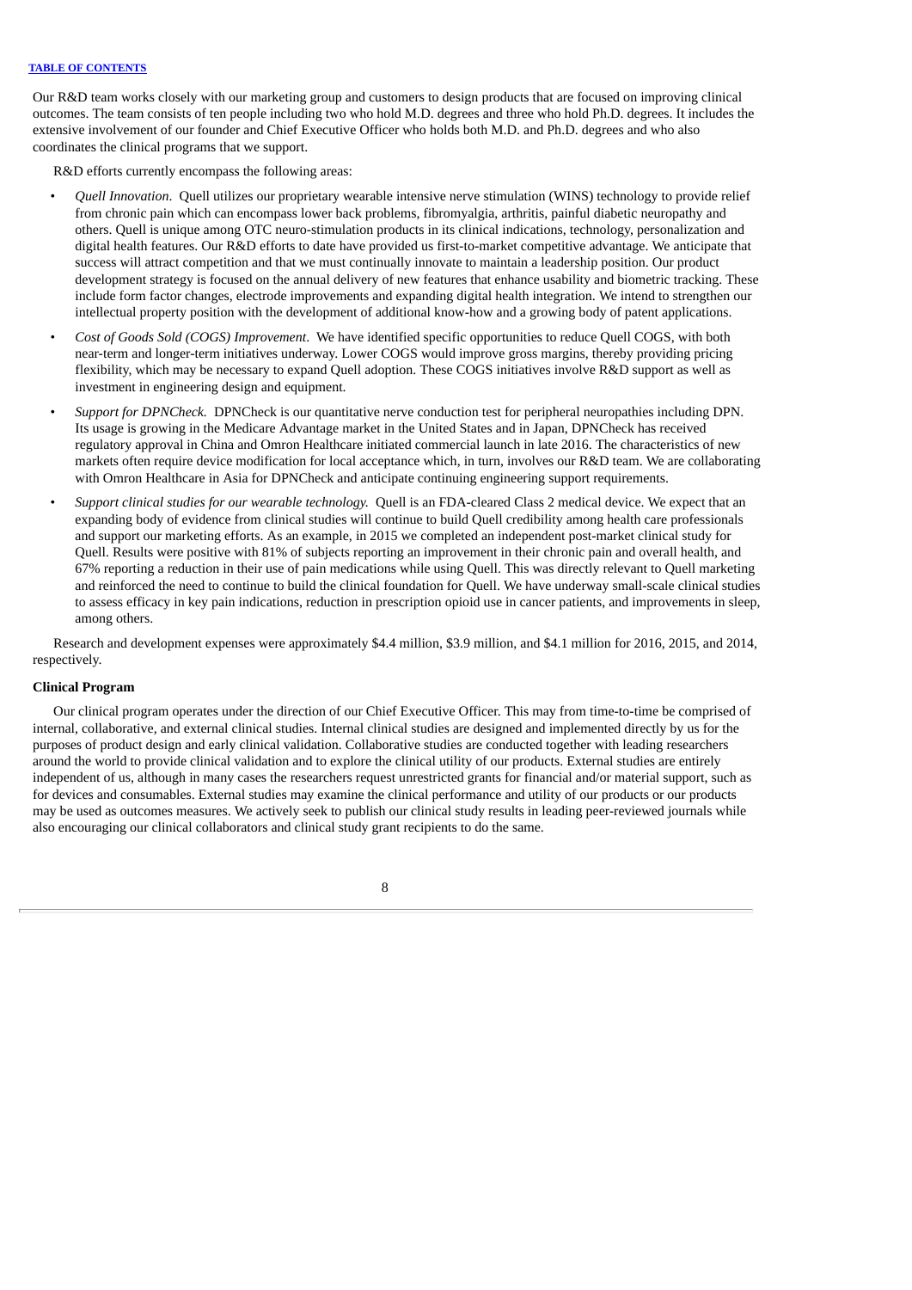Our R&D team works closely with our marketing group and customers to design products that are focused on improving clinical outcomes. The team consists of ten people including two who hold M.D. degrees and three who hold Ph.D. degrees. It includes the extensive involvement of our founder and Chief Executive Officer who holds both M.D. and Ph.D. degrees and who also coordinates the clinical programs that we support.

R&D efforts currently encompass the following areas:

- *Quell Innovation*. Quell utilizes our proprietary wearable intensive nerve stimulation (WINS) technology to provide relief from chronic pain which can encompass lower back problems, fibromyalgia, arthritis, painful diabetic neuropathy and others. Quell is unique among OTC neuro-stimulation products in its clinical indications, technology, personalization and digital health features. Our R&D efforts to date have provided us first-to-market competitive advantage. We anticipate that success will attract competition and that we must continually innovate to maintain a leadership position. Our product development strategy is focused on the annual delivery of new features that enhance usability and biometric tracking. These include form factor changes, electrode improvements and expanding digital health integration. We intend to strengthen our intellectual property position with the development of additional know-how and a growing body of patent applications.
- *Cost of Goods Sold (COGS) Improvement*. We have identified specific opportunities to reduce Quell COGS, with both near-term and longer-term initiatives underway. Lower COGS would improve gross margins, thereby providing pricing flexibility, which may be necessary to expand Quell adoption. These COGS initiatives involve R&D support as well as investment in engineering design and equipment.
- *Support for DPNCheck.* DPNCheck is our quantitative nerve conduction test for peripheral neuropathies including DPN. Its usage is growing in the Medicare Advantage market in the United States and in Japan, DPNCheck has received regulatory approval in China and Omron Healthcare initiated commercial launch in late 2016. The characteristics of new markets often require device modification for local acceptance which, in turn, involves our R&D team. We are collaborating with Omron Healthcare in Asia for DPNCheck and anticipate continuing engineering support requirements.
- *Support clinical studies for our wearable technology.* Quell is an FDA-cleared Class 2 medical device. We expect that an expanding body of evidence from clinical studies will continue to build Quell credibility among health care professionals and support our marketing efforts. As an example, in 2015 we completed an independent post-market clinical study for Quell. Results were positive with 81% of subjects reporting an improvement in their chronic pain and overall health, and 67% reporting a reduction in their use of pain medications while using Quell. This was directly relevant to Quell marketing and reinforced the need to continue to build the clinical foundation for Quell. We have underway small-scale clinical studies to assess efficacy in key pain indications, reduction in prescription opioid use in cancer patients, and improvements in sleep, among others.

Research and development expenses were approximately \$4.4 million, \$3.9 million, and \$4.1 million for 2016, 2015, and 2014, respectively.

### **Clinical Program**

Our clinical program operates under the direction of our Chief Executive Officer. This may from time-to-time be comprised of internal, collaborative, and external clinical studies. Internal clinical studies are designed and implemented directly by us for the purposes of product design and early clinical validation. Collaborative studies are conducted together with leading researchers around the world to provide clinical validation and to explore the clinical utility of our products. External studies are entirely independent of us, although in many cases the researchers request unrestricted grants for financial and/or material support, such as for devices and consumables. External studies may examine the clinical performance and utility of our products or our products may be used as outcomes measures. We actively seek to publish our clinical study results in leading peer-reviewed journals while also encouraging our clinical collaborators and clinical study grant recipients to do the same.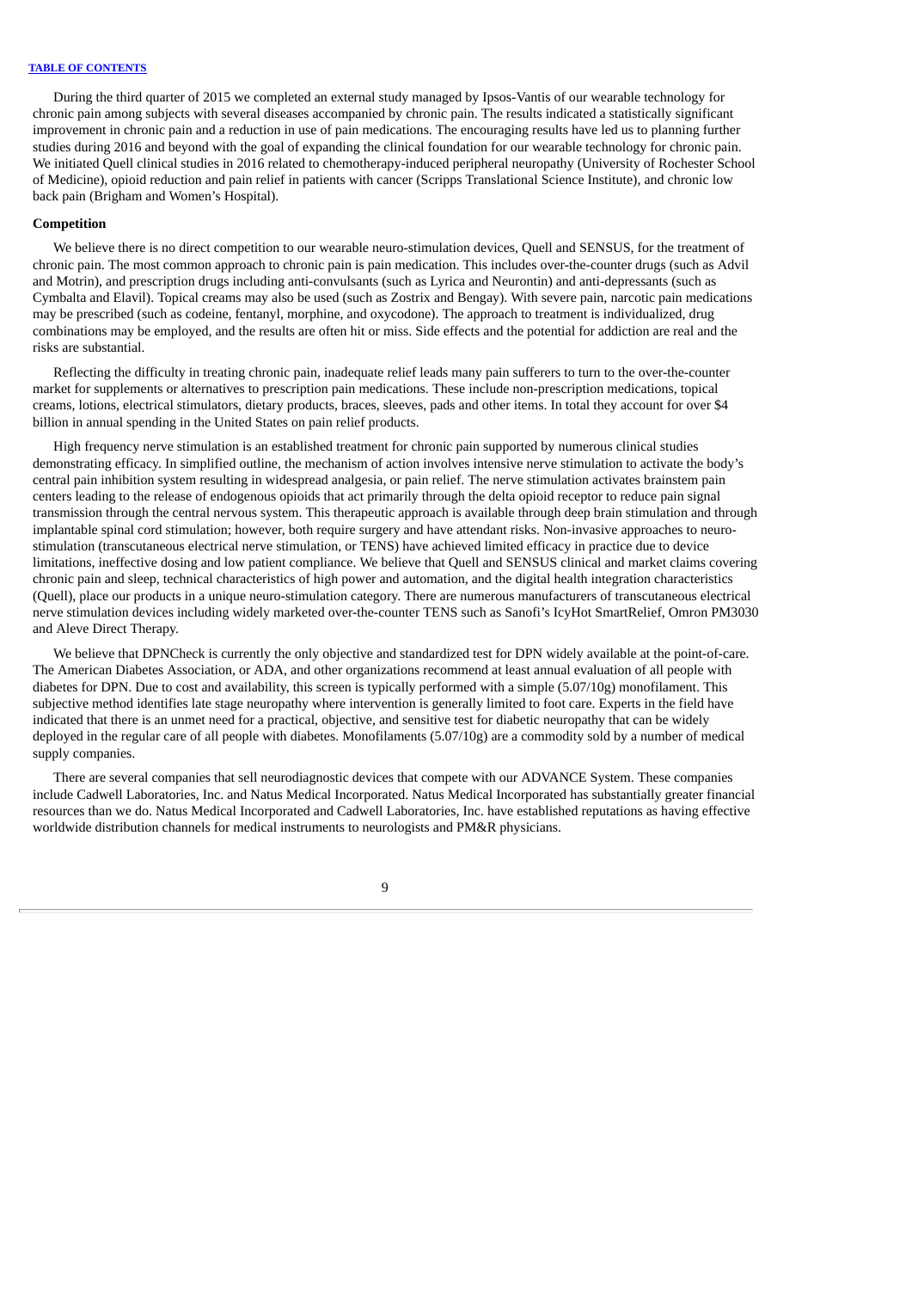During the third quarter of 2015 we completed an external study managed by Ipsos-Vantis of our wearable technology for chronic pain among subjects with several diseases accompanied by chronic pain. The results indicated a statistically significant improvement in chronic pain and a reduction in use of pain medications. The encouraging results have led us to planning further studies during 2016 and beyond with the goal of expanding the clinical foundation for our wearable technology for chronic pain. We initiated Quell clinical studies in 2016 related to chemotherapy-induced peripheral neuropathy (University of Rochester School of Medicine), opioid reduction and pain relief in patients with cancer (Scripps Translational Science Institute), and chronic low back pain (Brigham and Women's Hospital).

#### **Competition**

We believe there is no direct competition to our wearable neuro-stimulation devices, Quell and SENSUS, for the treatment of chronic pain. The most common approach to chronic pain is pain medication. This includes over-the-counter drugs (such as Advil and Motrin), and prescription drugs including anti-convulsants (such as Lyrica and Neurontin) and anti-depressants (such as Cymbalta and Elavil). Topical creams may also be used (such as Zostrix and Bengay). With severe pain, narcotic pain medications may be prescribed (such as codeine, fentanyl, morphine, and oxycodone). The approach to treatment is individualized, drug combinations may be employed, and the results are often hit or miss. Side effects and the potential for addiction are real and the risks are substantial.

Reflecting the difficulty in treating chronic pain, inadequate relief leads many pain sufferers to turn to the over-the-counter market for supplements or alternatives to prescription pain medications. These include non-prescription medications, topical creams, lotions, electrical stimulators, dietary products, braces, sleeves, pads and other items. In total they account for over \$4 billion in annual spending in the United States on pain relief products.

High frequency nerve stimulation is an established treatment for chronic pain supported by numerous clinical studies demonstrating efficacy. In simplified outline, the mechanism of action involves intensive nerve stimulation to activate the body's central pain inhibition system resulting in widespread analgesia, or pain relief. The nerve stimulation activates brainstem pain centers leading to the release of endogenous opioids that act primarily through the delta opioid receptor to reduce pain signal transmission through the central nervous system. This therapeutic approach is available through deep brain stimulation and through implantable spinal cord stimulation; however, both require surgery and have attendant risks. Non-invasive approaches to neurostimulation (transcutaneous electrical nerve stimulation, or TENS) have achieved limited efficacy in practice due to device limitations, ineffective dosing and low patient compliance. We believe that Quell and SENSUS clinical and market claims covering chronic pain and sleep, technical characteristics of high power and automation, and the digital health integration characteristics (Quell), place our products in a unique neuro-stimulation category. There are numerous manufacturers of transcutaneous electrical nerve stimulation devices including widely marketed over-the-counter TENS such as Sanofi's IcyHot SmartRelief, Omron PM3030 and Aleve Direct Therapy.

We believe that DPNCheck is currently the only objective and standardized test for DPN widely available at the point-of-care. The American Diabetes Association, or ADA, and other organizations recommend at least annual evaluation of all people with diabetes for DPN. Due to cost and availability, this screen is typically performed with a simple (5.07/10g) monofilament. This subjective method identifies late stage neuropathy where intervention is generally limited to foot care. Experts in the field have indicated that there is an unmet need for a practical, objective, and sensitive test for diabetic neuropathy that can be widely deployed in the regular care of all people with diabetes. Monofilaments (5.07/10g) are a commodity sold by a number of medical supply companies.

There are several companies that sell neurodiagnostic devices that compete with our ADVANCE System. These companies include Cadwell Laboratories, Inc. and Natus Medical Incorporated. Natus Medical Incorporated has substantially greater financial resources than we do. Natus Medical Incorporated and Cadwell Laboratories, Inc. have established reputations as having effective worldwide distribution channels for medical instruments to neurologists and PM&R physicians.

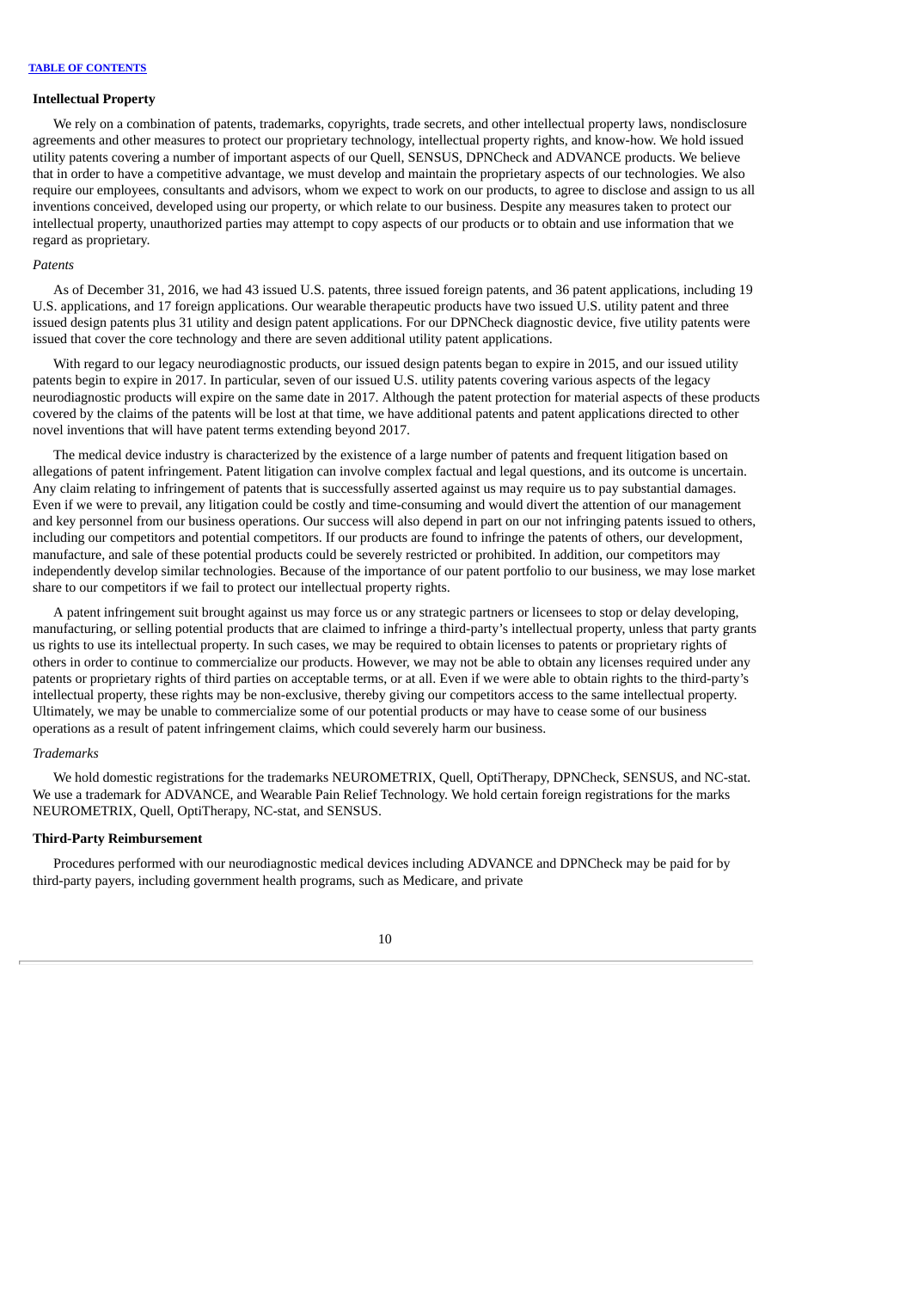#### **Intellectual Property**

We rely on a combination of patents, trademarks, copyrights, trade secrets, and other intellectual property laws, nondisclosure agreements and other measures to protect our proprietary technology, intellectual property rights, and know-how. We hold issued utility patents covering a number of important aspects of our Quell, SENSUS, DPNCheck and ADVANCE products. We believe that in order to have a competitive advantage, we must develop and maintain the proprietary aspects of our technologies. We also require our employees, consultants and advisors, whom we expect to work on our products, to agree to disclose and assign to us all inventions conceived, developed using our property, or which relate to our business. Despite any measures taken to protect our intellectual property, unauthorized parties may attempt to copy aspects of our products or to obtain and use information that we regard as proprietary.

#### *Patents*

As of December 31, 2016, we had 43 issued U.S. patents, three issued foreign patents, and 36 patent applications, including 19 U.S. applications, and 17 foreign applications. Our wearable therapeutic products have two issued U.S. utility patent and three issued design patents plus 31 utility and design patent applications. For our DPNCheck diagnostic device, five utility patents were issued that cover the core technology and there are seven additional utility patent applications.

With regard to our legacy neurodiagnostic products, our issued design patents began to expire in 2015, and our issued utility patents begin to expire in 2017. In particular, seven of our issued U.S. utility patents covering various aspects of the legacy neurodiagnostic products will expire on the same date in 2017. Although the patent protection for material aspects of these products covered by the claims of the patents will be lost at that time, we have additional patents and patent applications directed to other novel inventions that will have patent terms extending beyond 2017.

The medical device industry is characterized by the existence of a large number of patents and frequent litigation based on allegations of patent infringement. Patent litigation can involve complex factual and legal questions, and its outcome is uncertain. Any claim relating to infringement of patents that is successfully asserted against us may require us to pay substantial damages. Even if we were to prevail, any litigation could be costly and time-consuming and would divert the attention of our management and key personnel from our business operations. Our success will also depend in part on our not infringing patents issued to others, including our competitors and potential competitors. If our products are found to infringe the patents of others, our development, manufacture, and sale of these potential products could be severely restricted or prohibited. In addition, our competitors may independently develop similar technologies. Because of the importance of our patent portfolio to our business, we may lose market share to our competitors if we fail to protect our intellectual property rights.

A patent infringement suit brought against us may force us or any strategic partners or licensees to stop or delay developing, manufacturing, or selling potential products that are claimed to infringe a third-party's intellectual property, unless that party grants us rights to use its intellectual property. In such cases, we may be required to obtain licenses to patents or proprietary rights of others in order to continue to commercialize our products. However, we may not be able to obtain any licenses required under any patents or proprietary rights of third parties on acceptable terms, or at all. Even if we were able to obtain rights to the third-party's intellectual property, these rights may be non-exclusive, thereby giving our competitors access to the same intellectual property. Ultimately, we may be unable to commercialize some of our potential products or may have to cease some of our business operations as a result of patent infringement claims, which could severely harm our business.

# *Trademarks*

We hold domestic registrations for the trademarks NEUROMETRIX, Quell, OptiTherapy, DPNCheck, SENSUS, and NC-stat. We use a trademark for ADVANCE, and Wearable Pain Relief Technology. We hold certain foreign registrations for the marks NEUROMETRIX, Quell, OptiTherapy, NC-stat, and SENSUS.

### **Third-Party Reimbursement**

Procedures performed with our neurodiagnostic medical devices including ADVANCE and DPNCheck may be paid for by third-party payers, including government health programs, such as Medicare, and private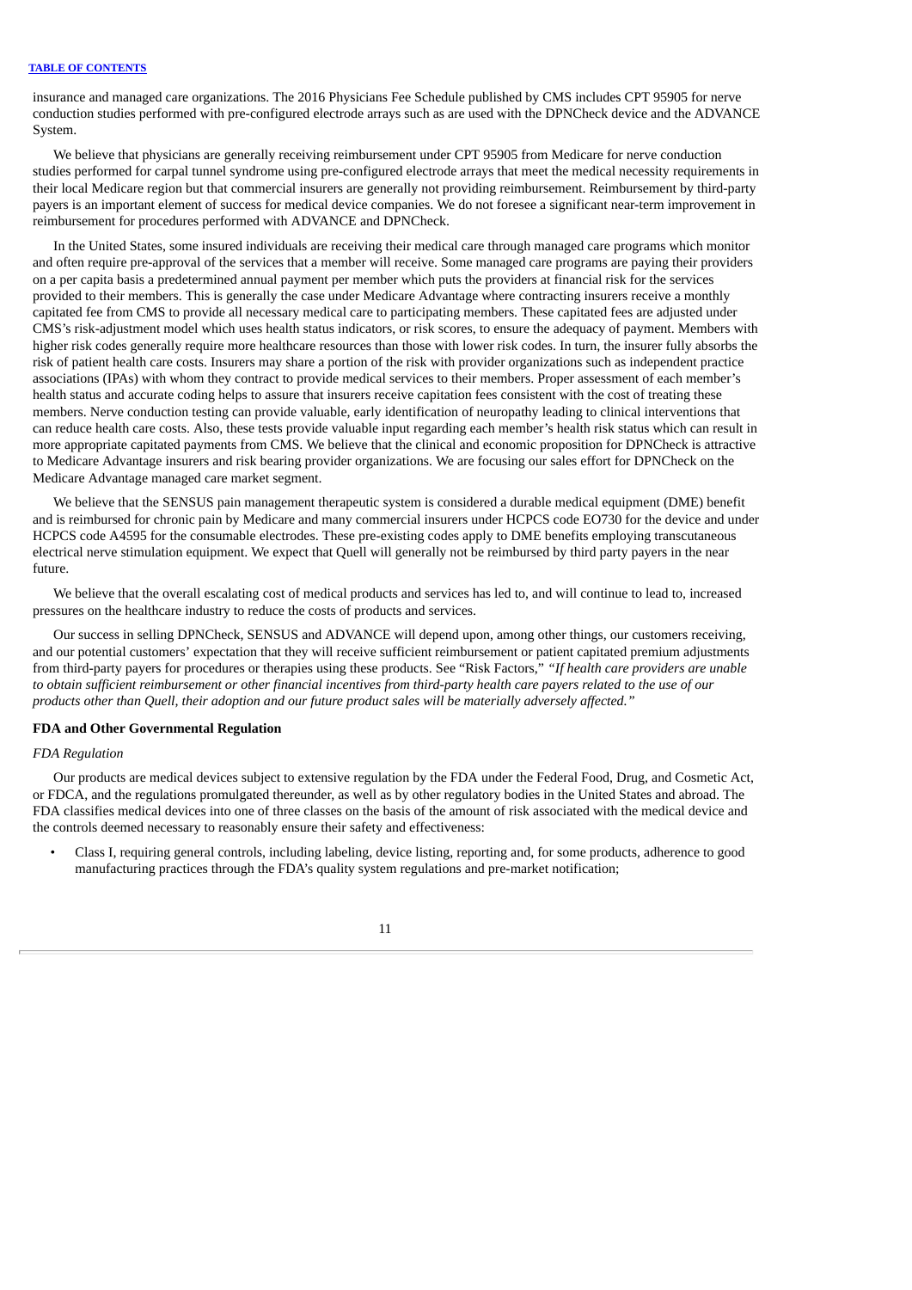insurance and managed care organizations. The 2016 Physicians Fee Schedule published by CMS includes CPT 95905 for nerve conduction studies performed with pre-configured electrode arrays such as are used with the DPNCheck device and the ADVANCE System.

We believe that physicians are generally receiving reimbursement under CPT 95905 from Medicare for nerve conduction studies performed for carpal tunnel syndrome using pre-configured electrode arrays that meet the medical necessity requirements in their local Medicare region but that commercial insurers are generally not providing reimbursement. Reimbursement by third-party payers is an important element of success for medical device companies. We do not foresee a significant near-term improvement in reimbursement for procedures performed with ADVANCE and DPNCheck.

In the United States, some insured individuals are receiving their medical care through managed care programs which monitor and often require pre-approval of the services that a member will receive. Some managed care programs are paying their providers on a per capita basis a predetermined annual payment per member which puts the providers at financial risk for the services provided to their members. This is generally the case under Medicare Advantage where contracting insurers receive a monthly capitated fee from CMS to provide all necessary medical care to participating members. These capitated fees are adjusted under CMS's risk-adjustment model which uses health status indicators, or risk scores, to ensure the adequacy of payment. Members with higher risk codes generally require more healthcare resources than those with lower risk codes. In turn, the insurer fully absorbs the risk of patient health care costs. Insurers may share a portion of the risk with provider organizations such as independent practice associations (IPAs) with whom they contract to provide medical services to their members. Proper assessment of each member's health status and accurate coding helps to assure that insurers receive capitation fees consistent with the cost of treating these members. Nerve conduction testing can provide valuable, early identification of neuropathy leading to clinical interventions that can reduce health care costs. Also, these tests provide valuable input regarding each member's health risk status which can result in more appropriate capitated payments from CMS. We believe that the clinical and economic proposition for DPNCheck is attractive to Medicare Advantage insurers and risk bearing provider organizations. We are focusing our sales effort for DPNCheck on the Medicare Advantage managed care market segment.

We believe that the SENSUS pain management therapeutic system is considered a durable medical equipment (DME) benefit and is reimbursed for chronic pain by Medicare and many commercial insurers under HCPCS code EO730 for the device and under HCPCS code A4595 for the consumable electrodes. These pre-existing codes apply to DME benefits employing transcutaneous electrical nerve stimulation equipment. We expect that Quell will generally not be reimbursed by third party payers in the near future.

We believe that the overall escalating cost of medical products and services has led to, and will continue to lead to, increased pressures on the healthcare industry to reduce the costs of products and services.

Our success in selling DPNCheck, SENSUS and ADVANCE will depend upon, among other things, our customers receiving, and our potential customers' expectation that they will receive sufficient reimbursement or patient capitated premium adjustments from third-party payers for procedures or therapies using these products. See "Risk Factors," *"If health care providers are unable* to obtain sufficient reimbursement or other financial incentives from third-party health care payers related to the use of our *products other than Quell, their adoption and our future product sales will be materially adversely affected."*

# **FDA and Other Governmental Regulation**

#### *FDA Regulation*

Our products are medical devices subject to extensive regulation by the FDA under the Federal Food, Drug, and Cosmetic Act, or FDCA, and the regulations promulgated thereunder, as well as by other regulatory bodies in the United States and abroad. The FDA classifies medical devices into one of three classes on the basis of the amount of risk associated with the medical device and the controls deemed necessary to reasonably ensure their safety and effectiveness:

• Class I, requiring general controls, including labeling, device listing, reporting and, for some products, adherence to good manufacturing practices through the FDA's quality system regulations and pre-market notification;

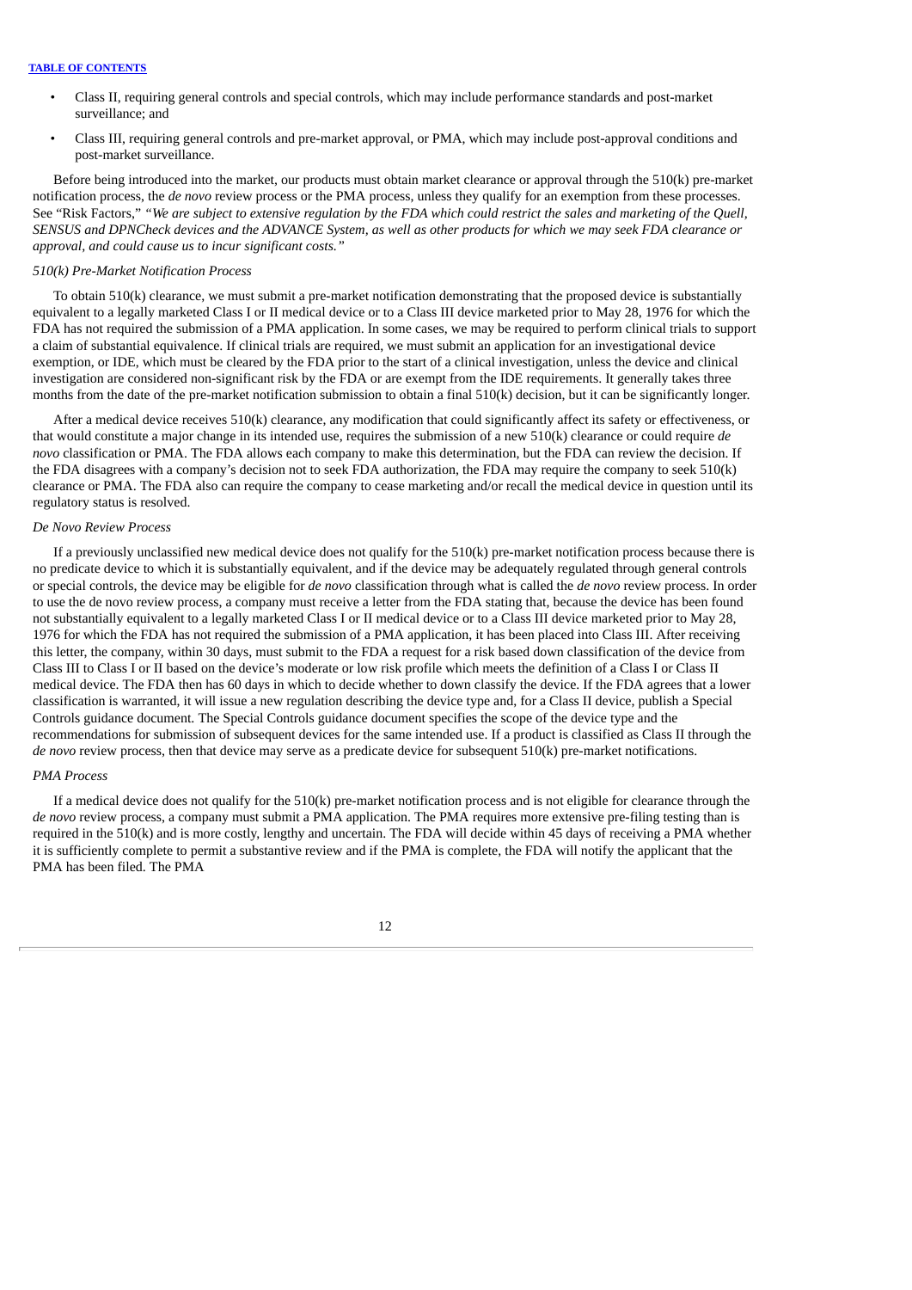- Class II, requiring general controls and special controls, which may include performance standards and post-market surveillance; and
- Class III, requiring general controls and pre-market approval, or PMA, which may include post-approval conditions and post-market surveillance.

Before being introduced into the market, our products must obtain market clearance or approval through the 510(k) pre-market notification process, the *de novo* review process or the PMA process, unless they qualify for an exemption from these processes. See "Risk Factors," "We are subject to extensive regulation by the FDA which could restrict the sales and marketing of the Quell, SENSUS and DPNCheck devices and the ADVANCE System, as well as other products for which we may seek FDA clearance or *approval, and could cause us to incur significant costs."*

### *510(k) Pre-Market Notification Process*

To obtain 510(k) clearance, we must submit a pre-market notification demonstrating that the proposed device is substantially equivalent to a legally marketed Class I or II medical device or to a Class III device marketed prior to May 28, 1976 for which the FDA has not required the submission of a PMA application. In some cases, we may be required to perform clinical trials to support a claim of substantial equivalence. If clinical trials are required, we must submit an application for an investigational device exemption, or IDE, which must be cleared by the FDA prior to the start of a clinical investigation, unless the device and clinical investigation are considered non-significant risk by the FDA or are exempt from the IDE requirements. It generally takes three months from the date of the pre-market notification submission to obtain a final 510(k) decision, but it can be significantly longer.

After a medical device receives 510(k) clearance, any modification that could significantly affect its safety or effectiveness, or that would constitute a major change in its intended use, requires the submission of a new 510(k) clearance or could require *de novo* classification or PMA. The FDA allows each company to make this determination, but the FDA can review the decision. If the FDA disagrees with a company's decision not to seek FDA authorization, the FDA may require the company to seek 510(k) clearance or PMA. The FDA also can require the company to cease marketing and/or recall the medical device in question until its regulatory status is resolved.

### *De Novo Review Process*

If a previously unclassified new medical device does not qualify for the 510(k) pre-market notification process because there is no predicate device to which it is substantially equivalent, and if the device may be adequately regulated through general controls or special controls, the device may be eligible for *de novo* classification through what is called the *de novo* review process. In order to use the de novo review process, a company must receive a letter from the FDA stating that, because the device has been found not substantially equivalent to a legally marketed Class I or II medical device or to a Class III device marketed prior to May 28, 1976 for which the FDA has not required the submission of a PMA application, it has been placed into Class III. After receiving this letter, the company, within 30 days, must submit to the FDA a request for a risk based down classification of the device from Class III to Class I or II based on the device's moderate or low risk profile which meets the definition of a Class I or Class II medical device. The FDA then has 60 days in which to decide whether to down classify the device. If the FDA agrees that a lower classification is warranted, it will issue a new regulation describing the device type and, for a Class II device, publish a Special Controls guidance document. The Special Controls guidance document specifies the scope of the device type and the recommendations for submission of subsequent devices for the same intended use. If a product is classified as Class II through the *de novo* review process, then that device may serve as a predicate device for subsequent 510(k) pre-market notifications.

# *PMA Process*

If a medical device does not qualify for the 510(k) pre-market notification process and is not eligible for clearance through the *de novo* review process, a company must submit a PMA application. The PMA requires more extensive pre-filing testing than is required in the 510(k) and is more costly, lengthy and uncertain. The FDA will decide within 45 days of receiving a PMA whether it is sufficiently complete to permit a substantive review and if the PMA is complete, the FDA will notify the applicant that the PMA has been filed. The PMA

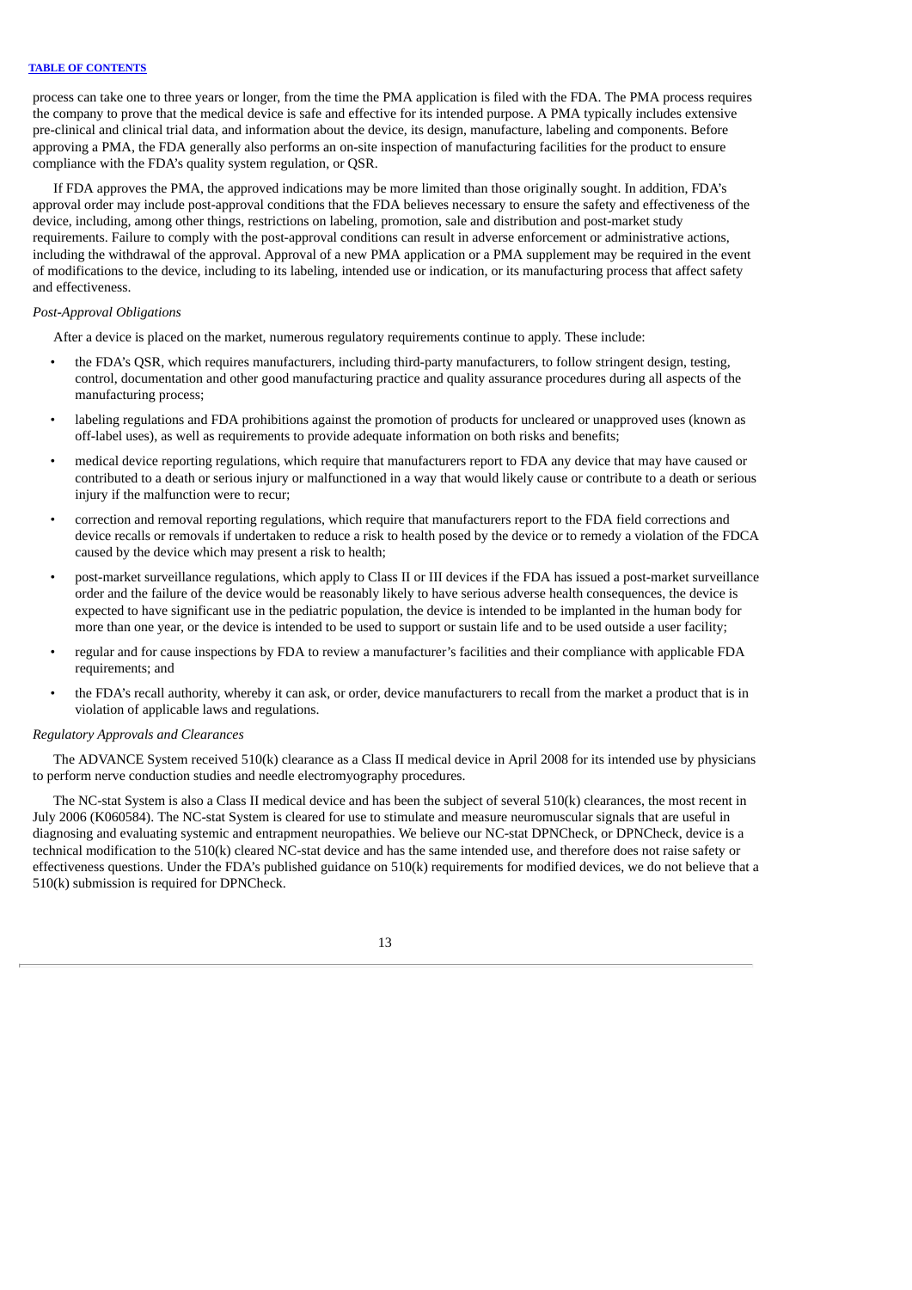process can take one to three years or longer, from the time the PMA application is filed with the FDA. The PMA process requires the company to prove that the medical device is safe and effective for its intended purpose. A PMA typically includes extensive pre-clinical and clinical trial data, and information about the device, its design, manufacture, labeling and components. Before approving a PMA, the FDA generally also performs an on-site inspection of manufacturing facilities for the product to ensure compliance with the FDA's quality system regulation, or QSR.

If FDA approves the PMA, the approved indications may be more limited than those originally sought. In addition, FDA's approval order may include post-approval conditions that the FDA believes necessary to ensure the safety and effectiveness of the device, including, among other things, restrictions on labeling, promotion, sale and distribution and post-market study requirements. Failure to comply with the post-approval conditions can result in adverse enforcement or administrative actions, including the withdrawal of the approval. Approval of a new PMA application or a PMA supplement may be required in the event of modifications to the device, including to its labeling, intended use or indication, or its manufacturing process that affect safety and effectiveness.

# *Post-Approval Obligations*

After a device is placed on the market, numerous regulatory requirements continue to apply. These include:

- the FDA's QSR, which requires manufacturers, including third-party manufacturers, to follow stringent design, testing, control, documentation and other good manufacturing practice and quality assurance procedures during all aspects of the manufacturing process;
- labeling regulations and FDA prohibitions against the promotion of products for uncleared or unapproved uses (known as off-label uses), as well as requirements to provide adequate information on both risks and benefits;
- medical device reporting regulations, which require that manufacturers report to FDA any device that may have caused or contributed to a death or serious injury or malfunctioned in a way that would likely cause or contribute to a death or serious injury if the malfunction were to recur;
- correction and removal reporting regulations, which require that manufacturers report to the FDA field corrections and device recalls or removals if undertaken to reduce a risk to health posed by the device or to remedy a violation of the FDCA caused by the device which may present a risk to health;
- post-market surveillance regulations, which apply to Class II or III devices if the FDA has issued a post-market surveillance order and the failure of the device would be reasonably likely to have serious adverse health consequences, the device is expected to have significant use in the pediatric population, the device is intended to be implanted in the human body for more than one year, or the device is intended to be used to support or sustain life and to be used outside a user facility;
- regular and for cause inspections by FDA to review a manufacturer's facilities and their compliance with applicable FDA requirements; and
- the FDA's recall authority, whereby it can ask, or order, device manufacturers to recall from the market a product that is in violation of applicable laws and regulations.

#### *Regulatory Approvals and Clearances*

The ADVANCE System received 510(k) clearance as a Class II medical device in April 2008 for its intended use by physicians to perform nerve conduction studies and needle electromyography procedures.

The NC-stat System is also a Class II medical device and has been the subject of several 510(k) clearances, the most recent in July 2006 (K060584). The NC-stat System is cleared for use to stimulate and measure neuromuscular signals that are useful in diagnosing and evaluating systemic and entrapment neuropathies. We believe our NC-stat DPNCheck, or DPNCheck, device is a technical modification to the 510(k) cleared NC-stat device and has the same intended use, and therefore does not raise safety or effectiveness questions. Under the FDA's published guidance on  $510(k)$  requirements for modified devices, we do not believe that a 510(k) submission is required for DPNCheck.

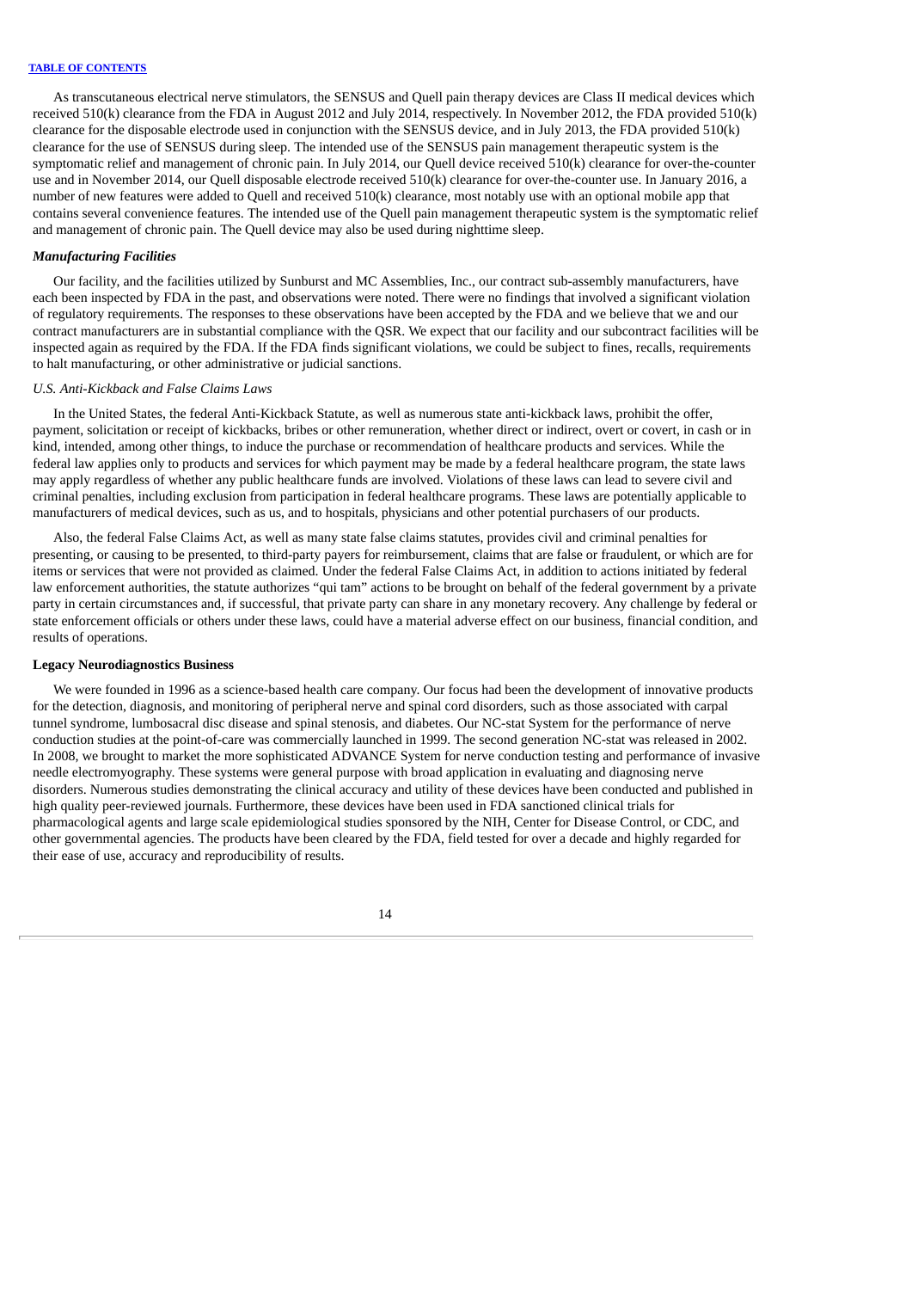As transcutaneous electrical nerve stimulators, the SENSUS and Quell pain therapy devices are Class II medical devices which received 510(k) clearance from the FDA in August 2012 and July 2014, respectively. In November 2012, the FDA provided 510(k) clearance for the disposable electrode used in conjunction with the SENSUS device, and in July 2013, the FDA provided 510(k) clearance for the use of SENSUS during sleep. The intended use of the SENSUS pain management therapeutic system is the symptomatic relief and management of chronic pain. In July 2014, our Quell device received 510(k) clearance for over-the-counter use and in November 2014, our Quell disposable electrode received 510(k) clearance for over-the-counter use. In January 2016, a number of new features were added to Quell and received 510(k) clearance, most notably use with an optional mobile app that contains several convenience features. The intended use of the Quell pain management therapeutic system is the symptomatic relief and management of chronic pain. The Quell device may also be used during nighttime sleep.

#### *Manufacturing Facilities*

Our facility, and the facilities utilized by Sunburst and MC Assemblies, Inc., our contract sub-assembly manufacturers, have each been inspected by FDA in the past, and observations were noted. There were no findings that involved a significant violation of regulatory requirements. The responses to these observations have been accepted by the FDA and we believe that we and our contract manufacturers are in substantial compliance with the QSR. We expect that our facility and our subcontract facilities will be inspected again as required by the FDA. If the FDA finds significant violations, we could be subject to fines, recalls, requirements to halt manufacturing, or other administrative or judicial sanctions.

#### *U.S. Anti-Kickback and False Claims Laws*

In the United States, the federal Anti-Kickback Statute, as well as numerous state anti-kickback laws, prohibit the offer, payment, solicitation or receipt of kickbacks, bribes or other remuneration, whether direct or indirect, overt or covert, in cash or in kind, intended, among other things, to induce the purchase or recommendation of healthcare products and services. While the federal law applies only to products and services for which payment may be made by a federal healthcare program, the state laws may apply regardless of whether any public healthcare funds are involved. Violations of these laws can lead to severe civil and criminal penalties, including exclusion from participation in federal healthcare programs. These laws are potentially applicable to manufacturers of medical devices, such as us, and to hospitals, physicians and other potential purchasers of our products.

Also, the federal False Claims Act, as well as many state false claims statutes, provides civil and criminal penalties for presenting, or causing to be presented, to third-party payers for reimbursement, claims that are false or fraudulent, or which are for items or services that were not provided as claimed. Under the federal False Claims Act, in addition to actions initiated by federal law enforcement authorities, the statute authorizes "qui tam" actions to be brought on behalf of the federal government by a private party in certain circumstances and, if successful, that private party can share in any monetary recovery. Any challenge by federal or state enforcement officials or others under these laws, could have a material adverse effect on our business, financial condition, and results of operations.

### **Legacy Neurodiagnostics Business**

We were founded in 1996 as a science-based health care company. Our focus had been the development of innovative products for the detection, diagnosis, and monitoring of peripheral nerve and spinal cord disorders, such as those associated with carpal tunnel syndrome, lumbosacral disc disease and spinal stenosis, and diabetes. Our NC-stat System for the performance of nerve conduction studies at the point-of-care was commercially launched in 1999. The second generation NC-stat was released in 2002. In 2008, we brought to market the more sophisticated ADVANCE System for nerve conduction testing and performance of invasive needle electromyography. These systems were general purpose with broad application in evaluating and diagnosing nerve disorders. Numerous studies demonstrating the clinical accuracy and utility of these devices have been conducted and published in high quality peer-reviewed journals. Furthermore, these devices have been used in FDA sanctioned clinical trials for pharmacological agents and large scale epidemiological studies sponsored by the NIH, Center for Disease Control, or CDC, and other governmental agencies. The products have been cleared by the FDA, field tested for over a decade and highly regarded for their ease of use, accuracy and reproducibility of results.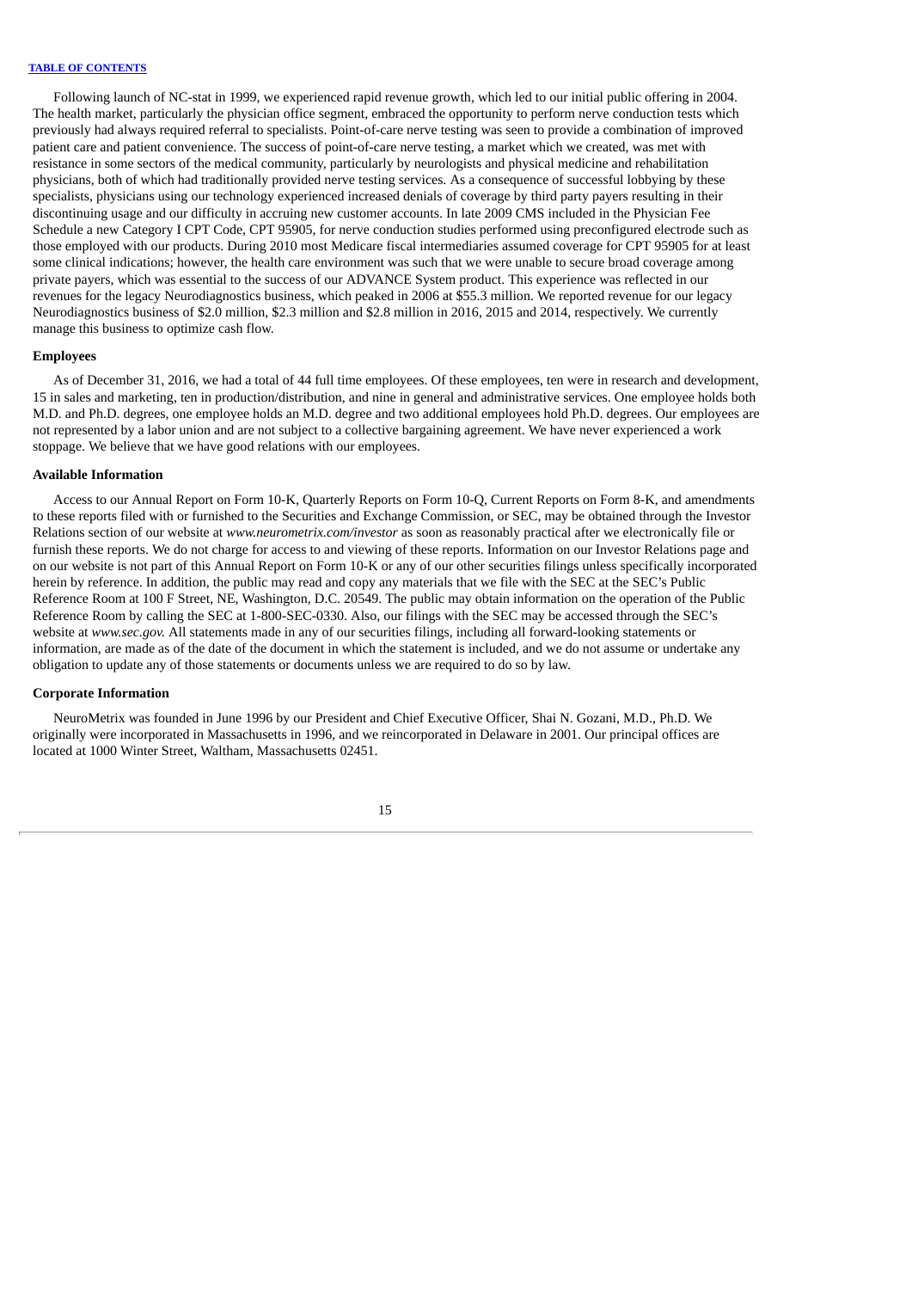Following launch of NC-stat in 1999, we experienced rapid revenue growth, which led to our initial public offering in 2004. The health market, particularly the physician office segment, embraced the opportunity to perform nerve conduction tests which previously had always required referral to specialists. Point-of-care nerve testing was seen to provide a combination of improved patient care and patient convenience. The success of point-of-care nerve testing, a market which we created, was met with resistance in some sectors of the medical community, particularly by neurologists and physical medicine and rehabilitation physicians, both of which had traditionally provided nerve testing services. As a consequence of successful lobbying by these specialists, physicians using our technology experienced increased denials of coverage by third party payers resulting in their discontinuing usage and our difficulty in accruing new customer accounts. In late 2009 CMS included in the Physician Fee Schedule a new Category I CPT Code, CPT 95905, for nerve conduction studies performed using preconfigured electrode such as those employed with our products. During 2010 most Medicare fiscal intermediaries assumed coverage for CPT 95905 for at least some clinical indications; however, the health care environment was such that we were unable to secure broad coverage among private payers, which was essential to the success of our ADVANCE System product. This experience was reflected in our revenues for the legacy Neurodiagnostics business, which peaked in 2006 at \$55.3 million. We reported revenue for our legacy Neurodiagnostics business of \$2.0 million, \$2.3 million and \$2.8 million in 2016, 2015 and 2014, respectively. We currently manage this business to optimize cash flow.

#### **Employees**

As of December 31, 2016, we had a total of 44 full time employees. Of these employees, ten were in research and development, 15 in sales and marketing, ten in production/distribution, and nine in general and administrative services. One employee holds both M.D. and Ph.D. degrees, one employee holds an M.D. degree and two additional employees hold Ph.D. degrees. Our employees are not represented by a labor union and are not subject to a collective bargaining agreement. We have never experienced a work stoppage. We believe that we have good relations with our employees.

#### **Available Information**

Access to our Annual Report on Form 10-K, Quarterly Reports on Form 10-Q, Current Reports on Form 8-K, and amendments to these reports filed with or furnished to the Securities and Exchange Commission, or SEC, may be obtained through the Investor Relations section of our website at *www.neurometrix.com/investor* as soon as reasonably practical after we electronically file or furnish these reports. We do not charge for access to and viewing of these reports. Information on our Investor Relations page and on our website is not part of this Annual Report on Form 10-K or any of our other securities filings unless specifically incorporated herein by reference. In addition, the public may read and copy any materials that we file with the SEC at the SEC's Public Reference Room at 100 F Street, NE, Washington, D.C. 20549. The public may obtain information on the operation of the Public Reference Room by calling the SEC at 1-800-SEC-0330. Also, our filings with the SEC may be accessed through the SEC's website at *www.sec.gov.* All statements made in any of our securities filings, including all forward-looking statements or information, are made as of the date of the document in which the statement is included, and we do not assume or undertake any obligation to update any of those statements or documents unless we are required to do so by law.

### **Corporate Information**

NeuroMetrix was founded in June 1996 by our President and Chief Executive Officer, Shai N. Gozani, M.D., Ph.D. We originally were incorporated in Massachusetts in 1996, and we reincorporated in Delaware in 2001. Our principal offices are located at 1000 Winter Street, Waltham, Massachusetts 02451.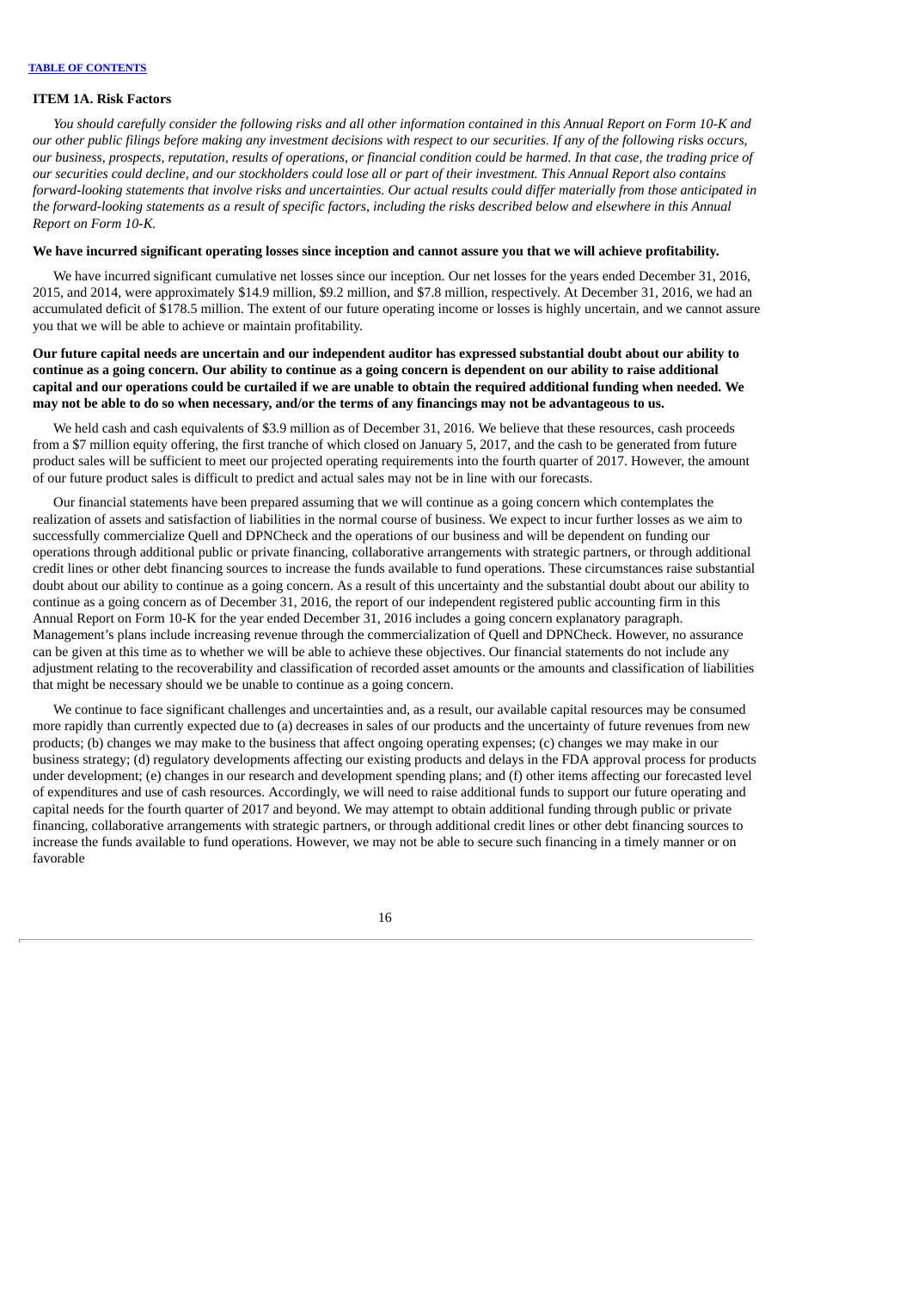#### <span id="page-18-0"></span>**ITEM 1A. Risk Factors**

You should carefully consider the following risks and all other information contained in this Annual Report on Form 10-K and our other public filings before making any investment decisions with respect to our securities. If any of the following risks occurs, our business, prospects, reputation, results of operations, or financial condition could be harmed. In that case, the trading price of our securities could decline, and our stockholders could lose all or part of their investment. This Annual Report also contains forward-looking statements that involve risks and uncertainties. Our actual results could differ materially from those anticipated in the forward-looking statements as a result of specific factors, including the risks described below and elsewhere in this Annual *Report on Form 10-K.*

# We have incurred significant operating losses since inception and cannot assure you that we will achieve profitability.

We have incurred significant cumulative net losses since our inception. Our net losses for the years ended December 31, 2016, 2015, and 2014, were approximately \$14.9 million, \$9.2 million, and \$7.8 million, respectively. At December 31, 2016, we had an accumulated deficit of \$178.5 million. The extent of our future operating income or losses is highly uncertain, and we cannot assure you that we will be able to achieve or maintain profitability.

# Our future capital needs are uncertain and our independent auditor has expressed substantial doubt about our ability to continue as a going concern. Our ability to continue as a going concern is dependent on our ability to raise additional capital and our operations could be curtailed if we are unable to obtain the required additional funding when needed. We may not be able to do so when necessary, and/or the terms of any financings may not be advantageous to us.

We held cash and cash equivalents of \$3.9 million as of December 31, 2016. We believe that these resources, cash proceeds from a \$7 million equity offering, the first tranche of which closed on January 5, 2017, and the cash to be generated from future product sales will be sufficient to meet our projected operating requirements into the fourth quarter of 2017. However, the amount of our future product sales is difficult to predict and actual sales may not be in line with our forecasts.

Our financial statements have been prepared assuming that we will continue as a going concern which contemplates the realization of assets and satisfaction of liabilities in the normal course of business. We expect to incur further losses as we aim to successfully commercialize Quell and DPNCheck and the operations of our business and will be dependent on funding our operations through additional public or private financing, collaborative arrangements with strategic partners, or through additional credit lines or other debt financing sources to increase the funds available to fund operations. These circumstances raise substantial doubt about our ability to continue as a going concern. As a result of this uncertainty and the substantial doubt about our ability to continue as a going concern as of December 31, 2016, the report of our independent registered public accounting firm in this Annual Report on Form 10-K for the year ended December 31, 2016 includes a going concern explanatory paragraph. Management's plans include increasing revenue through the commercialization of Quell and DPNCheck. However, no assurance can be given at this time as to whether we will be able to achieve these objectives. Our financial statements do not include any adjustment relating to the recoverability and classification of recorded asset amounts or the amounts and classification of liabilities that might be necessary should we be unable to continue as a going concern.

We continue to face significant challenges and uncertainties and, as a result, our available capital resources may be consumed more rapidly than currently expected due to (a) decreases in sales of our products and the uncertainty of future revenues from new products; (b) changes we may make to the business that affect ongoing operating expenses; (c) changes we may make in our business strategy; (d) regulatory developments affecting our existing products and delays in the FDA approval process for products under development; (e) changes in our research and development spending plans; and (f) other items affecting our forecasted level of expenditures and use of cash resources. Accordingly, we will need to raise additional funds to support our future operating and capital needs for the fourth quarter of 2017 and beyond. We may attempt to obtain additional funding through public or private financing, collaborative arrangements with strategic partners, or through additional credit lines or other debt financing sources to increase the funds available to fund operations. However, we may not be able to secure such financing in a timely manner or on favorable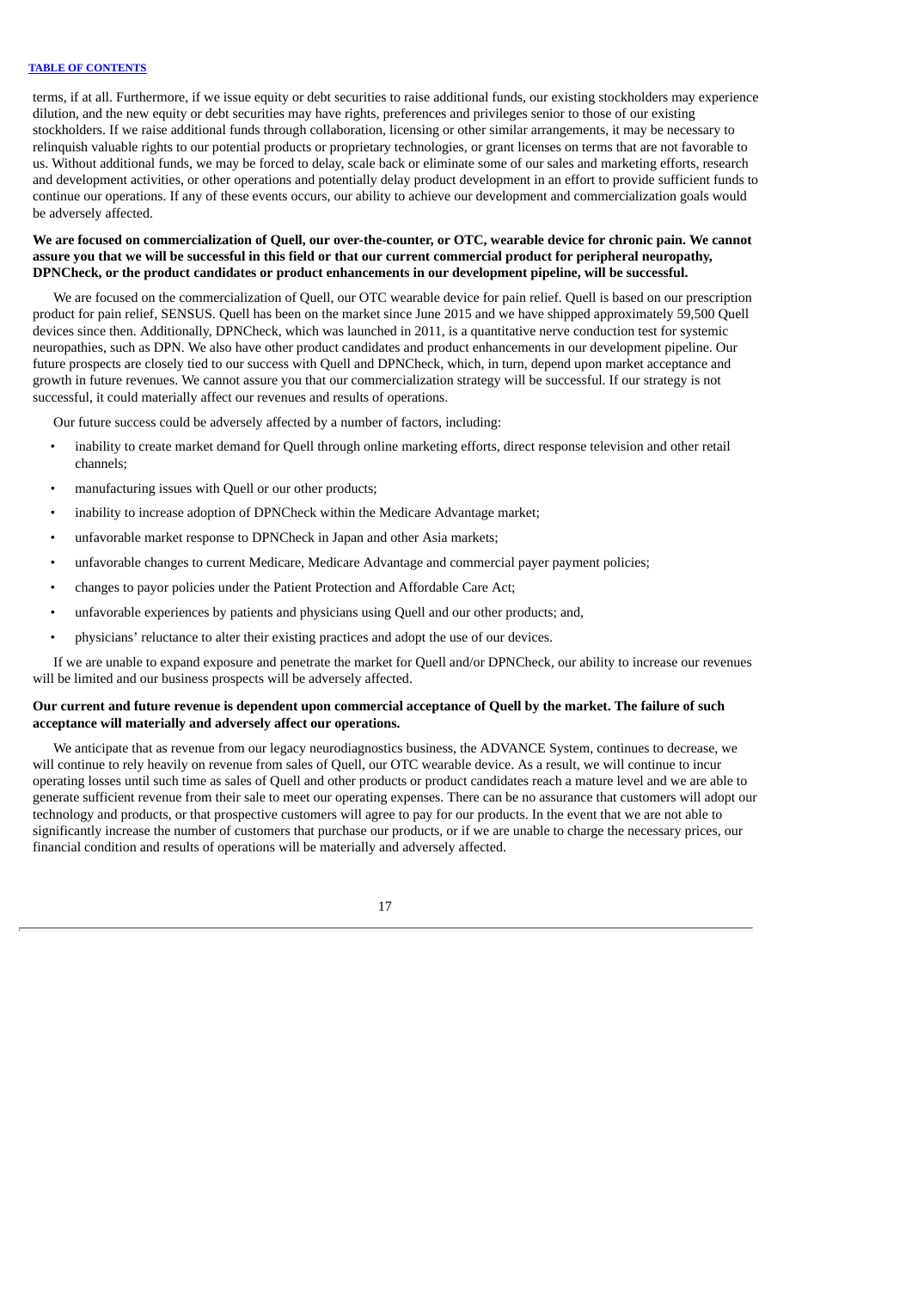terms, if at all. Furthermore, if we issue equity or debt securities to raise additional funds, our existing stockholders may experience dilution, and the new equity or debt securities may have rights, preferences and privileges senior to those of our existing stockholders. If we raise additional funds through collaboration, licensing or other similar arrangements, it may be necessary to relinquish valuable rights to our potential products or proprietary technologies, or grant licenses on terms that are not favorable to us. Without additional funds, we may be forced to delay, scale back or eliminate some of our sales and marketing efforts, research and development activities, or other operations and potentially delay product development in an effort to provide sufficient funds to continue our operations. If any of these events occurs, our ability to achieve our development and commercialization goals would be adversely affected.

# We are focused on commercialization of Quell, our over-the-counter, or OTC, wearable device for chronic pain. We cannot assure you that we will be successful in this field or that our current commercial product for peripheral neuropathy, **DPNCheck, or the product candidates or product enhancements in our development pipeline, will be successful.**

We are focused on the commercialization of Quell, our OTC wearable device for pain relief. Quell is based on our prescription product for pain relief, SENSUS. Quell has been on the market since June 2015 and we have shipped approximately 59,500 Quell devices since then. Additionally, DPNCheck, which was launched in 2011, is a quantitative nerve conduction test for systemic neuropathies, such as DPN. We also have other product candidates and product enhancements in our development pipeline. Our future prospects are closely tied to our success with Quell and DPNCheck, which, in turn, depend upon market acceptance and growth in future revenues. We cannot assure you that our commercialization strategy will be successful. If our strategy is not successful, it could materially affect our revenues and results of operations.

Our future success could be adversely affected by a number of factors, including:

- inability to create market demand for Quell through online marketing efforts, direct response television and other retail channels;
- manufacturing issues with Quell or our other products;
- inability to increase adoption of DPNCheck within the Medicare Advantage market;
- unfavorable market response to DPNCheck in Japan and other Asia markets;
- unfavorable changes to current Medicare, Medicare Advantage and commercial payer payment policies;
- changes to payor policies under the Patient Protection and Affordable Care Act;
- unfavorable experiences by patients and physicians using Quell and our other products; and,
- physicians' reluctance to alter their existing practices and adopt the use of our devices.

If we are unable to expand exposure and penetrate the market for Quell and/or DPNCheck, our ability to increase our revenues will be limited and our business prospects will be adversely affected.

# Our current and future revenue is dependent upon commercial acceptance of Quell by the market. The failure of such **acceptance will materially and adversely affect our operations.**

We anticipate that as revenue from our legacy neurodiagnostics business, the ADVANCE System, continues to decrease, we will continue to rely heavily on revenue from sales of Quell, our OTC wearable device. As a result, we will continue to incur operating losses until such time as sales of Quell and other products or product candidates reach a mature level and we are able to generate sufficient revenue from their sale to meet our operating expenses. There can be no assurance that customers will adopt our technology and products, or that prospective customers will agree to pay for our products. In the event that we are not able to significantly increase the number of customers that purchase our products, or if we are unable to charge the necessary prices, our financial condition and results of operations will be materially and adversely affected.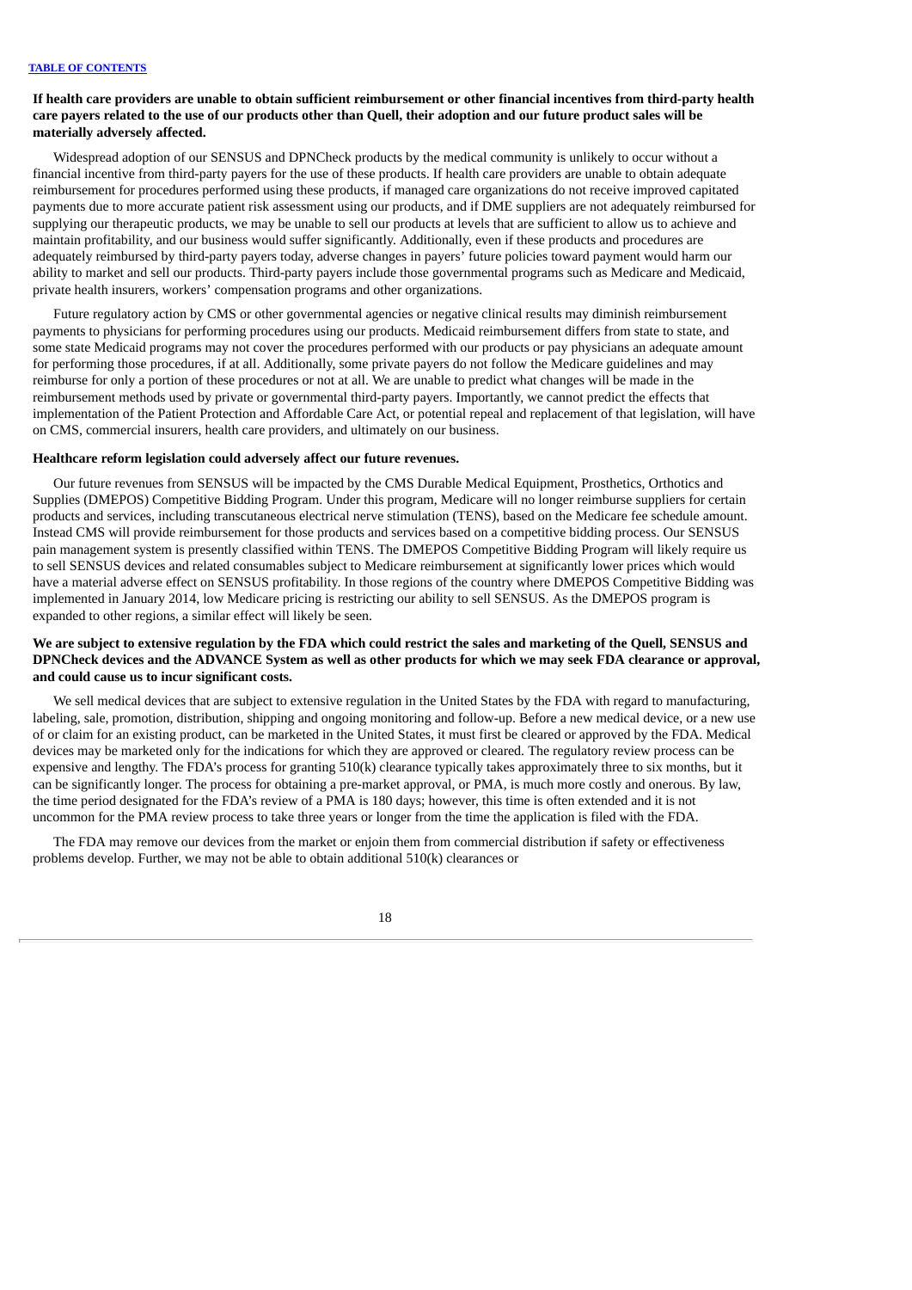# If health care providers are unable to obtain sufficient reimbursement or other financial incentives from third-party health care payers related to the use of our products other than Quell, their adoption and our future product sales will be **materially adversely affected.**

Widespread adoption of our SENSUS and DPNCheck products by the medical community is unlikely to occur without a financial incentive from third-party payers for the use of these products. If health care providers are unable to obtain adequate reimbursement for procedures performed using these products, if managed care organizations do not receive improved capitated payments due to more accurate patient risk assessment using our products, and if DME suppliers are not adequately reimbursed for supplying our therapeutic products, we may be unable to sell our products at levels that are sufficient to allow us to achieve and maintain profitability, and our business would suffer significantly. Additionally, even if these products and procedures are adequately reimbursed by third-party payers today, adverse changes in payers' future policies toward payment would harm our ability to market and sell our products. Third-party payers include those governmental programs such as Medicare and Medicaid, private health insurers, workers' compensation programs and other organizations.

Future regulatory action by CMS or other governmental agencies or negative clinical results may diminish reimbursement payments to physicians for performing procedures using our products. Medicaid reimbursement differs from state to state, and some state Medicaid programs may not cover the procedures performed with our products or pay physicians an adequate amount for performing those procedures, if at all. Additionally, some private payers do not follow the Medicare guidelines and may reimburse for only a portion of these procedures or not at all. We are unable to predict what changes will be made in the reimbursement methods used by private or governmental third-party payers. Importantly, we cannot predict the effects that implementation of the Patient Protection and Affordable Care Act, or potential repeal and replacement of that legislation, will have on CMS, commercial insurers, health care providers, and ultimately on our business.

### **Healthcare reform legislation could adversely affect our future revenues.**

Our future revenues from SENSUS will be impacted by the CMS Durable Medical Equipment, Prosthetics, Orthotics and Supplies (DMEPOS) Competitive Bidding Program. Under this program, Medicare will no longer reimburse suppliers for certain products and services, including transcutaneous electrical nerve stimulation (TENS), based on the Medicare fee schedule amount. Instead CMS will provide reimbursement for those products and services based on a competitive bidding process. Our SENSUS pain management system is presently classified within TENS. The DMEPOS Competitive Bidding Program will likely require us to sell SENSUS devices and related consumables subject to Medicare reimbursement at significantly lower prices which would have a material adverse effect on SENSUS profitability. In those regions of the country where DMEPOS Competitive Bidding was implemented in January 2014, low Medicare pricing is restricting our ability to sell SENSUS. As the DMEPOS program is expanded to other regions, a similar effect will likely be seen.

# We are subject to extensive regulation by the FDA which could restrict the sales and marketing of the Quell, SENSUS and DPNCheck devices and the ADVANCE System as well as other products for which we may seek FDA clearance or approval, **and could cause us to incur significant costs.**

We sell medical devices that are subject to extensive regulation in the United States by the FDA with regard to manufacturing, labeling, sale, promotion, distribution, shipping and ongoing monitoring and follow-up. Before a new medical device, or a new use of or claim for an existing product, can be marketed in the United States, it must first be cleared or approved by the FDA. Medical devices may be marketed only for the indications for which they are approved or cleared. The regulatory review process can be expensive and lengthy. The FDA's process for granting 510(k) clearance typically takes approximately three to six months, but it can be significantly longer. The process for obtaining a pre-market approval, or PMA, is much more costly and onerous. By law, the time period designated for the FDA's review of a PMA is 180 days; however, this time is often extended and it is not uncommon for the PMA review process to take three years or longer from the time the application is filed with the FDA.

The FDA may remove our devices from the market or enjoin them from commercial distribution if safety or effectiveness problems develop. Further, we may not be able to obtain additional 510(k) clearances or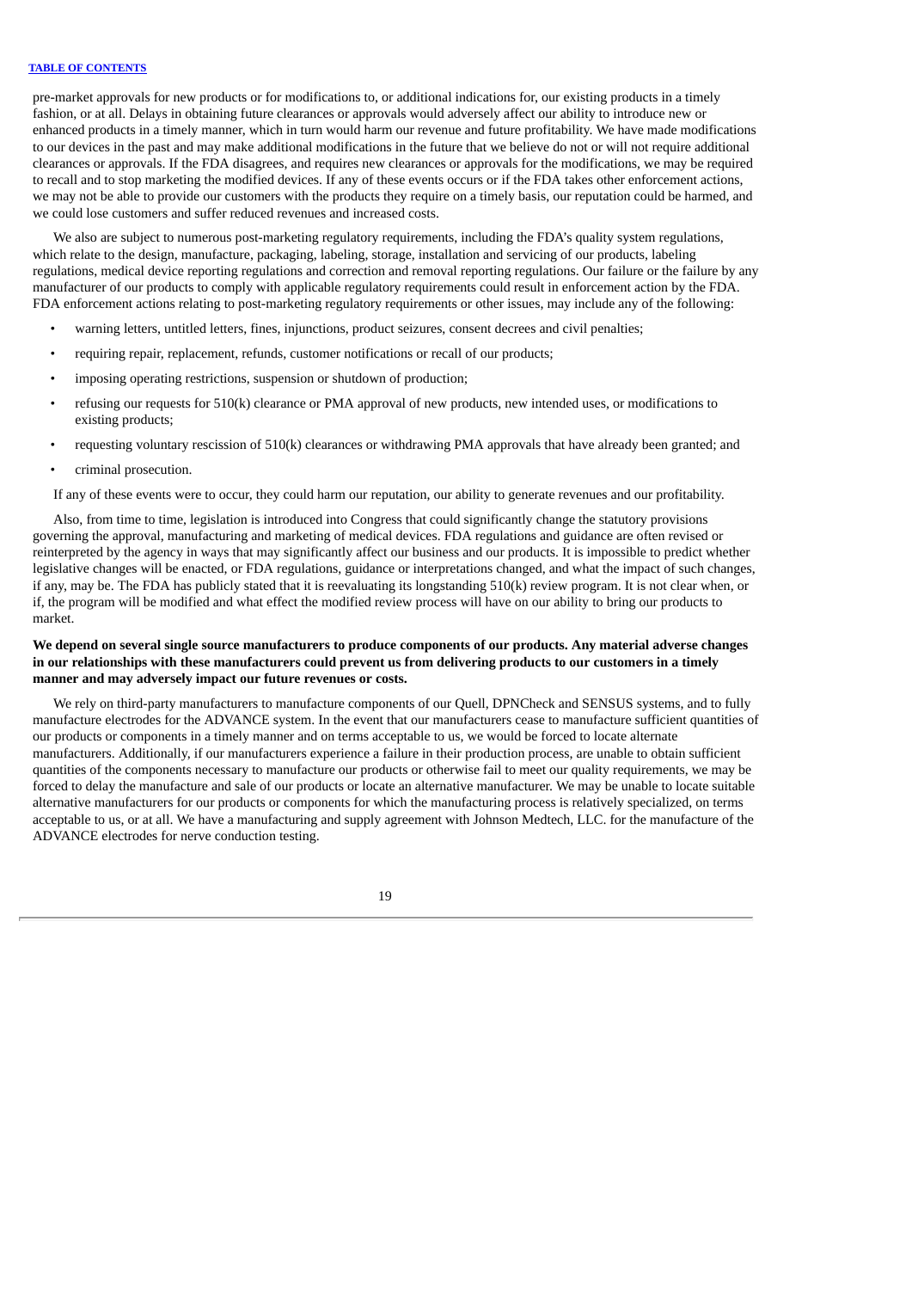pre-market approvals for new products or for modifications to, or additional indications for, our existing products in a timely fashion, or at all. Delays in obtaining future clearances or approvals would adversely affect our ability to introduce new or enhanced products in a timely manner, which in turn would harm our revenue and future profitability. We have made modifications to our devices in the past and may make additional modifications in the future that we believe do not or will not require additional clearances or approvals. If the FDA disagrees, and requires new clearances or approvals for the modifications, we may be required to recall and to stop marketing the modified devices. If any of these events occurs or if the FDA takes other enforcement actions, we may not be able to provide our customers with the products they require on a timely basis, our reputation could be harmed, and we could lose customers and suffer reduced revenues and increased costs.

We also are subject to numerous post-marketing regulatory requirements, including the FDA's quality system regulations, which relate to the design, manufacture, packaging, labeling, storage, installation and servicing of our products, labeling regulations, medical device reporting regulations and correction and removal reporting regulations. Our failure or the failure by any manufacturer of our products to comply with applicable regulatory requirements could result in enforcement action by the FDA. FDA enforcement actions relating to post-marketing regulatory requirements or other issues, may include any of the following:

- warning letters, untitled letters, fines, injunctions, product seizures, consent decrees and civil penalties;
- requiring repair, replacement, refunds, customer notifications or recall of our products;
- imposing operating restrictions, suspension or shutdown of production;
- refusing our requests for 510(k) clearance or PMA approval of new products, new intended uses, or modifications to existing products;
- requesting voluntary rescission of 510(k) clearances or withdrawing PMA approvals that have already been granted; and
- criminal prosecution.

If any of these events were to occur, they could harm our reputation, our ability to generate revenues and our profitability.

Also, from time to time, legislation is introduced into Congress that could significantly change the statutory provisions governing the approval, manufacturing and marketing of medical devices. FDA regulations and guidance are often revised or reinterpreted by the agency in ways that may significantly affect our business and our products. It is impossible to predict whether legislative changes will be enacted, or FDA regulations, guidance or interpretations changed, and what the impact of such changes, if any, may be. The FDA has publicly stated that it is reevaluating its longstanding 510(k) review program. It is not clear when, or if, the program will be modified and what effect the modified review process will have on our ability to bring our products to market.

# We depend on several single source manufacturers to produce components of our products. Any material adverse changes in our relationships with these manufacturers could prevent us from delivering products to our customers in a timely **manner and may adversely impact our future revenues or costs.**

We rely on third-party manufacturers to manufacture components of our Quell, DPNCheck and SENSUS systems, and to fully manufacture electrodes for the ADVANCE system. In the event that our manufacturers cease to manufacture sufficient quantities of our products or components in a timely manner and on terms acceptable to us, we would be forced to locate alternate manufacturers. Additionally, if our manufacturers experience a failure in their production process, are unable to obtain sufficient quantities of the components necessary to manufacture our products or otherwise fail to meet our quality requirements, we may be forced to delay the manufacture and sale of our products or locate an alternative manufacturer. We may be unable to locate suitable alternative manufacturers for our products or components for which the manufacturing process is relatively specialized, on terms acceptable to us, or at all. We have a manufacturing and supply agreement with Johnson Medtech, LLC. for the manufacture of the ADVANCE electrodes for nerve conduction testing.

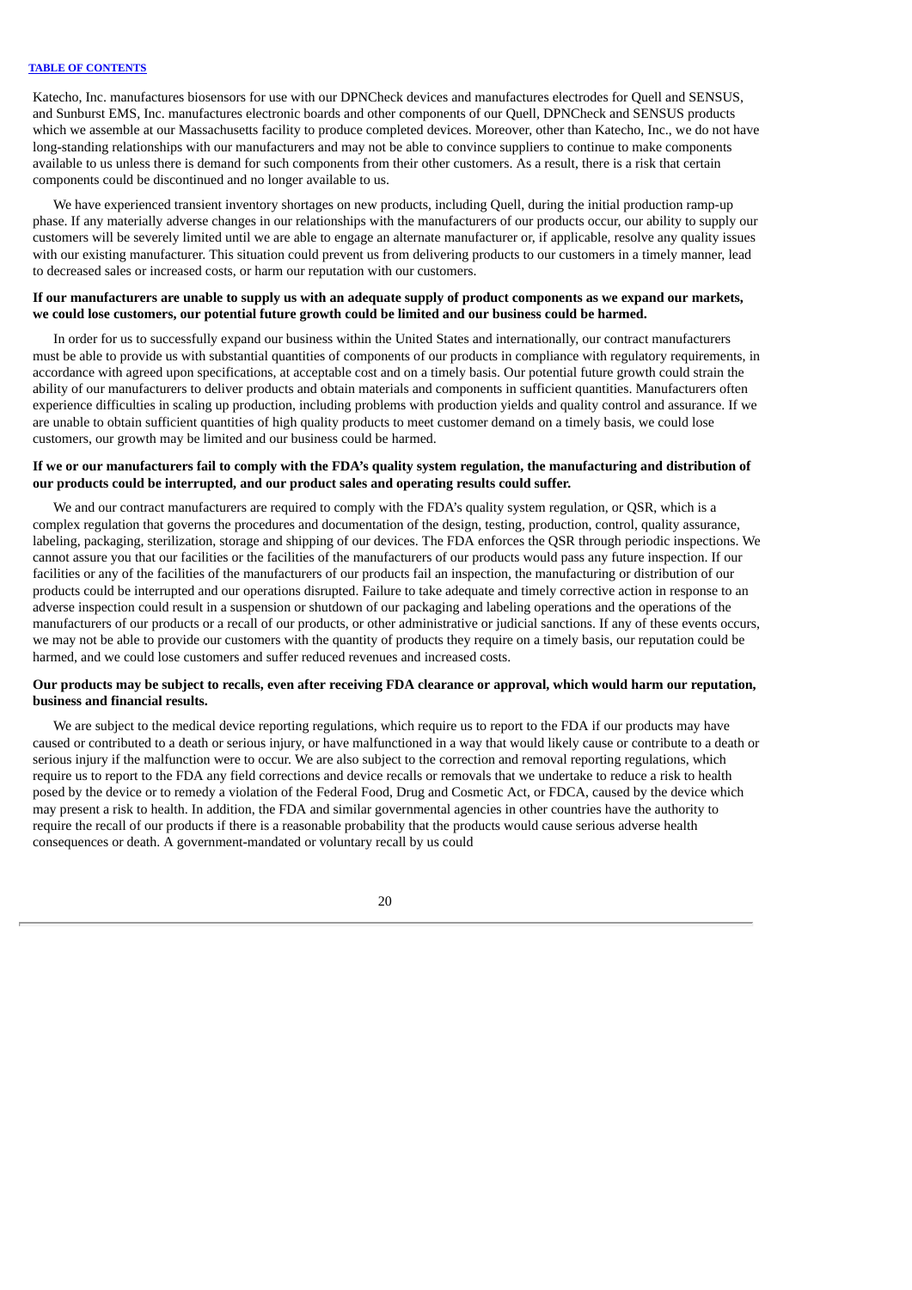Katecho, Inc. manufactures biosensors for use with our DPNCheck devices and manufactures electrodes for Quell and SENSUS, and Sunburst EMS, Inc. manufactures electronic boards and other components of our Quell, DPNCheck and SENSUS products which we assemble at our Massachusetts facility to produce completed devices. Moreover, other than Katecho, Inc., we do not have long-standing relationships with our manufacturers and may not be able to convince suppliers to continue to make components available to us unless there is demand for such components from their other customers. As a result, there is a risk that certain components could be discontinued and no longer available to us.

We have experienced transient inventory shortages on new products, including Quell, during the initial production ramp-up phase. If any materially adverse changes in our relationships with the manufacturers of our products occur, our ability to supply our customers will be severely limited until we are able to engage an alternate manufacturer or, if applicable, resolve any quality issues with our existing manufacturer. This situation could prevent us from delivering products to our customers in a timely manner, lead to decreased sales or increased costs, or harm our reputation with our customers.

# If our manufacturers are unable to supply us with an adequate supply of product components as we expand our markets, **we could lose customers, our potential future growth could be limited and our business could be harmed.**

In order for us to successfully expand our business within the United States and internationally, our contract manufacturers must be able to provide us with substantial quantities of components of our products in compliance with regulatory requirements, in accordance with agreed upon specifications, at acceptable cost and on a timely basis. Our potential future growth could strain the ability of our manufacturers to deliver products and obtain materials and components in sufficient quantities. Manufacturers often experience difficulties in scaling up production, including problems with production yields and quality control and assurance. If we are unable to obtain sufficient quantities of high quality products to meet customer demand on a timely basis, we could lose customers, our growth may be limited and our business could be harmed.

# If we or our manufacturers fail to comply with the FDA's quality system regulation, the manufacturing and distribution of **our products could be interrupted, and our product sales and operating results could suffer.**

We and our contract manufacturers are required to comply with the FDA's quality system regulation, or OSR, which is a complex regulation that governs the procedures and documentation of the design, testing, production, control, quality assurance, labeling, packaging, sterilization, storage and shipping of our devices. The FDA enforces the QSR through periodic inspections. We cannot assure you that our facilities or the facilities of the manufacturers of our products would pass any future inspection. If our facilities or any of the facilities of the manufacturers of our products fail an inspection, the manufacturing or distribution of our products could be interrupted and our operations disrupted. Failure to take adequate and timely corrective action in response to an adverse inspection could result in a suspension or shutdown of our packaging and labeling operations and the operations of the manufacturers of our products or a recall of our products, or other administrative or judicial sanctions. If any of these events occurs, we may not be able to provide our customers with the quantity of products they require on a timely basis, our reputation could be harmed, and we could lose customers and suffer reduced revenues and increased costs.

# Our products may be subject to recalls, even after receiving FDA clearance or approval, which would harm our reputation, **business and financial results.**

We are subject to the medical device reporting regulations, which require us to report to the FDA if our products may have caused or contributed to a death or serious injury, or have malfunctioned in a way that would likely cause or contribute to a death or serious injury if the malfunction were to occur. We are also subject to the correction and removal reporting regulations, which require us to report to the FDA any field corrections and device recalls or removals that we undertake to reduce a risk to health posed by the device or to remedy a violation of the Federal Food, Drug and Cosmetic Act, or FDCA, caused by the device which may present a risk to health. In addition, the FDA and similar governmental agencies in other countries have the authority to require the recall of our products if there is a reasonable probability that the products would cause serious adverse health consequences or death. A government-mandated or voluntary recall by us could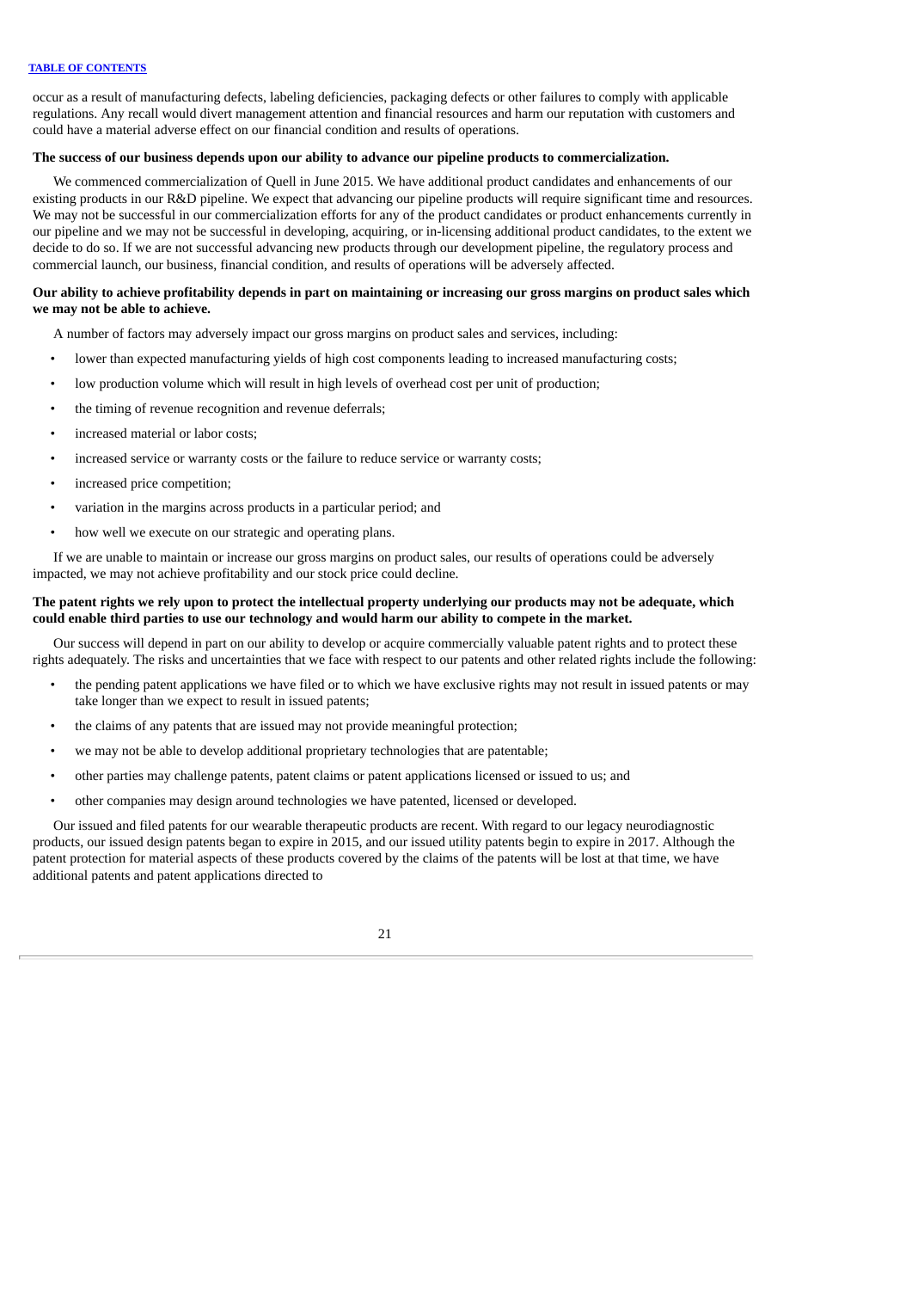occur as a result of manufacturing defects, labeling deficiencies, packaging defects or other failures to comply with applicable regulations. Any recall would divert management attention and financial resources and harm our reputation with customers and could have a material adverse effect on our financial condition and results of operations.

### **The success of our business depends upon our ability to advance our pipeline products to commercialization.**

We commenced commercialization of Quell in June 2015. We have additional product candidates and enhancements of our existing products in our R&D pipeline. We expect that advancing our pipeline products will require significant time and resources. We may not be successful in our commercialization efforts for any of the product candidates or product enhancements currently in our pipeline and we may not be successful in developing, acquiring, or in-licensing additional product candidates, to the extent we decide to do so. If we are not successful advancing new products through our development pipeline, the regulatory process and commercial launch, our business, financial condition, and results of operations will be adversely affected.

# Our ability to achieve profitability depends in part on maintaining or increasing our gross margins on product sales which **we may not be able to achieve.**

A number of factors may adversely impact our gross margins on product sales and services, including:

- lower than expected manufacturing yields of high cost components leading to increased manufacturing costs;
- low production volume which will result in high levels of overhead cost per unit of production;
- the timing of revenue recognition and revenue deferrals;
- increased material or labor costs:
- increased service or warranty costs or the failure to reduce service or warranty costs;
- increased price competition;
- variation in the margins across products in a particular period; and
- how well we execute on our strategic and operating plans.

If we are unable to maintain or increase our gross margins on product sales, our results of operations could be adversely impacted, we may not achieve profitability and our stock price could decline.

# The patent rights we rely upon to protect the intellectual property underlying our products may not be adequate, which could enable third parties to use our technology and would harm our ability to compete in the market.

Our success will depend in part on our ability to develop or acquire commercially valuable patent rights and to protect these rights adequately. The risks and uncertainties that we face with respect to our patents and other related rights include the following:

- the pending patent applications we have filed or to which we have exclusive rights may not result in issued patents or may take longer than we expect to result in issued patents;
- the claims of any patents that are issued may not provide meaningful protection;
- we may not be able to develop additional proprietary technologies that are patentable;
- other parties may challenge patents, patent claims or patent applications licensed or issued to us; and
- other companies may design around technologies we have patented, licensed or developed.

Our issued and filed patents for our wearable therapeutic products are recent. With regard to our legacy neurodiagnostic products, our issued design patents began to expire in 2015, and our issued utility patents begin to expire in 2017. Although the patent protection for material aspects of these products covered by the claims of the patents will be lost at that time, we have additional patents and patent applications directed to

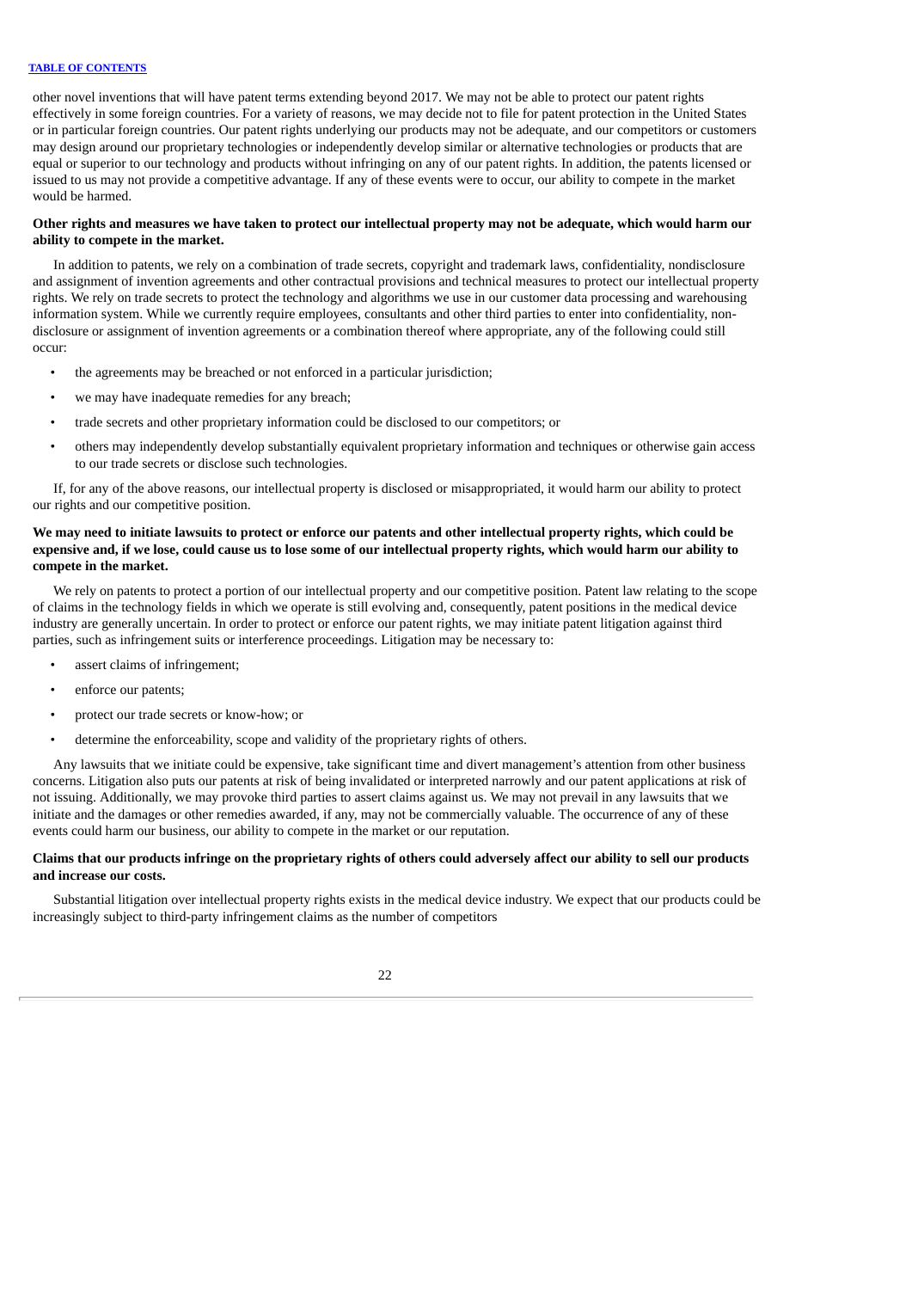other novel inventions that will have patent terms extending beyond 2017. We may not be able to protect our patent rights effectively in some foreign countries. For a variety of reasons, we may decide not to file for patent protection in the United States or in particular foreign countries. Our patent rights underlying our products may not be adequate, and our competitors or customers may design around our proprietary technologies or independently develop similar or alternative technologies or products that are equal or superior to our technology and products without infringing on any of our patent rights. In addition, the patents licensed or issued to us may not provide a competitive advantage. If any of these events were to occur, our ability to compete in the market would be harmed.

# Other rights and measures we have taken to protect our intellectual property may not be adequate, which would harm our **ability to compete in the market.**

In addition to patents, we rely on a combination of trade secrets, copyright and trademark laws, confidentiality, nondisclosure and assignment of invention agreements and other contractual provisions and technical measures to protect our intellectual property rights. We rely on trade secrets to protect the technology and algorithms we use in our customer data processing and warehousing information system. While we currently require employees, consultants and other third parties to enter into confidentiality, nondisclosure or assignment of invention agreements or a combination thereof where appropriate, any of the following could still occur:

- the agreements may be breached or not enforced in a particular jurisdiction;
- we may have inadequate remedies for any breach;
- trade secrets and other proprietary information could be disclosed to our competitors; or
- others may independently develop substantially equivalent proprietary information and techniques or otherwise gain access to our trade secrets or disclose such technologies.

If, for any of the above reasons, our intellectual property is disclosed or misappropriated, it would harm our ability to protect our rights and our competitive position.

# We may need to initiate lawsuits to protect or enforce our patents and other intellectual property rights, which could be expensive and, if we lose, could cause us to lose some of our intellectual property rights, which would harm our ability to **compete in the market.**

We rely on patents to protect a portion of our intellectual property and our competitive position. Patent law relating to the scope of claims in the technology fields in which we operate is still evolving and, consequently, patent positions in the medical device industry are generally uncertain. In order to protect or enforce our patent rights, we may initiate patent litigation against third parties, such as infringement suits or interference proceedings. Litigation may be necessary to:

- assert claims of infringement;
- enforce our patents;
- protect our trade secrets or know-how; or
- determine the enforceability, scope and validity of the proprietary rights of others.

Any lawsuits that we initiate could be expensive, take significant time and divert management's attention from other business concerns. Litigation also puts our patents at risk of being invalidated or interpreted narrowly and our patent applications at risk of not issuing. Additionally, we may provoke third parties to assert claims against us. We may not prevail in any lawsuits that we initiate and the damages or other remedies awarded, if any, may not be commercially valuable. The occurrence of any of these events could harm our business, our ability to compete in the market or our reputation.

# Claims that our products infringe on the proprietary rights of others could adversely affect our ability to sell our products **and increase our costs.**

Substantial litigation over intellectual property rights exists in the medical device industry. We expect that our products could be increasingly subject to third-party infringement claims as the number of competitors

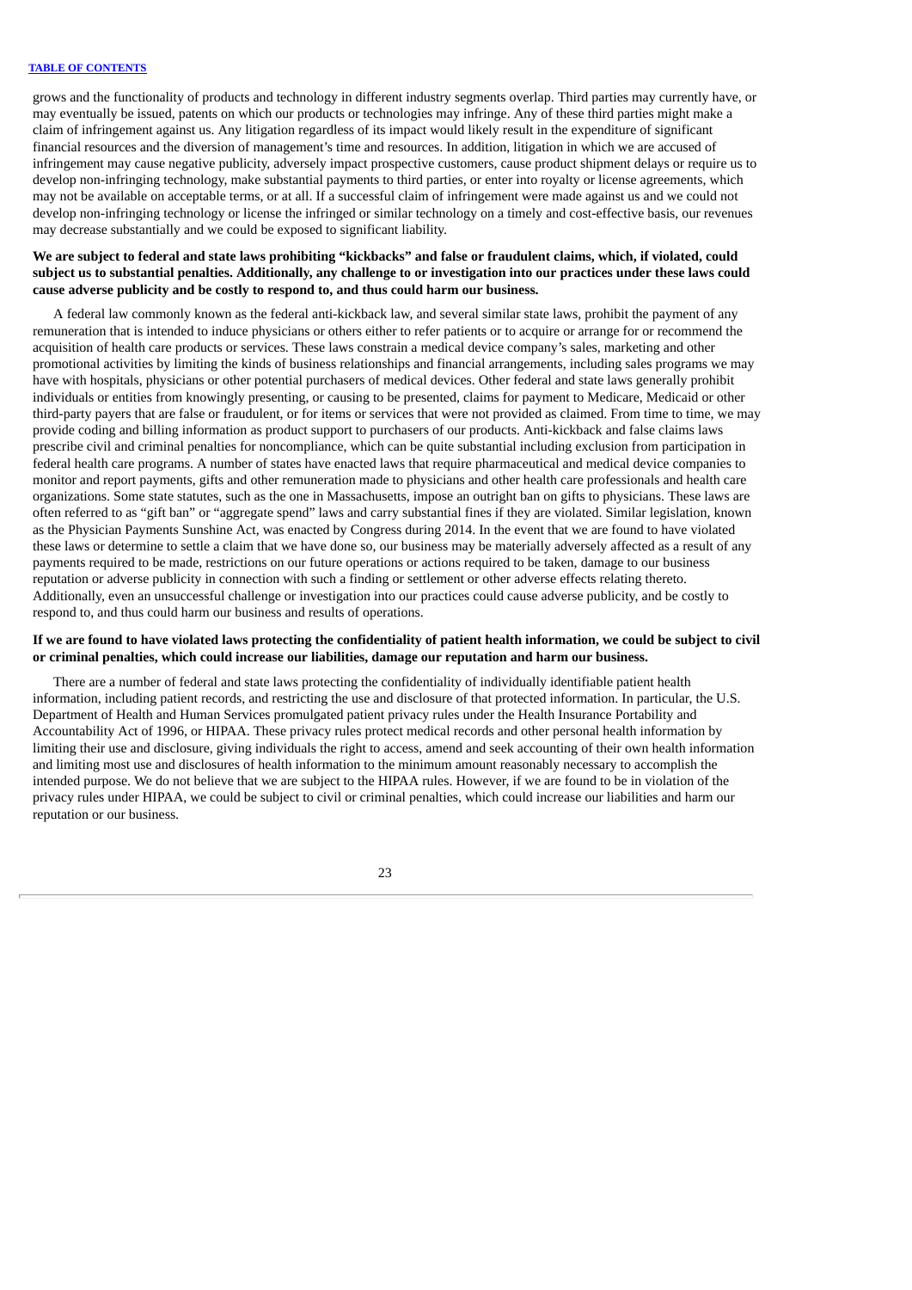grows and the functionality of products and technology in different industry segments overlap. Third parties may currently have, or may eventually be issued, patents on which our products or technologies may infringe. Any of these third parties might make a claim of infringement against us. Any litigation regardless of its impact would likely result in the expenditure of significant financial resources and the diversion of management's time and resources. In addition, litigation in which we are accused of infringement may cause negative publicity, adversely impact prospective customers, cause product shipment delays or require us to develop non-infringing technology, make substantial payments to third parties, or enter into royalty or license agreements, which may not be available on acceptable terms, or at all. If a successful claim of infringement were made against us and we could not develop non-infringing technology or license the infringed or similar technology on a timely and cost-effective basis, our revenues may decrease substantially and we could be exposed to significant liability.

# We are subject to federal and state laws prohibiting "kickbacks" and false or fraudulent claims, which, if violated, could subject us to substantial penalties. Additionally, any challenge to or investigation into our practices under these laws could **cause adverse publicity and be costly to respond to, and thus could harm our business.**

A federal law commonly known as the federal anti-kickback law, and several similar state laws, prohibit the payment of any remuneration that is intended to induce physicians or others either to refer patients or to acquire or arrange for or recommend the acquisition of health care products or services. These laws constrain a medical device company's sales, marketing and other promotional activities by limiting the kinds of business relationships and financial arrangements, including sales programs we may have with hospitals, physicians or other potential purchasers of medical devices. Other federal and state laws generally prohibit individuals or entities from knowingly presenting, or causing to be presented, claims for payment to Medicare, Medicaid or other third-party payers that are false or fraudulent, or for items or services that were not provided as claimed. From time to time, we may provide coding and billing information as product support to purchasers of our products. Anti-kickback and false claims laws prescribe civil and criminal penalties for noncompliance, which can be quite substantial including exclusion from participation in federal health care programs. A number of states have enacted laws that require pharmaceutical and medical device companies to monitor and report payments, gifts and other remuneration made to physicians and other health care professionals and health care organizations. Some state statutes, such as the one in Massachusetts, impose an outright ban on gifts to physicians. These laws are often referred to as "gift ban" or "aggregate spend" laws and carry substantial fines if they are violated. Similar legislation, known as the Physician Payments Sunshine Act, was enacted by Congress during 2014. In the event that we are found to have violated these laws or determine to settle a claim that we have done so, our business may be materially adversely affected as a result of any payments required to be made, restrictions on our future operations or actions required to be taken, damage to our business reputation or adverse publicity in connection with such a finding or settlement or other adverse effects relating thereto. Additionally, even an unsuccessful challenge or investigation into our practices could cause adverse publicity, and be costly to respond to, and thus could harm our business and results of operations.

# If we are found to have violated laws protecting the confidentiality of patient health information, we could be subject to civil **or criminal penalties, which could increase our liabilities, damage our reputation and harm our business.**

There are a number of federal and state laws protecting the confidentiality of individually identifiable patient health information, including patient records, and restricting the use and disclosure of that protected information. In particular, the U.S. Department of Health and Human Services promulgated patient privacy rules under the Health Insurance Portability and Accountability Act of 1996, or HIPAA. These privacy rules protect medical records and other personal health information by limiting their use and disclosure, giving individuals the right to access, amend and seek accounting of their own health information and limiting most use and disclosures of health information to the minimum amount reasonably necessary to accomplish the intended purpose. We do not believe that we are subject to the HIPAA rules. However, if we are found to be in violation of the privacy rules under HIPAA, we could be subject to civil or criminal penalties, which could increase our liabilities and harm our reputation or our business.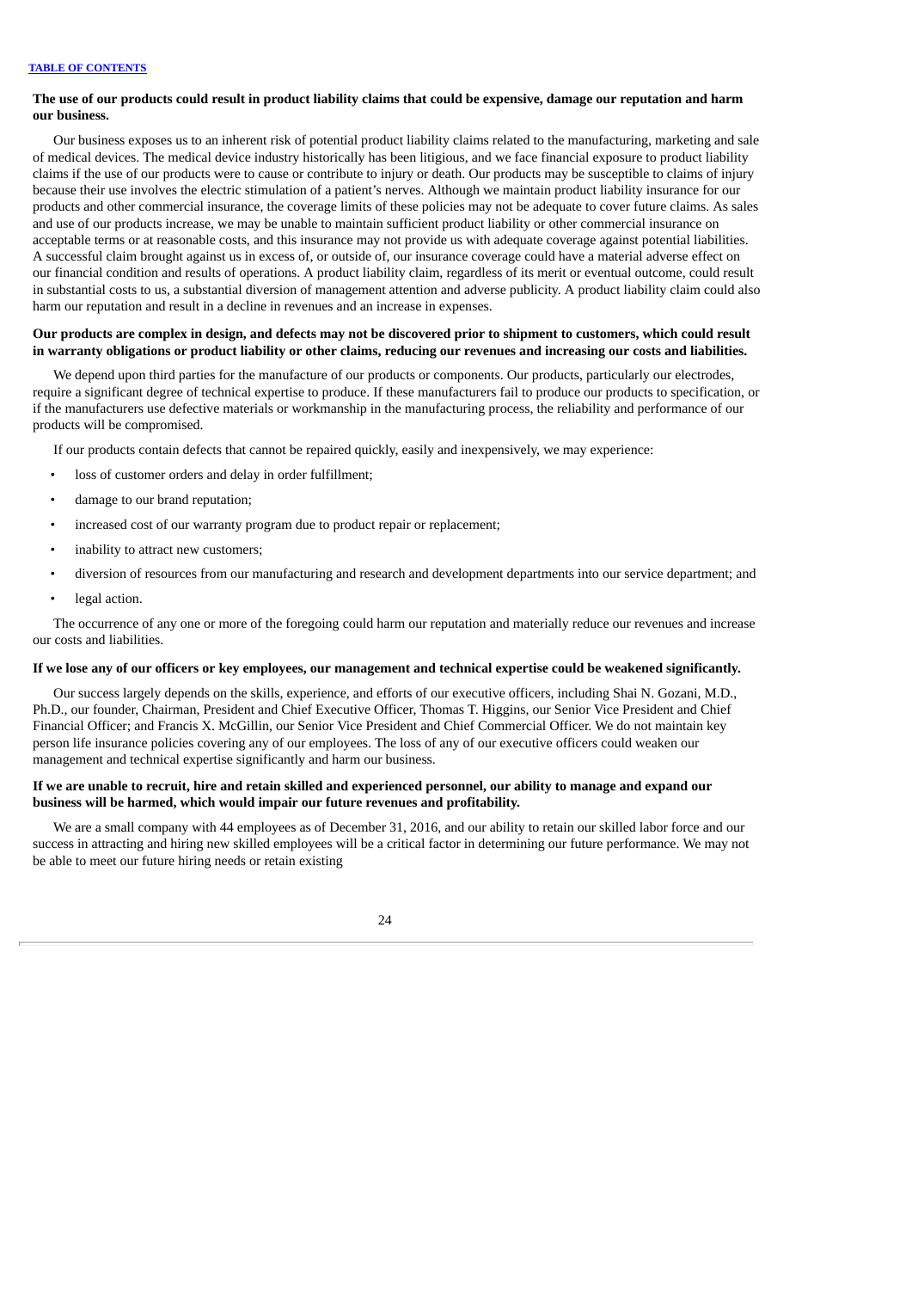# The use of our products could result in product liability claims that could be expensive, damage our reputation and harm **our business.**

Our business exposes us to an inherent risk of potential product liability claims related to the manufacturing, marketing and sale of medical devices. The medical device industry historically has been litigious, and we face financial exposure to product liability claims if the use of our products were to cause or contribute to injury or death. Our products may be susceptible to claims of injury because their use involves the electric stimulation of a patient's nerves. Although we maintain product liability insurance for our products and other commercial insurance, the coverage limits of these policies may not be adequate to cover future claims. As sales and use of our products increase, we may be unable to maintain sufficient product liability or other commercial insurance on acceptable terms or at reasonable costs, and this insurance may not provide us with adequate coverage against potential liabilities. A successful claim brought against us in excess of, or outside of, our insurance coverage could have a material adverse effect on our financial condition and results of operations. A product liability claim, regardless of its merit or eventual outcome, could result in substantial costs to us, a substantial diversion of management attention and adverse publicity. A product liability claim could also harm our reputation and result in a decline in revenues and an increase in expenses.

# Our products are complex in design, and defects may not be discovered prior to shipment to customers, which could result in warranty obligations or product liability or other claims, reducing our revenues and increasing our costs and liabilities.

We depend upon third parties for the manufacture of our products or components. Our products, particularly our electrodes, require a significant degree of technical expertise to produce. If these manufacturers fail to produce our products to specification, or if the manufacturers use defective materials or workmanship in the manufacturing process, the reliability and performance of our products will be compromised.

If our products contain defects that cannot be repaired quickly, easily and inexpensively, we may experience:

- loss of customer orders and delay in order fulfillment;
- damage to our brand reputation;
- increased cost of our warranty program due to product repair or replacement;
- inability to attract new customers;
- diversion of resources from our manufacturing and research and development departments into our service department; and
- legal action.

The occurrence of any one or more of the foregoing could harm our reputation and materially reduce our revenues and increase our costs and liabilities.

### If we lose any of our officers or key employees, our management and technical expertise could be weakened significantly.

Our success largely depends on the skills, experience, and efforts of our executive officers, including Shai N. Gozani, M.D., Ph.D., our founder, Chairman, President and Chief Executive Officer, Thomas T. Higgins, our Senior Vice President and Chief Financial Officer; and Francis X. McGillin, our Senior Vice President and Chief Commercial Officer. We do not maintain key person life insurance policies covering any of our employees. The loss of any of our executive officers could weaken our management and technical expertise significantly and harm our business.

# If we are unable to recruit, hire and retain skilled and experienced personnel, our ability to manage and expand our **business will be harmed, which would impair our future revenues and profitability.**

We are a small company with 44 employees as of December 31, 2016, and our ability to retain our skilled labor force and our success in attracting and hiring new skilled employees will be a critical factor in determining our future performance. We may not be able to meet our future hiring needs or retain existing

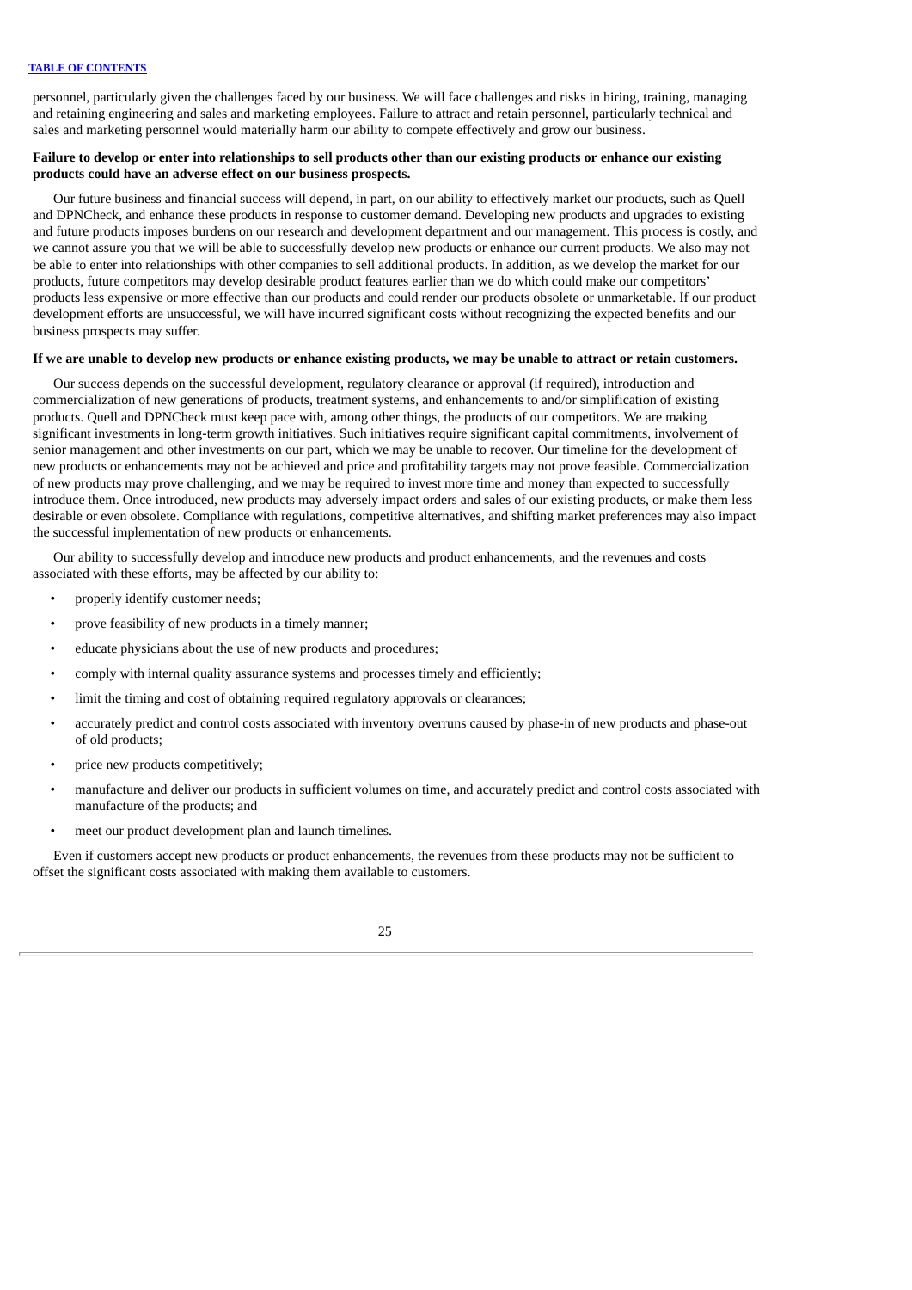personnel, particularly given the challenges faced by our business. We will face challenges and risks in hiring, training, managing and retaining engineering and sales and marketing employees. Failure to attract and retain personnel, particularly technical and sales and marketing personnel would materially harm our ability to compete effectively and grow our business.

# Failure to develop or enter into relationships to sell products other than our existing products or enhance our existing **products could have an adverse effect on our business prospects.**

Our future business and financial success will depend, in part, on our ability to effectively market our products, such as Quell and DPNCheck, and enhance these products in response to customer demand. Developing new products and upgrades to existing and future products imposes burdens on our research and development department and our management. This process is costly, and we cannot assure you that we will be able to successfully develop new products or enhance our current products. We also may not be able to enter into relationships with other companies to sell additional products. In addition, as we develop the market for our products, future competitors may develop desirable product features earlier than we do which could make our competitors' products less expensive or more effective than our products and could render our products obsolete or unmarketable. If our product development efforts are unsuccessful, we will have incurred significant costs without recognizing the expected benefits and our business prospects may suffer.

# If we are unable to develop new products or enhance existing products, we may be unable to attract or retain customers.

Our success depends on the successful development, regulatory clearance or approval (if required), introduction and commercialization of new generations of products, treatment systems, and enhancements to and/or simplification of existing products. Quell and DPNCheck must keep pace with, among other things, the products of our competitors. We are making significant investments in long-term growth initiatives. Such initiatives require significant capital commitments, involvement of senior management and other investments on our part, which we may be unable to recover. Our timeline for the development of new products or enhancements may not be achieved and price and profitability targets may not prove feasible. Commercialization of new products may prove challenging, and we may be required to invest more time and money than expected to successfully introduce them. Once introduced, new products may adversely impact orders and sales of our existing products, or make them less desirable or even obsolete. Compliance with regulations, competitive alternatives, and shifting market preferences may also impact the successful implementation of new products or enhancements.

Our ability to successfully develop and introduce new products and product enhancements, and the revenues and costs associated with these efforts, may be affected by our ability to:

- properly identify customer needs;
- prove feasibility of new products in a timely manner;
- educate physicians about the use of new products and procedures;
- comply with internal quality assurance systems and processes timely and efficiently;
- limit the timing and cost of obtaining required regulatory approvals or clearances;
- accurately predict and control costs associated with inventory overruns caused by phase-in of new products and phase-out of old products;
- price new products competitively;
- manufacture and deliver our products in sufficient volumes on time, and accurately predict and control costs associated with manufacture of the products; and
- meet our product development plan and launch timelines.

Even if customers accept new products or product enhancements, the revenues from these products may not be sufficient to offset the significant costs associated with making them available to customers.

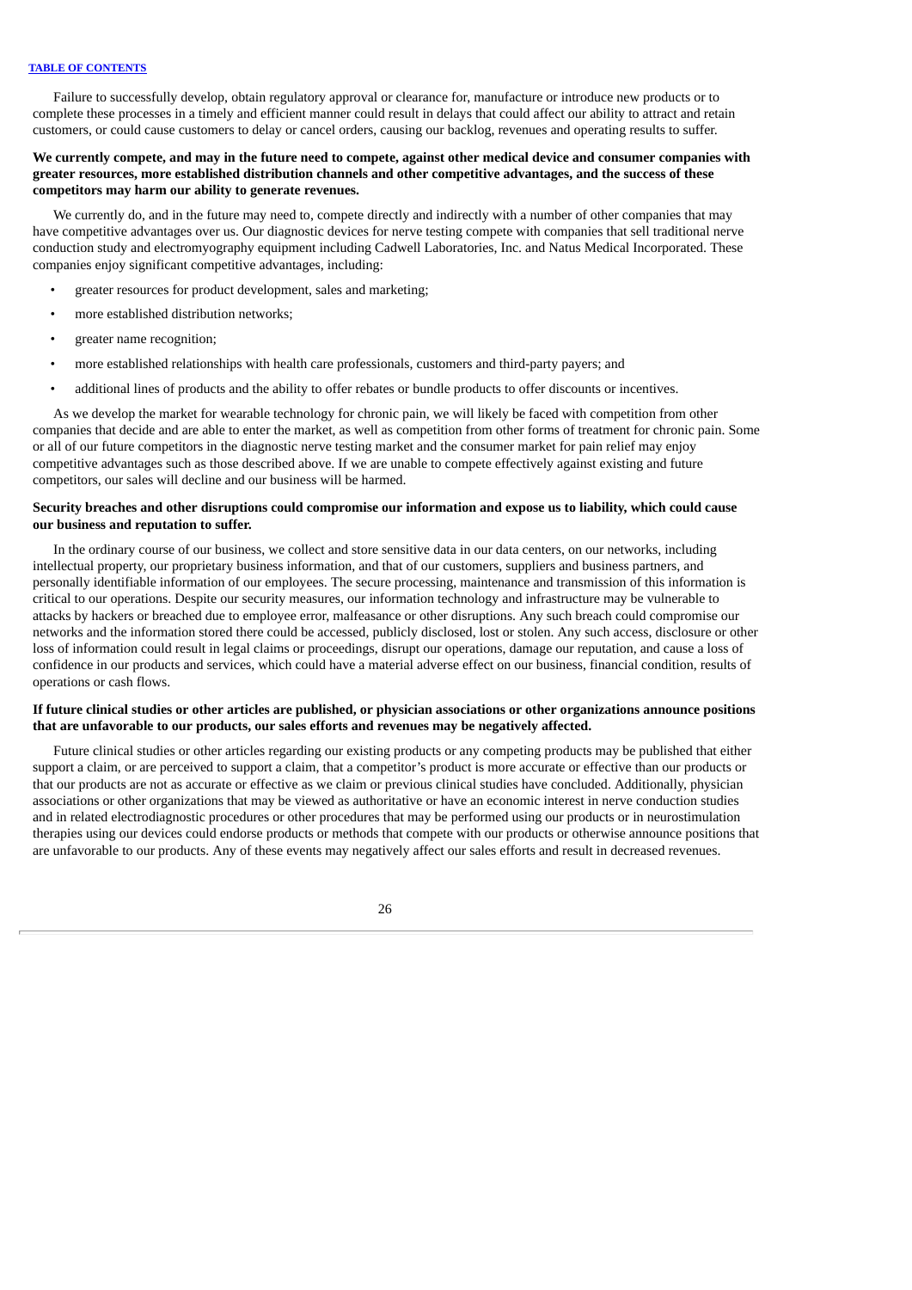Failure to successfully develop, obtain regulatory approval or clearance for, manufacture or introduce new products or to complete these processes in a timely and efficient manner could result in delays that could affect our ability to attract and retain customers, or could cause customers to delay or cancel orders, causing our backlog, revenues and operating results to suffer.

# We currently compete, and may in the future need to compete, against other medical device and consumer companies with **greater resources, more established distribution channels and other competitive advantages, and the success of these competitors may harm our ability to generate revenues.**

We currently do, and in the future may need to, compete directly and indirectly with a number of other companies that may have competitive advantages over us. Our diagnostic devices for nerve testing compete with companies that sell traditional nerve conduction study and electromyography equipment including Cadwell Laboratories, Inc. and Natus Medical Incorporated. These companies enjoy significant competitive advantages, including:

- greater resources for product development, sales and marketing;
- more established distribution networks;
- greater name recognition;
- more established relationships with health care professionals, customers and third-party payers; and
- additional lines of products and the ability to offer rebates or bundle products to offer discounts or incentives.

As we develop the market for wearable technology for chronic pain, we will likely be faced with competition from other companies that decide and are able to enter the market, as well as competition from other forms of treatment for chronic pain. Some or all of our future competitors in the diagnostic nerve testing market and the consumer market for pain relief may enjoy competitive advantages such as those described above. If we are unable to compete effectively against existing and future competitors, our sales will decline and our business will be harmed.

# Security breaches and other disruptions could compromise our information and expose us to liability, which could cause **our business and reputation to suffer.**

In the ordinary course of our business, we collect and store sensitive data in our data centers, on our networks, including intellectual property, our proprietary business information, and that of our customers, suppliers and business partners, and personally identifiable information of our employees. The secure processing, maintenance and transmission of this information is critical to our operations. Despite our security measures, our information technology and infrastructure may be vulnerable to attacks by hackers or breached due to employee error, malfeasance or other disruptions. Any such breach could compromise our networks and the information stored there could be accessed, publicly disclosed, lost or stolen. Any such access, disclosure or other loss of information could result in legal claims or proceedings, disrupt our operations, damage our reputation, and cause a loss of confidence in our products and services, which could have a material adverse effect on our business, financial condition, results of operations or cash flows.

# If future clinical studies or other articles are published, or physician associations or other organizations announce positions **that are unfavorable to our products, our sales efforts and revenues may be negatively affected.**

Future clinical studies or other articles regarding our existing products or any competing products may be published that either support a claim, or are perceived to support a claim, that a competitor's product is more accurate or effective than our products or that our products are not as accurate or effective as we claim or previous clinical studies have concluded. Additionally, physician associations or other organizations that may be viewed as authoritative or have an economic interest in nerve conduction studies and in related electrodiagnostic procedures or other procedures that may be performed using our products or in neurostimulation therapies using our devices could endorse products or methods that compete with our products or otherwise announce positions that are unfavorable to our products. Any of these events may negatively affect our sales efforts and result in decreased revenues.

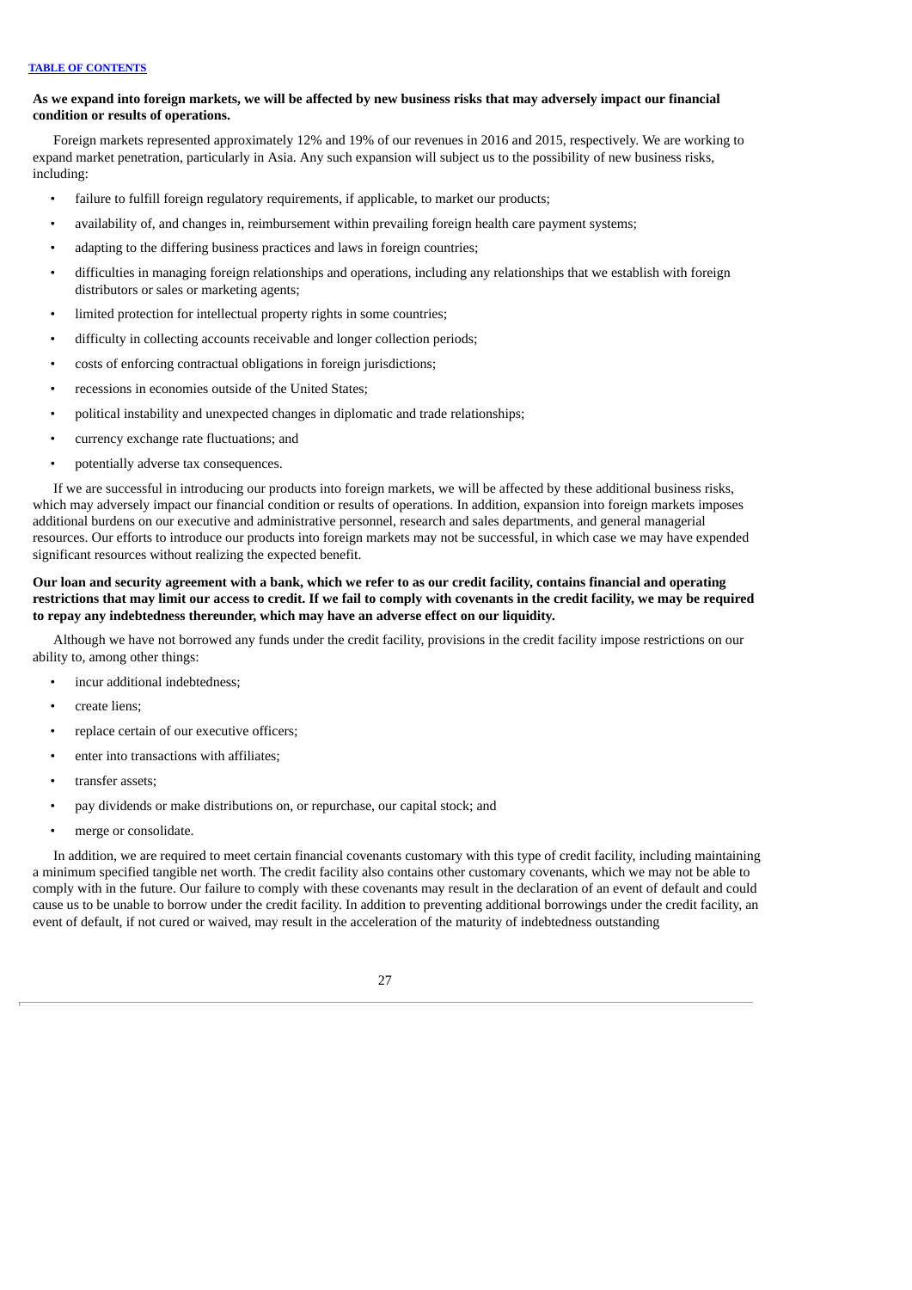# As we expand into foreign markets, we will be affected by new business risks that may adversely impact our financial **condition or results of operations.**

Foreign markets represented approximately 12% and 19% of our revenues in 2016 and 2015, respectively. We are working to expand market penetration, particularly in Asia. Any such expansion will subject us to the possibility of new business risks, including:

- failure to fulfill foreign regulatory requirements, if applicable, to market our products;
- availability of, and changes in, reimbursement within prevailing foreign health care payment systems;
- adapting to the differing business practices and laws in foreign countries;
- difficulties in managing foreign relationships and operations, including any relationships that we establish with foreign distributors or sales or marketing agents;
- limited protection for intellectual property rights in some countries;
- difficulty in collecting accounts receivable and longer collection periods;
- costs of enforcing contractual obligations in foreign jurisdictions;
- recessions in economies outside of the United States;
- political instability and unexpected changes in diplomatic and trade relationships;
- currency exchange rate fluctuations; and
- potentially adverse tax consequences.

If we are successful in introducing our products into foreign markets, we will be affected by these additional business risks, which may adversely impact our financial condition or results of operations. In addition, expansion into foreign markets imposes additional burdens on our executive and administrative personnel, research and sales departments, and general managerial resources. Our efforts to introduce our products into foreign markets may not be successful, in which case we may have expended significant resources without realizing the expected benefit.

# Our loan and security agreement with a bank, which we refer to as our credit facility, contains financial and operating restrictions that may limit our access to credit. If we fail to comply with covenants in the credit facility, we may be required **to repay any indebtedness thereunder, which may have an adverse effect on our liquidity.**

Although we have not borrowed any funds under the credit facility, provisions in the credit facility impose restrictions on our ability to, among other things:

- incur additional indebtedness:
- create liens;
- replace certain of our executive officers;
- enter into transactions with affiliates:
- transfer assets:
- pay dividends or make distributions on, or repurchase, our capital stock; and
- merge or consolidate.

In addition, we are required to meet certain financial covenants customary with this type of credit facility, including maintaining a minimum specified tangible net worth. The credit facility also contains other customary covenants, which we may not be able to comply with in the future. Our failure to comply with these covenants may result in the declaration of an event of default and could cause us to be unable to borrow under the credit facility. In addition to preventing additional borrowings under the credit facility, an event of default, if not cured or waived, may result in the acceleration of the maturity of indebtedness outstanding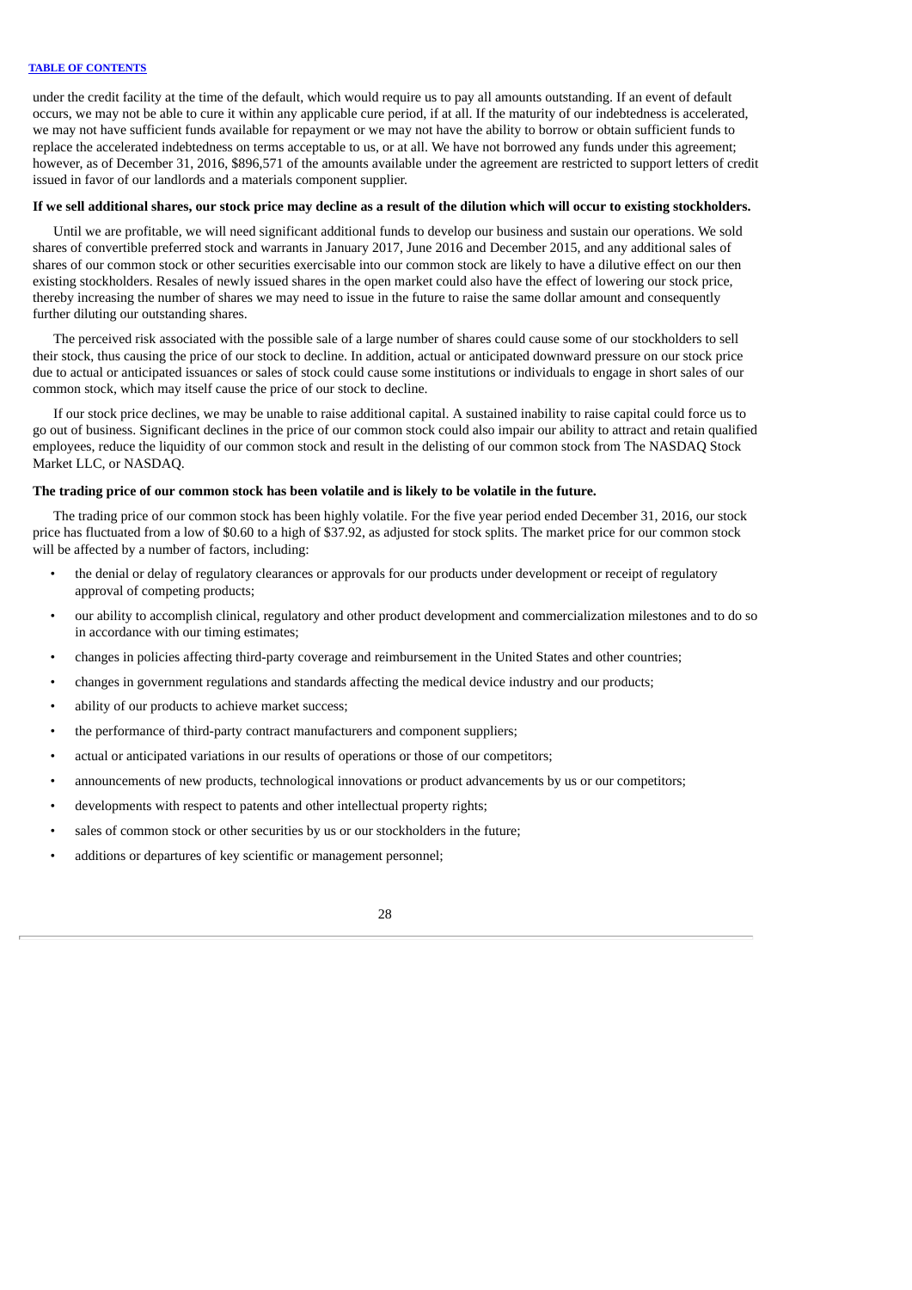under the credit facility at the time of the default, which would require us to pay all amounts outstanding. If an event of default occurs, we may not be able to cure it within any applicable cure period, if at all. If the maturity of our indebtedness is accelerated, we may not have sufficient funds available for repayment or we may not have the ability to borrow or obtain sufficient funds to replace the accelerated indebtedness on terms acceptable to us, or at all. We have not borrowed any funds under this agreement; however, as of December 31, 2016, \$896,571 of the amounts available under the agreement are restricted to support letters of credit issued in favor of our landlords and a materials component supplier.

### If we sell additional shares, our stock price may decline as a result of the dilution which will occur to existing stockholders.

Until we are profitable, we will need significant additional funds to develop our business and sustain our operations. We sold shares of convertible preferred stock and warrants in January 2017, June 2016 and December 2015, and any additional sales of shares of our common stock or other securities exercisable into our common stock are likely to have a dilutive effect on our then existing stockholders. Resales of newly issued shares in the open market could also have the effect of lowering our stock price, thereby increasing the number of shares we may need to issue in the future to raise the same dollar amount and consequently further diluting our outstanding shares.

The perceived risk associated with the possible sale of a large number of shares could cause some of our stockholders to sell their stock, thus causing the price of our stock to decline. In addition, actual or anticipated downward pressure on our stock price due to actual or anticipated issuances or sales of stock could cause some institutions or individuals to engage in short sales of our common stock, which may itself cause the price of our stock to decline.

If our stock price declines, we may be unable to raise additional capital. A sustained inability to raise capital could force us to go out of business. Significant declines in the price of our common stock could also impair our ability to attract and retain qualified employees, reduce the liquidity of our common stock and result in the delisting of our common stock from The NASDAQ Stock Market LLC, or NASDAQ.

### The trading price of our common stock has been volatile and is likely to be volatile in the future.

The trading price of our common stock has been highly volatile. For the five year period ended December 31, 2016, our stock price has fluctuated from a low of \$0.60 to a high of \$37.92, as adjusted for stock splits. The market price for our common stock will be affected by a number of factors, including:

- the denial or delay of regulatory clearances or approvals for our products under development or receipt of regulatory approval of competing products;
- our ability to accomplish clinical, regulatory and other product development and commercialization milestones and to do so in accordance with our timing estimates;
- changes in policies affecting third-party coverage and reimbursement in the United States and other countries;
- changes in government regulations and standards affecting the medical device industry and our products;
- ability of our products to achieve market success;
- the performance of third-party contract manufacturers and component suppliers;
- actual or anticipated variations in our results of operations or those of our competitors;
- announcements of new products, technological innovations or product advancements by us or our competitors;
- developments with respect to patents and other intellectual property rights;
- sales of common stock or other securities by us or our stockholders in the future;
- additions or departures of key scientific or management personnel;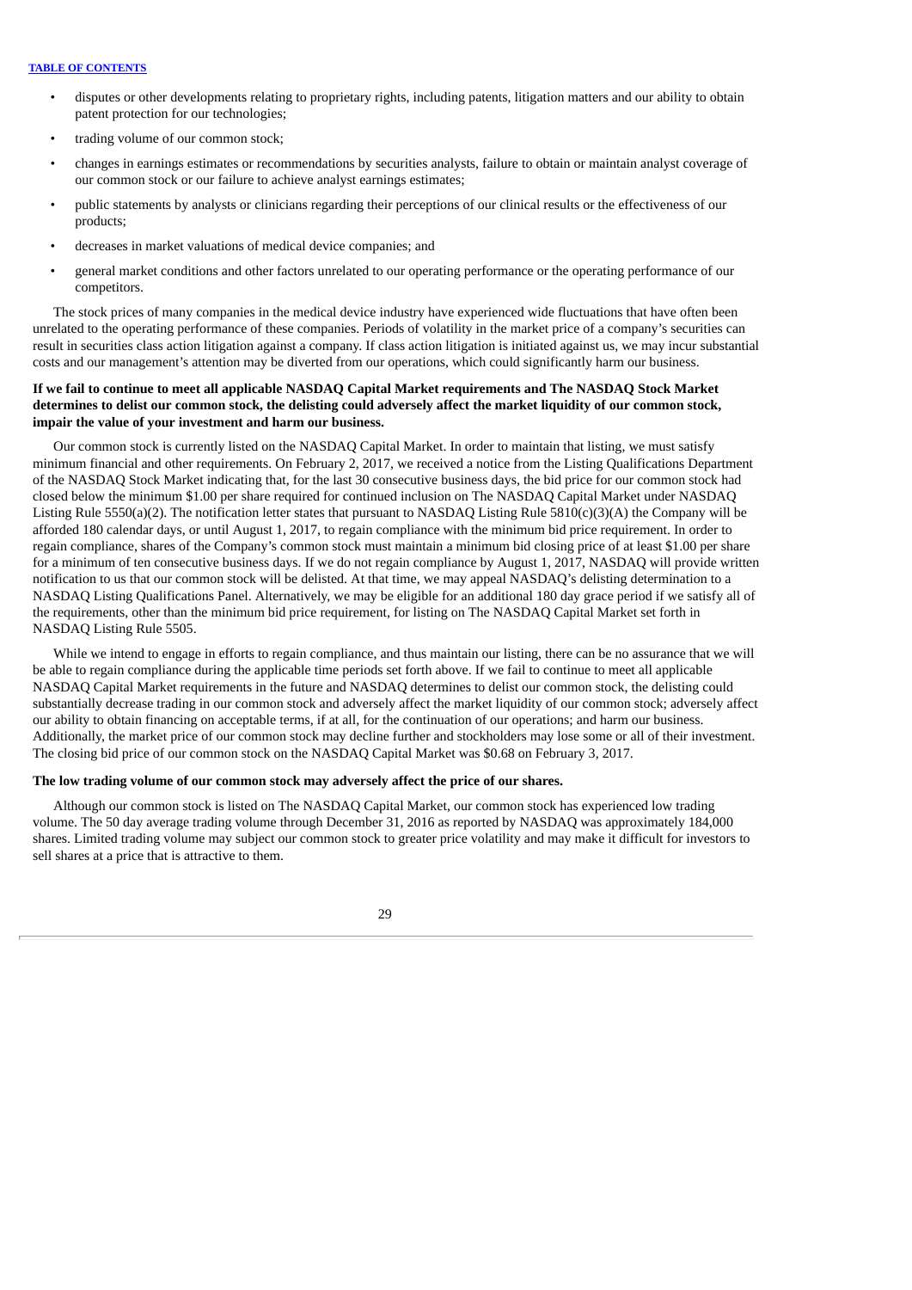- disputes or other developments relating to proprietary rights, including patents, litigation matters and our ability to obtain patent protection for our technologies;
- trading volume of our common stock;
- changes in earnings estimates or recommendations by securities analysts, failure to obtain or maintain analyst coverage of our common stock or our failure to achieve analyst earnings estimates;
- public statements by analysts or clinicians regarding their perceptions of our clinical results or the effectiveness of our products;
- decreases in market valuations of medical device companies; and
- general market conditions and other factors unrelated to our operating performance or the operating performance of our competitors.

The stock prices of many companies in the medical device industry have experienced wide fluctuations that have often been unrelated to the operating performance of these companies. Periods of volatility in the market price of a company's securities can result in securities class action litigation against a company. If class action litigation is initiated against us, we may incur substantial costs and our management's attention may be diverted from our operations, which could significantly harm our business.

### If we fail to continue to meet all applicable NASDAQ Capital Market requirements and The NASDAQ Stock Market determines to delist our common stock, the delisting could adversely affect the market liquidity of our common stock, **impair the value of your investment and harm our business.**

Our common stock is currently listed on the NASDAQ Capital Market. In order to maintain that listing, we must satisfy minimum financial and other requirements. On February 2, 2017, we received a notice from the Listing Qualifications Department of the NASDAQ Stock Market indicating that, for the last 30 consecutive business days, the bid price for our common stock had closed below the minimum \$1.00 per share required for continued inclusion on The NASDAQ Capital Market under NASDAQ Listing Rule 5550(a)(2). The notification letter states that pursuant to NASDAQ Listing Rule 5810(c)(3)(A) the Company will be afforded 180 calendar days, or until August 1, 2017, to regain compliance with the minimum bid price requirement. In order to regain compliance, shares of the Company's common stock must maintain a minimum bid closing price of at least \$1.00 per share for a minimum of ten consecutive business days. If we do not regain compliance by August 1, 2017, NASDAQ will provide written notification to us that our common stock will be delisted. At that time, we may appeal NASDAQ's delisting determination to a NASDAQ Listing Qualifications Panel. Alternatively, we may be eligible for an additional 180 day grace period if we satisfy all of the requirements, other than the minimum bid price requirement, for listing on The NASDAQ Capital Market set forth in NASDAQ Listing Rule 5505.

While we intend to engage in efforts to regain compliance, and thus maintain our listing, there can be no assurance that we will be able to regain compliance during the applicable time periods set forth above. If we fail to continue to meet all applicable NASDAQ Capital Market requirements in the future and NASDAQ determines to delist our common stock, the delisting could substantially decrease trading in our common stock and adversely affect the market liquidity of our common stock; adversely affect our ability to obtain financing on acceptable terms, if at all, for the continuation of our operations; and harm our business. Additionally, the market price of our common stock may decline further and stockholders may lose some or all of their investment. The closing bid price of our common stock on the NASDAQ Capital Market was \$0.68 on February 3, 2017.

# **The low trading volume of our common stock may adversely affect the price of our shares.**

Although our common stock is listed on The NASDAQ Capital Market, our common stock has experienced low trading volume. The 50 day average trading volume through December 31, 2016 as reported by NASDAQ was approximately 184,000 shares. Limited trading volume may subject our common stock to greater price volatility and may make it difficult for investors to sell shares at a price that is attractive to them.

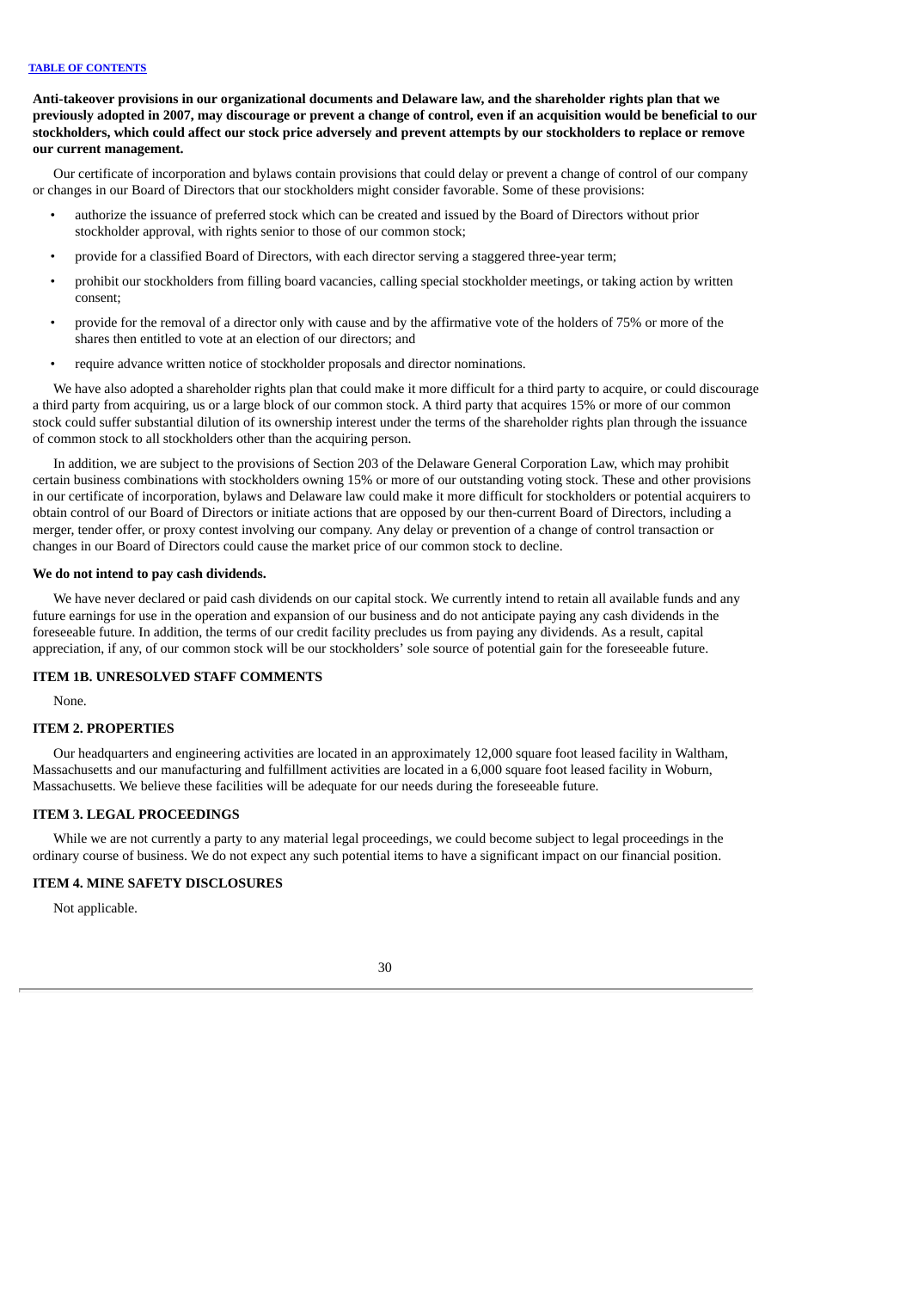Anti-takeover provisions in our organizational documents and Delaware law, and the shareholder rights plan that we previously adopted in 2007, may discourage or prevent a change of control, even if an acquisition would be beneficial to our stockholders, which could affect our stock price adversely and prevent attempts by our stockholders to replace or remove **our current management.**

Our certificate of incorporation and bylaws contain provisions that could delay or prevent a change of control of our company or changes in our Board of Directors that our stockholders might consider favorable. Some of these provisions:

- authorize the issuance of preferred stock which can be created and issued by the Board of Directors without prior stockholder approval, with rights senior to those of our common stock;
- provide for a classified Board of Directors, with each director serving a staggered three-year term;
- prohibit our stockholders from filling board vacancies, calling special stockholder meetings, or taking action by written consent;
- provide for the removal of a director only with cause and by the affirmative vote of the holders of 75% or more of the shares then entitled to vote at an election of our directors; and
- require advance written notice of stockholder proposals and director nominations.

We have also adopted a shareholder rights plan that could make it more difficult for a third party to acquire, or could discourage a third party from acquiring, us or a large block of our common stock. A third party that acquires 15% or more of our common stock could suffer substantial dilution of its ownership interest under the terms of the shareholder rights plan through the issuance of common stock to all stockholders other than the acquiring person.

In addition, we are subject to the provisions of Section 203 of the Delaware General Corporation Law, which may prohibit certain business combinations with stockholders owning 15% or more of our outstanding voting stock. These and other provisions in our certificate of incorporation, bylaws and Delaware law could make it more difficult for stockholders or potential acquirers to obtain control of our Board of Directors or initiate actions that are opposed by our then-current Board of Directors, including a merger, tender offer, or proxy contest involving our company. Any delay or prevention of a change of control transaction or changes in our Board of Directors could cause the market price of our common stock to decline.

#### **We do not intend to pay cash dividends.**

We have never declared or paid cash dividends on our capital stock. We currently intend to retain all available funds and any future earnings for use in the operation and expansion of our business and do not anticipate paying any cash dividends in the foreseeable future. In addition, the terms of our credit facility precludes us from paying any dividends. As a result, capital appreciation, if any, of our common stock will be our stockholders' sole source of potential gain for the foreseeable future.

### <span id="page-32-0"></span>**ITEM 1B. UNRESOLVED STAFF COMMENTS**

None.

# <span id="page-32-1"></span>**ITEM 2. PROPERTIES**

Our headquarters and engineering activities are located in an approximately 12,000 square foot leased facility in Waltham, Massachusetts and our manufacturing and fulfillment activities are located in a 6,000 square foot leased facility in Woburn, Massachusetts. We believe these facilities will be adequate for our needs during the foreseeable future.

# <span id="page-32-2"></span>**ITEM 3. LEGAL PROCEEDINGS**

While we are not currently a party to any material legal proceedings, we could become subject to legal proceedings in the ordinary course of business. We do not expect any such potential items to have a significant impact on our financial position.

# <span id="page-32-3"></span>**ITEM 4. MINE SAFETY DISCLOSURES**

Not applicable.

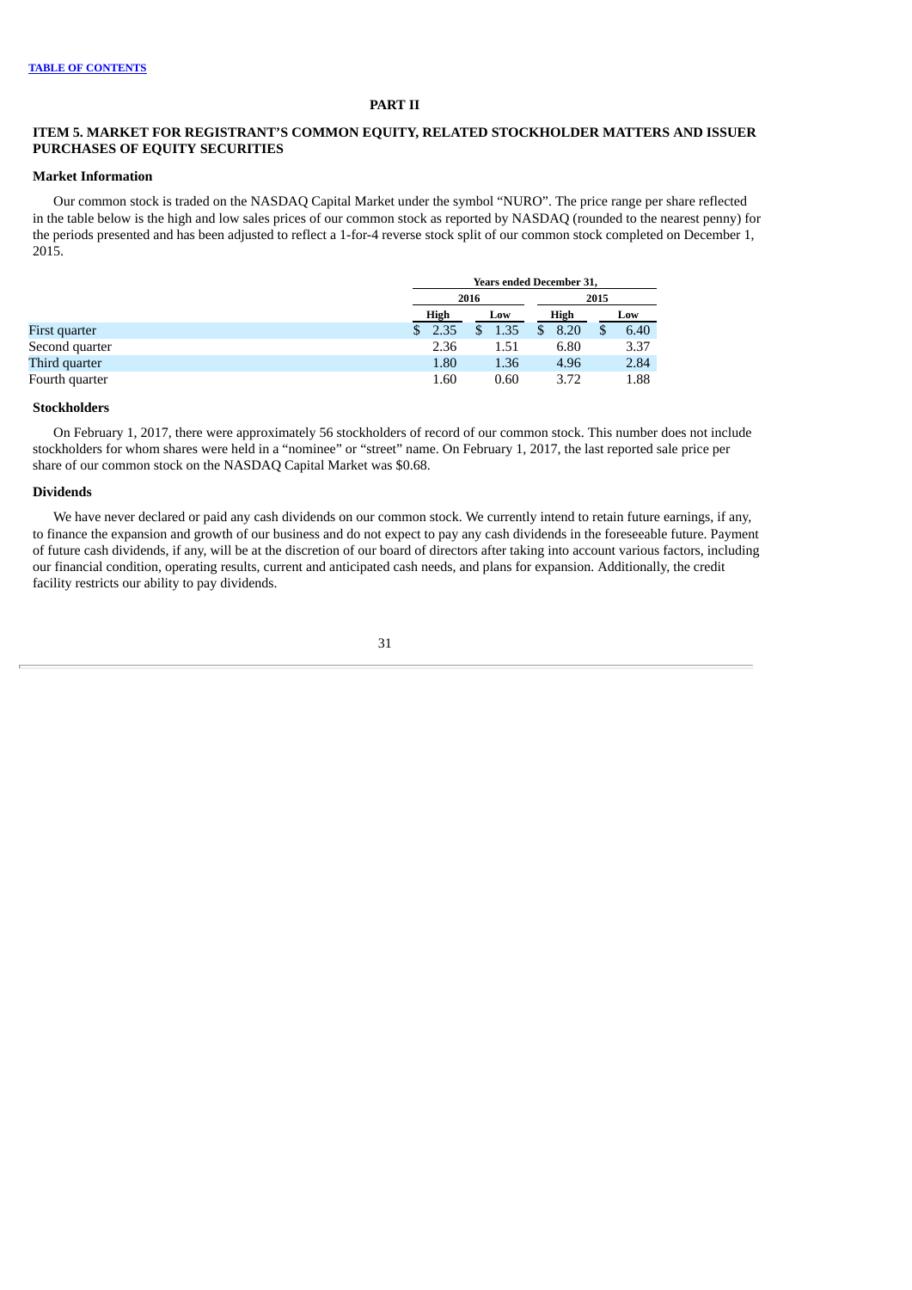### **PART II**

# <span id="page-33-0"></span>**ITEM 5. MARKET FOR REGISTRANT'S COMMON EQUITY, RELATED STOCKHOLDER MATTERS AND ISSUER PURCHASES OF EQUITY SECURITIES**

### **Market Information**

Our common stock is traded on the NASDAQ Capital Market under the symbol "NURO". The price range per share reflected in the table below is the high and low sales prices of our common stock as reported by NASDAQ (rounded to the nearest penny) for the periods presented and has been adjusted to reflect a 1-for-4 reverse stock split of our common stock completed on December 1, 2015.

|                |            | <b>Years ended December 31,</b> |      |           |  |  |  |  |
|----------------|------------|---------------------------------|------|-----------|--|--|--|--|
|                |            | 2016                            |      | 2015      |  |  |  |  |
|                | High       | High<br>Low                     |      | Low       |  |  |  |  |
| First quarter  | 2.35<br>\$ | 1.35                            | 8.20 | 6.40<br>S |  |  |  |  |
| Second quarter | 2.36       | 1.51                            | 6.80 | 3.37      |  |  |  |  |
| Third quarter  | 1.80       | 1.36                            | 4.96 | 2.84      |  |  |  |  |
| Fourth quarter | 1.60       | 0.60                            | 3.72 | 1.88      |  |  |  |  |

#### **Stockholders**

On February 1, 2017, there were approximately 56 stockholders of record of our common stock. This number does not include stockholders for whom shares were held in a "nominee" or "street" name. On February 1, 2017, the last reported sale price per share of our common stock on the NASDAQ Capital Market was \$0.68.

### **Dividends**

We have never declared or paid any cash dividends on our common stock. We currently intend to retain future earnings, if any, to finance the expansion and growth of our business and do not expect to pay any cash dividends in the foreseeable future. Payment of future cash dividends, if any, will be at the discretion of our board of directors after taking into account various factors, including our financial condition, operating results, current and anticipated cash needs, and plans for expansion. Additionally, the credit facility restricts our ability to pay dividends.

31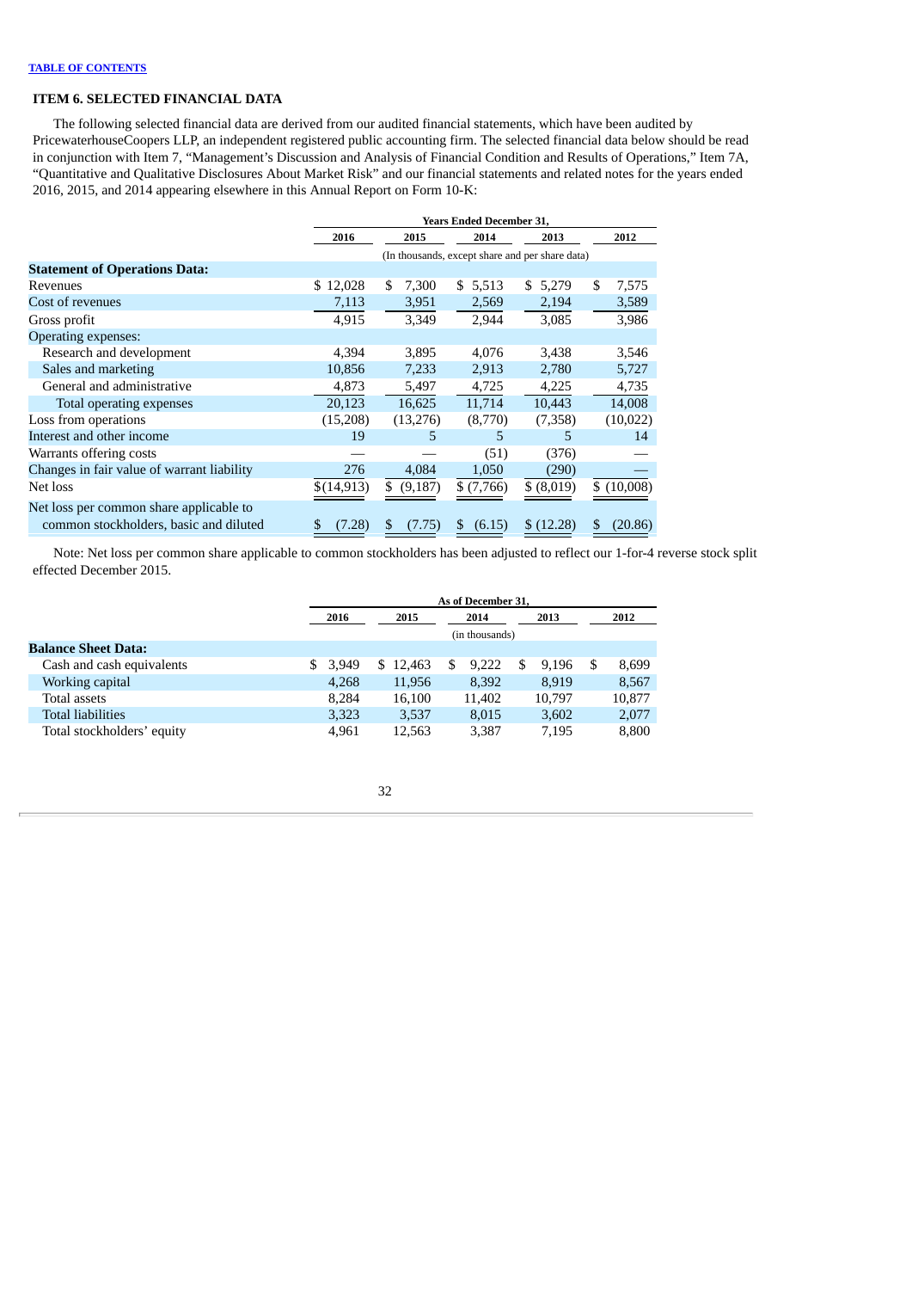# <span id="page-34-0"></span>**ITEM 6. SELECTED FINANCIAL DATA**

The following selected financial data are derived from our audited financial statements, which have been audited by PricewaterhouseCoopers LLP, an independent registered public accounting firm. The selected financial data below should be read in conjunction with Item 7, "Management's Discussion and Analysis of Financial Condition and Results of Operations," Item 7A, "Quantitative and Qualitative Disclosures About Market Risk" and our financial statements and related notes for the years ended 2016, 2015, and 2014 appearing elsewhere in this Annual Report on Form 10-K:

|                                                                                   | <b>Years Ended December 31,</b>                 |               |              |              |              |  |  |  |
|-----------------------------------------------------------------------------------|-------------------------------------------------|---------------|--------------|--------------|--------------|--|--|--|
|                                                                                   | 2016                                            | 2015          | 2014         | 2013         | 2012         |  |  |  |
|                                                                                   | (In thousands, except share and per share data) |               |              |              |              |  |  |  |
| <b>Statement of Operations Data:</b>                                              |                                                 |               |              |              |              |  |  |  |
| Revenues                                                                          | \$12,028                                        | 7,300<br>\$.  | 5,513<br>\$. | 5,279<br>\$. | S<br>7,575   |  |  |  |
| Cost of revenues                                                                  | 7,113                                           | 3,951         | 2,569        | 2,194        | 3,589        |  |  |  |
| Gross profit                                                                      | 4,915                                           | 3,349         | 2,944        | 3,085        | 3,986        |  |  |  |
| Operating expenses:                                                               |                                                 |               |              |              |              |  |  |  |
| Research and development                                                          | 4,394                                           | 3,895         | 4,076        | 3,438        | 3,546        |  |  |  |
| Sales and marketing                                                               | 10,856                                          | 7,233         | 2,913        | 2,780        | 5,727        |  |  |  |
| General and administrative                                                        | 4,873                                           | 5,497         | 4,725        | 4,225        | 4,735        |  |  |  |
| Total operating expenses                                                          | 20,123                                          | 16,625        | 11,714       | 10,443       | 14,008       |  |  |  |
| Loss from operations                                                              | (15,208)                                        | (13,276)      | (8,770)      | (7,358)      | (10,022)     |  |  |  |
| Interest and other income                                                         | 19                                              | 5.            | 5.           | 5            | 14           |  |  |  |
| Warrants offering costs                                                           |                                                 |               | (51)         | (376)        |              |  |  |  |
| Changes in fair value of warrant liability                                        | 276                                             | 4,084         | 1,050        | (290)        |              |  |  |  |
| Net loss                                                                          | \$(14,913)                                      | \$<br>(9,187) | \$(7,766)    | \$ (8,019)   | \$(10,008)   |  |  |  |
| Net loss per common share applicable to<br>common stockholders, basic and diluted | \$<br>(7.28)                                    | (7.75)<br>SS. | (6.15)<br>S  | \$(12.28)    | S<br>(20.86) |  |  |  |

Note: Net loss per common share applicable to common stockholders has been adjusted to reflect our 1-for-4 reverse stock split effected December 2015.

|                            |      | As of December 31. |          |      |        |      |        |      |        |
|----------------------------|------|--------------------|----------|------|--------|------|--------|------|--------|
|                            | 2016 |                    | 2015     | 2014 |        | 2013 |        | 2012 |        |
|                            |      | (in thousands)     |          |      |        |      |        |      |        |
| <b>Balance Sheet Data:</b> |      |                    |          |      |        |      |        |      |        |
| Cash and cash equivalents  |      | 3,949              | \$12,463 | \$   | 9,222  | S    | 9,196  | S    | 8,699  |
| Working capital            |      | 4,268              | 11,956   |      | 8,392  |      | 8.919  |      | 8,567  |
| Total assets               |      | 8.284              | 16,100   |      | 11,402 |      | 10,797 |      | 10,877 |
| <b>Total liabilities</b>   |      | 3,323              | 3,537    |      | 8,015  |      | 3,602  |      | 2,077  |
| Total stockholders' equity |      | 4,961              | 12,563   |      | 3,387  |      | 7,195  |      | 8,800  |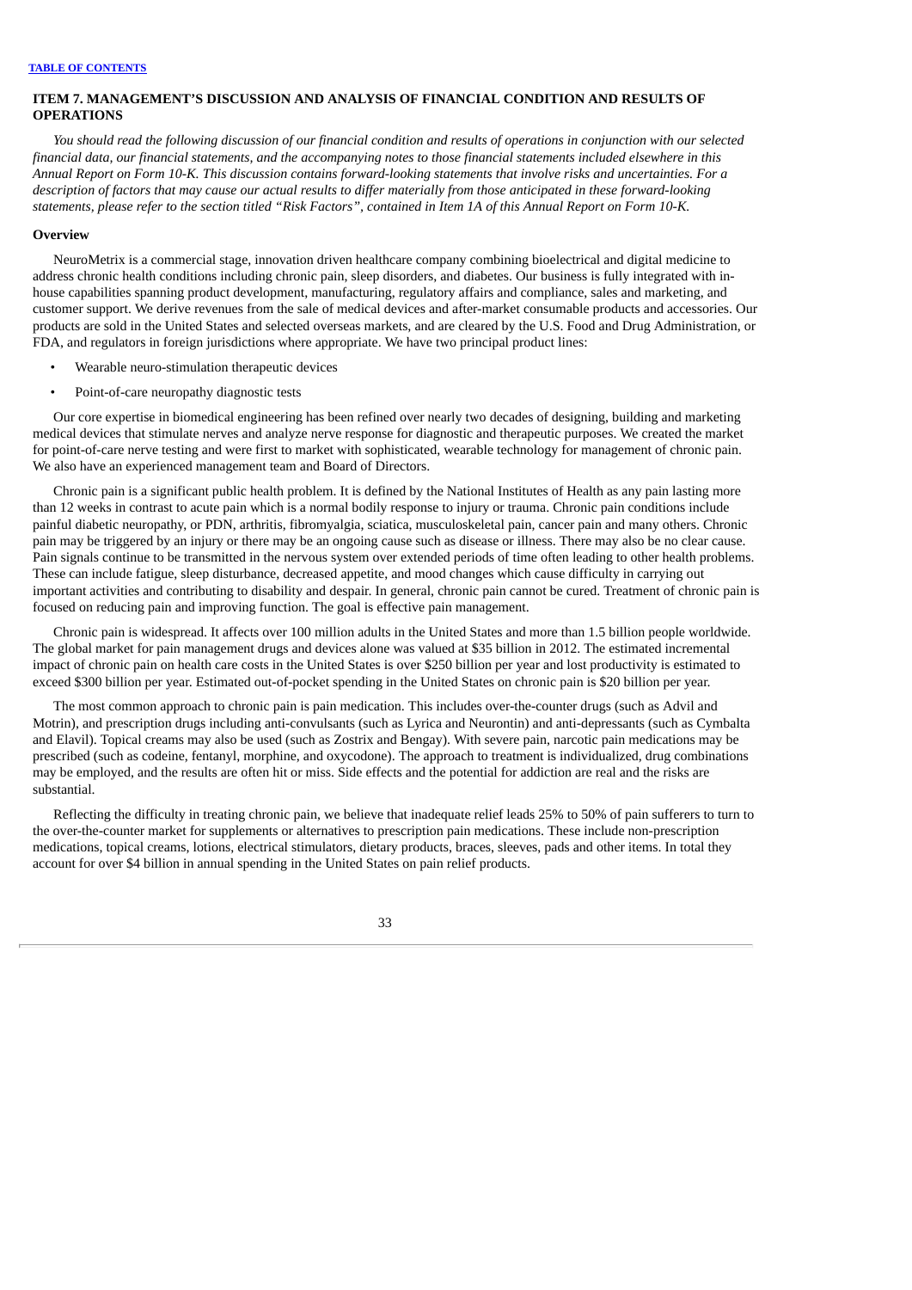# <span id="page-35-0"></span>**ITEM 7. MANAGEMENT'S DISCUSSION AND ANALYSIS OF FINANCIAL CONDITION AND RESULTS OF OPERATIONS**

You should read the following discussion of our financial condition and results of operations in conjunction with our selected financial data, our financial statements, and the accompanying notes to those financial statements included elsewhere in this Annual Report on Form 10-K. This discussion contains forward-looking statements that involve risks and uncertainties. For a description of factors that may cause our actual results to differ materially from those anticipated in these forward-looking statements, please refer to the section titled "Risk Factors", contained in Item 1A of this Annual Report on Form 10-K.

### **Overview**

NeuroMetrix is a commercial stage, innovation driven healthcare company combining bioelectrical and digital medicine to address chronic health conditions including chronic pain, sleep disorders, and diabetes. Our business is fully integrated with inhouse capabilities spanning product development, manufacturing, regulatory affairs and compliance, sales and marketing, and customer support. We derive revenues from the sale of medical devices and after-market consumable products and accessories. Our products are sold in the United States and selected overseas markets, and are cleared by the U.S. Food and Drug Administration, or FDA, and regulators in foreign jurisdictions where appropriate. We have two principal product lines:

- Wearable neuro-stimulation therapeutic devices
- Point-of-care neuropathy diagnostic tests

Our core expertise in biomedical engineering has been refined over nearly two decades of designing, building and marketing medical devices that stimulate nerves and analyze nerve response for diagnostic and therapeutic purposes. We created the market for point-of-care nerve testing and were first to market with sophisticated, wearable technology for management of chronic pain. We also have an experienced management team and Board of Directors.

Chronic pain is a significant public health problem. It is defined by the National Institutes of Health as any pain lasting more than 12 weeks in contrast to acute pain which is a normal bodily response to injury or trauma. Chronic pain conditions include painful diabetic neuropathy, or PDN, arthritis, fibromyalgia, sciatica, musculoskeletal pain, cancer pain and many others. Chronic pain may be triggered by an injury or there may be an ongoing cause such as disease or illness. There may also be no clear cause. Pain signals continue to be transmitted in the nervous system over extended periods of time often leading to other health problems. These can include fatigue, sleep disturbance, decreased appetite, and mood changes which cause difficulty in carrying out important activities and contributing to disability and despair. In general, chronic pain cannot be cured. Treatment of chronic pain is focused on reducing pain and improving function. The goal is effective pain management.

Chronic pain is widespread. It affects over 100 million adults in the United States and more than 1.5 billion people worldwide. The global market for pain management drugs and devices alone was valued at \$35 billion in 2012. The estimated incremental impact of chronic pain on health care costs in the United States is over \$250 billion per year and lost productivity is estimated to exceed \$300 billion per year. Estimated out-of-pocket spending in the United States on chronic pain is \$20 billion per year.

The most common approach to chronic pain is pain medication. This includes over-the-counter drugs (such as Advil and Motrin), and prescription drugs including anti-convulsants (such as Lyrica and Neurontin) and anti-depressants (such as Cymbalta and Elavil). Topical creams may also be used (such as Zostrix and Bengay). With severe pain, narcotic pain medications may be prescribed (such as codeine, fentanyl, morphine, and oxycodone). The approach to treatment is individualized, drug combinations may be employed, and the results are often hit or miss. Side effects and the potential for addiction are real and the risks are substantial.

Reflecting the difficulty in treating chronic pain, we believe that inadequate relief leads 25% to 50% of pain sufferers to turn to the over-the-counter market for supplements or alternatives to prescription pain medications. These include non-prescription medications, topical creams, lotions, electrical stimulators, dietary products, braces, sleeves, pads and other items. In total they account for over \$4 billion in annual spending in the United States on pain relief products.

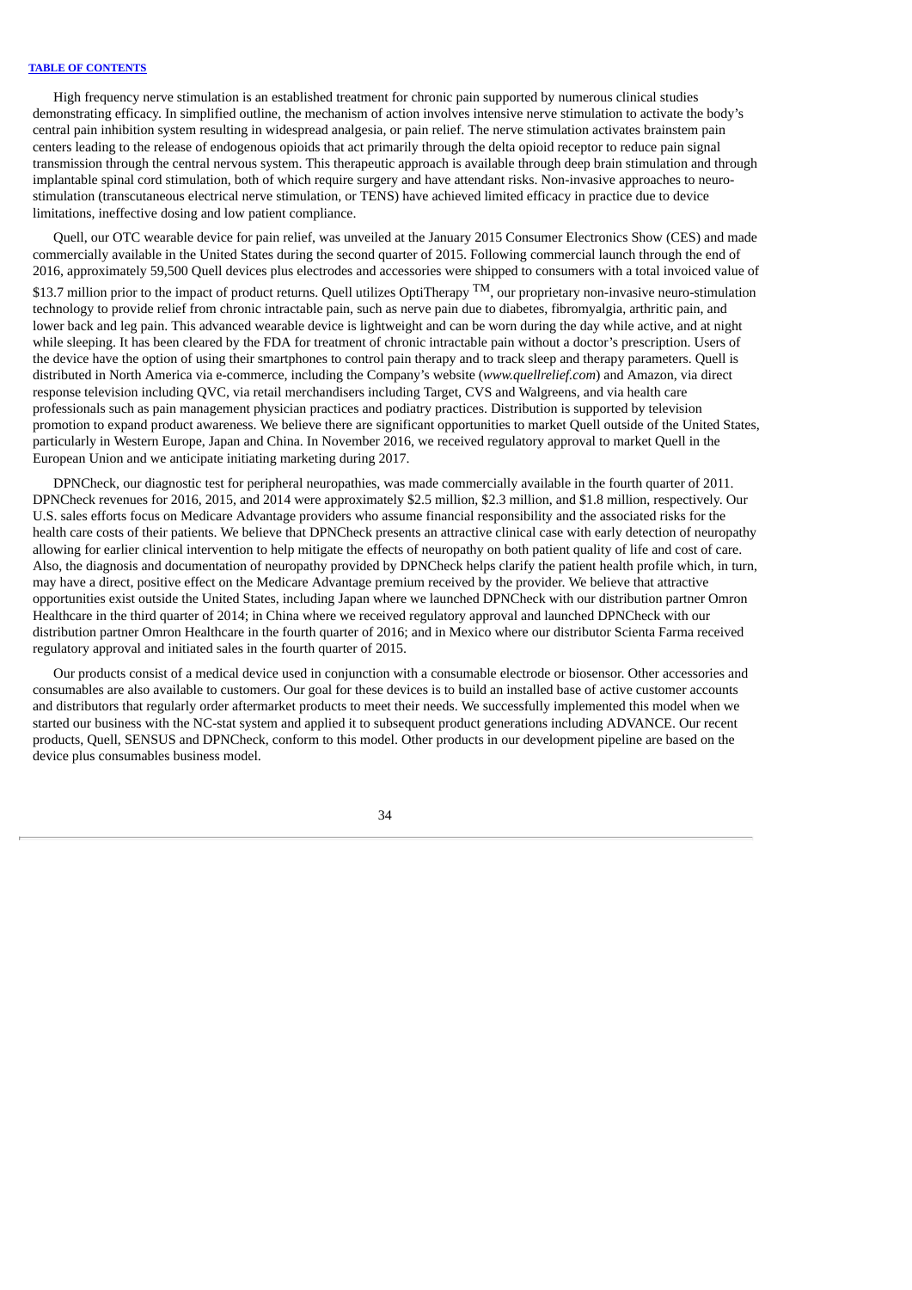High frequency nerve stimulation is an established treatment for chronic pain supported by numerous clinical studies demonstrating efficacy. In simplified outline, the mechanism of action involves intensive nerve stimulation to activate the body's central pain inhibition system resulting in widespread analgesia, or pain relief. The nerve stimulation activates brainstem pain centers leading to the release of endogenous opioids that act primarily through the delta opioid receptor to reduce pain signal transmission through the central nervous system. This therapeutic approach is available through deep brain stimulation and through implantable spinal cord stimulation, both of which require surgery and have attendant risks. Non-invasive approaches to neurostimulation (transcutaneous electrical nerve stimulation, or TENS) have achieved limited efficacy in practice due to device limitations, ineffective dosing and low patient compliance.

Quell, our OTC wearable device for pain relief, was unveiled at the January 2015 Consumer Electronics Show (CES) and made commercially available in the United States during the second quarter of 2015. Following commercial launch through the end of 2016, approximately 59,500 Quell devices plus electrodes and accessories were shipped to consumers with a total invoiced value of

\$13.7 million prior to the impact of product returns. Quell utilizes OptiTherapy  $^{TM}$ , our proprietary non-invasive neuro-stimulation technology to provide relief from chronic intractable pain, such as nerve pain due to diabetes, fibromyalgia, arthritic pain, and lower back and leg pain. This advanced wearable device is lightweight and can be worn during the day while active, and at night while sleeping. It has been cleared by the FDA for treatment of chronic intractable pain without a doctor's prescription. Users of the device have the option of using their smartphones to control pain therapy and to track sleep and therapy parameters. Quell is distributed in North America via e-commerce, including the Company's website (*www.quellrelief.com*) and Amazon, via direct response television including QVC, via retail merchandisers including Target, CVS and Walgreens, and via health care professionals such as pain management physician practices and podiatry practices. Distribution is supported by television promotion to expand product awareness. We believe there are significant opportunities to market Quell outside of the United States, particularly in Western Europe, Japan and China. In November 2016, we received regulatory approval to market Quell in the European Union and we anticipate initiating marketing during 2017.

DPNCheck, our diagnostic test for peripheral neuropathies, was made commercially available in the fourth quarter of 2011. DPNCheck revenues for 2016, 2015, and 2014 were approximately \$2.5 million, \$2.3 million, and \$1.8 million, respectively. Our U.S. sales efforts focus on Medicare Advantage providers who assume financial responsibility and the associated risks for the health care costs of their patients. We believe that DPNCheck presents an attractive clinical case with early detection of neuropathy allowing for earlier clinical intervention to help mitigate the effects of neuropathy on both patient quality of life and cost of care. Also, the diagnosis and documentation of neuropathy provided by DPNCheck helps clarify the patient health profile which, in turn, may have a direct, positive effect on the Medicare Advantage premium received by the provider. We believe that attractive opportunities exist outside the United States, including Japan where we launched DPNCheck with our distribution partner Omron Healthcare in the third quarter of 2014; in China where we received regulatory approval and launched DPNCheck with our distribution partner Omron Healthcare in the fourth quarter of 2016; and in Mexico where our distributor Scienta Farma received regulatory approval and initiated sales in the fourth quarter of 2015.

Our products consist of a medical device used in conjunction with a consumable electrode or biosensor. Other accessories and consumables are also available to customers. Our goal for these devices is to build an installed base of active customer accounts and distributors that regularly order aftermarket products to meet their needs. We successfully implemented this model when we started our business with the NC-stat system and applied it to subsequent product generations including ADVANCE. Our recent products, Quell, SENSUS and DPNCheck, conform to this model. Other products in our development pipeline are based on the device plus consumables business model.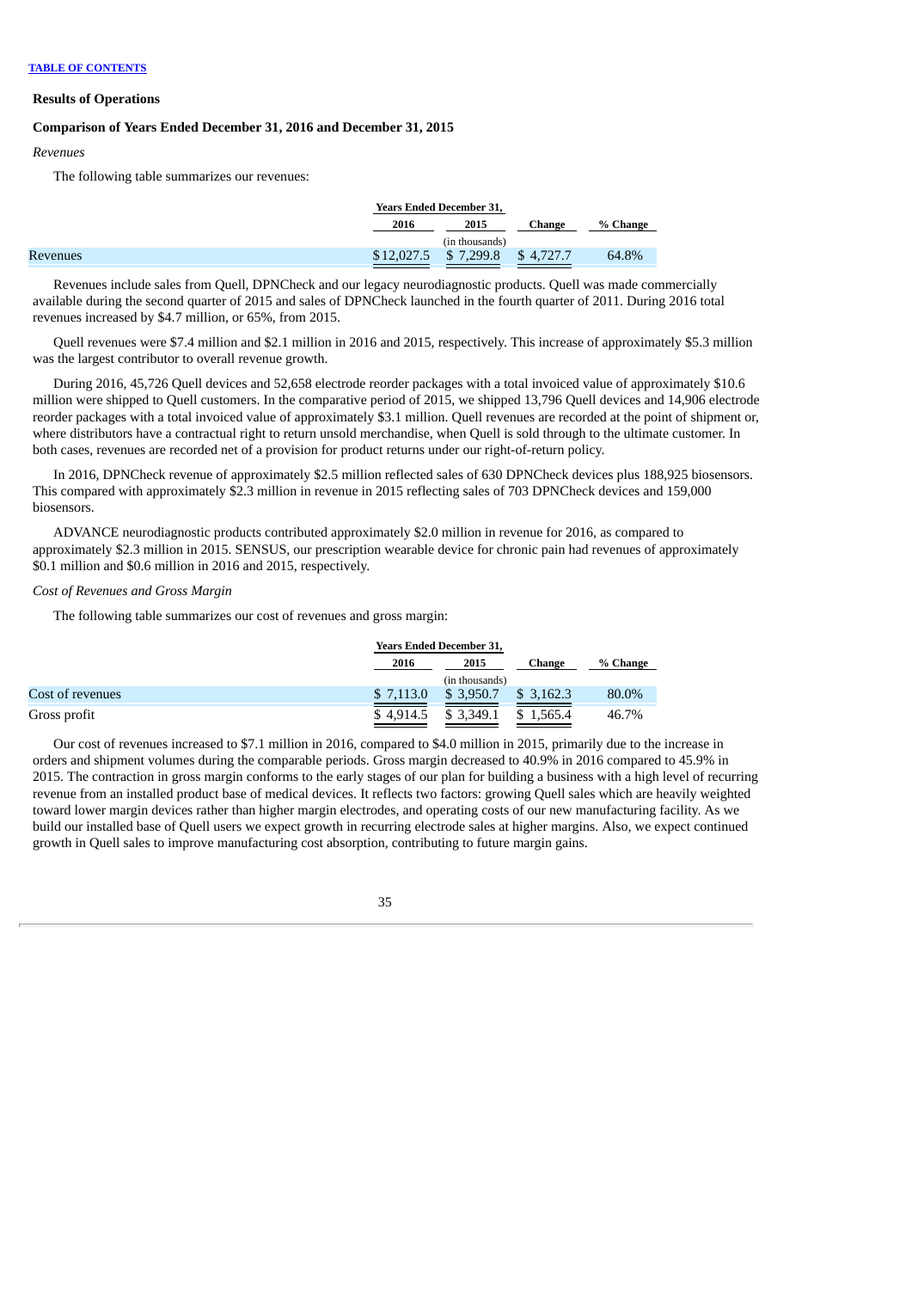#### **Results of Operations**

#### **Comparison of Years Ended December 31, 2016 and December 31, 2015**

### *Revenues*

The following table summarizes our revenues:

|          |            | <b>Years Ended December 31,</b> |        |          |
|----------|------------|---------------------------------|--------|----------|
|          | 2016       | 2015                            | Change | % Change |
|          |            | (in thousands)                  |        |          |
| Revenues | \$12,027.5 | $$7,299.8$ $$4,727.7$           |        | 64.8%    |

Revenues include sales from Quell, DPNCheck and our legacy neurodiagnostic products. Quell was made commercially available during the second quarter of 2015 and sales of DPNCheck launched in the fourth quarter of 2011. During 2016 total revenues increased by \$4.7 million, or 65%, from 2015.

Quell revenues were \$7.4 million and \$2.1 million in 2016 and 2015, respectively. This increase of approximately \$5.3 million was the largest contributor to overall revenue growth.

During 2016, 45,726 Quell devices and 52,658 electrode reorder packages with a total invoiced value of approximately \$10.6 million were shipped to Quell customers. In the comparative period of 2015, we shipped 13,796 Quell devices and 14,906 electrode reorder packages with a total invoiced value of approximately \$3.1 million. Quell revenues are recorded at the point of shipment or, where distributors have a contractual right to return unsold merchandise, when Quell is sold through to the ultimate customer. In both cases, revenues are recorded net of a provision for product returns under our right-of-return policy.

In 2016, DPNCheck revenue of approximately \$2.5 million reflected sales of 630 DPNCheck devices plus 188,925 biosensors. This compared with approximately \$2.3 million in revenue in 2015 reflecting sales of 703 DPNCheck devices and 159,000 biosensors.

ADVANCE neurodiagnostic products contributed approximately \$2.0 million in revenue for 2016, as compared to approximately \$2.3 million in 2015. SENSUS, our prescription wearable device for chronic pain had revenues of approximately \$0.1 million and \$0.6 million in 2016 and 2015, respectively.

#### *Cost of Revenues and Gross Margin*

The following table summarizes our cost of revenues and gross margin:

|                  |           | <b>Years Ended December 31,</b> |           |          |
|------------------|-----------|---------------------------------|-----------|----------|
|                  | 2016      | 2015                            | Change    | % Change |
|                  |           | (in thousands)                  |           |          |
| Cost of revenues | \$7,113.0 | $$3,950.7$ $$3,162.3$           |           | 80.0%    |
| Gross profit     | \$4,914.5 | \$3,349.1                       | \$1,565.4 | 46.7%    |

Our cost of revenues increased to \$7.1 million in 2016, compared to \$4.0 million in 2015, primarily due to the increase in orders and shipment volumes during the comparable periods. Gross margin decreased to 40.9% in 2016 compared to 45.9% in 2015. The contraction in gross margin conforms to the early stages of our plan for building a business with a high level of recurring revenue from an installed product base of medical devices. It reflects two factors: growing Quell sales which are heavily weighted toward lower margin devices rather than higher margin electrodes, and operating costs of our new manufacturing facility. As we build our installed base of Quell users we expect growth in recurring electrode sales at higher margins. Also, we expect continued growth in Quell sales to improve manufacturing cost absorption, contributing to future margin gains.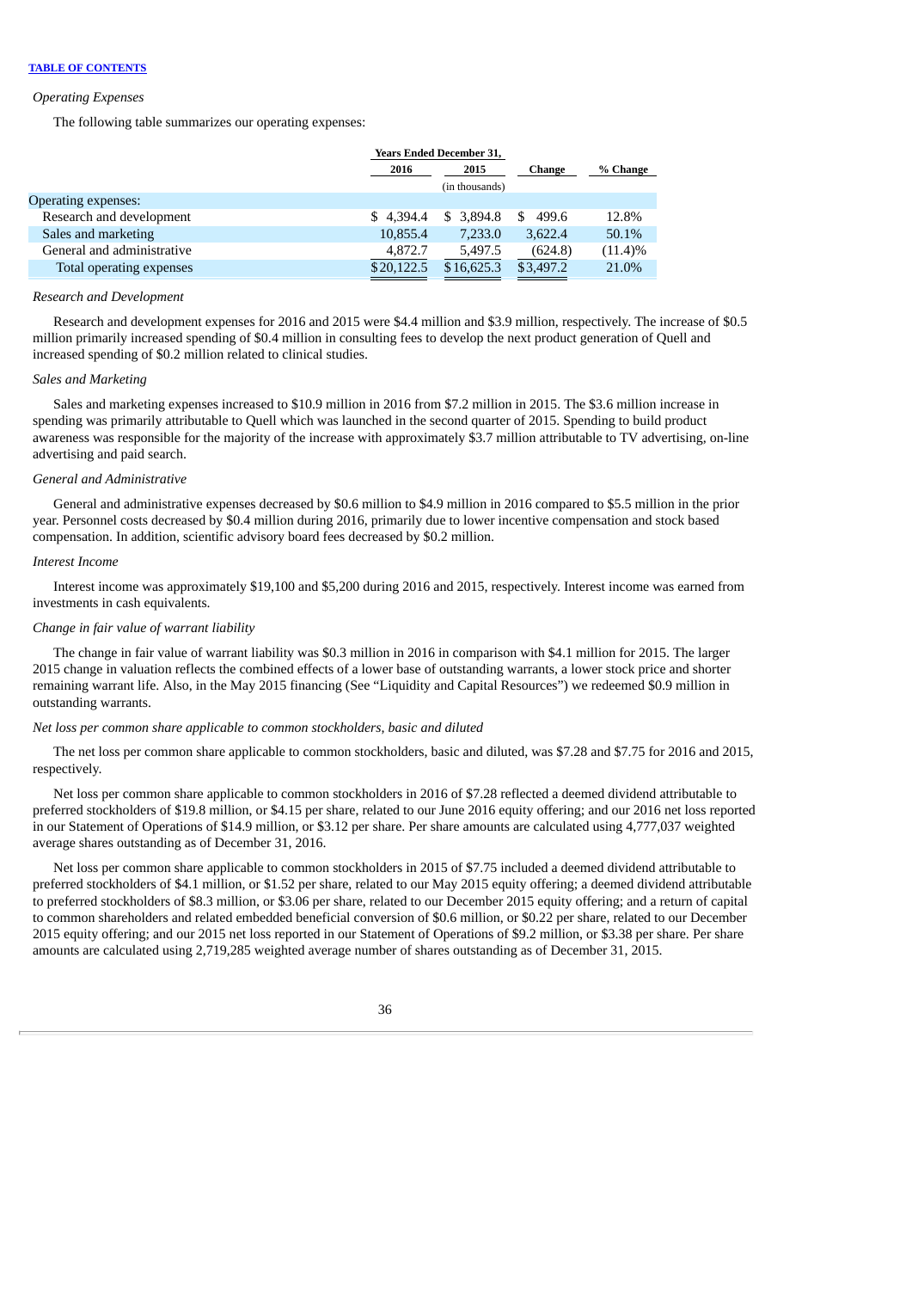#### *Operating Expenses*

The following table summarizes our operating expenses:

|                            | <b>Years Ended December 31,</b> |                |             |            |
|----------------------------|---------------------------------|----------------|-------------|------------|
|                            | 2016<br>2015                    |                | Change      | % Change   |
|                            |                                 | (in thousands) |             |            |
| Operating expenses:        |                                 |                |             |            |
| Research and development   | \$4.394.4                       | \$3.894.8      | 499.6<br>S. | 12.8%      |
| Sales and marketing        | 10,855.4                        | 7,233.0        | 3.622.4     | 50.1%      |
| General and administrative | 4.872.7                         | 5,497.5        | (624.8)     | $(11.4)\%$ |
| Total operating expenses   | \$20,122.5                      | \$16,625.3     | \$3,497.2   | 21.0%      |
|                            |                                 |                |             |            |

#### *Research and Development*

Research and development expenses for 2016 and 2015 were \$4.4 million and \$3.9 million, respectively. The increase of \$0.5 million primarily increased spending of \$0.4 million in consulting fees to develop the next product generation of Quell and increased spending of \$0.2 million related to clinical studies.

## *Sales and Marketing*

Sales and marketing expenses increased to \$10.9 million in 2016 from \$7.2 million in 2015. The \$3.6 million increase in spending was primarily attributable to Quell which was launched in the second quarter of 2015. Spending to build product awareness was responsible for the majority of the increase with approximately \$3.7 million attributable to TV advertising, on-line advertising and paid search.

#### *General and Administrative*

General and administrative expenses decreased by \$0.6 million to \$4.9 million in 2016 compared to \$5.5 million in the prior year. Personnel costs decreased by \$0.4 million during 2016, primarily due to lower incentive compensation and stock based compensation. In addition, scientific advisory board fees decreased by \$0.2 million.

#### *Interest Income*

Interest income was approximately \$19,100 and \$5,200 during 2016 and 2015, respectively. Interest income was earned from investments in cash equivalents.

## *Change in fair value of warrant liability*

The change in fair value of warrant liability was \$0.3 million in 2016 in comparison with \$4.1 million for 2015. The larger 2015 change in valuation reflects the combined effects of a lower base of outstanding warrants, a lower stock price and shorter remaining warrant life. Also, in the May 2015 financing (See "Liquidity and Capital Resources") we redeemed \$0.9 million in outstanding warrants.

## *Net loss per common share applicable to common stockholders, basic and diluted*

The net loss per common share applicable to common stockholders, basic and diluted, was \$7.28 and \$7.75 for 2016 and 2015, respectively.

Net loss per common share applicable to common stockholders in 2016 of \$7.28 reflected a deemed dividend attributable to preferred stockholders of \$19.8 million, or \$4.15 per share, related to our June 2016 equity offering; and our 2016 net loss reported in our Statement of Operations of \$14.9 million, or \$3.12 per share. Per share amounts are calculated using 4,777,037 weighted average shares outstanding as of December 31, 2016.

Net loss per common share applicable to common stockholders in 2015 of \$7.75 included a deemed dividend attributable to preferred stockholders of \$4.1 million, or \$1.52 per share, related to our May 2015 equity offering; a deemed dividend attributable to preferred stockholders of \$8.3 million, or \$3.06 per share, related to our December 2015 equity offering; and a return of capital to common shareholders and related embedded beneficial conversion of \$0.6 million, or \$0.22 per share, related to our December 2015 equity offering; and our 2015 net loss reported in our Statement of Operations of \$9.2 million, or \$3.38 per share. Per share amounts are calculated using 2,719,285 weighted average number of shares outstanding as of December 31, 2015.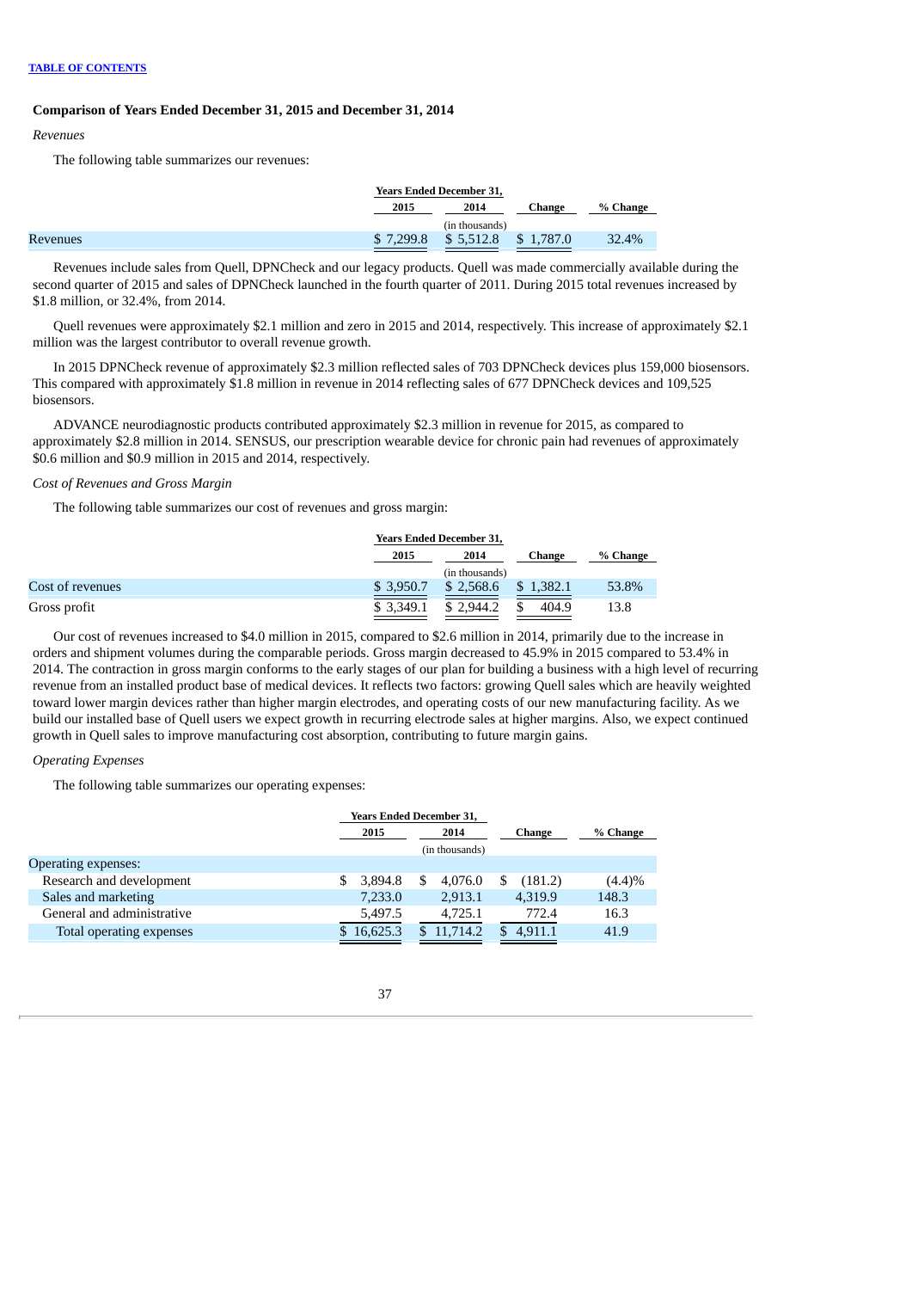## **Comparison of Years Ended December 31, 2015 and December 31, 2014**

#### *Revenues*

The following table summarizes our revenues:

|          |           | <b>Years Ended December 31,</b> |           |          |
|----------|-----------|---------------------------------|-----------|----------|
|          | 2015      | 2014                            | Change    | % Change |
|          |           | (in thousands)                  |           |          |
| Revenues | \$7,299.8 | \$5,512.8                       | \$1,787.0 | 32.4%    |

Revenues include sales from Quell, DPNCheck and our legacy products. Quell was made commercially available during the second quarter of 2015 and sales of DPNCheck launched in the fourth quarter of 2011. During 2015 total revenues increased by \$1.8 million, or 32.4%, from 2014.

Quell revenues were approximately \$2.1 million and zero in 2015 and 2014, respectively. This increase of approximately \$2.1 million was the largest contributor to overall revenue growth.

In 2015 DPNCheck revenue of approximately \$2.3 million reflected sales of 703 DPNCheck devices plus 159,000 biosensors. This compared with approximately \$1.8 million in revenue in 2014 reflecting sales of 677 DPNCheck devices and 109,525 biosensors.

ADVANCE neurodiagnostic products contributed approximately \$2.3 million in revenue for 2015, as compared to approximately \$2.8 million in 2014. SENSUS, our prescription wearable device for chronic pain had revenues of approximately \$0.6 million and \$0.9 million in 2015 and 2014, respectively.

#### *Cost of Revenues and Gross Margin*

The following table summarizes our cost of revenues and gross margin:

|                  | <b>Years Ended December 31,</b> |                |             |          |
|------------------|---------------------------------|----------------|-------------|----------|
|                  | 2015                            | 2014           | Change      | % Change |
|                  |                                 | (in thousands) |             |          |
| Cost of revenues | \$ 3.950.7                      | \$2.568.6      | \$1,382.1   | 53.8%    |
| Gross profit     | \$3,349.1                       | \$2.944.2      | 404.9<br>\$ | 13.8     |

Our cost of revenues increased to \$4.0 million in 2015, compared to \$2.6 million in 2014, primarily due to the increase in orders and shipment volumes during the comparable periods. Gross margin decreased to 45.9% in 2015 compared to 53.4% in 2014. The contraction in gross margin conforms to the early stages of our plan for building a business with a high level of recurring revenue from an installed product base of medical devices. It reflects two factors: growing Quell sales which are heavily weighted toward lower margin devices rather than higher margin electrodes, and operating costs of our new manufacturing facility. As we build our installed base of Quell users we expect growth in recurring electrode sales at higher margins. Also, we expect continued growth in Quell sales to improve manufacturing cost absorption, contributing to future margin gains.

## *Operating Expenses*

The following table summarizes our operating expenses:

|                            |          | <b>Years Ended December 31,</b> |         |          |
|----------------------------|----------|---------------------------------|---------|----------|
|                            | 2015     | 2014                            | Change  | % Change |
|                            |          | (in thousands)                  |         |          |
| Operating expenses:        |          |                                 |         |          |
| Research and development   | 3.894.8  | 4.076.0                         | (181.2) | (4.4)%   |
| Sales and marketing        | 7,233.0  | 2.913.1                         | 4.319.9 | 148.3    |
| General and administrative | 5.497.5  | 4.725.1                         | 772.4   | 16.3     |
| Total operating expenses   | 16,625.3 | 11.714.2                        | 4.911.1 | 41.9     |
|                            |          |                                 |         |          |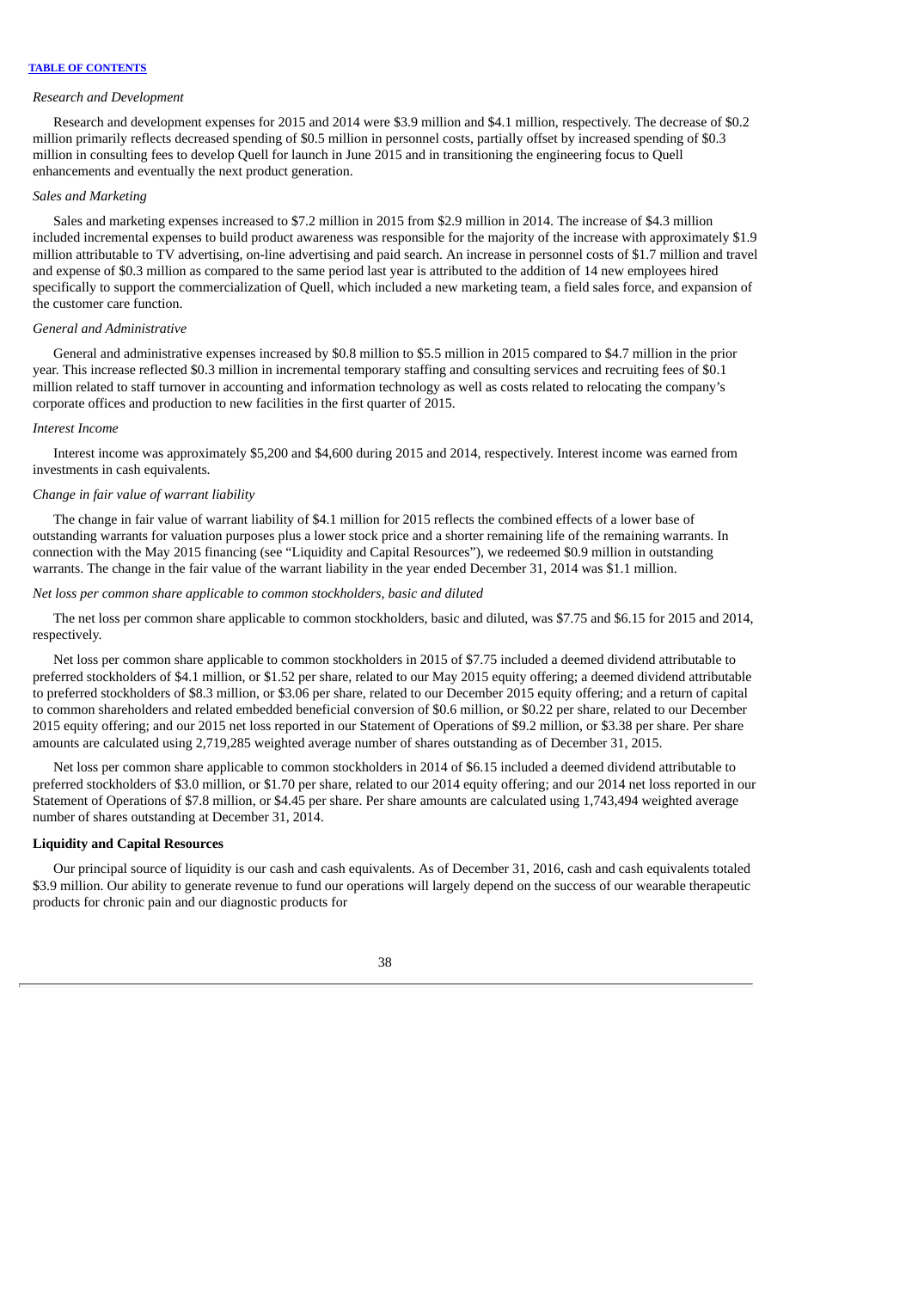#### *Research and Development*

Research and development expenses for 2015 and 2014 were \$3.9 million and \$4.1 million, respectively. The decrease of \$0.2 million primarily reflects decreased spending of \$0.5 million in personnel costs, partially offset by increased spending of \$0.3 million in consulting fees to develop Quell for launch in June 2015 and in transitioning the engineering focus to Quell enhancements and eventually the next product generation.

#### *Sales and Marketing*

Sales and marketing expenses increased to \$7.2 million in 2015 from \$2.9 million in 2014. The increase of \$4.3 million included incremental expenses to build product awareness was responsible for the majority of the increase with approximately \$1.9 million attributable to TV advertising, on-line advertising and paid search. An increase in personnel costs of \$1.7 million and travel and expense of \$0.3 million as compared to the same period last year is attributed to the addition of 14 new employees hired specifically to support the commercialization of Quell, which included a new marketing team, a field sales force, and expansion of the customer care function.

## *General and Administrative*

General and administrative expenses increased by \$0.8 million to \$5.5 million in 2015 compared to \$4.7 million in the prior year. This increase reflected \$0.3 million in incremental temporary staffing and consulting services and recruiting fees of \$0.1 million related to staff turnover in accounting and information technology as well as costs related to relocating the company's corporate offices and production to new facilities in the first quarter of 2015.

#### *Interest Income*

Interest income was approximately \$5,200 and \$4,600 during 2015 and 2014, respectively. Interest income was earned from investments in cash equivalents.

## *Change in fair value of warrant liability*

The change in fair value of warrant liability of \$4.1 million for 2015 reflects the combined effects of a lower base of outstanding warrants for valuation purposes plus a lower stock price and a shorter remaining life of the remaining warrants. In connection with the May 2015 financing (see "Liquidity and Capital Resources"), we redeemed \$0.9 million in outstanding warrants. The change in the fair value of the warrant liability in the year ended December 31, 2014 was \$1.1 million.

## *Net loss per common share applicable to common stockholders, basic and diluted*

The net loss per common share applicable to common stockholders, basic and diluted, was \$7.75 and \$6.15 for 2015 and 2014, respectively.

Net loss per common share applicable to common stockholders in 2015 of \$7.75 included a deemed dividend attributable to preferred stockholders of \$4.1 million, or \$1.52 per share, related to our May 2015 equity offering; a deemed dividend attributable to preferred stockholders of \$8.3 million, or \$3.06 per share, related to our December 2015 equity offering; and a return of capital to common shareholders and related embedded beneficial conversion of \$0.6 million, or \$0.22 per share, related to our December 2015 equity offering; and our 2015 net loss reported in our Statement of Operations of \$9.2 million, or \$3.38 per share. Per share amounts are calculated using 2,719,285 weighted average number of shares outstanding as of December 31, 2015.

Net loss per common share applicable to common stockholders in 2014 of \$6.15 included a deemed dividend attributable to preferred stockholders of \$3.0 million, or \$1.70 per share, related to our 2014 equity offering; and our 2014 net loss reported in our Statement of Operations of \$7.8 million, or \$4.45 per share. Per share amounts are calculated using 1,743,494 weighted average number of shares outstanding at December 31, 2014.

## **Liquidity and Capital Resources**

Our principal source of liquidity is our cash and cash equivalents. As of December 31, 2016, cash and cash equivalents totaled \$3.9 million. Our ability to generate revenue to fund our operations will largely depend on the success of our wearable therapeutic products for chronic pain and our diagnostic products for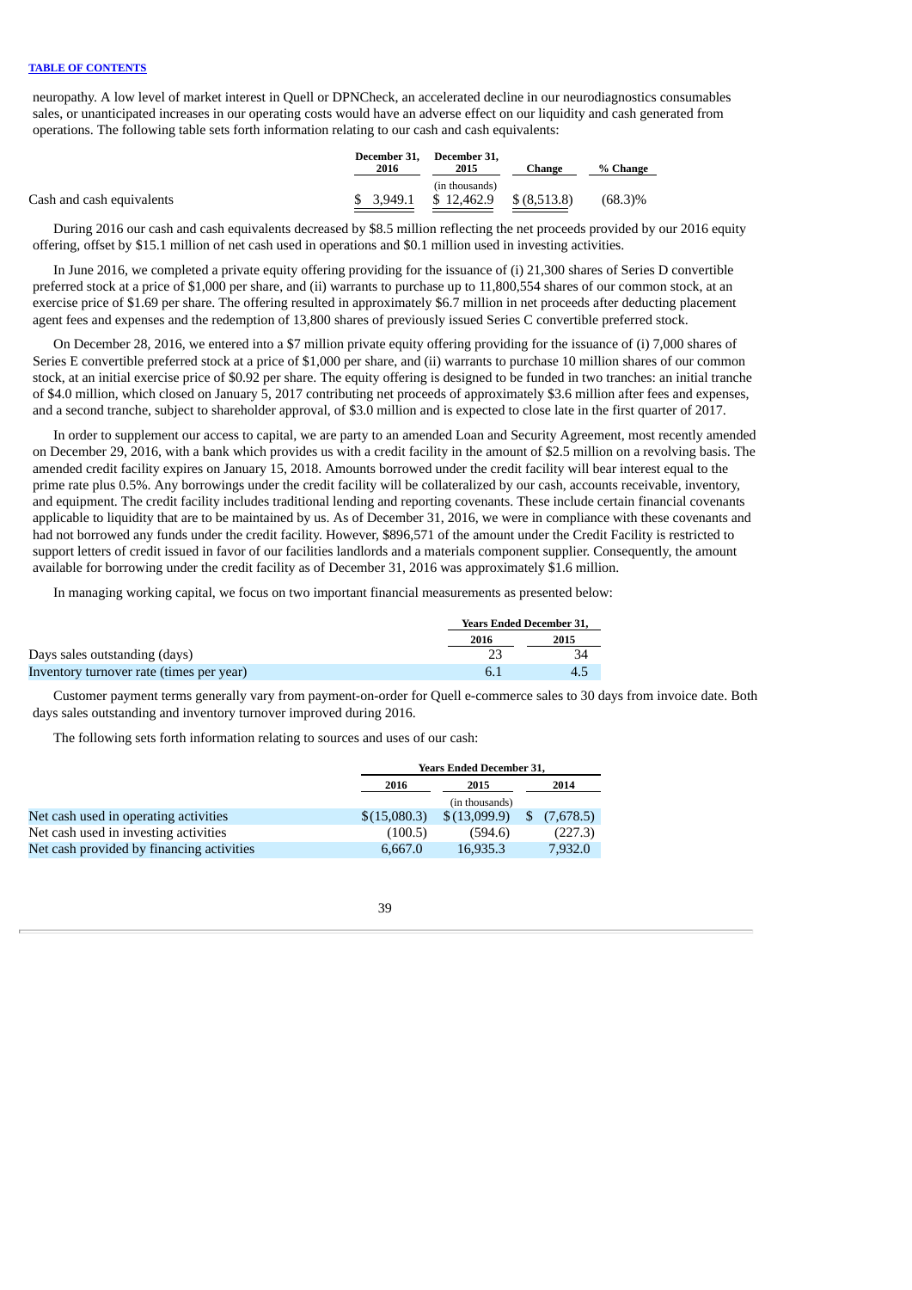neuropathy. A low level of market interest in Quell or DPNCheck, an accelerated decline in our neurodiagnostics consumables sales, or unanticipated increases in our operating costs would have an adverse effect on our liquidity and cash generated from operations. The following table sets forth information relating to our cash and cash equivalents:

|                           | December 31,<br>2016   | December 31.<br>2015 | Change       | % Change   |
|---------------------------|------------------------|----------------------|--------------|------------|
|                           |                        | (in thousands)       |              |            |
| Cash and cash equivalents | $$3,949.1$ $$12,462.9$ |                      | \$ (8,513.8) | $(68.3)\%$ |

During 2016 our cash and cash equivalents decreased by \$8.5 million reflecting the net proceeds provided by our 2016 equity offering, offset by \$15.1 million of net cash used in operations and \$0.1 million used in investing activities.

In June 2016, we completed a private equity offering providing for the issuance of (i) 21,300 shares of Series D convertible preferred stock at a price of \$1,000 per share, and (ii) warrants to purchase up to 11,800,554 shares of our common stock, at an exercise price of \$1.69 per share. The offering resulted in approximately \$6.7 million in net proceeds after deducting placement agent fees and expenses and the redemption of 13,800 shares of previously issued Series C convertible preferred stock.

On December 28, 2016, we entered into a \$7 million private equity offering providing for the issuance of (i) 7,000 shares of Series E convertible preferred stock at a price of \$1,000 per share, and (ii) warrants to purchase 10 million shares of our common stock, at an initial exercise price of \$0.92 per share. The equity offering is designed to be funded in two tranches: an initial tranche of \$4.0 million, which closed on January 5, 2017 contributing net proceeds of approximately \$3.6 million after fees and expenses, and a second tranche, subject to shareholder approval, of \$3.0 million and is expected to close late in the first quarter of 2017.

In order to supplement our access to capital, we are party to an amended Loan and Security Agreement, most recently amended on December 29, 2016, with a bank which provides us with a credit facility in the amount of \$2.5 million on a revolving basis. The amended credit facility expires on January 15, 2018. Amounts borrowed under the credit facility will bear interest equal to the prime rate plus 0.5%. Any borrowings under the credit facility will be collateralized by our cash, accounts receivable, inventory, and equipment. The credit facility includes traditional lending and reporting covenants. These include certain financial covenants applicable to liquidity that are to be maintained by us. As of December 31, 2016, we were in compliance with these covenants and had not borrowed any funds under the credit facility. However, \$896,571 of the amount under the Credit Facility is restricted to support letters of credit issued in favor of our facilities landlords and a materials component supplier. Consequently, the amount available for borrowing under the credit facility as of December 31, 2016 was approximately \$1.6 million.

In managing working capital, we focus on two important financial measurements as presented below:

|                                          | <b>Years Ended December 31.</b> |      |
|------------------------------------------|---------------------------------|------|
|                                          | 2016                            | 2015 |
| Days sales outstanding (days)            |                                 |      |
| Inventory turnover rate (times per year) |                                 | 4.5  |

Customer payment terms generally vary from payment-on-order for Quell e-commerce sales to 30 days from invoice date. Both days sales outstanding and inventory turnover improved during 2016.

The following sets forth information relating to sources and uses of our cash:

|                                           |              | <b>Years Ended December 31,</b> |  |                         |  |
|-------------------------------------------|--------------|---------------------------------|--|-------------------------|--|
|                                           | 2016         | 2014<br>2015                    |  |                         |  |
|                                           |              | (in thousands)                  |  |                         |  |
| Net cash used in operating activities     | \$(15,080.3) | \$(13,099.9)                    |  | $\frac{1}{2}$ (7,678.5) |  |
| Net cash used in investing activities     | (100.5)      | (594.6)                         |  | (227.3)                 |  |
| Net cash provided by financing activities | 6,667.0      | 16,935.3                        |  | 7,932.0                 |  |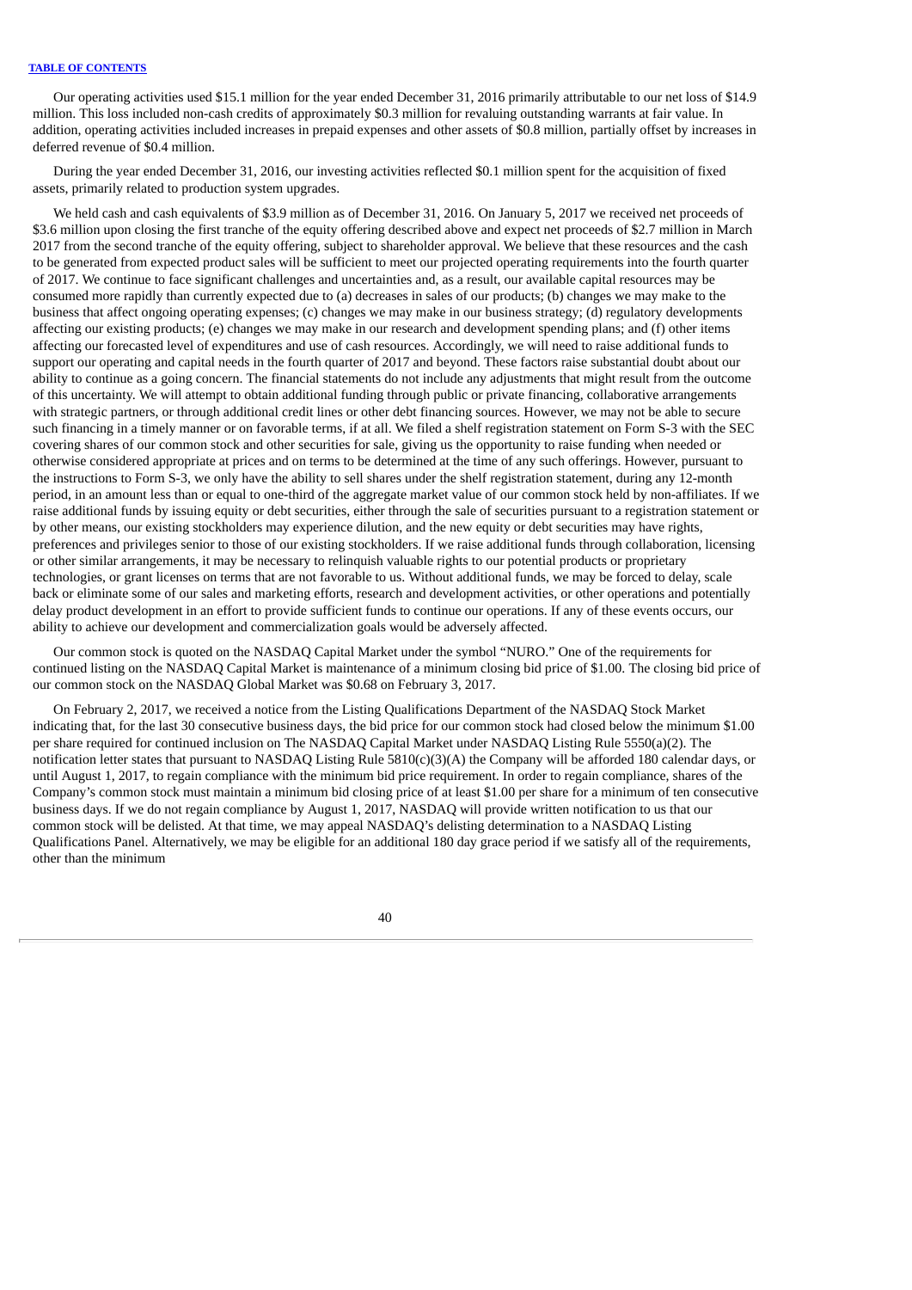Our operating activities used \$15.1 million for the year ended December 31, 2016 primarily attributable to our net loss of \$14.9 million. This loss included non-cash credits of approximately \$0.3 million for revaluing outstanding warrants at fair value. In addition, operating activities included increases in prepaid expenses and other assets of \$0.8 million, partially offset by increases in deferred revenue of \$0.4 million.

During the year ended December 31, 2016, our investing activities reflected \$0.1 million spent for the acquisition of fixed assets, primarily related to production system upgrades.

We held cash and cash equivalents of \$3.9 million as of December 31, 2016. On January 5, 2017 we received net proceeds of \$3.6 million upon closing the first tranche of the equity offering described above and expect net proceeds of \$2.7 million in March 2017 from the second tranche of the equity offering, subject to shareholder approval. We believe that these resources and the cash to be generated from expected product sales will be sufficient to meet our projected operating requirements into the fourth quarter of 2017. We continue to face significant challenges and uncertainties and, as a result, our available capital resources may be consumed more rapidly than currently expected due to (a) decreases in sales of our products; (b) changes we may make to the business that affect ongoing operating expenses; (c) changes we may make in our business strategy; (d) regulatory developments affecting our existing products; (e) changes we may make in our research and development spending plans; and (f) other items affecting our forecasted level of expenditures and use of cash resources. Accordingly, we will need to raise additional funds to support our operating and capital needs in the fourth quarter of 2017 and beyond. These factors raise substantial doubt about our ability to continue as a going concern. The financial statements do not include any adjustments that might result from the outcome of this uncertainty. We will attempt to obtain additional funding through public or private financing, collaborative arrangements with strategic partners, or through additional credit lines or other debt financing sources. However, we may not be able to secure such financing in a timely manner or on favorable terms, if at all. We filed a shelf registration statement on Form S-3 with the SEC covering shares of our common stock and other securities for sale, giving us the opportunity to raise funding when needed or otherwise considered appropriate at prices and on terms to be determined at the time of any such offerings. However, pursuant to the instructions to Form S-3, we only have the ability to sell shares under the shelf registration statement, during any 12-month period, in an amount less than or equal to one-third of the aggregate market value of our common stock held by non-affiliates. If we raise additional funds by issuing equity or debt securities, either through the sale of securities pursuant to a registration statement or by other means, our existing stockholders may experience dilution, and the new equity or debt securities may have rights, preferences and privileges senior to those of our existing stockholders. If we raise additional funds through collaboration, licensing or other similar arrangements, it may be necessary to relinquish valuable rights to our potential products or proprietary technologies, or grant licenses on terms that are not favorable to us. Without additional funds, we may be forced to delay, scale back or eliminate some of our sales and marketing efforts, research and development activities, or other operations and potentially delay product development in an effort to provide sufficient funds to continue our operations. If any of these events occurs, our ability to achieve our development and commercialization goals would be adversely affected.

Our common stock is quoted on the NASDAQ Capital Market under the symbol "NURO." One of the requirements for continued listing on the NASDAQ Capital Market is maintenance of a minimum closing bid price of \$1.00. The closing bid price of our common stock on the NASDAQ Global Market was \$0.68 on February 3, 2017.

On February 2, 2017, we received a notice from the Listing Qualifications Department of the NASDAQ Stock Market indicating that, for the last 30 consecutive business days, the bid price for our common stock had closed below the minimum \$1.00 per share required for continued inclusion on The NASDAQ Capital Market under NASDAQ Listing Rule 5550(a)(2). The notification letter states that pursuant to NASDAQ Listing Rule 5810(c)(3)(A) the Company will be afforded 180 calendar days, or until August 1, 2017, to regain compliance with the minimum bid price requirement. In order to regain compliance, shares of the Company's common stock must maintain a minimum bid closing price of at least \$1.00 per share for a minimum of ten consecutive business days. If we do not regain compliance by August 1, 2017, NASDAQ will provide written notification to us that our common stock will be delisted. At that time, we may appeal NASDAQ's delisting determination to a NASDAQ Listing Qualifications Panel. Alternatively, we may be eligible for an additional 180 day grace period if we satisfy all of the requirements, other than the minimum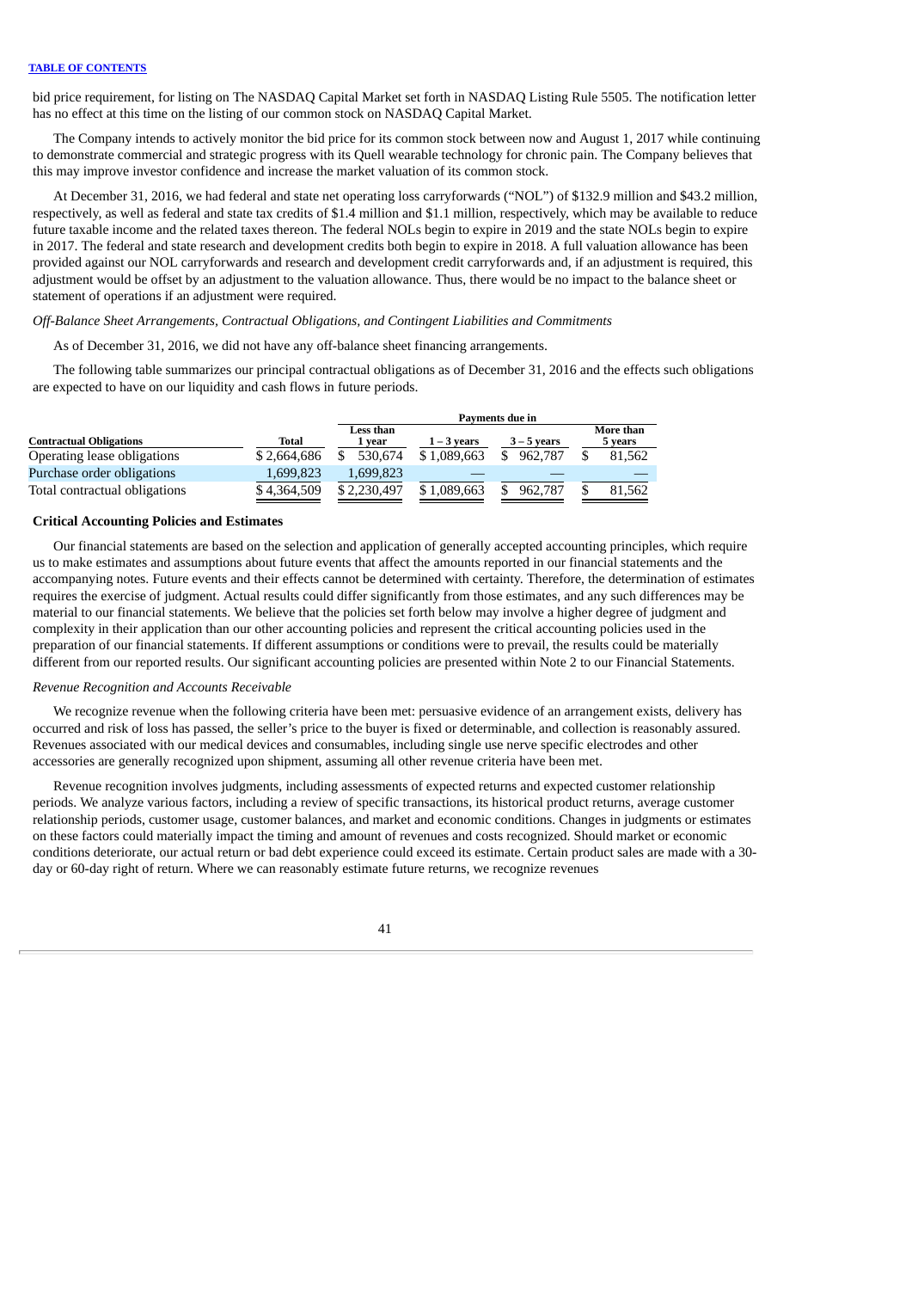bid price requirement, for listing on The NASDAQ Capital Market set forth in NASDAQ Listing Rule 5505. The notification letter has no effect at this time on the listing of our common stock on NASDAQ Capital Market.

The Company intends to actively monitor the bid price for its common stock between now and August 1, 2017 while continuing to demonstrate commercial and strategic progress with its Quell wearable technology for chronic pain. The Company believes that this may improve investor confidence and increase the market valuation of its common stock.

At December 31, 2016, we had federal and state net operating loss carryforwards ("NOL") of \$132.9 million and \$43.2 million, respectively, as well as federal and state tax credits of \$1.4 million and \$1.1 million, respectively, which may be available to reduce future taxable income and the related taxes thereon. The federal NOLs begin to expire in 2019 and the state NOLs begin to expire in 2017. The federal and state research and development credits both begin to expire in 2018. A full valuation allowance has been provided against our NOL carryforwards and research and development credit carryforwards and, if an adjustment is required, this adjustment would be offset by an adjustment to the valuation allowance. Thus, there would be no impact to the balance sheet or statement of operations if an adjustment were required.

*Off-Balance Sheet Arrangements, Contractual Obligations, and Contingent Liabilities and Commitments*

As of December 31, 2016, we did not have any off-balance sheet financing arrangements.

The following table summarizes our principal contractual obligations as of December 31, 2016 and the effects such obligations are expected to have on our liquidity and cash flows in future periods.

|                                |             |             | Payments due in |               |    |           |
|--------------------------------|-------------|-------------|-----------------|---------------|----|-----------|
|                                |             | Less than   |                 |               |    | More than |
| <b>Contractual Obligations</b> | Total       | 1 vear      | $1-3$ vears     | $3 - 5$ vears |    | 5 years   |
| Operating lease obligations    | \$2,664,686 | 530.674     | \$1,089,663     | 962,787       | \$ | 81,562    |
| Purchase order obligations     | 1,699,823   | 1,699,823   |                 |               |    |           |
| Total contractual obligations  | \$4,364,509 | \$2,230,497 | \$1,089,663     | 962,787       |    | 81,562    |

### **Critical Accounting Policies and Estimates**

Our financial statements are based on the selection and application of generally accepted accounting principles, which require us to make estimates and assumptions about future events that affect the amounts reported in our financial statements and the accompanying notes. Future events and their effects cannot be determined with certainty. Therefore, the determination of estimates requires the exercise of judgment. Actual results could differ significantly from those estimates, and any such differences may be material to our financial statements. We believe that the policies set forth below may involve a higher degree of judgment and complexity in their application than our other accounting policies and represent the critical accounting policies used in the preparation of our financial statements. If different assumptions or conditions were to prevail, the results could be materially different from our reported results. Our significant accounting policies are presented within Note 2 to our Financial Statements.

#### *Revenue Recognition and Accounts Receivable*

We recognize revenue when the following criteria have been met: persuasive evidence of an arrangement exists, delivery has occurred and risk of loss has passed, the seller's price to the buyer is fixed or determinable, and collection is reasonably assured. Revenues associated with our medical devices and consumables, including single use nerve specific electrodes and other accessories are generally recognized upon shipment, assuming all other revenue criteria have been met.

Revenue recognition involves judgments, including assessments of expected returns and expected customer relationship periods. We analyze various factors, including a review of specific transactions, its historical product returns, average customer relationship periods, customer usage, customer balances, and market and economic conditions. Changes in judgments or estimates on these factors could materially impact the timing and amount of revenues and costs recognized. Should market or economic conditions deteriorate, our actual return or bad debt experience could exceed its estimate. Certain product sales are made with a 30 day or 60-day right of return. Where we can reasonably estimate future returns, we recognize revenues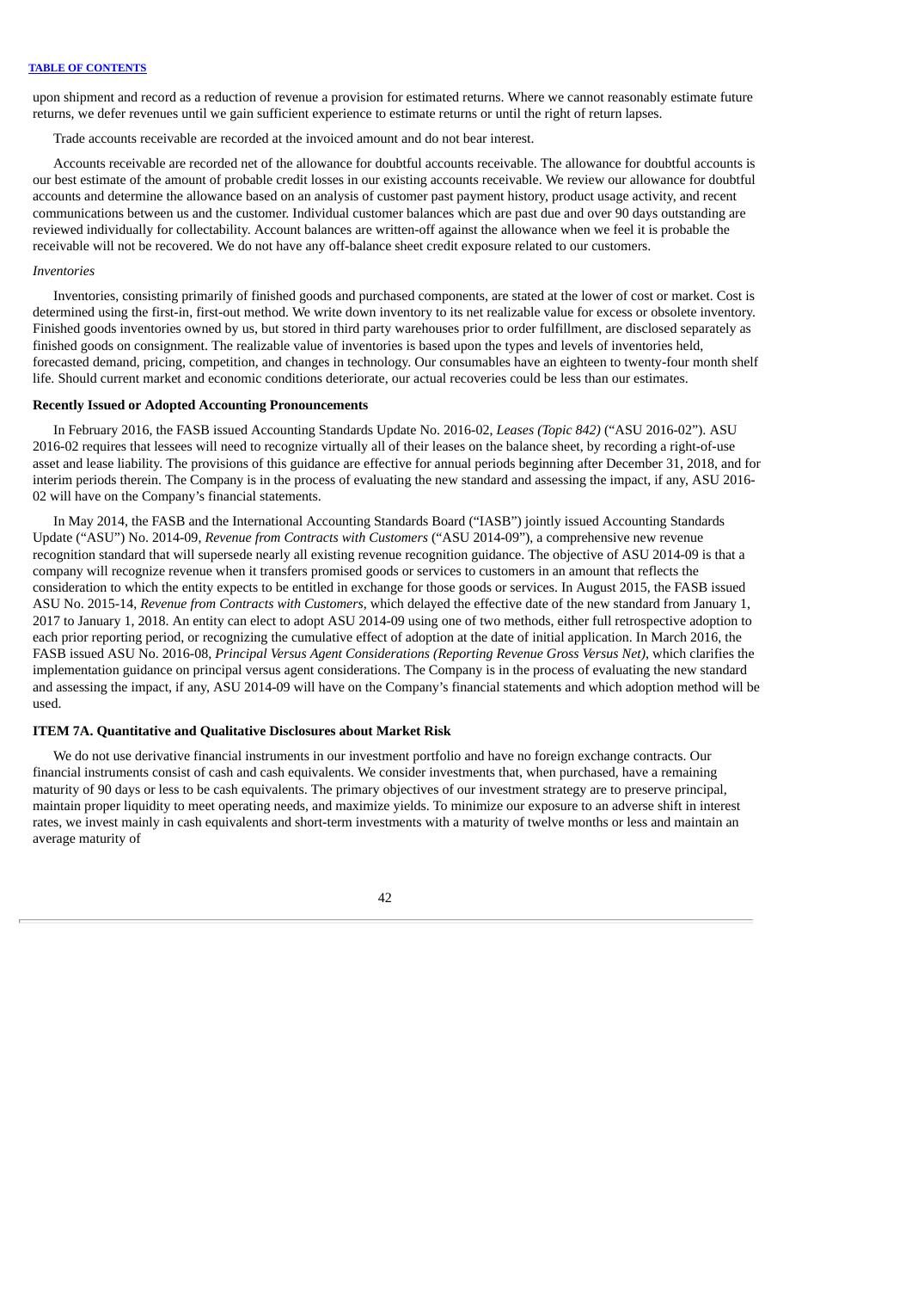upon shipment and record as a reduction of revenue a provision for estimated returns. Where we cannot reasonably estimate future returns, we defer revenues until we gain sufficient experience to estimate returns or until the right of return lapses.

Trade accounts receivable are recorded at the invoiced amount and do not bear interest.

Accounts receivable are recorded net of the allowance for doubtful accounts receivable. The allowance for doubtful accounts is our best estimate of the amount of probable credit losses in our existing accounts receivable. We review our allowance for doubtful accounts and determine the allowance based on an analysis of customer past payment history, product usage activity, and recent communications between us and the customer. Individual customer balances which are past due and over 90 days outstanding are reviewed individually for collectability. Account balances are written-off against the allowance when we feel it is probable the receivable will not be recovered. We do not have any off-balance sheet credit exposure related to our customers.

#### *Inventories*

Inventories, consisting primarily of finished goods and purchased components, are stated at the lower of cost or market. Cost is determined using the first-in, first-out method. We write down inventory to its net realizable value for excess or obsolete inventory. Finished goods inventories owned by us, but stored in third party warehouses prior to order fulfillment, are disclosed separately as finished goods on consignment. The realizable value of inventories is based upon the types and levels of inventories held, forecasted demand, pricing, competition, and changes in technology. Our consumables have an eighteen to twenty-four month shelf life. Should current market and economic conditions deteriorate, our actual recoveries could be less than our estimates.

## **Recently Issued or Adopted Accounting Pronouncements**

In February 2016, the FASB issued Accounting Standards Update No. 2016-02, *Leases (Topic 842)* ("ASU 2016-02"). ASU 2016-02 requires that lessees will need to recognize virtually all of their leases on the balance sheet, by recording a right-of-use asset and lease liability. The provisions of this guidance are effective for annual periods beginning after December 31, 2018, and for interim periods therein. The Company is in the process of evaluating the new standard and assessing the impact, if any, ASU 2016- 02 will have on the Company's financial statements.

In May 2014, the FASB and the International Accounting Standards Board ("IASB") jointly issued Accounting Standards Update ("ASU") No. 2014-09, *Revenue from Contracts with Customers* ("ASU 2014-09"), a comprehensive new revenue recognition standard that will supersede nearly all existing revenue recognition guidance. The objective of ASU 2014-09 is that a company will recognize revenue when it transfers promised goods or services to customers in an amount that reflects the consideration to which the entity expects to be entitled in exchange for those goods or services. In August 2015, the FASB issued ASU No. 2015-14, *Revenue from Contracts with Customers*, which delayed the effective date of the new standard from January 1, 2017 to January 1, 2018. An entity can elect to adopt ASU 2014-09 using one of two methods, either full retrospective adoption to each prior reporting period, or recognizing the cumulative effect of adoption at the date of initial application. In March 2016, the FASB issued ASU No. 2016-08, *Principal Versus Agent Considerations (Reporting Revenue Gross Versus Net)*, which clarifies the implementation guidance on principal versus agent considerations. The Company is in the process of evaluating the new standard and assessing the impact, if any, ASU 2014-09 will have on the Company's financial statements and which adoption method will be used.

## **ITEM 7A. Quantitative and Qualitative Disclosures about Market Risk**

We do not use derivative financial instruments in our investment portfolio and have no foreign exchange contracts. Our financial instruments consist of cash and cash equivalents. We consider investments that, when purchased, have a remaining maturity of 90 days or less to be cash equivalents. The primary objectives of our investment strategy are to preserve principal, maintain proper liquidity to meet operating needs, and maximize yields. To minimize our exposure to an adverse shift in interest rates, we invest mainly in cash equivalents and short-term investments with a maturity of twelve months or less and maintain an average maturity of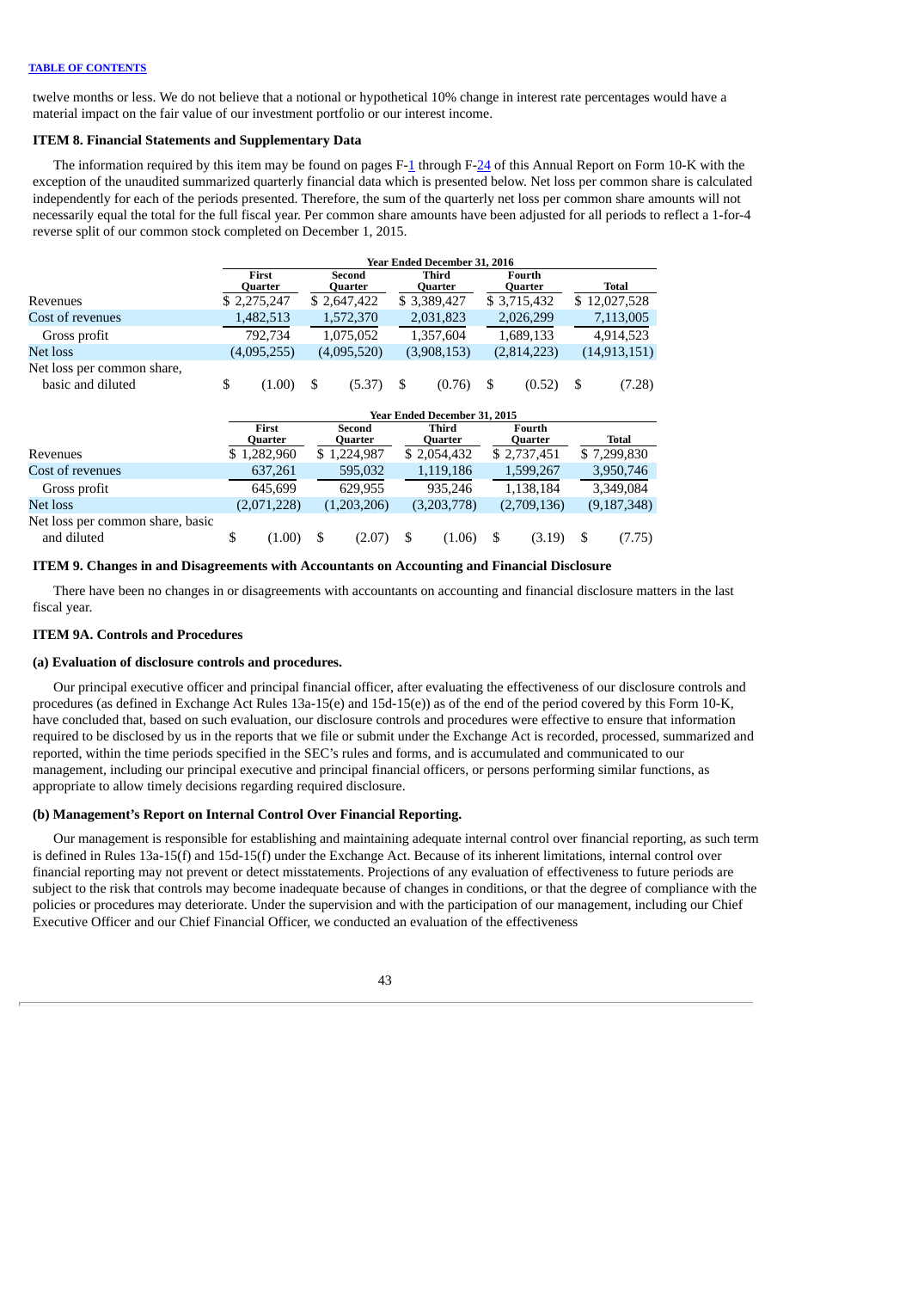twelve months or less. We do not believe that a notional or hypothetical 10% change in interest rate percentages would have a material impact on the fair value of our investment portfolio or our interest income.

## **ITEM 8. Financial Statements and Supplementary Data**

The information required by this item may be found on pages  $F-1$  $F-1$  through  $F-24$  $F-24$  of this Annual Report on Form 10-K with the exception of the unaudited summarized quarterly financial data which is presented below. Net loss per common share is calculated independently for each of the periods presented. Therefore, the sum of the quarterly net loss per common share amounts will not necessarily equal the total for the full fiscal year. Per common share amounts have been adjusted for all periods to reflect a 1-for-4 reverse split of our common stock completed on December 1, 2015.

|                                                 |                         |                   |    | Year Ended December 31, 2016 |    |                          |                |
|-------------------------------------------------|-------------------------|-------------------|----|------------------------------|----|--------------------------|----------------|
|                                                 | First<br><b>Quarter</b> | Second<br>Quarter |    | Third<br>Ouarter             |    | Fourth<br><b>Quarter</b> | Total          |
| Revenues                                        | \$2,275,247             | \$2,647,422       |    | \$3,389,427                  |    | \$ 3,715,432             | \$12,027,528   |
| Cost of revenues                                | 1,482,513               | 1,572,370         |    | 2,031,823                    |    | 2,026,299                | 7,113,005      |
| Gross profit                                    | 792,734                 | 1,075,052         |    | 1,357,604                    |    | 1,689,133                | 4,914,523      |
| Net loss                                        | (4,095,255)             | (4,095,520)       |    | (3,908,153)                  |    | (2,814,223)              | (14, 913, 151) |
| Net loss per common share,                      |                         |                   |    |                              |    |                          |                |
| basic and diluted                               | \$<br>(1.00)            | \$<br>(5.37)      | \$ | (0.76)                       | S  | (0.52)                   | \$<br>(7.28)   |
|                                                 |                         |                   |    | Year Ended December 31, 2015 |    |                          |                |
|                                                 | First                   | Second            |    | Third                        |    | Fourth                   |                |
|                                                 | Ouarter                 | Ouarter           |    | Quarter                      |    | Ouarter                  | <b>Total</b>   |
| Revenues                                        | \$1,282,960             | \$1,224,987       |    | \$2,054,432                  |    | \$2,737,451              | \$7,299,830    |
| Cost of revenues                                | 637,261                 | 595,032           |    | 1,119,186                    |    | 1,599,267                | 3,950,746      |
| Gross profit                                    | 645,699                 | 629,955           |    | 935,246                      |    | 1,138,184                | 3,349,084      |
| Net loss                                        | (2,071,228)             | (1,203,206)       |    | (3,203,778)                  |    | (2,709,136)              | (9, 187, 348)  |
| Net loss per common share, basic<br>and diluted | \$<br>(1.00)            | \$<br>(2.07)      | S  | (1.06)                       | \$ | (3.19)                   | \$<br>(7.75)   |

### **ITEM 9. Changes in and Disagreements with Accountants on Accounting and Financial Disclosure**

There have been no changes in or disagreements with accountants on accounting and financial disclosure matters in the last fiscal year.

#### **ITEM 9A. Controls and Procedures**

### **(a) Evaluation of disclosure controls and procedures.**

Our principal executive officer and principal financial officer, after evaluating the effectiveness of our disclosure controls and procedures (as defined in Exchange Act Rules 13a-15(e) and 15d-15(e)) as of the end of the period covered by this Form 10-K, have concluded that, based on such evaluation, our disclosure controls and procedures were effective to ensure that information required to be disclosed by us in the reports that we file or submit under the Exchange Act is recorded, processed, summarized and reported, within the time periods specified in the SEC's rules and forms, and is accumulated and communicated to our management, including our principal executive and principal financial officers, or persons performing similar functions, as appropriate to allow timely decisions regarding required disclosure.

## **(b) Management's Report on Internal Control Over Financial Reporting.**

Our management is responsible for establishing and maintaining adequate internal control over financial reporting, as such term is defined in Rules 13a-15(f) and 15d-15(f) under the Exchange Act. Because of its inherent limitations, internal control over financial reporting may not prevent or detect misstatements. Projections of any evaluation of effectiveness to future periods are subject to the risk that controls may become inadequate because of changes in conditions, or that the degree of compliance with the policies or procedures may deteriorate. Under the supervision and with the participation of our management, including our Chief Executive Officer and our Chief Financial Officer, we conducted an evaluation of the effectiveness

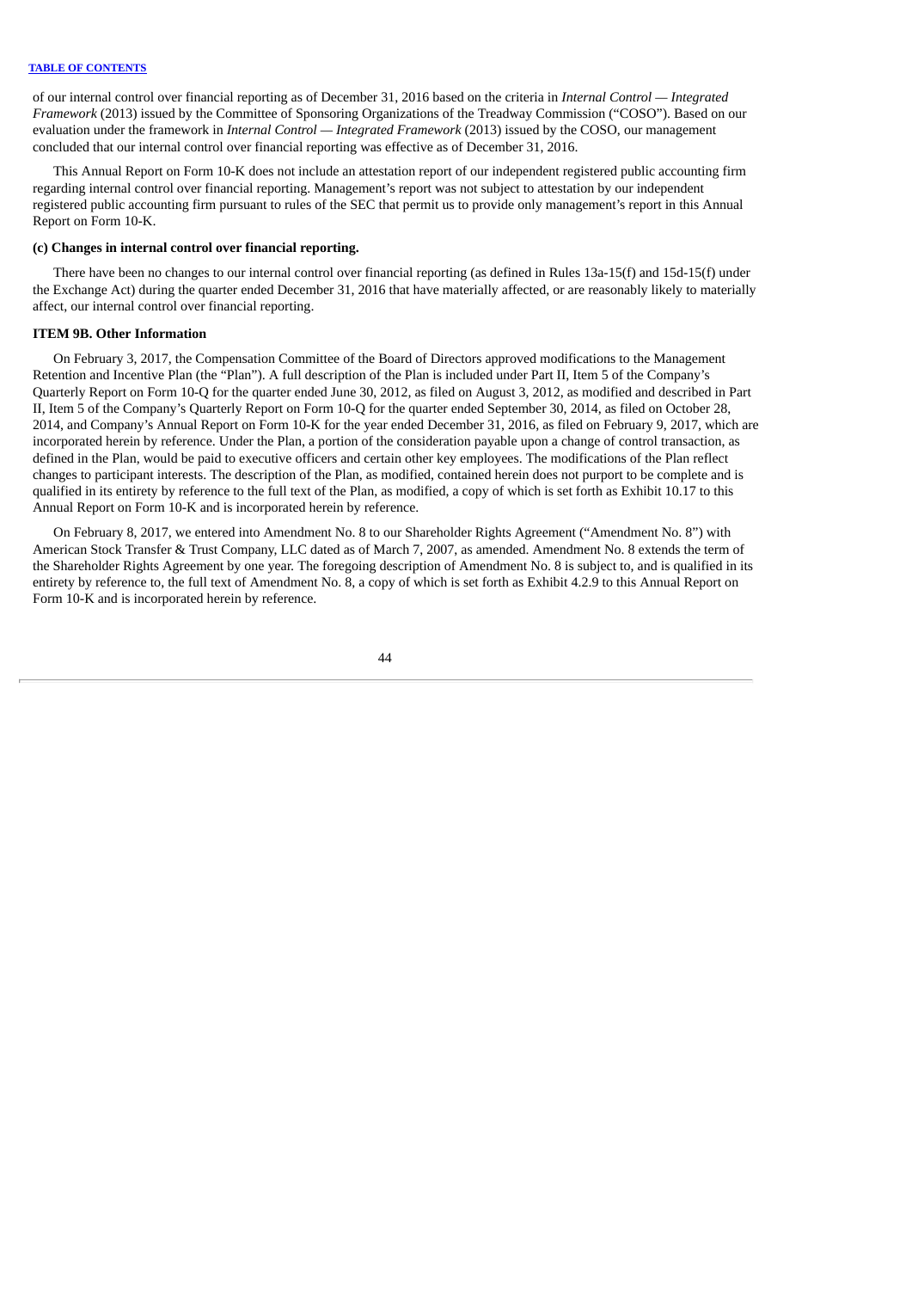of our internal control over financial reporting as of December 31, 2016 based on the criteria in *Internal Control — Integrated Framework* (2013) issued by the Committee of Sponsoring Organizations of the Treadway Commission ("COSO"). Based on our evaluation under the framework in *Internal Control — Integrated Framework* (2013) issued by the COSO, our management concluded that our internal control over financial reporting was effective as of December 31, 2016.

This Annual Report on Form 10-K does not include an attestation report of our independent registered public accounting firm regarding internal control over financial reporting. Management's report was not subject to attestation by our independent registered public accounting firm pursuant to rules of the SEC that permit us to provide only management's report in this Annual Report on Form 10-K.

## **(c) Changes in internal control over financial reporting.**

There have been no changes to our internal control over financial reporting (as defined in Rules 13a-15(f) and 15d-15(f) under the Exchange Act) during the quarter ended December 31, 2016 that have materially affected, or are reasonably likely to materially affect, our internal control over financial reporting.

#### **ITEM 9B. Other Information**

On February 3, 2017, the Compensation Committee of the Board of Directors approved modifications to the Management Retention and Incentive Plan (the "Plan"). A full description of the Plan is included under Part II, Item 5 of the Company's Quarterly Report on Form 10-Q for the quarter ended June 30, 2012, as filed on August 3, 2012, as modified and described in Part II, Item 5 of the Company's Quarterly Report on Form 10-Q for the quarter ended September 30, 2014, as filed on October 28, 2014, and Company's Annual Report on Form 10-K for the year ended December 31, 2016, as filed on February 9, 2017, which are incorporated herein by reference. Under the Plan, a portion of the consideration payable upon a change of control transaction, as defined in the Plan, would be paid to executive officers and certain other key employees. The modifications of the Plan reflect changes to participant interests. The description of the Plan, as modified, contained herein does not purport to be complete and is qualified in its entirety by reference to the full text of the Plan, as modified, a copy of which is set forth as Exhibit 10.17 to this Annual Report on Form 10-K and is incorporated herein by reference.

On February 8, 2017, we entered into Amendment No. 8 to our Shareholder Rights Agreement ("Amendment No. 8") with American Stock Transfer & Trust Company, LLC dated as of March 7, 2007, as amended. Amendment No. 8 extends the term of the Shareholder Rights Agreement by one year. The foregoing description of Amendment No. 8 is subject to, and is qualified in its entirety by reference to, the full text of Amendment No. 8, a copy of which is set forth as Exhibit 4.2.9 to this Annual Report on Form 10-K and is incorporated herein by reference.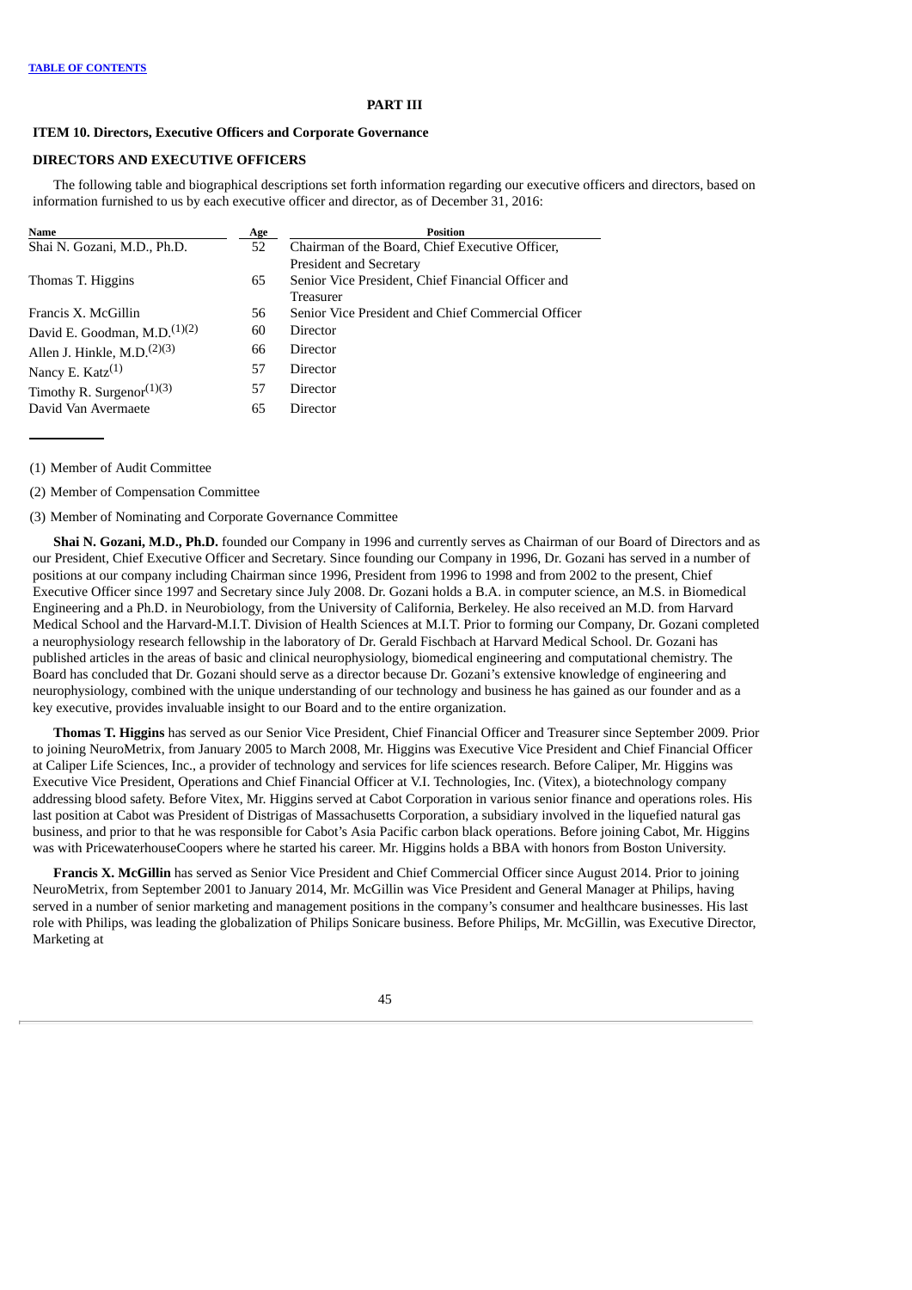#### **PART III**

#### **ITEM 10. Directors, Executive Officers and Corporate Governance**

## **DIRECTORS AND EXECUTIVE OFFICERS**

The following table and biographical descriptions set forth information regarding our executive officers and directors, based on information furnished to us by each executive officer and director, as of December 31, 2016:

| Name                                  | Age | <b>Position</b>                                    |
|---------------------------------------|-----|----------------------------------------------------|
| Shai N. Gozani, M.D., Ph.D.           | 52  | Chairman of the Board, Chief Executive Officer,    |
|                                       |     | <b>President and Secretary</b>                     |
| Thomas T. Higgins                     | 65  | Senior Vice President, Chief Financial Officer and |
|                                       |     | Treasurer                                          |
| Francis X. McGillin                   | 56  | Senior Vice President and Chief Commercial Officer |
| David E. Goodman, $M.D.(1)(2)$        | 60  | Director                                           |
| Allen J. Hinkle, M.D. $(2)(3)$        | 66  | Director                                           |
| Nancy E. $Katz^{(1)}$                 | 57  | Director                                           |
| Timothy R. Surgenor <sup>(1)(3)</sup> | 57  | Director                                           |
| David Van Avermaete                   | 65  | Director                                           |
|                                       |     |                                                    |

(1) Member of Audit Committee

(2) Member of Compensation Committee

(3) Member of Nominating and Corporate Governance Committee

**Shai N. Gozani, M.D., Ph.D.** founded our Company in 1996 and currently serves as Chairman of our Board of Directors and as our President, Chief Executive Officer and Secretary. Since founding our Company in 1996, Dr. Gozani has served in a number of positions at our company including Chairman since 1996, President from 1996 to 1998 and from 2002 to the present, Chief Executive Officer since 1997 and Secretary since July 2008. Dr. Gozani holds a B.A. in computer science, an M.S. in Biomedical Engineering and a Ph.D. in Neurobiology, from the University of California, Berkeley. He also received an M.D. from Harvard Medical School and the Harvard-M.I.T. Division of Health Sciences at M.I.T. Prior to forming our Company, Dr. Gozani completed a neurophysiology research fellowship in the laboratory of Dr. Gerald Fischbach at Harvard Medical School. Dr. Gozani has published articles in the areas of basic and clinical neurophysiology, biomedical engineering and computational chemistry. The Board has concluded that Dr. Gozani should serve as a director because Dr. Gozani's extensive knowledge of engineering and neurophysiology, combined with the unique understanding of our technology and business he has gained as our founder and as a key executive, provides invaluable insight to our Board and to the entire organization.

**Thomas T. Higgins** has served as our Senior Vice President, Chief Financial Officer and Treasurer since September 2009. Prior to joining NeuroMetrix, from January 2005 to March 2008, Mr. Higgins was Executive Vice President and Chief Financial Officer at Caliper Life Sciences, Inc., a provider of technology and services for life sciences research. Before Caliper, Mr. Higgins was Executive Vice President, Operations and Chief Financial Officer at V.I. Technologies, Inc. (Vitex), a biotechnology company addressing blood safety. Before Vitex, Mr. Higgins served at Cabot Corporation in various senior finance and operations roles. His last position at Cabot was President of Distrigas of Massachusetts Corporation, a subsidiary involved in the liquefied natural gas business, and prior to that he was responsible for Cabot's Asia Pacific carbon black operations. Before joining Cabot, Mr. Higgins was with PricewaterhouseCoopers where he started his career. Mr. Higgins holds a BBA with honors from Boston University.

**Francis X. McGillin** has served as Senior Vice President and Chief Commercial Officer since August 2014. Prior to joining NeuroMetrix, from September 2001 to January 2014, Mr. McGillin was Vice President and General Manager at Philips, having served in a number of senior marketing and management positions in the company's consumer and healthcare businesses. His last role with Philips, was leading the globalization of Philips Sonicare business. Before Philips, Mr. McGillin, was Executive Director, Marketing at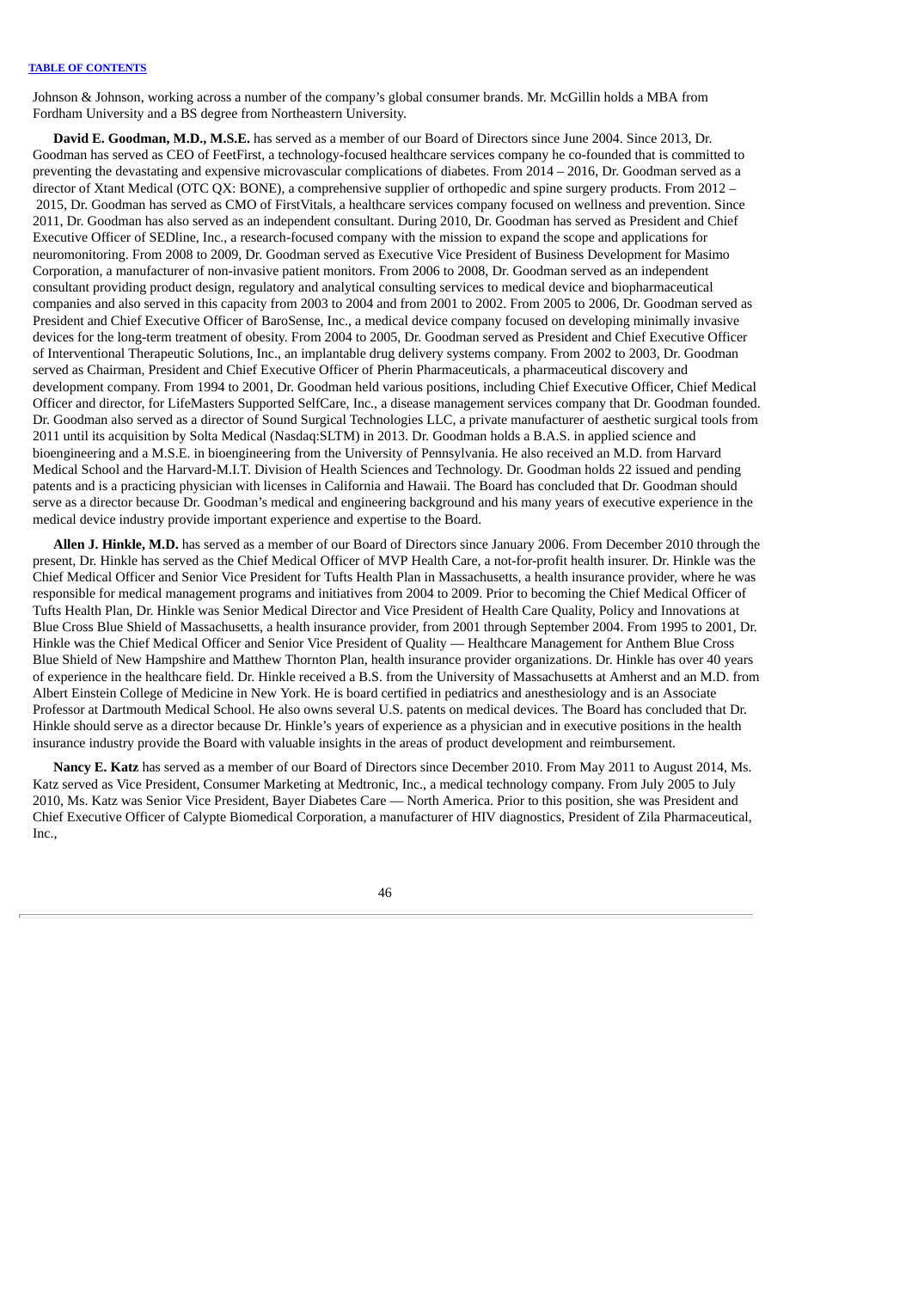Johnson & Johnson, working across a number of the company's global consumer brands. Mr. McGillin holds a MBA from Fordham University and a BS degree from Northeastern University.

**David E. Goodman, M.D., M.S.E.** has served as a member of our Board of Directors since June 2004. Since 2013, Dr. Goodman has served as CEO of FeetFirst, a technology-focused healthcare services company he co-founded that is committed to preventing the devastating and expensive microvascular complications of diabetes. From 2014 – 2016, Dr. Goodman served as a director of Xtant Medical (OTC QX: BONE), a comprehensive supplier of orthopedic and spine surgery products. From 2012 – 2015, Dr. Goodman has served as CMO of FirstVitals, a healthcare services company focused on wellness and prevention. Since 2011, Dr. Goodman has also served as an independent consultant. During 2010, Dr. Goodman has served as President and Chief Executive Officer of SEDline, Inc., a research-focused company with the mission to expand the scope and applications for neuromonitoring. From 2008 to 2009, Dr. Goodman served as Executive Vice President of Business Development for Masimo Corporation, a manufacturer of non-invasive patient monitors. From 2006 to 2008, Dr. Goodman served as an independent consultant providing product design, regulatory and analytical consulting services to medical device and biopharmaceutical companies and also served in this capacity from 2003 to 2004 and from 2001 to 2002. From 2005 to 2006, Dr. Goodman served as President and Chief Executive Officer of BaroSense, Inc., a medical device company focused on developing minimally invasive devices for the long-term treatment of obesity. From 2004 to 2005, Dr. Goodman served as President and Chief Executive Officer of Interventional Therapeutic Solutions, Inc., an implantable drug delivery systems company. From 2002 to 2003, Dr. Goodman served as Chairman, President and Chief Executive Officer of Pherin Pharmaceuticals, a pharmaceutical discovery and development company. From 1994 to 2001, Dr. Goodman held various positions, including Chief Executive Officer, Chief Medical Officer and director, for LifeMasters Supported SelfCare, Inc., a disease management services company that Dr. Goodman founded. Dr. Goodman also served as a director of Sound Surgical Technologies LLC, a private manufacturer of aesthetic surgical tools from 2011 until its acquisition by Solta Medical (Nasdaq:SLTM) in 2013. Dr. Goodman holds a B.A.S. in applied science and bioengineering and a M.S.E. in bioengineering from the University of Pennsylvania. He also received an M.D. from Harvard Medical School and the Harvard-M.I.T. Division of Health Sciences and Technology. Dr. Goodman holds 22 issued and pending patents and is a practicing physician with licenses in California and Hawaii. The Board has concluded that Dr. Goodman should serve as a director because Dr. Goodman's medical and engineering background and his many years of executive experience in the medical device industry provide important experience and expertise to the Board.

**Allen J. Hinkle, M.D.** has served as a member of our Board of Directors since January 2006. From December 2010 through the present, Dr. Hinkle has served as the Chief Medical Officer of MVP Health Care, a not-for-profit health insurer. Dr. Hinkle was the Chief Medical Officer and Senior Vice President for Tufts Health Plan in Massachusetts, a health insurance provider, where he was responsible for medical management programs and initiatives from 2004 to 2009. Prior to becoming the Chief Medical Officer of Tufts Health Plan, Dr. Hinkle was Senior Medical Director and Vice President of Health Care Quality, Policy and Innovations at Blue Cross Blue Shield of Massachusetts, a health insurance provider, from 2001 through September 2004. From 1995 to 2001, Dr. Hinkle was the Chief Medical Officer and Senior Vice President of Quality — Healthcare Management for Anthem Blue Cross Blue Shield of New Hampshire and Matthew Thornton Plan, health insurance provider organizations. Dr. Hinkle has over 40 years of experience in the healthcare field. Dr. Hinkle received a B.S. from the University of Massachusetts at Amherst and an M.D. from Albert Einstein College of Medicine in New York. He is board certified in pediatrics and anesthesiology and is an Associate Professor at Dartmouth Medical School. He also owns several U.S. patents on medical devices. The Board has concluded that Dr. Hinkle should serve as a director because Dr. Hinkle's years of experience as a physician and in executive positions in the health insurance industry provide the Board with valuable insights in the areas of product development and reimbursement.

**Nancy E. Katz** has served as a member of our Board of Directors since December 2010. From May 2011 to August 2014, Ms. Katz served as Vice President, Consumer Marketing at Medtronic, Inc., a medical technology company. From July 2005 to July 2010, Ms. Katz was Senior Vice President, Bayer Diabetes Care — North America. Prior to this position, she was President and Chief Executive Officer of Calypte Biomedical Corporation, a manufacturer of HIV diagnostics, President of Zila Pharmaceutical,  $Inc$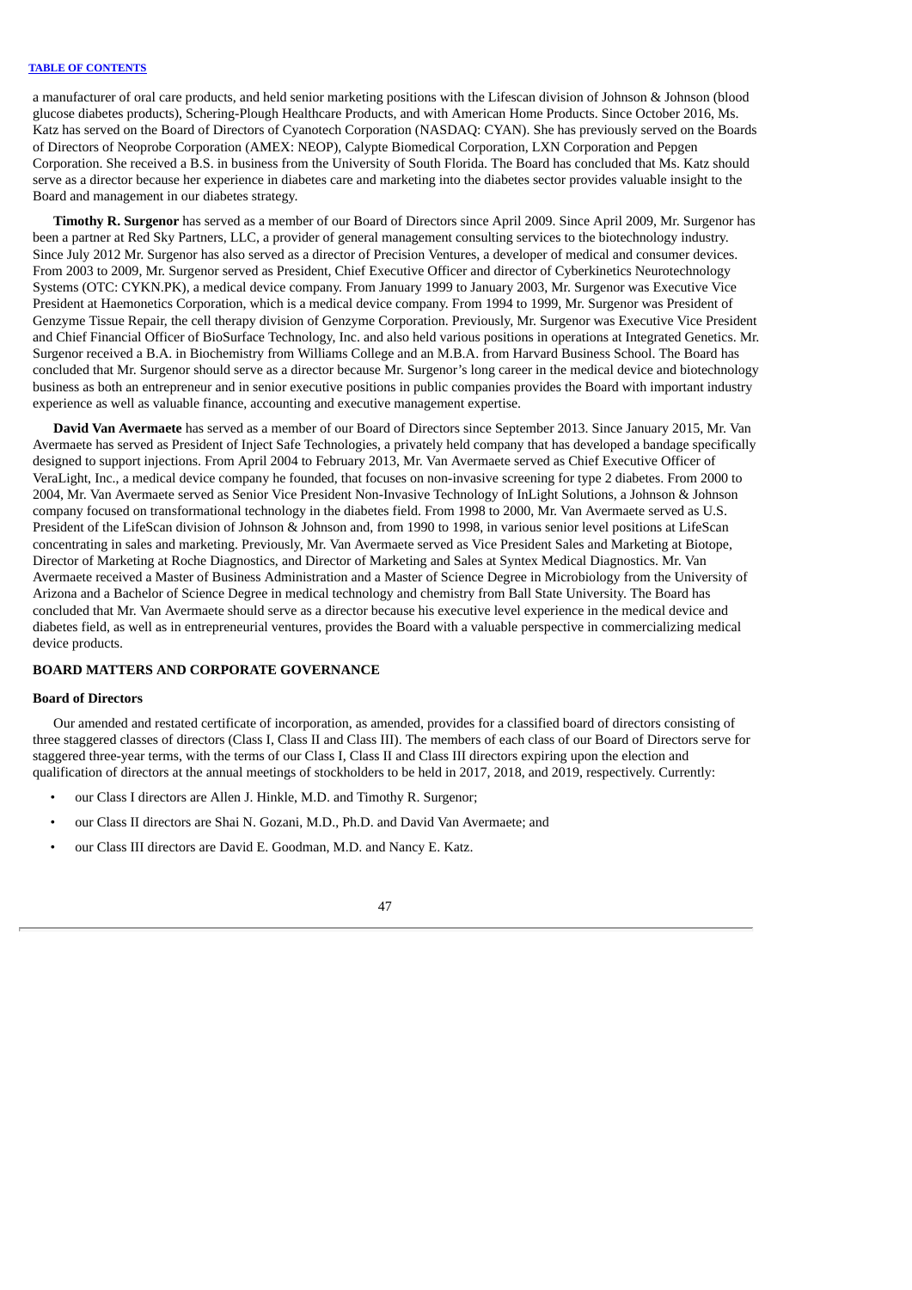a manufacturer of oral care products, and held senior marketing positions with the Lifescan division of Johnson & Johnson (blood glucose diabetes products), Schering-Plough Healthcare Products, and with American Home Products. Since October 2016, Ms. Katz has served on the Board of Directors of Cyanotech Corporation (NASDAQ: CYAN). She has previously served on the Boards of Directors of Neoprobe Corporation (AMEX: NEOP), Calypte Biomedical Corporation, LXN Corporation and Pepgen Corporation. She received a B.S. in business from the University of South Florida. The Board has concluded that Ms. Katz should serve as a director because her experience in diabetes care and marketing into the diabetes sector provides valuable insight to the Board and management in our diabetes strategy.

**Timothy R. Surgenor** has served as a member of our Board of Directors since April 2009. Since April 2009, Mr. Surgenor has been a partner at Red Sky Partners, LLC, a provider of general management consulting services to the biotechnology industry. Since July 2012 Mr. Surgenor has also served as a director of Precision Ventures, a developer of medical and consumer devices. From 2003 to 2009, Mr. Surgenor served as President, Chief Executive Officer and director of Cyberkinetics Neurotechnology Systems (OTC: CYKN.PK), a medical device company. From January 1999 to January 2003, Mr. Surgenor was Executive Vice President at Haemonetics Corporation, which is a medical device company. From 1994 to 1999, Mr. Surgenor was President of Genzyme Tissue Repair, the cell therapy division of Genzyme Corporation. Previously, Mr. Surgenor was Executive Vice President and Chief Financial Officer of BioSurface Technology, Inc. and also held various positions in operations at Integrated Genetics. Mr. Surgenor received a B.A. in Biochemistry from Williams College and an M.B.A. from Harvard Business School. The Board has concluded that Mr. Surgenor should serve as a director because Mr. Surgenor's long career in the medical device and biotechnology business as both an entrepreneur and in senior executive positions in public companies provides the Board with important industry experience as well as valuable finance, accounting and executive management expertise.

**David Van Avermaete** has served as a member of our Board of Directors since September 2013. Since January 2015, Mr. Van Avermaete has served as President of Inject Safe Technologies, a privately held company that has developed a bandage specifically designed to support injections. From April 2004 to February 2013, Mr. Van Avermaete served as Chief Executive Officer of VeraLight, Inc., a medical device company he founded, that focuses on non-invasive screening for type 2 diabetes. From 2000 to 2004, Mr. Van Avermaete served as Senior Vice President Non-Invasive Technology of InLight Solutions, a Johnson & Johnson company focused on transformational technology in the diabetes field. From 1998 to 2000, Mr. Van Avermaete served as U.S. President of the LifeScan division of Johnson & Johnson and, from 1990 to 1998, in various senior level positions at LifeScan concentrating in sales and marketing. Previously, Mr. Van Avermaete served as Vice President Sales and Marketing at Biotope, Director of Marketing at Roche Diagnostics, and Director of Marketing and Sales at Syntex Medical Diagnostics. Mr. Van Avermaete received a Master of Business Administration and a Master of Science Degree in Microbiology from the University of Arizona and a Bachelor of Science Degree in medical technology and chemistry from Ball State University. The Board has concluded that Mr. Van Avermaete should serve as a director because his executive level experience in the medical device and diabetes field, as well as in entrepreneurial ventures, provides the Board with a valuable perspective in commercializing medical device products.

### **BOARD MATTERS AND CORPORATE GOVERNANCE**

#### **Board of Directors**

Our amended and restated certificate of incorporation, as amended, provides for a classified board of directors consisting of three staggered classes of directors (Class I, Class II and Class III). The members of each class of our Board of Directors serve for staggered three-year terms, with the terms of our Class I, Class II and Class III directors expiring upon the election and qualification of directors at the annual meetings of stockholders to be held in 2017, 2018, and 2019, respectively. Currently:

- our Class I directors are Allen J. Hinkle, M.D. and Timothy R. Surgenor;
- our Class II directors are Shai N. Gozani, M.D., Ph.D. and David Van Avermaete; and
- our Class III directors are David E. Goodman, M.D. and Nancy E. Katz.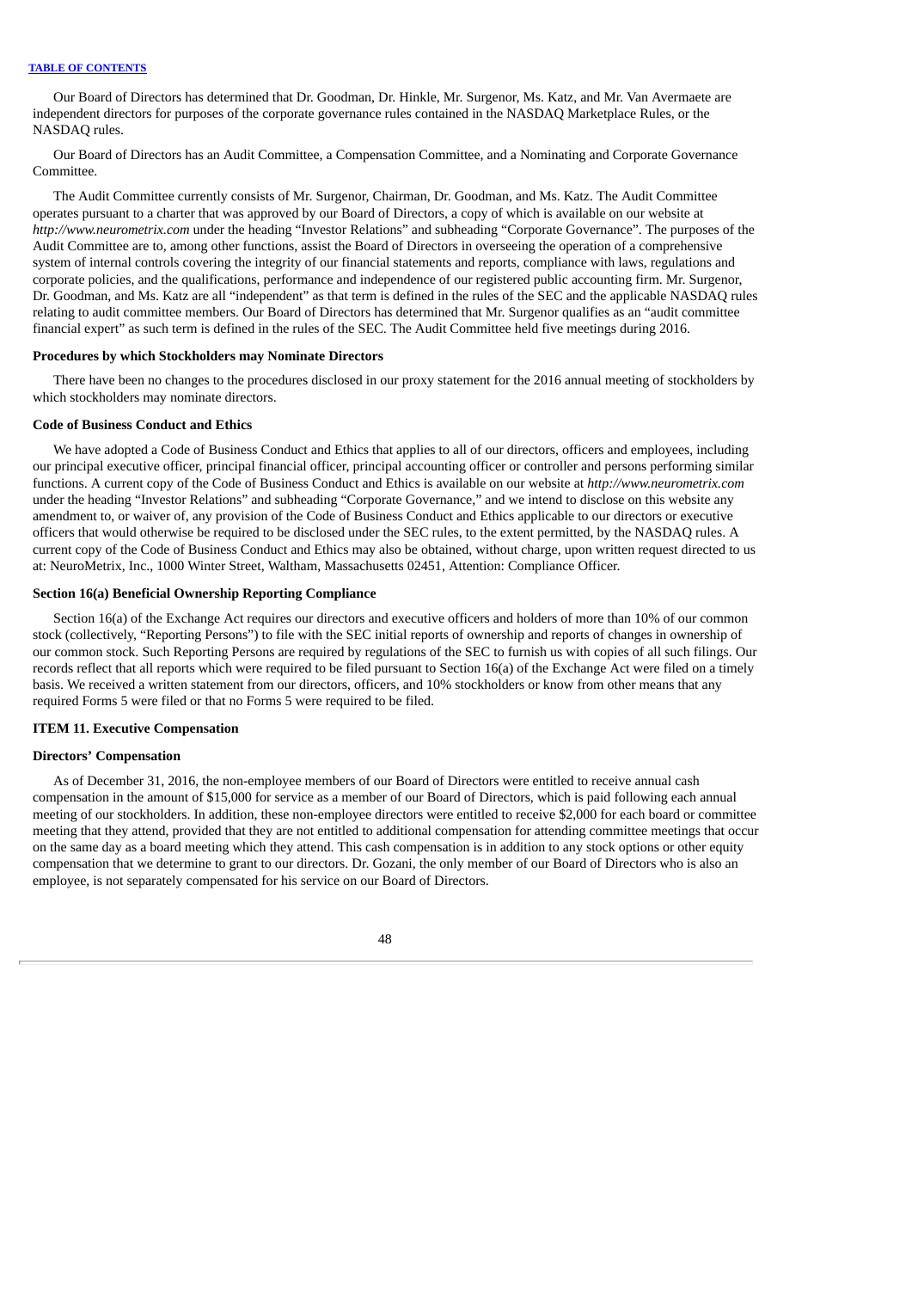Our Board of Directors has determined that Dr. Goodman, Dr. Hinkle, Mr. Surgenor, Ms. Katz, and Mr. Van Avermaete are independent directors for purposes of the corporate governance rules contained in the NASDAQ Marketplace Rules, or the NASDAQ rules.

Our Board of Directors has an Audit Committee, a Compensation Committee, and a Nominating and Corporate Governance Committee.

The Audit Committee currently consists of Mr. Surgenor, Chairman, Dr. Goodman, and Ms. Katz. The Audit Committee operates pursuant to a charter that was approved by our Board of Directors, a copy of which is available on our website at *http://www.neurometrix.com* under the heading "Investor Relations" and subheading "Corporate Governance". The purposes of the Audit Committee are to, among other functions, assist the Board of Directors in overseeing the operation of a comprehensive system of internal controls covering the integrity of our financial statements and reports, compliance with laws, regulations and corporate policies, and the qualifications, performance and independence of our registered public accounting firm. Mr. Surgenor, Dr. Goodman, and Ms. Katz are all "independent" as that term is defined in the rules of the SEC and the applicable NASDAQ rules relating to audit committee members. Our Board of Directors has determined that Mr. Surgenor qualifies as an "audit committee financial expert" as such term is defined in the rules of the SEC. The Audit Committee held five meetings during 2016.

#### **Procedures by which Stockholders may Nominate Directors**

There have been no changes to the procedures disclosed in our proxy statement for the 2016 annual meeting of stockholders by which stockholders may nominate directors.

### **Code of Business Conduct and Ethics**

We have adopted a Code of Business Conduct and Ethics that applies to all of our directors, officers and employees, including our principal executive officer, principal financial officer, principal accounting officer or controller and persons performing similar functions. A current copy of the Code of Business Conduct and Ethics is available on our website at *http://www.neurometrix.com* under the heading "Investor Relations" and subheading "Corporate Governance," and we intend to disclose on this website any amendment to, or waiver of, any provision of the Code of Business Conduct and Ethics applicable to our directors or executive officers that would otherwise be required to be disclosed under the SEC rules, to the extent permitted, by the NASDAQ rules. A current copy of the Code of Business Conduct and Ethics may also be obtained, without charge, upon written request directed to us at: NeuroMetrix, Inc., 1000 Winter Street, Waltham, Massachusetts 02451, Attention: Compliance Officer.

## **Section 16(a) Beneficial Ownership Reporting Compliance**

Section 16(a) of the Exchange Act requires our directors and executive officers and holders of more than 10% of our common stock (collectively, "Reporting Persons") to file with the SEC initial reports of ownership and reports of changes in ownership of our common stock. Such Reporting Persons are required by regulations of the SEC to furnish us with copies of all such filings. Our records reflect that all reports which were required to be filed pursuant to Section 16(a) of the Exchange Act were filed on a timely basis. We received a written statement from our directors, officers, and 10% stockholders or know from other means that any required Forms 5 were filed or that no Forms 5 were required to be filed.

## **ITEM 11. Executive Compensation**

#### **Directors' Compensation**

As of December 31, 2016, the non-employee members of our Board of Directors were entitled to receive annual cash compensation in the amount of \$15,000 for service as a member of our Board of Directors, which is paid following each annual meeting of our stockholders. In addition, these non-employee directors were entitled to receive \$2,000 for each board or committee meeting that they attend, provided that they are not entitled to additional compensation for attending committee meetings that occur on the same day as a board meeting which they attend. This cash compensation is in addition to any stock options or other equity compensation that we determine to grant to our directors. Dr. Gozani, the only member of our Board of Directors who is also an employee, is not separately compensated for his service on our Board of Directors.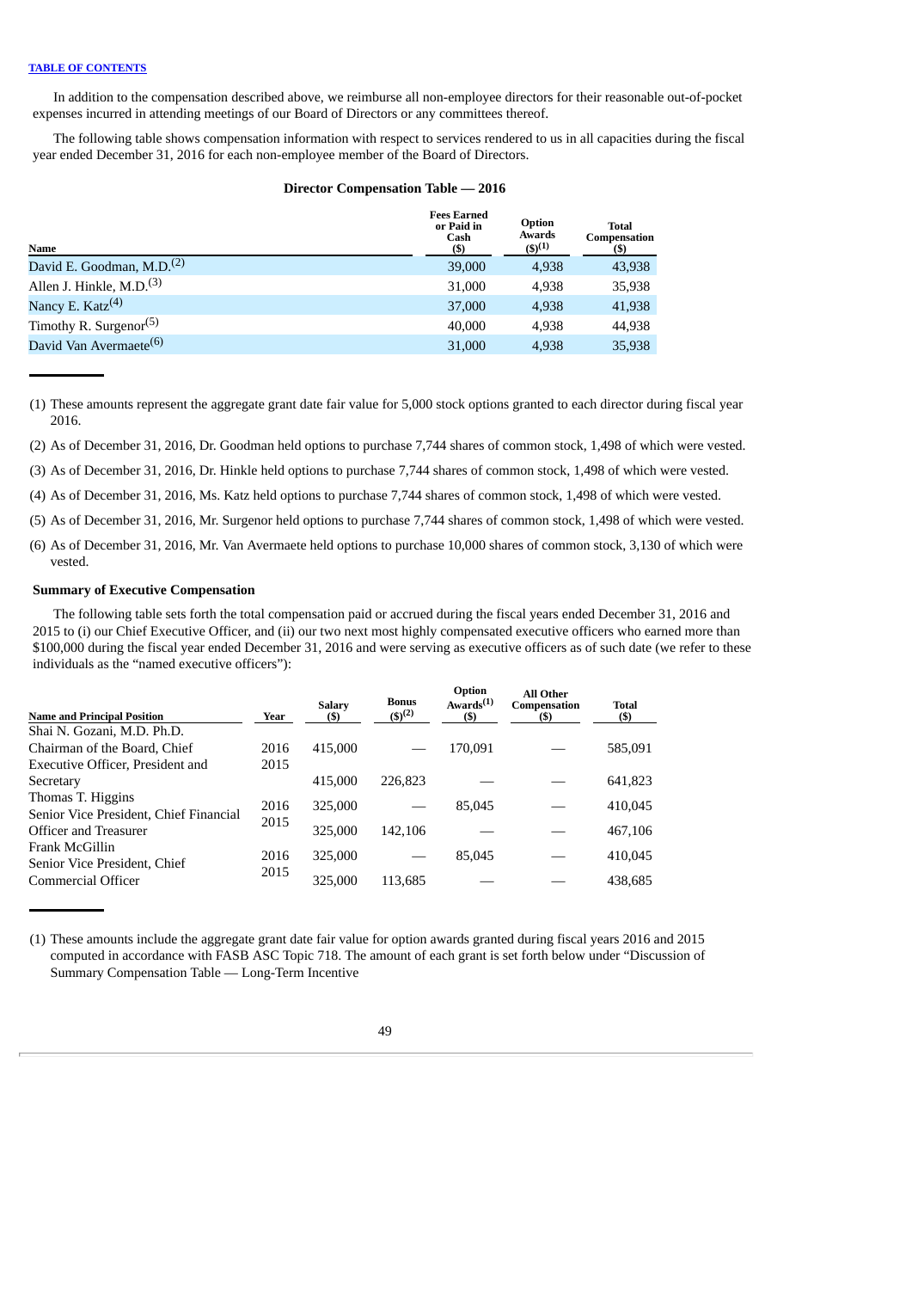In addition to the compensation described above, we reimburse all non-employee directors for their reasonable out-of-pocket expenses incurred in attending meetings of our Board of Directors or any committees thereof.

The following table shows compensation information with respect to services rendered to us in all capacities during the fiscal year ended December 31, 2016 for each non-employee member of the Board of Directors.

### **Director Compensation Table — 2016**

| Name                                      | <b>Fees Earned</b><br>or Paid in<br>Cash<br>(S) | Option<br>Awards<br>$(5)^{(1)}$ | Total<br>Compensation<br>(S) |
|-------------------------------------------|-------------------------------------------------|---------------------------------|------------------------------|
| David E. Goodman, M.D. <sup>(2)</sup>     | 39,000                                          | 4,938                           | 43,938                       |
| Allen J. Hinkle, M.D. <sup>(3)</sup>      | 31,000                                          | 4.938                           | 35,938                       |
| Nancy E. Katz <sup><math>(4)</math></sup> | 37,000                                          | 4,938                           | 41,938                       |
| Timothy R. Surgenor <sup>(5)</sup>        | 40,000                                          | 4.938                           | 44,938                       |
| David Van Avermaete <sup>(6)</sup>        | 31,000                                          | 4.938                           | 35,938                       |

(1) These amounts represent the aggregate grant date fair value for 5,000 stock options granted to each director during fiscal year 2016.

(2) As of December 31, 2016, Dr. Goodman held options to purchase 7,744 shares of common stock, 1,498 of which were vested.

(3) As of December 31, 2016, Dr. Hinkle held options to purchase 7,744 shares of common stock, 1,498 of which were vested.

(4) As of December 31, 2016, Ms. Katz held options to purchase 7,744 shares of common stock, 1,498 of which were vested.

(5) As of December 31, 2016, Mr. Surgenor held options to purchase 7,744 shares of common stock, 1,498 of which were vested.

(6) As of December 31, 2016, Mr. Van Avermaete held options to purchase 10,000 shares of common stock, 3,130 of which were vested.

#### **Summary of Executive Compensation**

The following table sets forth the total compensation paid or accrued during the fiscal years ended December 31, 2016 and 2015 to (i) our Chief Executive Officer, and (ii) our two next most highly compensated executive officers who earned more than \$100,000 during the fiscal year ended December 31, 2016 and were serving as executive officers as of such date (we refer to these individuals as the "named executive officers"):

| <b>Name and Principal Position</b>                          | Year | <b>Salarv</b><br>(\$) | <b>Bonus</b><br>$(5)^{(2)}$ | Option<br>Awards $(1)$<br>(5) | <b>All Other</b><br>Compensation<br>(\$) | <b>Total</b><br>$($)$ |
|-------------------------------------------------------------|------|-----------------------|-----------------------------|-------------------------------|------------------------------------------|-----------------------|
| Shai N. Gozani, M.D. Ph.D.                                  |      |                       |                             |                               |                                          |                       |
| Chairman of the Board, Chief                                | 2016 | 415,000               |                             | 170,091                       |                                          | 585,091               |
| Executive Officer, President and                            | 2015 |                       |                             |                               |                                          |                       |
| Secretary                                                   |      | 415,000               | 226,823                     |                               |                                          | 641,823               |
| Thomas T. Higgins<br>Senior Vice President, Chief Financial | 2016 | 325,000               |                             | 85,045                        |                                          | 410,045               |
| Officer and Treasurer                                       | 2015 | 325,000               | 142,106                     |                               |                                          | 467,106               |
| Frank McGillin<br>Senior Vice President, Chief              | 2016 | 325,000               |                             | 85.045                        |                                          | 410,045               |
| Commercial Officer                                          | 2015 | 325,000               | 113.685                     |                               |                                          | 438,685               |

(1) These amounts include the aggregate grant date fair value for option awards granted during fiscal years 2016 and 2015 computed in accordance with FASB ASC Topic 718. The amount of each grant is set forth below under "Discussion of Summary Compensation Table — Long-Term Incentive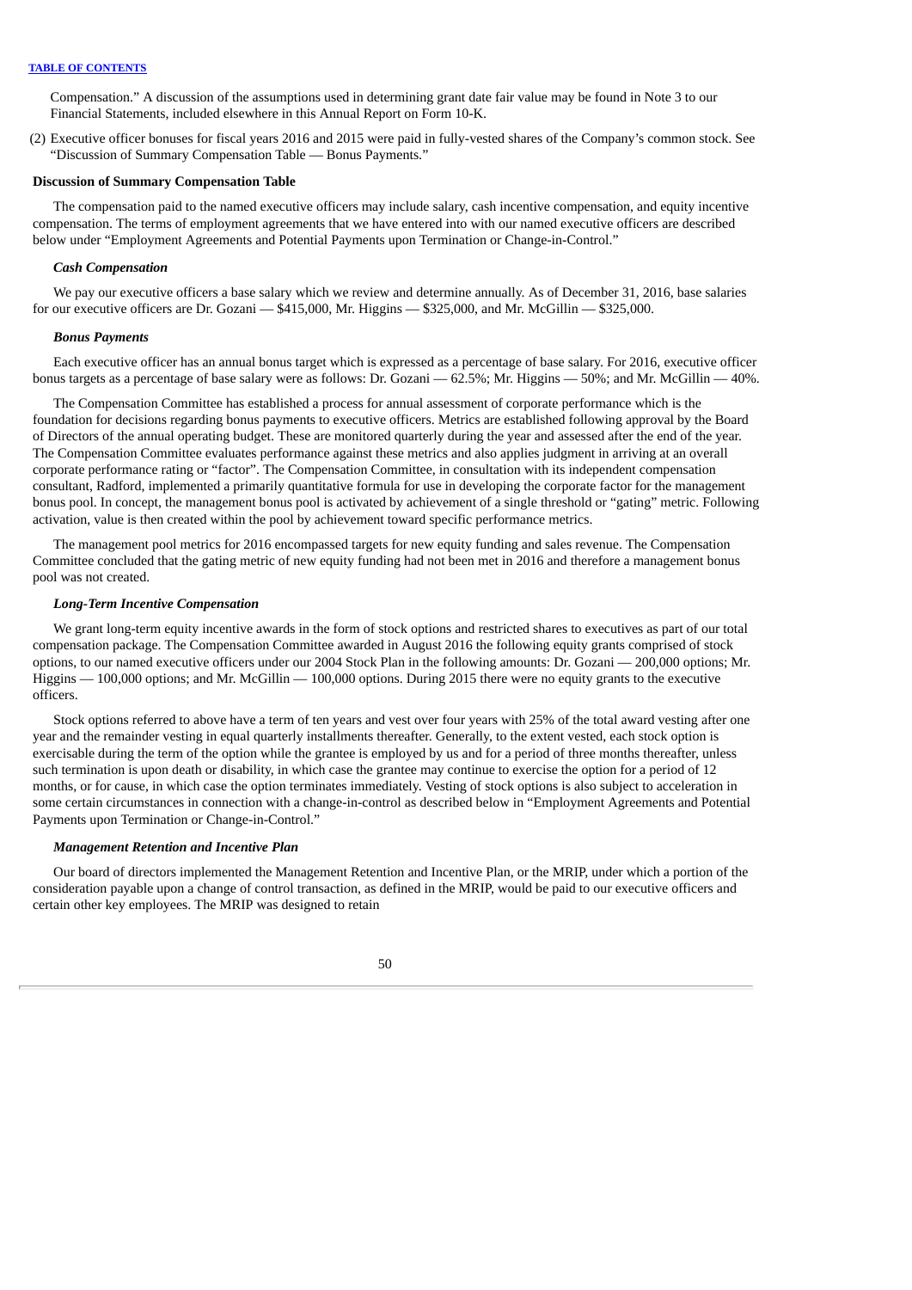Compensation." A discussion of the assumptions used in determining grant date fair value may be found in Note 3 to our Financial Statements, included elsewhere in this Annual Report on Form 10-K.

(2) Executive officer bonuses for fiscal years 2016 and 2015 were paid in fully-vested shares of the Company's common stock. See "Discussion of Summary Compensation Table — Bonus Payments."

### **Discussion of Summary Compensation Table**

The compensation paid to the named executive officers may include salary, cash incentive compensation, and equity incentive compensation. The terms of employment agreements that we have entered into with our named executive officers are described below under "Employment Agreements and Potential Payments upon Termination or Change-in-Control."

#### *Cash Compensation*

We pay our executive officers a base salary which we review and determine annually. As of December 31, 2016, base salaries for our executive officers are Dr. Gozani — \$415,000, Mr. Higgins — \$325,000, and Mr. McGillin — \$325,000.

#### *Bonus Payments*

Each executive officer has an annual bonus target which is expressed as a percentage of base salary. For 2016, executive officer bonus targets as a percentage of base salary were as follows: Dr. Gozani — 62.5%; Mr. Higgins — 50%; and Mr. McGillin — 40%.

The Compensation Committee has established a process for annual assessment of corporate performance which is the foundation for decisions regarding bonus payments to executive officers. Metrics are established following approval by the Board of Directors of the annual operating budget. These are monitored quarterly during the year and assessed after the end of the year. The Compensation Committee evaluates performance against these metrics and also applies judgment in arriving at an overall corporate performance rating or "factor". The Compensation Committee, in consultation with its independent compensation consultant, Radford, implemented a primarily quantitative formula for use in developing the corporate factor for the management bonus pool. In concept, the management bonus pool is activated by achievement of a single threshold or "gating" metric. Following activation, value is then created within the pool by achievement toward specific performance metrics.

The management pool metrics for 2016 encompassed targets for new equity funding and sales revenue. The Compensation Committee concluded that the gating metric of new equity funding had not been met in 2016 and therefore a management bonus pool was not created.

#### *Long-Term Incentive Compensation*

We grant long-term equity incentive awards in the form of stock options and restricted shares to executives as part of our total compensation package. The Compensation Committee awarded in August 2016 the following equity grants comprised of stock options, to our named executive officers under our 2004 Stock Plan in the following amounts: Dr. Gozani — 200,000 options; Mr. Higgins — 100,000 options; and Mr. McGillin — 100,000 options. During 2015 there were no equity grants to the executive officers.

Stock options referred to above have a term of ten years and vest over four years with 25% of the total award vesting after one year and the remainder vesting in equal quarterly installments thereafter. Generally, to the extent vested, each stock option is exercisable during the term of the option while the grantee is employed by us and for a period of three months thereafter, unless such termination is upon death or disability, in which case the grantee may continue to exercise the option for a period of 12 months, or for cause, in which case the option terminates immediately. Vesting of stock options is also subject to acceleration in some certain circumstances in connection with a change-in-control as described below in "Employment Agreements and Potential Payments upon Termination or Change-in-Control."

### *Management Retention and Incentive Plan*

Our board of directors implemented the Management Retention and Incentive Plan, or the MRIP, under which a portion of the consideration payable upon a change of control transaction, as defined in the MRIP, would be paid to our executive officers and certain other key employees. The MRIP was designed to retain

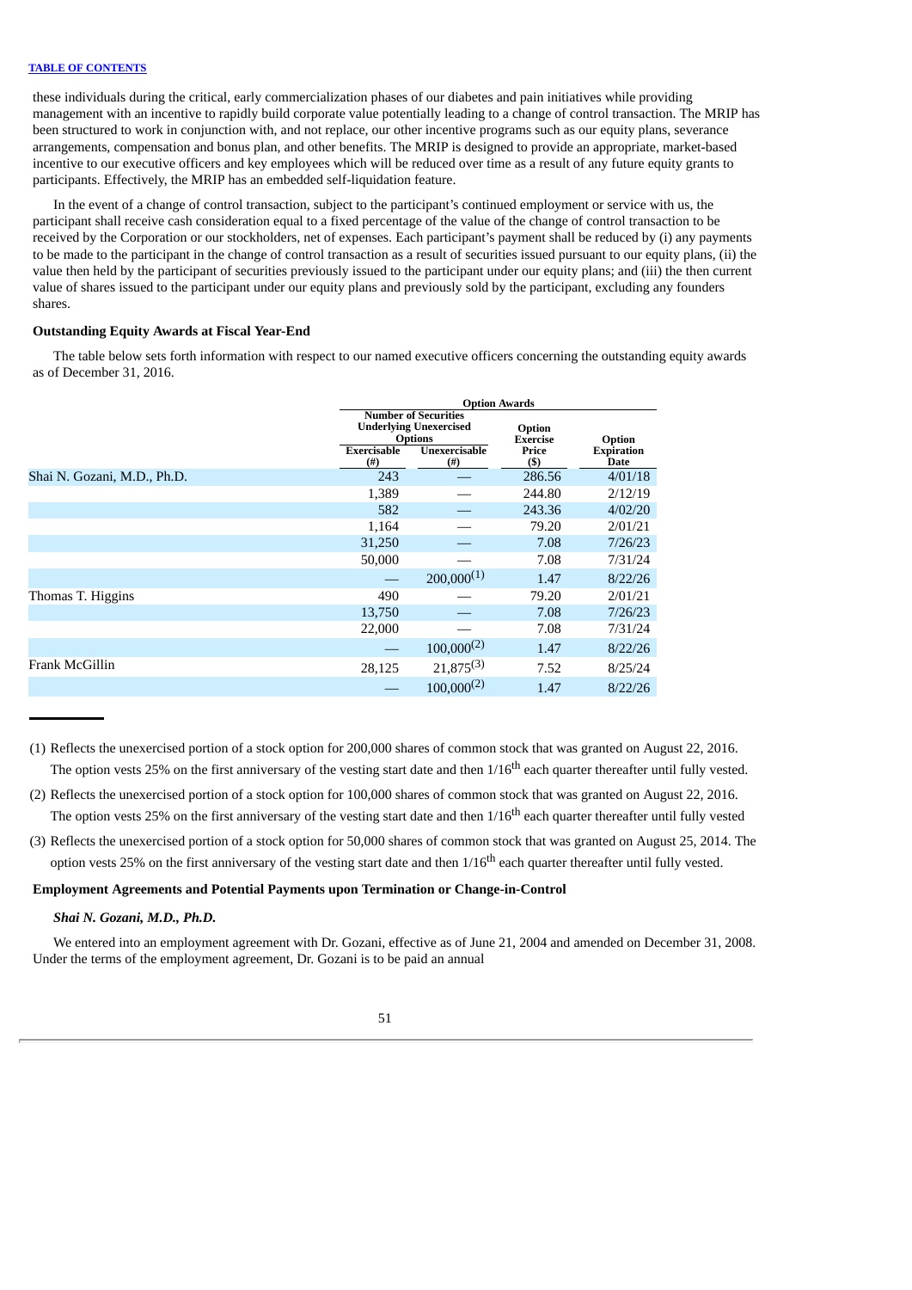these individuals during the critical, early commercialization phases of our diabetes and pain initiatives while providing management with an incentive to rapidly build corporate value potentially leading to a change of control transaction. The MRIP has been structured to work in conjunction with, and not replace, our other incentive programs such as our equity plans, severance arrangements, compensation and bonus plan, and other benefits. The MRIP is designed to provide an appropriate, market-based incentive to our executive officers and key employees which will be reduced over time as a result of any future equity grants to participants. Effectively, the MRIP has an embedded self-liquidation feature.

In the event of a change of control transaction, subject to the participant's continued employment or service with us, the participant shall receive cash consideration equal to a fixed percentage of the value of the change of control transaction to be received by the Corporation or our stockholders, net of expenses. Each participant's payment shall be reduced by (i) any payments to be made to the participant in the change of control transaction as a result of securities issued pursuant to our equity plans, (ii) the value then held by the participant of securities previously issued to the participant under our equity plans; and (iii) the then current value of shares issued to the participant under our equity plans and previously sold by the participant, excluding any founders shares.

## **Outstanding Equity Awards at Fiscal Year-End**

The table below sets forth information with respect to our named executive officers concerning the outstanding equity awards as of December 31, 2016.

|                             |                                | <b>Option Awards</b>                                                           |                 |                                  |  |
|-----------------------------|--------------------------------|--------------------------------------------------------------------------------|-----------------|----------------------------------|--|
|                             |                                | <b>Number of Securities</b><br><b>Underlying Unexercised</b><br><b>Options</b> |                 | <b>Option</b>                    |  |
|                             | <b>Exercisable</b><br>$^{(#)}$ | Unexercisable<br>$($ # $)$                                                     | Price<br>$($ \$ | <b>Expiration</b><br><b>Date</b> |  |
| Shai N. Gozani, M.D., Ph.D. | 243                            |                                                                                | 286.56          | 4/01/18                          |  |
|                             | 1,389                          |                                                                                | 244.80          | 2/12/19                          |  |
|                             | 582                            |                                                                                | 243.36          | 4/02/20                          |  |
|                             | 1,164                          |                                                                                | 79.20           | 2/01/21                          |  |
|                             | 31,250                         |                                                                                | 7.08            | 7/26/23                          |  |
|                             | 50,000                         |                                                                                | 7.08            | 7/31/24                          |  |
|                             |                                | $200,000^{(1)}$                                                                | 1.47            | 8/22/26                          |  |
| Thomas T. Higgins           | 490                            |                                                                                | 79.20           | 2/01/21                          |  |
|                             | 13,750                         |                                                                                | 7.08            | 7/26/23                          |  |
|                             | 22,000                         |                                                                                | 7.08            | 7/31/24                          |  |
|                             |                                | $100,000^{(2)}$                                                                | 1.47            | 8/22/26                          |  |
| Frank McGillin              | 28,125                         | $21,875^{(3)}$                                                                 | 7.52            | 8/25/24                          |  |
|                             |                                | $100,000^{(2)}$                                                                | 1.47            | 8/22/26                          |  |

<sup>(1)</sup> Reflects the unexercised portion of a stock option for 200,000 shares of common stock that was granted on August 22, 2016. The option vests 25% on the first anniversary of the vesting start date and then 1/16<sup>th</sup> each quarter thereafter until fully vested.

(3) Reflects the unexercised portion of a stock option for 50,000 shares of common stock that was granted on August 25, 2014. The option vests 25% on the first anniversary of the vesting start date and then  $1/16^{\text{th}}$  each quarter thereafter until fully vested.

## **Employment Agreements and Potential Payments upon Termination or Change-in-Control**

### *Shai N. Gozani, M.D., Ph.D.*

We entered into an employment agreement with Dr. Gozani, effective as of June 21, 2004 and amended on December 31, 2008. Under the terms of the employment agreement, Dr. Gozani is to be paid an annual



<sup>(2)</sup> Reflects the unexercised portion of a stock option for 100,000 shares of common stock that was granted on August 22, 2016. The option vests 25% on the first anniversary of the vesting start date and then 1/16<sup>th</sup> each quarter thereafter until fully vested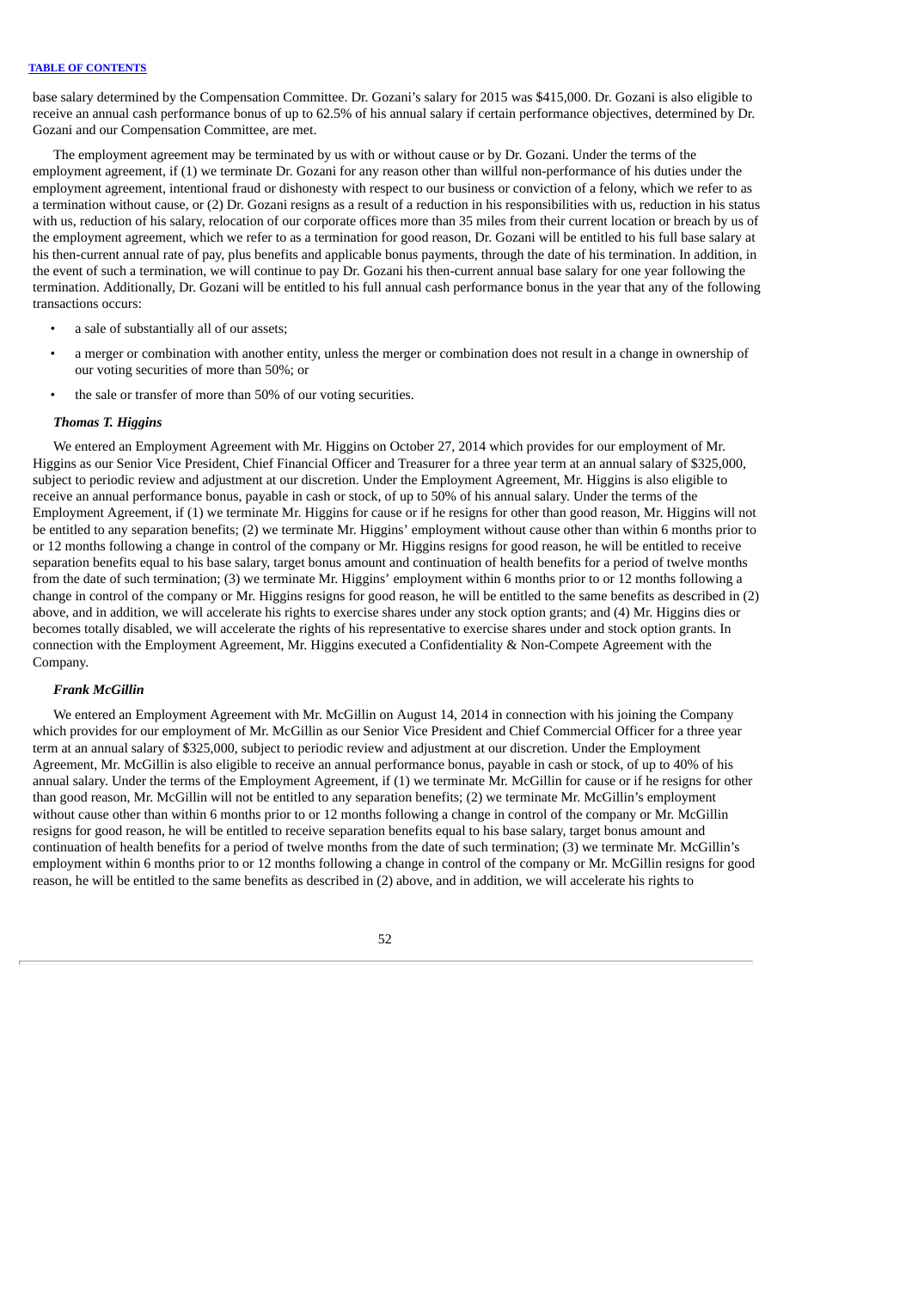base salary determined by the Compensation Committee. Dr. Gozani's salary for 2015 was \$415,000. Dr. Gozani is also eligible to receive an annual cash performance bonus of up to 62.5% of his annual salary if certain performance objectives, determined by Dr. Gozani and our Compensation Committee, are met.

The employment agreement may be terminated by us with or without cause or by Dr. Gozani. Under the terms of the employment agreement, if (1) we terminate Dr. Gozani for any reason other than willful non-performance of his duties under the employment agreement, intentional fraud or dishonesty with respect to our business or conviction of a felony, which we refer to as a termination without cause, or (2) Dr. Gozani resigns as a result of a reduction in his responsibilities with us, reduction in his status with us, reduction of his salary, relocation of our corporate offices more than 35 miles from their current location or breach by us of the employment agreement, which we refer to as a termination for good reason, Dr. Gozani will be entitled to his full base salary at his then-current annual rate of pay, plus benefits and applicable bonus payments, through the date of his termination. In addition, in the event of such a termination, we will continue to pay Dr. Gozani his then-current annual base salary for one year following the termination. Additionally, Dr. Gozani will be entitled to his full annual cash performance bonus in the year that any of the following transactions occurs:

- a sale of substantially all of our assets;
- a merger or combination with another entity, unless the merger or combination does not result in a change in ownership of our voting securities of more than 50%; or
- the sale or transfer of more than 50% of our voting securities.

## *Thomas T. Higgins*

We entered an Employment Agreement with Mr. Higgins on October 27, 2014 which provides for our employment of Mr. Higgins as our Senior Vice President, Chief Financial Officer and Treasurer for a three year term at an annual salary of \$325,000, subject to periodic review and adjustment at our discretion. Under the Employment Agreement, Mr. Higgins is also eligible to receive an annual performance bonus, payable in cash or stock, of up to 50% of his annual salary. Under the terms of the Employment Agreement, if (1) we terminate Mr. Higgins for cause or if he resigns for other than good reason, Mr. Higgins will not be entitled to any separation benefits; (2) we terminate Mr. Higgins' employment without cause other than within 6 months prior to or 12 months following a change in control of the company or Mr. Higgins resigns for good reason, he will be entitled to receive separation benefits equal to his base salary, target bonus amount and continuation of health benefits for a period of twelve months from the date of such termination; (3) we terminate Mr. Higgins' employment within 6 months prior to or 12 months following a change in control of the company or Mr. Higgins resigns for good reason, he will be entitled to the same benefits as described in (2) above, and in addition, we will accelerate his rights to exercise shares under any stock option grants; and (4) Mr. Higgins dies or becomes totally disabled, we will accelerate the rights of his representative to exercise shares under and stock option grants. In connection with the Employment Agreement, Mr. Higgins executed a Confidentiality & Non-Compete Agreement with the Company.

#### *Frank McGillin*

We entered an Employment Agreement with Mr. McGillin on August 14, 2014 in connection with his joining the Company which provides for our employment of Mr. McGillin as our Senior Vice President and Chief Commercial Officer for a three year term at an annual salary of \$325,000, subject to periodic review and adjustment at our discretion. Under the Employment Agreement, Mr. McGillin is also eligible to receive an annual performance bonus, payable in cash or stock, of up to 40% of his annual salary. Under the terms of the Employment Agreement, if (1) we terminate Mr. McGillin for cause or if he resigns for other than good reason, Mr. McGillin will not be entitled to any separation benefits; (2) we terminate Mr. McGillin's employment without cause other than within 6 months prior to or 12 months following a change in control of the company or Mr. McGillin resigns for good reason, he will be entitled to receive separation benefits equal to his base salary, target bonus amount and continuation of health benefits for a period of twelve months from the date of such termination; (3) we terminate Mr. McGillin's employment within 6 months prior to or 12 months following a change in control of the company or Mr. McGillin resigns for good reason, he will be entitled to the same benefits as described in (2) above, and in addition, we will accelerate his rights to

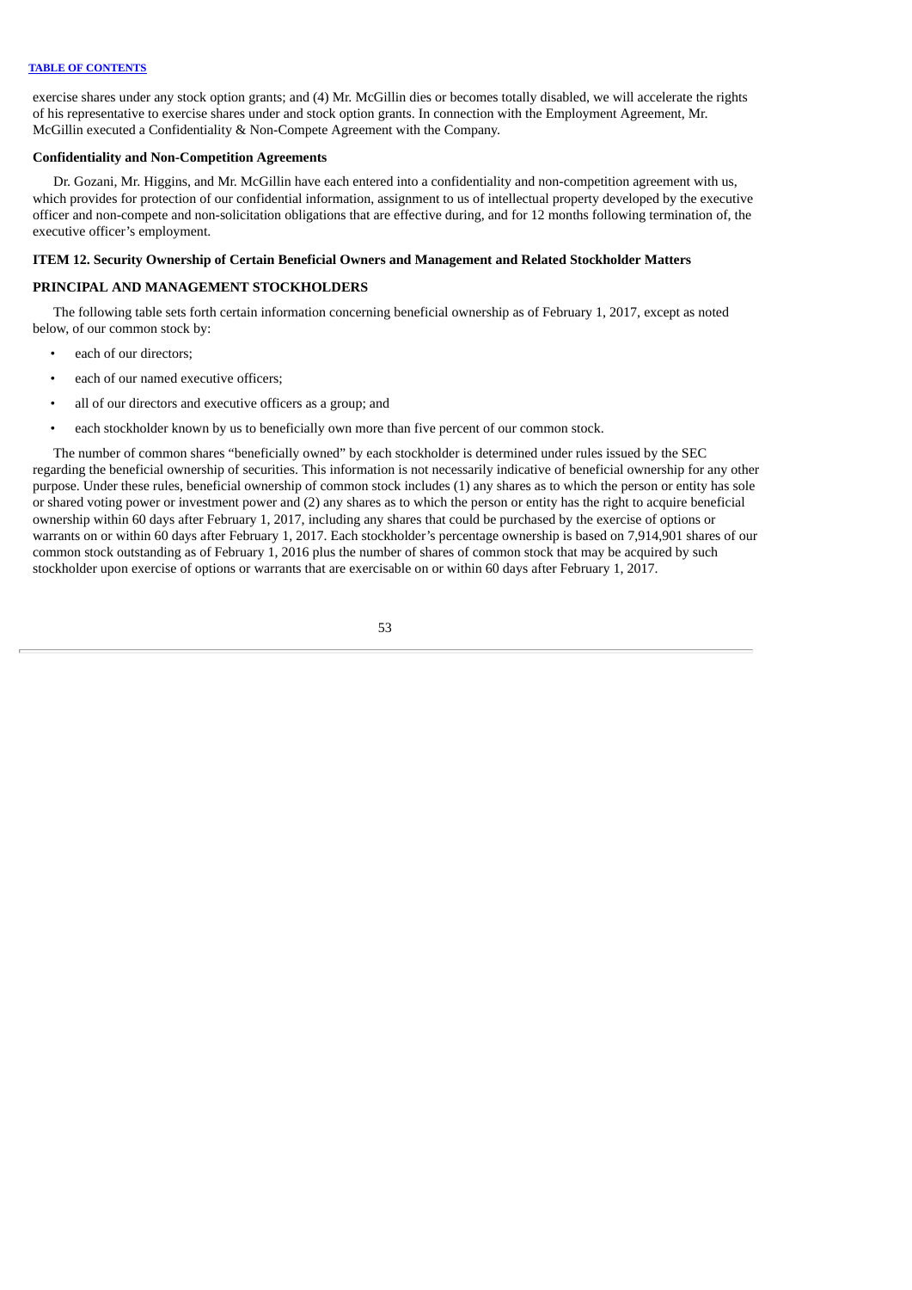exercise shares under any stock option grants; and (4) Mr. McGillin dies or becomes totally disabled, we will accelerate the rights of his representative to exercise shares under and stock option grants. In connection with the Employment Agreement, Mr. McGillin executed a Confidentiality & Non-Compete Agreement with the Company.

## **Confidentiality and Non-Competition Agreements**

Dr. Gozani, Mr. Higgins, and Mr. McGillin have each entered into a confidentiality and non-competition agreement with us, which provides for protection of our confidential information, assignment to us of intellectual property developed by the executive officer and non-compete and non-solicitation obligations that are effective during, and for 12 months following termination of, the executive officer's employment.

### **ITEM 12. Security Ownership of Certain Beneficial Owners and Management and Related Stockholder Matters**

### **PRINCIPAL AND MANAGEMENT STOCKHOLDERS**

The following table sets forth certain information concerning beneficial ownership as of February 1, 2017, except as noted below, of our common stock by:

- each of our directors;
- each of our named executive officers;
- all of our directors and executive officers as a group; and
- each stockholder known by us to beneficially own more than five percent of our common stock.

The number of common shares "beneficially owned" by each stockholder is determined under rules issued by the SEC regarding the beneficial ownership of securities. This information is not necessarily indicative of beneficial ownership for any other purpose. Under these rules, beneficial ownership of common stock includes (1) any shares as to which the person or entity has sole or shared voting power or investment power and (2) any shares as to which the person or entity has the right to acquire beneficial ownership within 60 days after February 1, 2017, including any shares that could be purchased by the exercise of options or warrants on or within 60 days after February 1, 2017. Each stockholder's percentage ownership is based on 7,914,901 shares of our common stock outstanding as of February 1, 2016 plus the number of shares of common stock that may be acquired by such stockholder upon exercise of options or warrants that are exercisable on or within 60 days after February 1, 2017.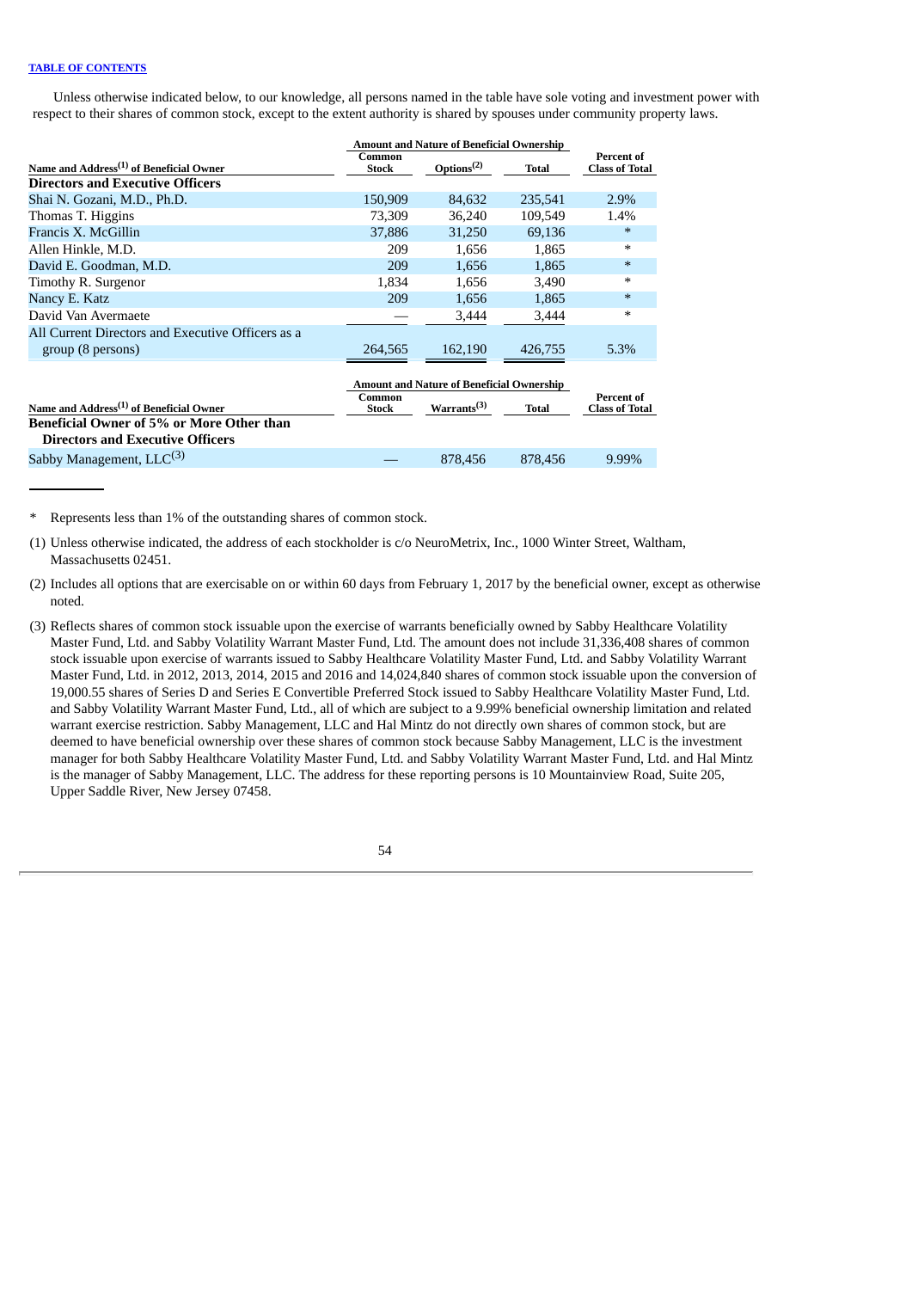Sabby Management, LLC(3)

Unless otherwise indicated below, to our knowledge, all persons named in the table have sole voting and investment power with respect to their shares of common stock, except to the extent authority is shared by spouses under community property laws.

|                                                     | <b>Amount and Nature of Beneficial Ownership</b> |                                     |              |                                     |
|-----------------------------------------------------|--------------------------------------------------|-------------------------------------|--------------|-------------------------------------|
| Name and Address <sup>(1)</sup> of Beneficial Owner | Common<br><b>Stock</b>                           | Options <sup><math>(2)</math></sup> | <b>Total</b> | Percent of<br><b>Class of Total</b> |
| <b>Directors and Executive Officers</b>             |                                                  |                                     |              |                                     |
| Shai N. Gozani, M.D., Ph.D.                         | 150,909                                          | 84,632                              | 235,541      | 2.9%                                |
| Thomas T. Higgins                                   | 73,309                                           | 36,240                              | 109,549      | 1.4%                                |
| Francis X. McGillin                                 | 37,886                                           | 31,250                              | 69,136       | $\ast$                              |
| Allen Hinkle, M.D.                                  | 209                                              | 1,656                               | 1,865        | $\ast$                              |
| David E. Goodman, M.D.                              | 209                                              | 1,656                               | 1,865        | $\ast$                              |
| Timothy R. Surgenor                                 | 1,834                                            | 1,656                               | 3,490        | $\ast$                              |
| Nancy E. Katz                                       | 209                                              | 1,656                               | 1,865        | $\ast$                              |
| David Van Avermaete                                 |                                                  | 3.444                               | 3.444        | $*$                                 |
| All Current Directors and Executive Officers as a   |                                                  |                                     |              |                                     |
| group (8 persons)                                   | 264,565                                          | 162,190                             | 426,755      | 5.3%                                |
|                                                     | <b>Amount and Nature of Beneficial Ownership</b> |                                     |              | Percent of                          |
| Name and Address <sup>(1)</sup> of Beneficial Owner | Common<br>Stock                                  | Warrants <sup>(3)</sup>             | <b>Total</b> | <b>Class of Total</b>               |
| <b>Beneficial Owner of 5% or More Other than</b>    |                                                  |                                     |              |                                     |
| <b>Directors and Executive Officers</b>             |                                                  |                                     |              |                                     |

Represents less than 1% of the outstanding shares of common stock.

(1) Unless otherwise indicated, the address of each stockholder is c/o NeuroMetrix, Inc., 1000 Winter Street, Waltham, Massachusetts 02451.

(2) Includes all options that are exercisable on or within 60 days from February 1, 2017 by the beneficial owner, except as otherwise noted.

 $(3)$  and  $(3)$  and  $(3)$  and  $(3)$  and  $(3)$  and  $(3)$  and  $(3)$  and  $(3)$  and  $(3)$  and  $(3)$  and  $(3)$  and  $(3)$  and  $(3)$  and  $(3)$  and  $(3)$  and  $(3)$  and  $(3)$  and  $(3)$  and  $(3)$  and  $(3)$  and  $(3)$  and  $(3)$  and

(3) Reflects shares of common stock issuable upon the exercise of warrants beneficially owned by Sabby Healthcare Volatility Master Fund, Ltd. and Sabby Volatility Warrant Master Fund, Ltd. The amount does not include 31,336,408 shares of common stock issuable upon exercise of warrants issued to Sabby Healthcare Volatility Master Fund, Ltd. and Sabby Volatility Warrant Master Fund, Ltd. in 2012, 2013, 2014, 2015 and 2016 and 14,024,840 shares of common stock issuable upon the conversion of 19,000.55 shares of Series D and Series E Convertible Preferred Stock issued to Sabby Healthcare Volatility Master Fund, Ltd. and Sabby Volatility Warrant Master Fund, Ltd., all of which are subject to a 9.99% beneficial ownership limitation and related warrant exercise restriction. Sabby Management, LLC and Hal Mintz do not directly own shares of common stock, but are deemed to have beneficial ownership over these shares of common stock because Sabby Management, LLC is the investment manager for both Sabby Healthcare Volatility Master Fund, Ltd. and Sabby Volatility Warrant Master Fund, Ltd. and Hal Mintz is the manager of Sabby Management, LLC. The address for these reporting persons is 10 Mountainview Road, Suite 205, Upper Saddle River, New Jersey 07458.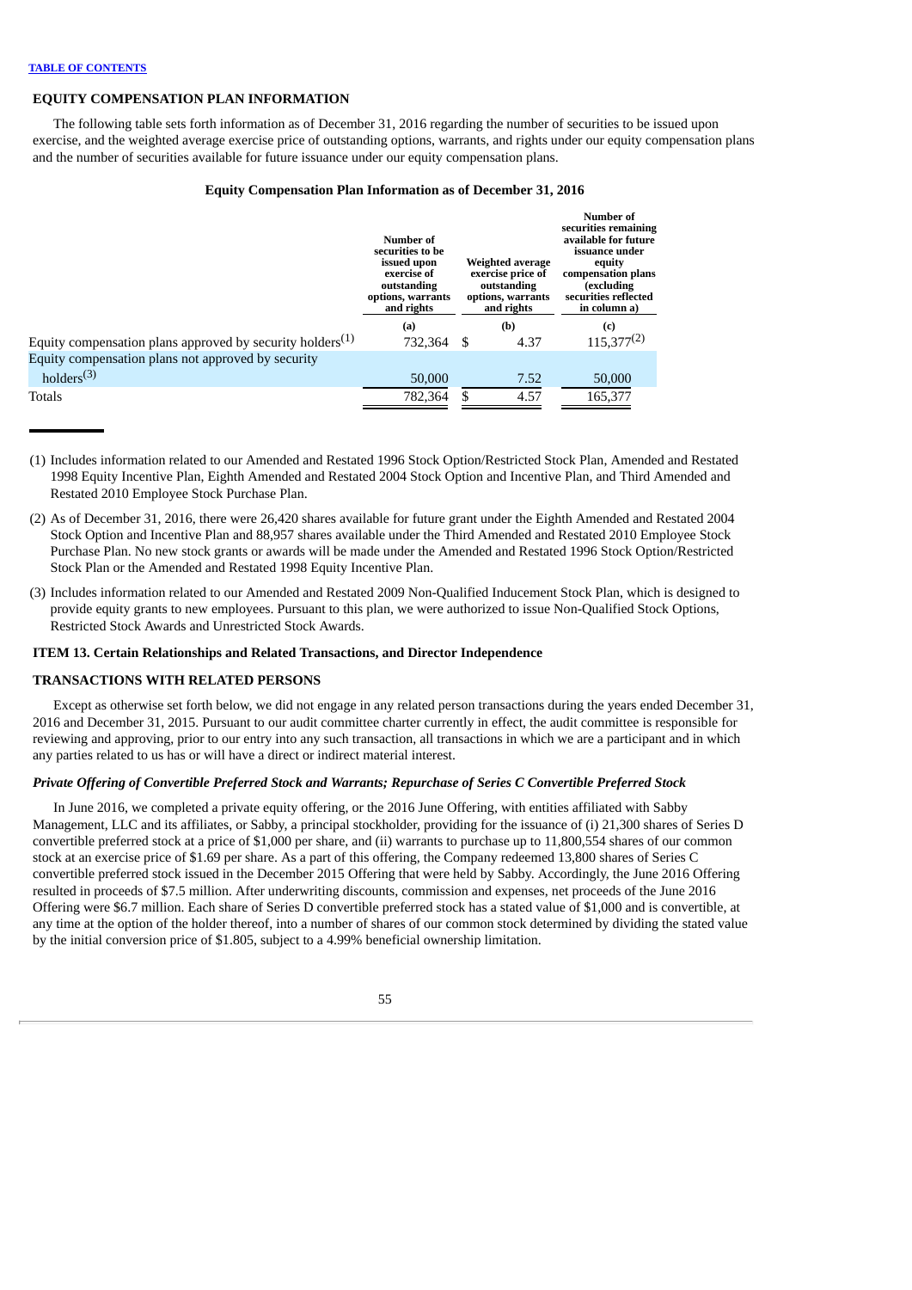## **EQUITY COMPENSATION PLAN INFORMATION**

The following table sets forth information as of December 31, 2016 regarding the number of securities to be issued upon exercise, and the weighted average exercise price of outstanding options, warrants, and rights under our equity compensation plans and the number of securities available for future issuance under our equity compensation plans.

### **Equity Compensation Plan Information as of December 31, 2016**

| Number of<br>securities to be<br>issued upon<br>Weighted average<br>exercise price of<br>exercise of<br>outstanding<br>outstanding<br>options, warrants<br>options, warrants<br>and rights<br>and rights | securities remaining<br>available for future<br>issuance under<br>equity<br>compensation plans<br>(excluding<br>securities reflected<br>in column a) |
|----------------------------------------------------------------------------------------------------------------------------------------------------------------------------------------------------------|------------------------------------------------------------------------------------------------------------------------------------------------------|
| (b)<br>(a)                                                                                                                                                                                               | (c)                                                                                                                                                  |
| Equity compensation plans approved by security holders $(1)$<br>732,364<br>4.37<br>\$.                                                                                                                   | $115,377^{(2)}$                                                                                                                                      |
| Equity compensation plans not approved by security                                                                                                                                                       |                                                                                                                                                      |
| holders $(3)$<br>50,000<br>7.52                                                                                                                                                                          | 50,000                                                                                                                                               |
| 782,364<br>4.57<br>Totals                                                                                                                                                                                | 165,377                                                                                                                                              |

- (1) Includes information related to our Amended and Restated 1996 Stock Option/Restricted Stock Plan, Amended and Restated 1998 Equity Incentive Plan, Eighth Amended and Restated 2004 Stock Option and Incentive Plan, and Third Amended and Restated 2010 Employee Stock Purchase Plan.
- (2) As of December 31, 2016, there were 26,420 shares available for future grant under the Eighth Amended and Restated 2004 Stock Option and Incentive Plan and 88,957 shares available under the Third Amended and Restated 2010 Employee Stock Purchase Plan. No new stock grants or awards will be made under the Amended and Restated 1996 Stock Option/Restricted Stock Plan or the Amended and Restated 1998 Equity Incentive Plan.
- (3) Includes information related to our Amended and Restated 2009 Non-Qualified Inducement Stock Plan, which is designed to provide equity grants to new employees. Pursuant to this plan, we were authorized to issue Non-Qualified Stock Options, Restricted Stock Awards and Unrestricted Stock Awards.

#### **ITEM 13. Certain Relationships and Related Transactions, and Director Independence**

## **TRANSACTIONS WITH RELATED PERSONS**

Except as otherwise set forth below, we did not engage in any related person transactions during the years ended December 31, 2016 and December 31, 2015. Pursuant to our audit committee charter currently in effect, the audit committee is responsible for reviewing and approving, prior to our entry into any such transaction, all transactions in which we are a participant and in which any parties related to us has or will have a direct or indirect material interest.

### *Private Offering of Convertible Preferred Stock and Warrants; Repurchase of Series C Convertible Preferred Stock*

In June 2016, we completed a private equity offering, or the 2016 June Offering, with entities affiliated with Sabby Management, LLC and its affiliates, or Sabby, a principal stockholder, providing for the issuance of (i) 21,300 shares of Series D convertible preferred stock at a price of \$1,000 per share, and (ii) warrants to purchase up to 11,800,554 shares of our common stock at an exercise price of \$1.69 per share. As a part of this offering, the Company redeemed 13,800 shares of Series C convertible preferred stock issued in the December 2015 Offering that were held by Sabby. Accordingly, the June 2016 Offering resulted in proceeds of \$7.5 million. After underwriting discounts, commission and expenses, net proceeds of the June 2016 Offering were \$6.7 million. Each share of Series D convertible preferred stock has a stated value of \$1,000 and is convertible, at any time at the option of the holder thereof, into a number of shares of our common stock determined by dividing the stated value by the initial conversion price of \$1.805, subject to a 4.99% beneficial ownership limitation.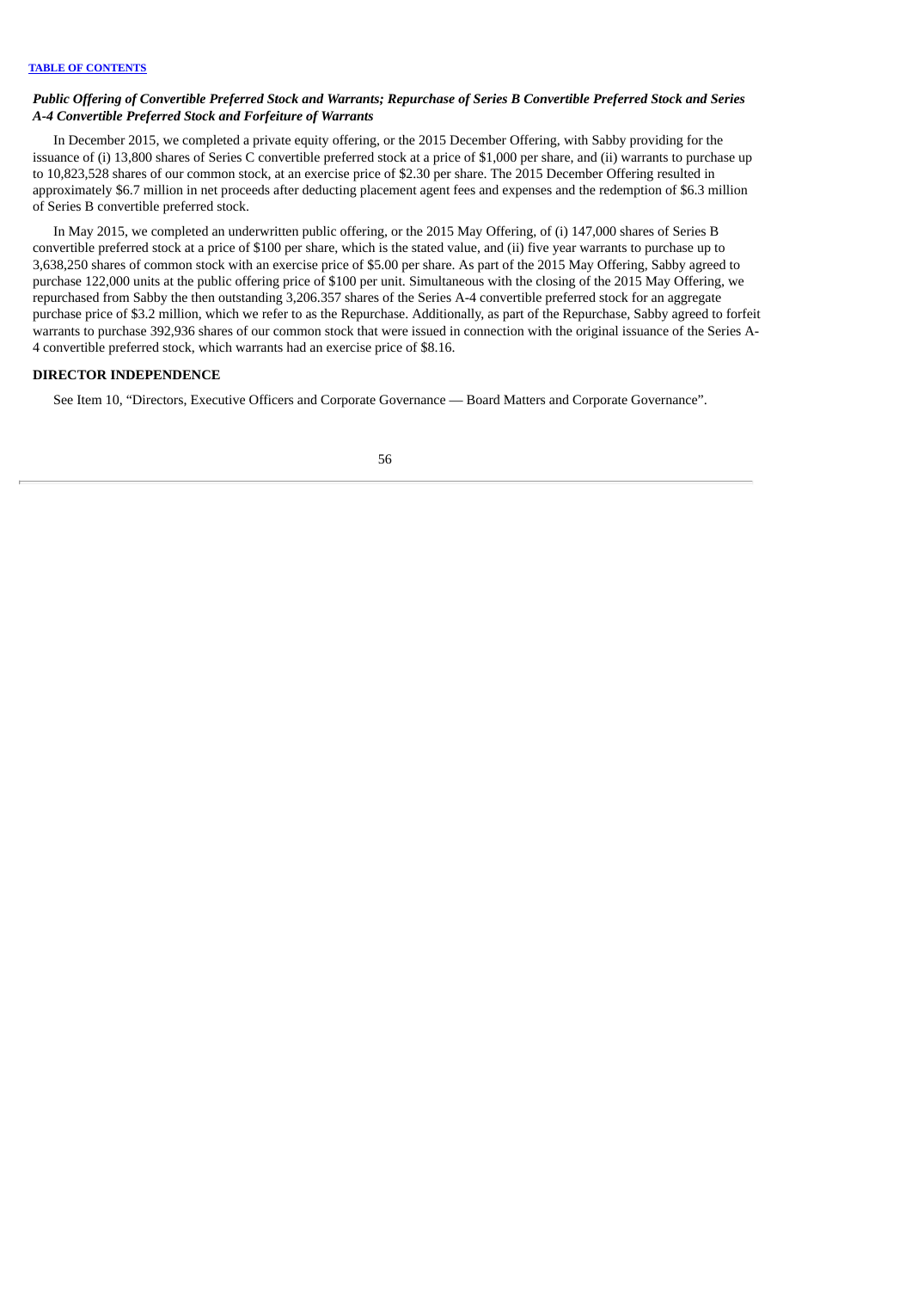## Public Offering of Convertible Preferred Stock and Warrants: Repurchase of Series B Convertible Preferred Stock and Series *A-4 Convertible Preferred Stock and Forfeiture of Warrants*

In December 2015, we completed a private equity offering, or the 2015 December Offering, with Sabby providing for the issuance of (i) 13,800 shares of Series C convertible preferred stock at a price of \$1,000 per share, and (ii) warrants to purchase up to 10,823,528 shares of our common stock, at an exercise price of \$2.30 per share. The 2015 December Offering resulted in approximately \$6.7 million in net proceeds after deducting placement agent fees and expenses and the redemption of \$6.3 million of Series B convertible preferred stock.

In May 2015, we completed an underwritten public offering, or the 2015 May Offering, of (i) 147,000 shares of Series B convertible preferred stock at a price of \$100 per share, which is the stated value, and (ii) five year warrants to purchase up to 3,638,250 shares of common stock with an exercise price of \$5.00 per share. As part of the 2015 May Offering, Sabby agreed to purchase 122,000 units at the public offering price of \$100 per unit. Simultaneous with the closing of the 2015 May Offering, we repurchased from Sabby the then outstanding 3,206.357 shares of the Series A-4 convertible preferred stock for an aggregate purchase price of \$3.2 million, which we refer to as the Repurchase. Additionally, as part of the Repurchase, Sabby agreed to forfeit warrants to purchase 392,936 shares of our common stock that were issued in connection with the original issuance of the Series A-4 convertible preferred stock, which warrants had an exercise price of \$8.16.

## **DIRECTOR INDEPENDENCE**

See Item 10, "Directors, Executive Officers and Corporate Governance — Board Matters and Corporate Governance".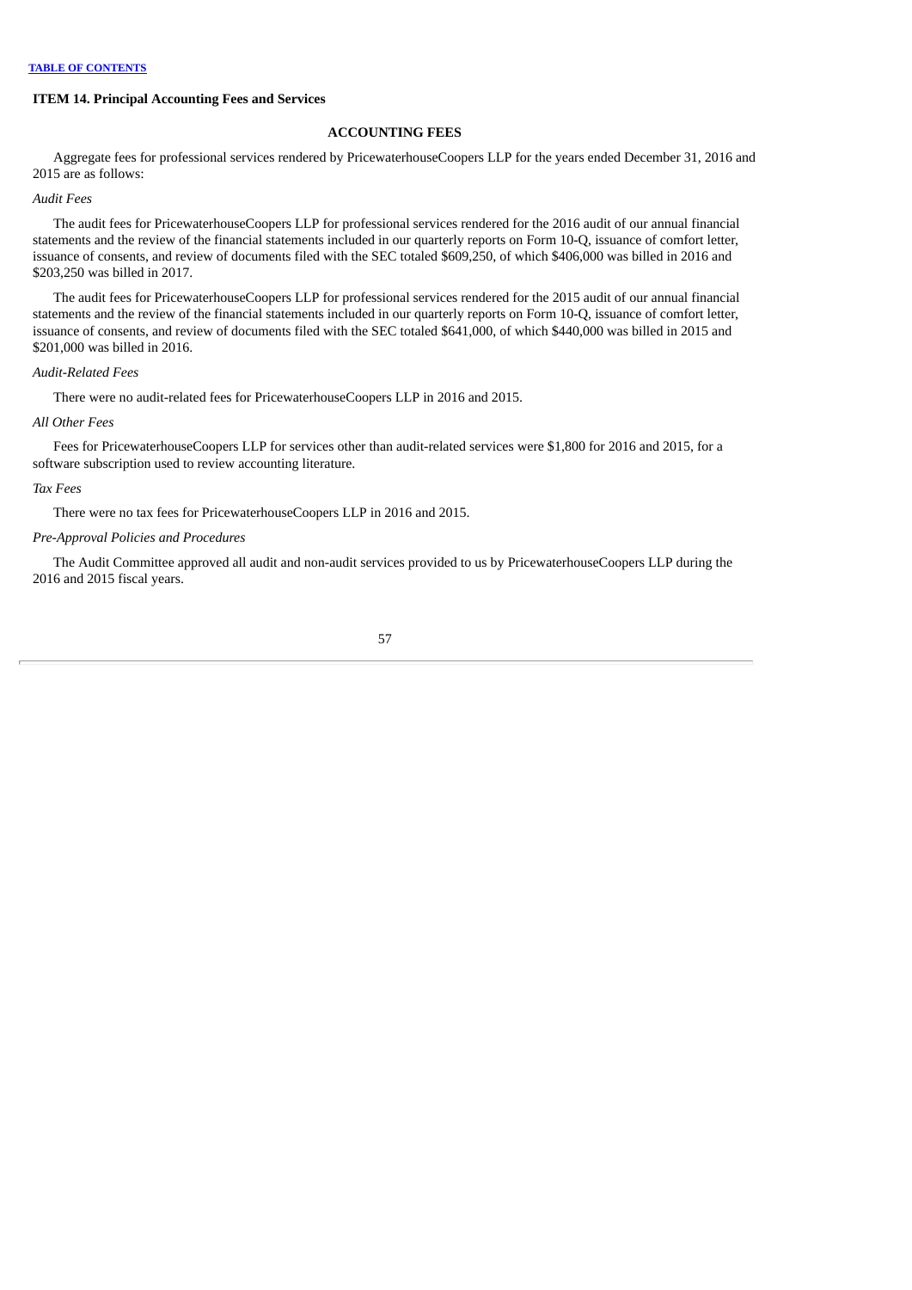## **ITEM 14. Principal Accounting Fees and Services**

#### **ACCOUNTING FEES**

Aggregate fees for professional services rendered by PricewaterhouseCoopers LLP for the years ended December 31, 2016 and 2015 are as follows:

### *Audit Fees*

The audit fees for PricewaterhouseCoopers LLP for professional services rendered for the 2016 audit of our annual financial statements and the review of the financial statements included in our quarterly reports on Form 10-Q, issuance of comfort letter, issuance of consents, and review of documents filed with the SEC totaled \$609,250, of which \$406,000 was billed in 2016 and \$203,250 was billed in 2017.

The audit fees for PricewaterhouseCoopers LLP for professional services rendered for the 2015 audit of our annual financial statements and the review of the financial statements included in our quarterly reports on Form 10-Q, issuance of comfort letter, issuance of consents, and review of documents filed with the SEC totaled \$641,000, of which \$440,000 was billed in 2015 and \$201,000 was billed in 2016.

#### *Audit-Related Fees*

There were no audit-related fees for PricewaterhouseCoopers LLP in 2016 and 2015.

### *All Other Fees*

Fees for PricewaterhouseCoopers LLP for services other than audit-related services were \$1,800 for 2016 and 2015, for a software subscription used to review accounting literature.

#### *Tax Fees*

There were no tax fees for PricewaterhouseCoopers LLP in 2016 and 2015.

## *Pre-Approval Policies and Procedures*

The Audit Committee approved all audit and non-audit services provided to us by PricewaterhouseCoopers LLP during the 2016 and 2015 fiscal years.

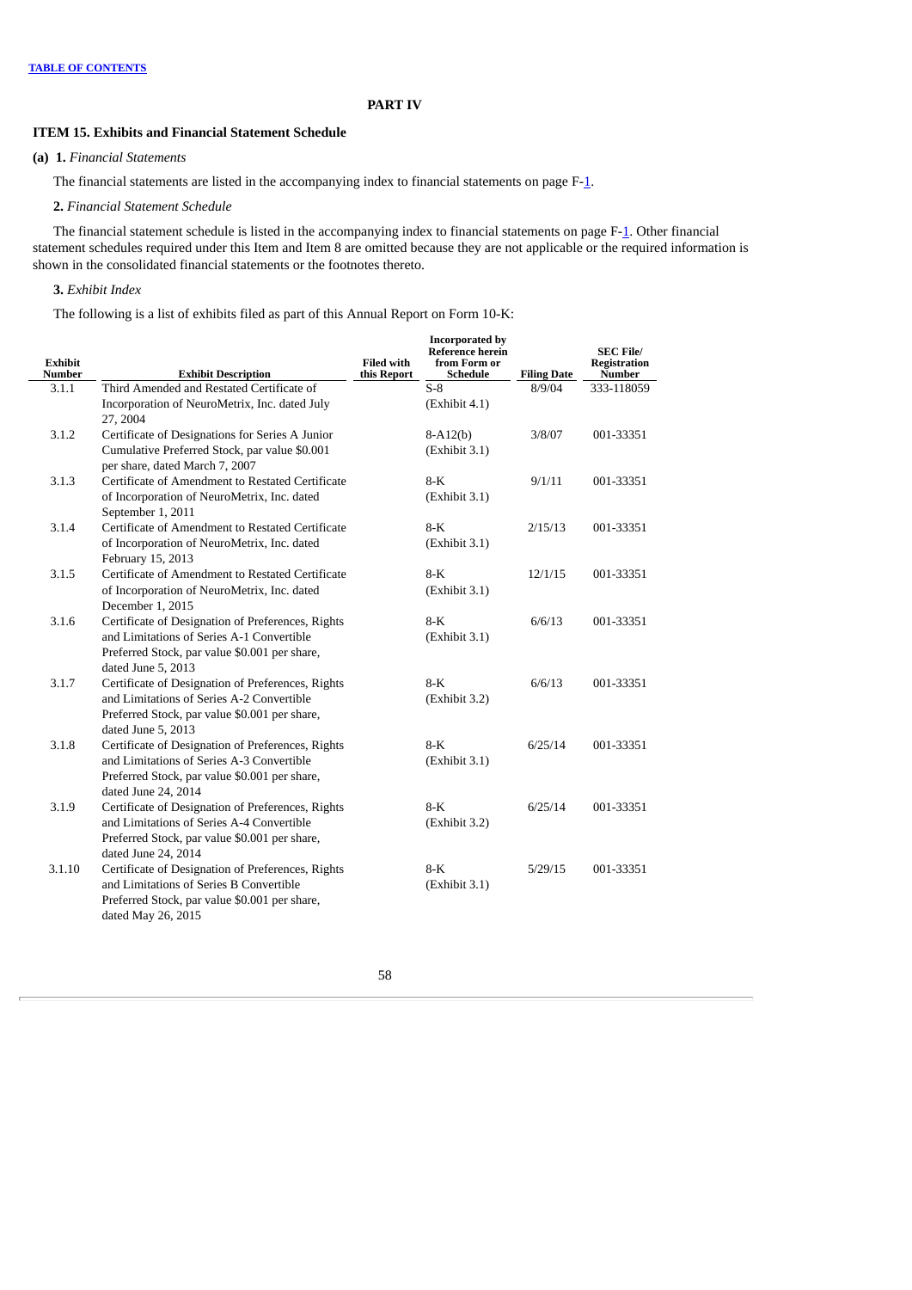## **PART IV**

## **ITEM 15. Exhibits and Financial Statement Schedule**

**(a) 1.** *Financial Statements*

The financial statements are listed in the accompanying index to financial statements on page F[-1.](#page-67-0)

**2.** *Financial Statement Schedule*

The financial statement schedule is listed in the accompanying index to financial statements on page F-[1](#page-67-0). Other financial statement schedules required under this Item and Item 8 are omitted because they are not applicable or the required information is shown in the consolidated financial statements or the footnotes thereto.

## **3.** *Exhibit Index*

The following is a list of exhibits filed as part of this Annual Report on Form 10-K:

| <b>Exhibit</b> |                                                                                                                   | <b>Filed with</b> | <b>Incorporated by</b><br><b>Reference herein</b><br>from Form or |                    | <b>SEC File/</b><br><b>Registration</b> |
|----------------|-------------------------------------------------------------------------------------------------------------------|-------------------|-------------------------------------------------------------------|--------------------|-----------------------------------------|
| <b>Number</b>  | <b>Exhibit Description</b><br>Third Amended and Restated Certificate of                                           | this Report       | Schedule<br>$\overline{S-8}$                                      | <b>Filing Date</b> | Number                                  |
| 3.1.1          |                                                                                                                   |                   |                                                                   | 8/9/04             | 333-118059                              |
|                | Incorporation of NeuroMetrix, Inc. dated July<br>27, 2004                                                         |                   | (Exhibit 4.1)                                                     |                    |                                         |
| 3.1.2          | Certificate of Designations for Series A Junior                                                                   |                   | $8 - A12(b)$                                                      | 3/8/07             | 001-33351                               |
|                | Cumulative Preferred Stock, par value \$0.001<br>per share, dated March 7, 2007                                   |                   | (Exhibit 3.1)                                                     |                    |                                         |
| 3.1.3          | Certificate of Amendment to Restated Certificate                                                                  |                   | $8-K$                                                             | 9/1/11             | 001-33351                               |
|                | of Incorporation of NeuroMetrix, Inc. dated<br>September 1, 2011                                                  |                   | (Exhibit 3.1)                                                     |                    |                                         |
| 3.1.4          | Certificate of Amendment to Restated Certificate                                                                  |                   | $8-K$                                                             | 2/15/13            | 001-33351                               |
|                | of Incorporation of NeuroMetrix, Inc. dated<br>February 15, 2013                                                  |                   | (Exhibit 3.1)                                                     |                    |                                         |
| 3.1.5          | Certificate of Amendment to Restated Certificate                                                                  |                   | $8-K$                                                             | 12/1/15            | 001-33351                               |
|                | of Incorporation of NeuroMetrix, Inc. dated<br>December 1, 2015                                                   |                   | (Exhibit 3.1)                                                     |                    |                                         |
| 3.1.6          | Certificate of Designation of Preferences, Rights                                                                 |                   | $8-K$                                                             | 6/6/13             | 001-33351                               |
|                | and Limitations of Series A-1 Convertible<br>Preferred Stock, par value \$0.001 per share,<br>dated June 5, 2013  |                   | (Exhibit 3.1)                                                     |                    |                                         |
| 3.1.7          | Certificate of Designation of Preferences, Rights                                                                 |                   | $8-K$                                                             | 6/6/13             | 001-33351                               |
|                | and Limitations of Series A-2 Convertible<br>Preferred Stock, par value \$0.001 per share,<br>dated June 5, 2013  |                   | (Exhibit 3.2)                                                     |                    |                                         |
| 3.1.8          | Certificate of Designation of Preferences, Rights                                                                 |                   | $8-K$                                                             | 6/25/14            | 001-33351                               |
|                | and Limitations of Series A-3 Convertible<br>Preferred Stock, par value \$0.001 per share,<br>dated June 24, 2014 |                   | (Exhibit 3.1)                                                     |                    |                                         |
| 3.1.9          | Certificate of Designation of Preferences, Rights                                                                 |                   | $8-K$                                                             | 6/25/14            | 001-33351                               |
|                | and Limitations of Series A-4 Convertible                                                                         |                   | (Exhibit 3.2)                                                     |                    |                                         |
|                | Preferred Stock, par value \$0.001 per share,<br>dated June 24, 2014                                              |                   |                                                                   |                    |                                         |
| 3.1.10         | Certificate of Designation of Preferences, Rights                                                                 |                   | $8-K$                                                             | 5/29/15            | 001-33351                               |
|                | and Limitations of Series B Convertible<br>Preferred Stock, par value \$0.001 per share,<br>dated May 26, 2015    |                   | (Exhibit 3.1)                                                     |                    |                                         |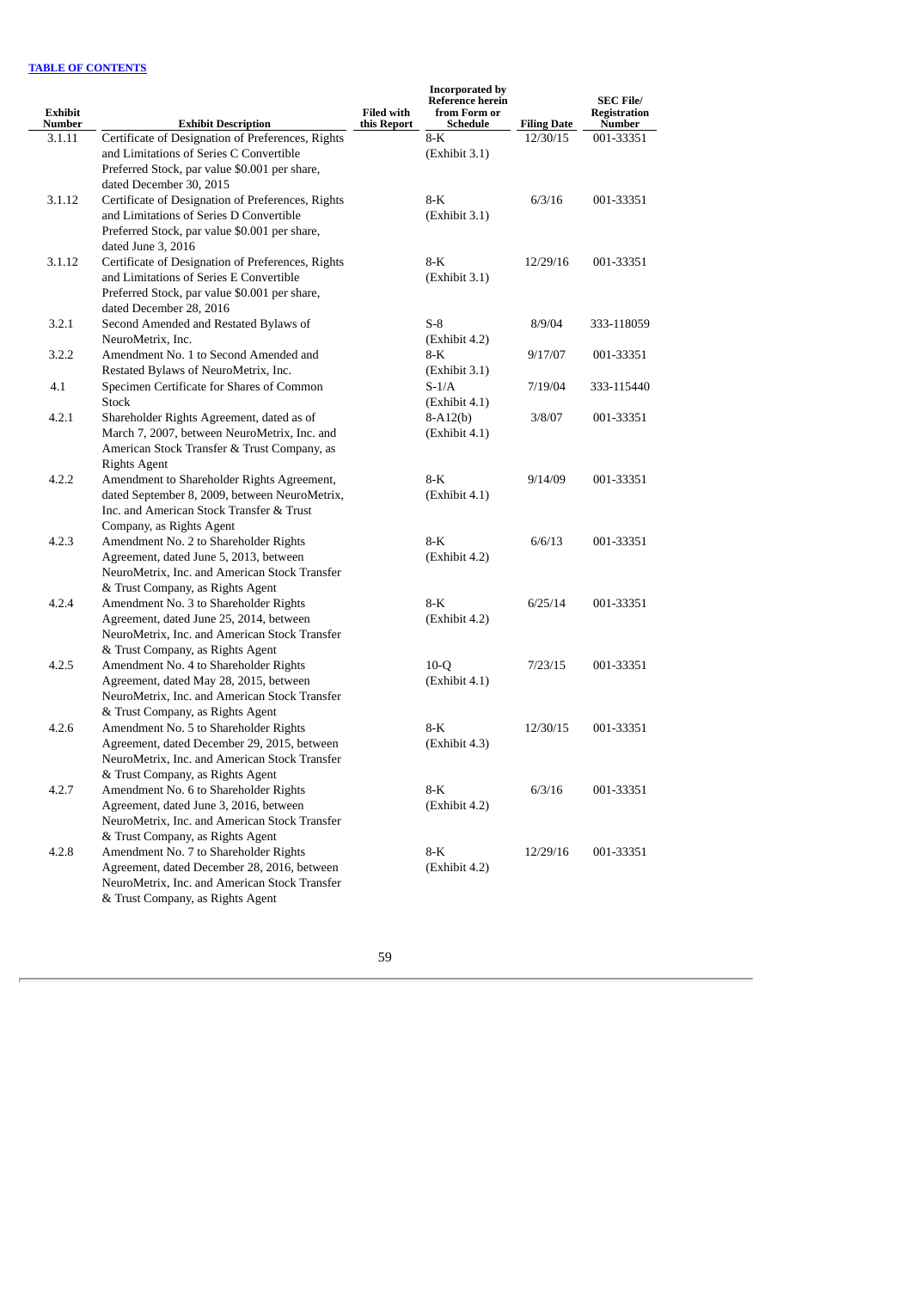| <b>Exhibit</b><br>Number                    | <b>Exhibit Description</b>                                          | <b>Filed with</b><br>this Report | <b>Incorporated by</b><br>Reference herein<br>from Form or<br><b>Schedule</b> | <b>Filing Date</b> | <b>SEC File/</b><br>Registration<br>Number |  |
|---------------------------------------------|---------------------------------------------------------------------|----------------------------------|-------------------------------------------------------------------------------|--------------------|--------------------------------------------|--|
| 3.1.11                                      | Certificate of Designation of Preferences, Rights                   |                                  | 8-K                                                                           | 12/30/15           | 001-33351                                  |  |
|                                             | and Limitations of Series C Convertible                             |                                  | (Exhibit 3.1)                                                                 |                    |                                            |  |
|                                             | Preferred Stock, par value \$0.001 per share,                       |                                  |                                                                               |                    |                                            |  |
|                                             | dated December 30, 2015                                             |                                  |                                                                               |                    |                                            |  |
| 3.1.12                                      | Certificate of Designation of Preferences, Rights                   |                                  | 8-K                                                                           | 6/3/16             | 001-33351                                  |  |
|                                             | and Limitations of Series D Convertible                             |                                  | (Exhibit 3.1)                                                                 |                    |                                            |  |
|                                             | Preferred Stock, par value \$0.001 per share,<br>dated June 3, 2016 |                                  |                                                                               |                    |                                            |  |
| 3.1.12                                      | Certificate of Designation of Preferences, Rights                   |                                  | $8-K$                                                                         | 12/29/16           | 001-33351                                  |  |
|                                             | and Limitations of Series E Convertible                             |                                  | (Exhibit 3.1)                                                                 |                    |                                            |  |
|                                             | Preferred Stock, par value \$0.001 per share,                       |                                  |                                                                               |                    |                                            |  |
|                                             | dated December 28, 2016                                             |                                  |                                                                               |                    |                                            |  |
| 3.2.1                                       | Second Amended and Restated Bylaws of                               |                                  | S-8                                                                           | 8/9/04             | 333-118059                                 |  |
|                                             | NeuroMetrix, Inc.                                                   |                                  | (Exhibit 4.2)                                                                 |                    |                                            |  |
| 3.2.2                                       | Amendment No. 1 to Second Amended and                               |                                  | 8-K                                                                           | 9/17/07            | 001-33351                                  |  |
|                                             | Restated Bylaws of NeuroMetrix, Inc.                                |                                  | (Exhibit 3.1)                                                                 |                    |                                            |  |
| 4.1                                         | Specimen Certificate for Shares of Common                           |                                  | $S-1/A$                                                                       | 7/19/04            | 333-115440                                 |  |
|                                             | <b>Stock</b>                                                        |                                  | (Exhibit 4.1)                                                                 |                    |                                            |  |
| 4.2.1                                       | Shareholder Rights Agreement, dated as of                           |                                  | $8 - A12(b)$                                                                  | 3/8/07             | 001-33351                                  |  |
|                                             | March 7, 2007, between NeuroMetrix, Inc. and                        |                                  | (Exhibit 4.1)                                                                 |                    |                                            |  |
|                                             | American Stock Transfer & Trust Company, as                         |                                  |                                                                               |                    |                                            |  |
|                                             | <b>Rights Agent</b>                                                 |                                  |                                                                               |                    |                                            |  |
| 4.2.2                                       | Amendment to Shareholder Rights Agreement,                          |                                  | $8-K$                                                                         | 9/14/09            | 001-33351                                  |  |
|                                             | dated September 8, 2009, between NeuroMetrix,                       |                                  | (Exhibit 4.1)                                                                 |                    |                                            |  |
|                                             | Inc. and American Stock Transfer & Trust                            |                                  |                                                                               |                    |                                            |  |
|                                             | Company, as Rights Agent                                            |                                  |                                                                               |                    |                                            |  |
| 4.2.3                                       | Amendment No. 2 to Shareholder Rights                               |                                  | 8-K                                                                           | 6/6/13             | 001-33351                                  |  |
|                                             | Agreement, dated June 5, 2013, between                              |                                  | (Exhibit 4.2)                                                                 |                    |                                            |  |
|                                             | NeuroMetrix, Inc. and American Stock Transfer                       |                                  |                                                                               |                    |                                            |  |
|                                             | & Trust Company, as Rights Agent                                    |                                  |                                                                               |                    |                                            |  |
| 4.2.4                                       | Amendment No. 3 to Shareholder Rights                               |                                  | $8-K$                                                                         | 6/25/14            | 001-33351                                  |  |
|                                             | Agreement, dated June 25, 2014, between                             |                                  | (Exhibit 4.2)                                                                 |                    |                                            |  |
|                                             | NeuroMetrix, Inc. and American Stock Transfer                       |                                  |                                                                               |                    |                                            |  |
|                                             | & Trust Company, as Rights Agent                                    |                                  |                                                                               |                    |                                            |  |
| 4.2.5                                       | Amendment No. 4 to Shareholder Rights                               |                                  | $10-Q$                                                                        | 7/23/15            | 001-33351                                  |  |
|                                             | Agreement, dated May 28, 2015, between                              |                                  | (Exhibit 4.1)                                                                 |                    |                                            |  |
|                                             | NeuroMetrix, Inc. and American Stock Transfer                       |                                  |                                                                               |                    |                                            |  |
|                                             | & Trust Company, as Rights Agent                                    |                                  |                                                                               |                    |                                            |  |
| 4.2.6                                       | Amendment No. 5 to Shareholder Rights                               |                                  | 8-K                                                                           | 12/30/15           | 001-33351                                  |  |
| Agreement, dated December 29, 2015, between |                                                                     | (Exhibit 4.3)                    |                                                                               |                    |                                            |  |
|                                             | NeuroMetrix, Inc. and American Stock Transfer                       |                                  |                                                                               |                    |                                            |  |
|                                             | & Trust Company, as Rights Agent                                    |                                  |                                                                               |                    |                                            |  |
| 4.2.7                                       | Amendment No. 6 to Shareholder Rights                               |                                  | 8-K                                                                           | 6/3/16             | 001-33351                                  |  |
|                                             | Agreement, dated June 3, 2016, between                              |                                  | (Exhibit 4.2)                                                                 |                    |                                            |  |
|                                             | NeuroMetrix, Inc. and American Stock Transfer                       |                                  |                                                                               |                    |                                            |  |
|                                             | & Trust Company, as Rights Agent                                    |                                  |                                                                               |                    |                                            |  |
| 4.2.8                                       | Amendment No. 7 to Shareholder Rights                               |                                  | 8-K                                                                           | 12/29/16           | 001-33351                                  |  |
|                                             | Agreement, dated December 28, 2016, between                         |                                  | (Exhibit 4.2)                                                                 |                    |                                            |  |
|                                             | NeuroMetrix, Inc. and American Stock Transfer                       |                                  |                                                                               |                    |                                            |  |
|                                             | & Trust Company, as Rights Agent                                    |                                  |                                                                               |                    |                                            |  |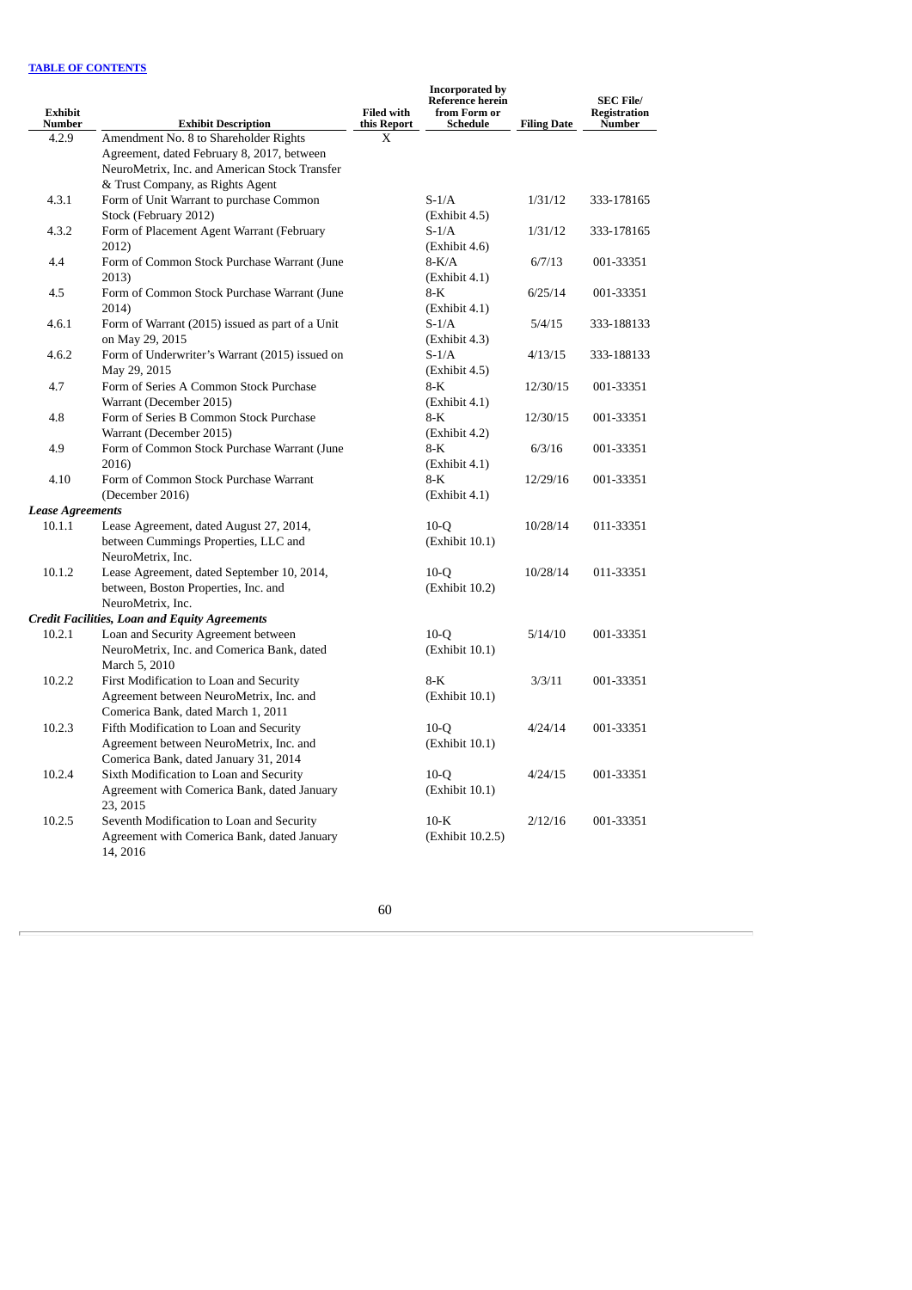| <b>Exhibit</b><br>Number | <b>Exhibit Description</b>                      | <b>Filed with</b><br>this Report | <b>Incorporated by</b><br><b>Reference herein</b><br>from Form or<br>Schedule | <b>Filing Date</b> | <b>SEC File/</b><br><b>Registration</b><br>Number |
|--------------------------|-------------------------------------------------|----------------------------------|-------------------------------------------------------------------------------|--------------------|---------------------------------------------------|
| 4.2.9                    | Amendment No. 8 to Shareholder Rights           | Χ                                |                                                                               |                    |                                                   |
|                          | Agreement, dated February 8, 2017, between      |                                  |                                                                               |                    |                                                   |
|                          | NeuroMetrix, Inc. and American Stock Transfer   |                                  |                                                                               |                    |                                                   |
|                          | & Trust Company, as Rights Agent                |                                  |                                                                               |                    |                                                   |
| 4.3.1                    | Form of Unit Warrant to purchase Common         |                                  | $S-1/A$                                                                       | 1/31/12            | 333-178165                                        |
|                          | Stock (February 2012)                           |                                  | (Exhibit 4.5)                                                                 |                    |                                                   |
| 4.3.2                    | Form of Placement Agent Warrant (February       |                                  | $S-1/A$                                                                       | 1/31/12            | 333-178165                                        |
|                          | 2012)                                           |                                  | (Exhibit 4.6)                                                                 |                    |                                                   |
| 4.4                      | Form of Common Stock Purchase Warrant (June     |                                  | $8-K/A$                                                                       | 6/7/13             | 001-33351                                         |
|                          | 2013)                                           |                                  | (Exhibit 4.1)                                                                 |                    |                                                   |
| 4.5                      | Form of Common Stock Purchase Warrant (June     |                                  | 8-K                                                                           | 6/25/14            | 001-33351                                         |
|                          | 2014)                                           |                                  | (Exhibit 4.1)                                                                 |                    |                                                   |
| 4.6.1                    | Form of Warrant (2015) issued as part of a Unit |                                  | $S-1/A$                                                                       | 5/4/15             | 333-188133                                        |
|                          | on May 29, 2015                                 |                                  | (Exhibit 4.3)                                                                 |                    |                                                   |
| 4.6.2                    | Form of Underwriter's Warrant (2015) issued on  |                                  | $S-1/A$                                                                       | 4/13/15            | 333-188133                                        |
|                          | May 29, 2015                                    |                                  | (Exhibit 4.5)                                                                 |                    |                                                   |
| 4.7                      | Form of Series A Common Stock Purchase          |                                  | 8-K                                                                           | 12/30/15           | 001-33351                                         |
|                          | Warrant (December 2015)                         |                                  | (Exhibit 4.1)                                                                 |                    |                                                   |
| 4.8                      | Form of Series B Common Stock Purchase          |                                  | $8-K$                                                                         | 12/30/15           | 001-33351                                         |
|                          | Warrant (December 2015)                         |                                  | (Exhibit 4.2)                                                                 |                    |                                                   |
| 4.9                      | Form of Common Stock Purchase Warrant (June     |                                  | 8-K                                                                           | 6/3/16             | 001-33351                                         |
|                          | 2016)                                           |                                  | (Exhibit 4.1)                                                                 |                    |                                                   |
| 4.10                     | Form of Common Stock Purchase Warrant           |                                  | 8-K                                                                           | 12/29/16           | 001-33351                                         |
|                          | (December 2016)                                 |                                  | (Exhibit 4.1)                                                                 |                    |                                                   |
| <b>Lease Agreements</b>  |                                                 |                                  |                                                                               |                    |                                                   |
| 10.1.1                   | Lease Agreement, dated August 27, 2014,         |                                  | $10-Q$                                                                        | 10/28/14           | 011-33351                                         |
|                          | between Cummings Properties, LLC and            |                                  | (Exhibit 10.1)                                                                |                    |                                                   |
|                          | NeuroMetrix, Inc.                               |                                  |                                                                               |                    |                                                   |
| 10.1.2                   | Lease Agreement, dated September 10, 2014,      |                                  | $10-Q$                                                                        | 10/28/14           | 011-33351                                         |
|                          | between, Boston Properties, Inc. and            |                                  | (Exhibit 10.2)                                                                |                    |                                                   |
|                          | NeuroMetrix, Inc.                               |                                  |                                                                               |                    |                                                   |
|                          | Credit Facilities, Loan and Equity Agreements   |                                  |                                                                               |                    |                                                   |
| 10.2.1                   | Loan and Security Agreement between             |                                  | $10-Q$                                                                        | 5/14/10            | 001-33351                                         |
|                          | NeuroMetrix, Inc. and Comerica Bank, dated      |                                  | (Exhibit 10.1)                                                                |                    |                                                   |
|                          | March 5, 2010                                   |                                  |                                                                               |                    |                                                   |
| 10.2.2                   | First Modification to Loan and Security         |                                  | $8-K$                                                                         | 3/3/11             | 001-33351                                         |
|                          | Agreement between NeuroMetrix, Inc. and         |                                  | (Exhibit 10.1)                                                                |                    |                                                   |
|                          | Comerica Bank, dated March 1, 2011              |                                  |                                                                               |                    |                                                   |
| 10.2.3                   | Fifth Modification to Loan and Security         |                                  | $10-Q$                                                                        | 4/24/14            | 001-33351                                         |
|                          | Agreement between NeuroMetrix, Inc. and         |                                  | (Exhibit 10.1)                                                                |                    |                                                   |
|                          | Comerica Bank, dated January 31, 2014           |                                  |                                                                               |                    |                                                   |
| 10.2.4                   | Sixth Modification to Loan and Security         |                                  | $10-Q$                                                                        | 4/24/15            | 001-33351                                         |
|                          | Agreement with Comerica Bank, dated January     |                                  | (Exhibit 10.1)                                                                |                    |                                                   |
|                          | 23, 2015                                        |                                  |                                                                               |                    |                                                   |
| 10.2.5                   | Seventh Modification to Loan and Security       |                                  | $10-K$                                                                        | 2/12/16            | 001-33351                                         |
|                          | Agreement with Comerica Bank, dated January     |                                  | (Exhibit 10.2.5)                                                              |                    |                                                   |
|                          | 14, 2016                                        |                                  |                                                                               |                    |                                                   |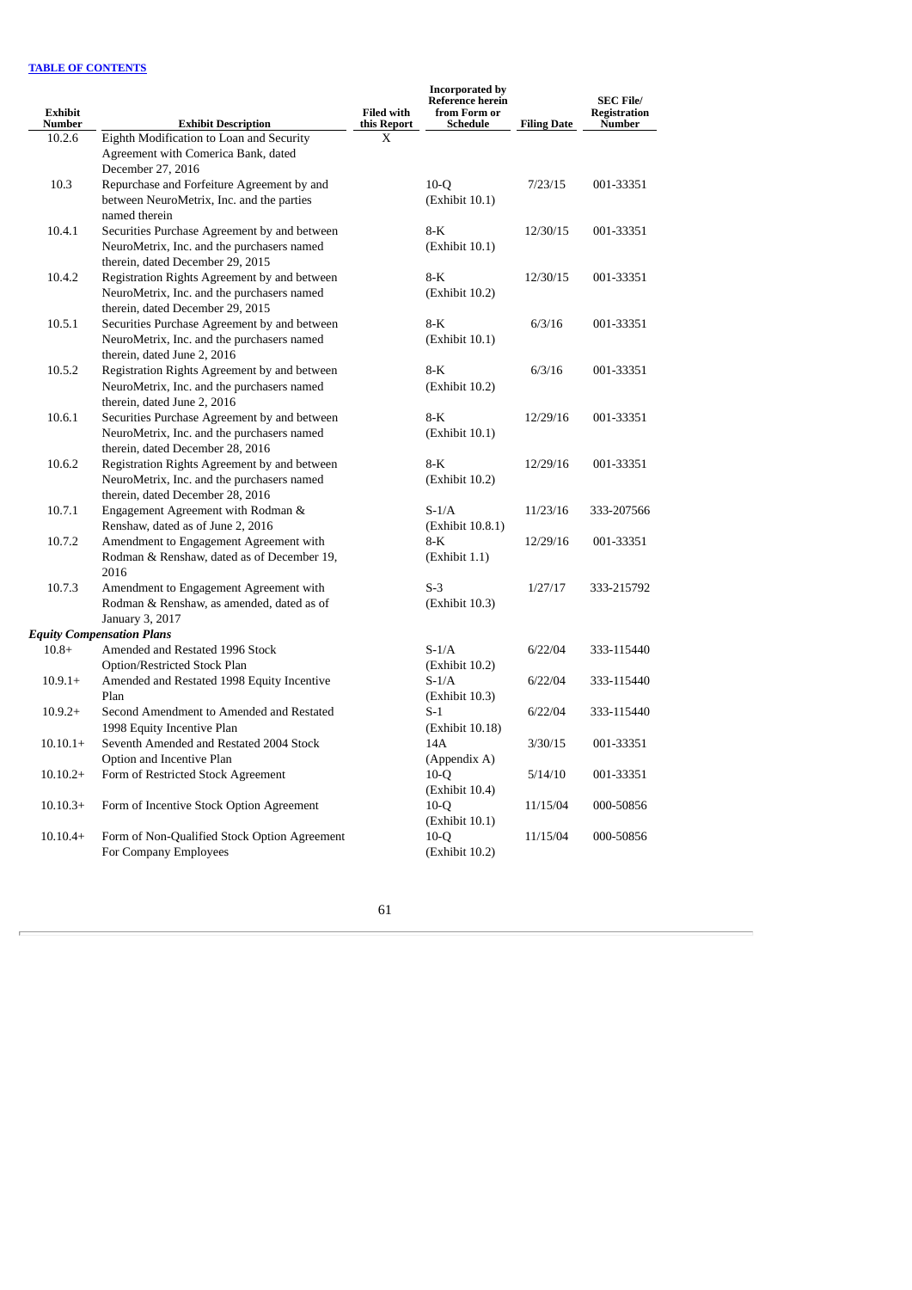| Exhibit<br>Number | <b>Exhibit Description</b>                                   | <b>Filed with</b><br>this Report | <b>Incorporated by</b><br><b>Reference herein</b><br>from Form or<br>Schedule | <b>Filing Date</b> | <b>SEC File/</b><br>Registration<br>Number |
|-------------------|--------------------------------------------------------------|----------------------------------|-------------------------------------------------------------------------------|--------------------|--------------------------------------------|
| 10.2.6            | Eighth Modification to Loan and Security                     | Х                                |                                                                               |                    |                                            |
|                   | Agreement with Comerica Bank, dated                          |                                  |                                                                               |                    |                                            |
|                   | December 27, 2016                                            |                                  |                                                                               |                    |                                            |
| 10.3              | Repurchase and Forfeiture Agreement by and                   |                                  | $10-Q$                                                                        | 7/23/15            | 001-33351                                  |
|                   | between NeuroMetrix, Inc. and the parties                    |                                  | (Exhibit 10.1)                                                                |                    |                                            |
|                   | named therein                                                |                                  |                                                                               |                    |                                            |
| 10.4.1            | Securities Purchase Agreement by and between                 |                                  | $8-K$                                                                         | 12/30/15           | 001-33351                                  |
|                   | NeuroMetrix, Inc. and the purchasers named<br>(Exhibit 10.1) |                                  |                                                                               |                    |                                            |
|                   | therein, dated December 29, 2015                             |                                  |                                                                               |                    |                                            |
| 10.4.2            | Registration Rights Agreement by and between                 |                                  | $8-K$                                                                         | 12/30/15           | 001-33351                                  |
|                   | NeuroMetrix, Inc. and the purchasers named                   |                                  | (Exhibit 10.2)                                                                |                    |                                            |
|                   | therein, dated December 29, 2015                             |                                  |                                                                               |                    |                                            |
| 10.5.1            | Securities Purchase Agreement by and between                 |                                  | $8-K$                                                                         | 6/3/16             | 001-33351                                  |
|                   | NeuroMetrix, Inc. and the purchasers named                   |                                  | (Exhibit 10.1)                                                                |                    |                                            |
|                   | therein, dated June 2, 2016                                  |                                  |                                                                               |                    |                                            |
| 10.5.2            | Registration Rights Agreement by and between                 |                                  | $8-K$                                                                         | 6/3/16             | 001-33351                                  |
|                   | NeuroMetrix, Inc. and the purchasers named                   |                                  | (Exhibit 10.2)                                                                |                    |                                            |
|                   | therein, dated June 2, 2016                                  |                                  |                                                                               |                    |                                            |
| 10.6.1            | Securities Purchase Agreement by and between                 |                                  | 8-K                                                                           | 12/29/16           | 001-33351                                  |
|                   | NeuroMetrix, Inc. and the purchasers named                   |                                  | (Exhibit 10.1)                                                                |                    |                                            |
|                   | therein, dated December 28, 2016                             |                                  |                                                                               |                    |                                            |
| 10.6.2            | Registration Rights Agreement by and between                 |                                  | $8-K$                                                                         | 12/29/16           | 001-33351                                  |
|                   | NeuroMetrix, Inc. and the purchasers named                   |                                  | (Exhibit 10.2)                                                                |                    |                                            |
|                   | therein, dated December 28, 2016                             |                                  |                                                                               |                    |                                            |
| 10.7.1            | Engagement Agreement with Rodman &                           |                                  | $S-1/A$                                                                       | 11/23/16           | 333-207566                                 |
|                   | Renshaw, dated as of June 2, 2016                            | (Exhibit 10.8.1)                 |                                                                               |                    |                                            |
| 10.7.2            | Amendment to Engagement Agreement with                       |                                  | 8-K                                                                           | 12/29/16           | 001-33351                                  |
|                   | Rodman & Renshaw, dated as of December 19,                   |                                  | (Exhibit 1.1)                                                                 |                    |                                            |
|                   | 2016                                                         |                                  |                                                                               |                    |                                            |
| 10.7.3            | Amendment to Engagement Agreement with                       |                                  | $S-3$                                                                         | 1/27/17            | 333-215792                                 |
|                   | Rodman & Renshaw, as amended, dated as of                    |                                  | (Exhibit 10.3)                                                                |                    |                                            |
|                   | January 3, 2017                                              |                                  |                                                                               |                    |                                            |
|                   | <b>Equity Compensation Plans</b>                             |                                  |                                                                               |                    |                                            |
| $10.8+$           | Amended and Restated 1996 Stock                              |                                  | $S-1/A$                                                                       | 6/22/04            | 333-115440                                 |
|                   | Option/Restricted Stock Plan                                 |                                  | (Exhibit 10.2)                                                                |                    |                                            |
| $10.9.1+$         | Amended and Restated 1998 Equity Incentive                   |                                  | $S-1/A$                                                                       | 6/22/04            | 333-115440                                 |
|                   | Plan                                                         |                                  | (Exhibit 10.3)                                                                |                    |                                            |
| $10.9.2+$         | Second Amendment to Amended and Restated                     |                                  | $S-1$                                                                         | 6/22/04            | 333-115440                                 |
|                   | 1998 Equity Incentive Plan                                   |                                  | (Exhibit 10.18)                                                               |                    |                                            |
| $10.10.1+$        | Seventh Amended and Restated 2004 Stock                      |                                  | 14A                                                                           | 3/30/15            | 001-33351                                  |
|                   | Option and Incentive Plan                                    |                                  | (Appendix A)                                                                  |                    |                                            |
| $10.10.2+$        | Form of Restricted Stock Agreement                           |                                  | $10-Q$                                                                        | 5/14/10            | 001-33351                                  |
|                   |                                                              |                                  | (Exhibit 10.4)                                                                |                    |                                            |
| $10.10.3+$        | Form of Incentive Stock Option Agreement                     |                                  | $10-Q$                                                                        | 11/15/04           | 000-50856                                  |
|                   |                                                              |                                  | (Exhibit 10.1)                                                                |                    |                                            |
| $10.10.4+$        | Form of Non-Qualified Stock Option Agreement                 |                                  | $10-Q$                                                                        | 11/15/04           | 000-50856                                  |
|                   | For Company Employees                                        |                                  | (Exhibit 10.2)                                                                |                    |                                            |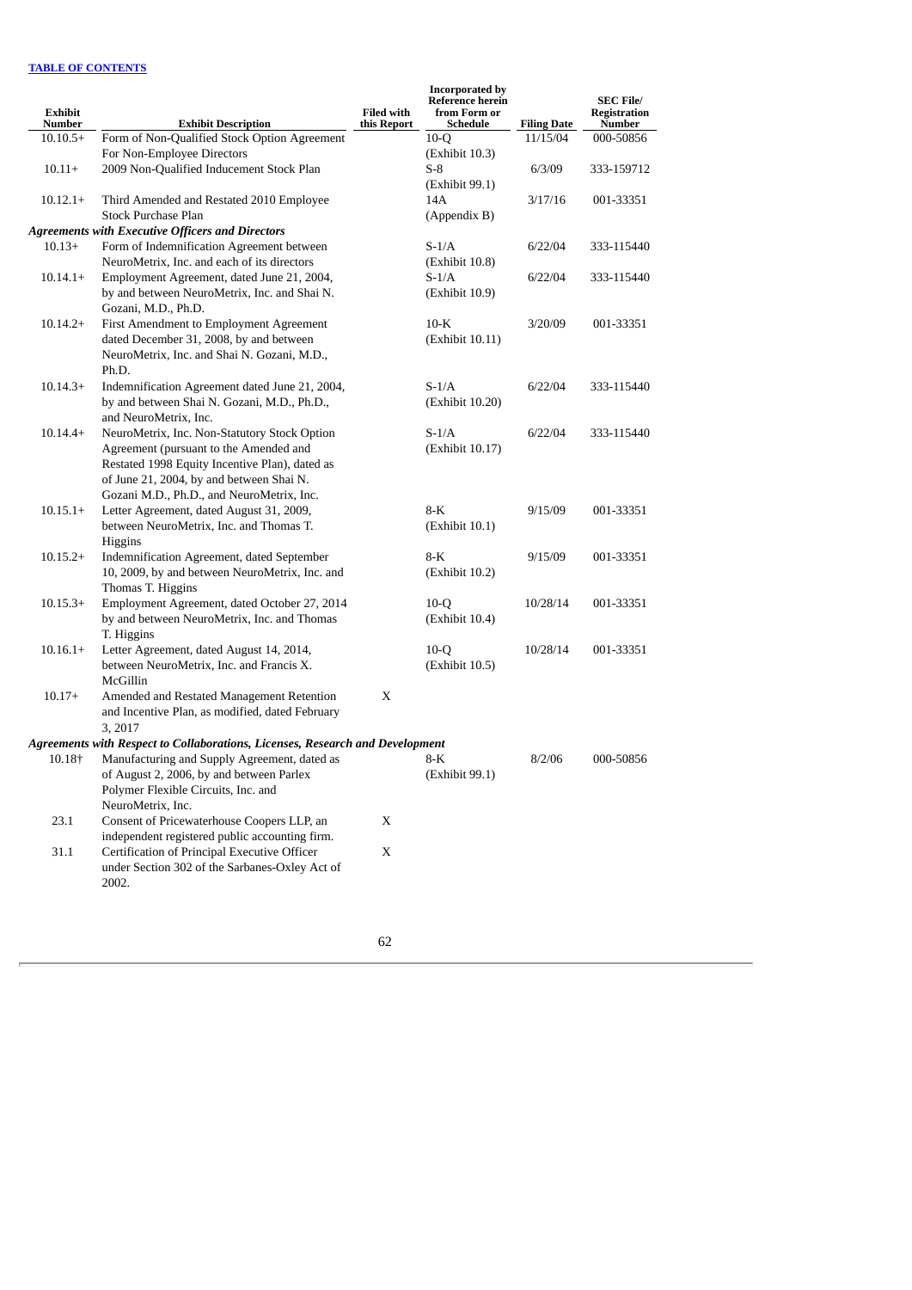|                |                                                                               |                   | <b>Incorporated by</b>                  |                    |                               |
|----------------|-------------------------------------------------------------------------------|-------------------|-----------------------------------------|--------------------|-------------------------------|
| <b>Exhibit</b> |                                                                               | <b>Filed with</b> | <b>Reference herein</b><br>from Form or |                    | <b>SEC File/</b>              |
| Number         | <b>Exhibit Description</b>                                                    | this Report       | <b>Schedule</b>                         | <b>Filing Date</b> | <b>Registration</b><br>Number |
| $10.10.5+$     | Form of Non-Qualified Stock Option Agreement                                  |                   | $10-o$                                  | 11/15/04           | 000-50856                     |
|                | For Non-Employee Directors                                                    |                   | (Exhibit 10.3)                          |                    |                               |
|                |                                                                               |                   |                                         |                    |                               |
| $10.11+$       | 2009 Non-Qualified Inducement Stock Plan                                      |                   | $S-8$                                   | 6/3/09             | 333-159712                    |
|                |                                                                               |                   | (Exhibit 99.1)                          |                    |                               |
| $10.12.1+$     | Third Amended and Restated 2010 Employee                                      |                   | 14A                                     | 3/17/16            | 001-33351                     |
|                | <b>Stock Purchase Plan</b>                                                    |                   | (Appendix B)                            |                    |                               |
|                | <b>Agreements with Executive Officers and Directors</b>                       |                   |                                         |                    |                               |
| $10.13+$       | Form of Indemnification Agreement between                                     |                   | $S-1/A$                                 | 6/22/04            | 333-115440                    |
|                | NeuroMetrix, Inc. and each of its directors                                   |                   | (Exhibit 10.8)                          |                    |                               |
| $10.14.1+$     | Employment Agreement, dated June 21, 2004,                                    |                   | $S-1/A$                                 | 6/22/04            | 333-115440                    |
|                | by and between NeuroMetrix, Inc. and Shai N.                                  |                   | (Exhibit 10.9)                          |                    |                               |
|                | Gozani, M.D., Ph.D.                                                           |                   |                                         |                    |                               |
| $10.14.2+$     | First Amendment to Employment Agreement                                       |                   | $10-K$                                  | 3/20/09            | 001-33351                     |
|                | dated December 31, 2008, by and between                                       |                   | (Exhibit 10.11)                         |                    |                               |
|                |                                                                               |                   |                                         |                    |                               |
|                | NeuroMetrix, Inc. and Shai N. Gozani, M.D.,                                   |                   |                                         |                    |                               |
|                | Ph.D.                                                                         |                   |                                         |                    |                               |
| $10.14.3+$     | Indemnification Agreement dated June 21, 2004,                                |                   | $S-1/A$                                 | 6/22/04            | 333-115440                    |
|                | by and between Shai N. Gozani, M.D., Ph.D.,                                   |                   | (Exhibit 10.20)                         |                    |                               |
|                | and NeuroMetrix, Inc.                                                         |                   |                                         |                    |                               |
| $10.14.4+$     | NeuroMetrix, Inc. Non-Statutory Stock Option                                  |                   | $S-1/A$                                 | 6/22/04            | 333-115440                    |
|                | Agreement (pursuant to the Amended and                                        |                   | (Exhibit 10.17)                         |                    |                               |
|                | Restated 1998 Equity Incentive Plan), dated as                                |                   |                                         |                    |                               |
|                | of June 21, 2004, by and between Shai N.                                      |                   |                                         |                    |                               |
|                | Gozani M.D., Ph.D., and NeuroMetrix, Inc.                                     |                   |                                         |                    |                               |
| $10.15.1+$     | Letter Agreement, dated August 31, 2009,                                      |                   | 8-K                                     | 9/15/09            | 001-33351                     |
|                | between NeuroMetrix, Inc. and Thomas T.                                       |                   | (Exhibit 10.1)                          |                    |                               |
|                | Higgins                                                                       |                   |                                         |                    |                               |
| $10.15.2+$     | Indemnification Agreement, dated September                                    |                   | 8-K                                     | 9/15/09            | 001-33351                     |
|                | 10, 2009, by and between NeuroMetrix, Inc. and                                |                   | (Exhibit 10.2)                          |                    |                               |
|                | Thomas T. Higgins                                                             |                   |                                         |                    |                               |
|                |                                                                               |                   |                                         |                    |                               |
| $10.15.3+$     | Employment Agreement, dated October 27, 2014                                  |                   | $10-Q$                                  | 10/28/14           | 001-33351                     |
|                | by and between NeuroMetrix, Inc. and Thomas                                   |                   | (Exhibit 10.4)                          |                    |                               |
|                | T. Higgins                                                                    |                   |                                         |                    |                               |
| $10.16.1+$     | Letter Agreement, dated August 14, 2014,                                      |                   | $10-Q$                                  | 10/28/14           | 001-33351                     |
|                | between NeuroMetrix, Inc. and Francis X.                                      |                   | (Exhibit 10.5)                          |                    |                               |
|                | McGillin                                                                      |                   |                                         |                    |                               |
| $10.17+$       | Amended and Restated Management Retention                                     | X                 |                                         |                    |                               |
|                | and Incentive Plan, as modified, dated February                               |                   |                                         |                    |                               |
|                | 3, 2017                                                                       |                   |                                         |                    |                               |
|                | Agreements with Respect to Collaborations, Licenses, Research and Development |                   |                                         |                    |                               |
| 10.18+         | Manufacturing and Supply Agreement, dated as                                  |                   | 8-K                                     | 8/2/06             | 000-50856                     |
|                | of August 2, 2006, by and between Parlex                                      |                   | (Exhibit 99.1)                          |                    |                               |
|                | Polymer Flexible Circuits, Inc. and                                           |                   |                                         |                    |                               |
|                | NeuroMetrix, Inc.                                                             |                   |                                         |                    |                               |
| 23.1           | Consent of Pricewaterhouse Coopers LLP, an                                    | $\mathbf X$       |                                         |                    |                               |
|                |                                                                               |                   |                                         |                    |                               |
|                | independent registered public accounting firm.                                |                   |                                         |                    |                               |
| 31.1           | Certification of Principal Executive Officer                                  | X                 |                                         |                    |                               |
|                | under Section 302 of the Sarbanes-Oxley Act of                                |                   |                                         |                    |                               |
|                | 2002.                                                                         |                   |                                         |                    |                               |
|                |                                                                               |                   |                                         |                    |                               |
|                |                                                                               |                   |                                         |                    |                               |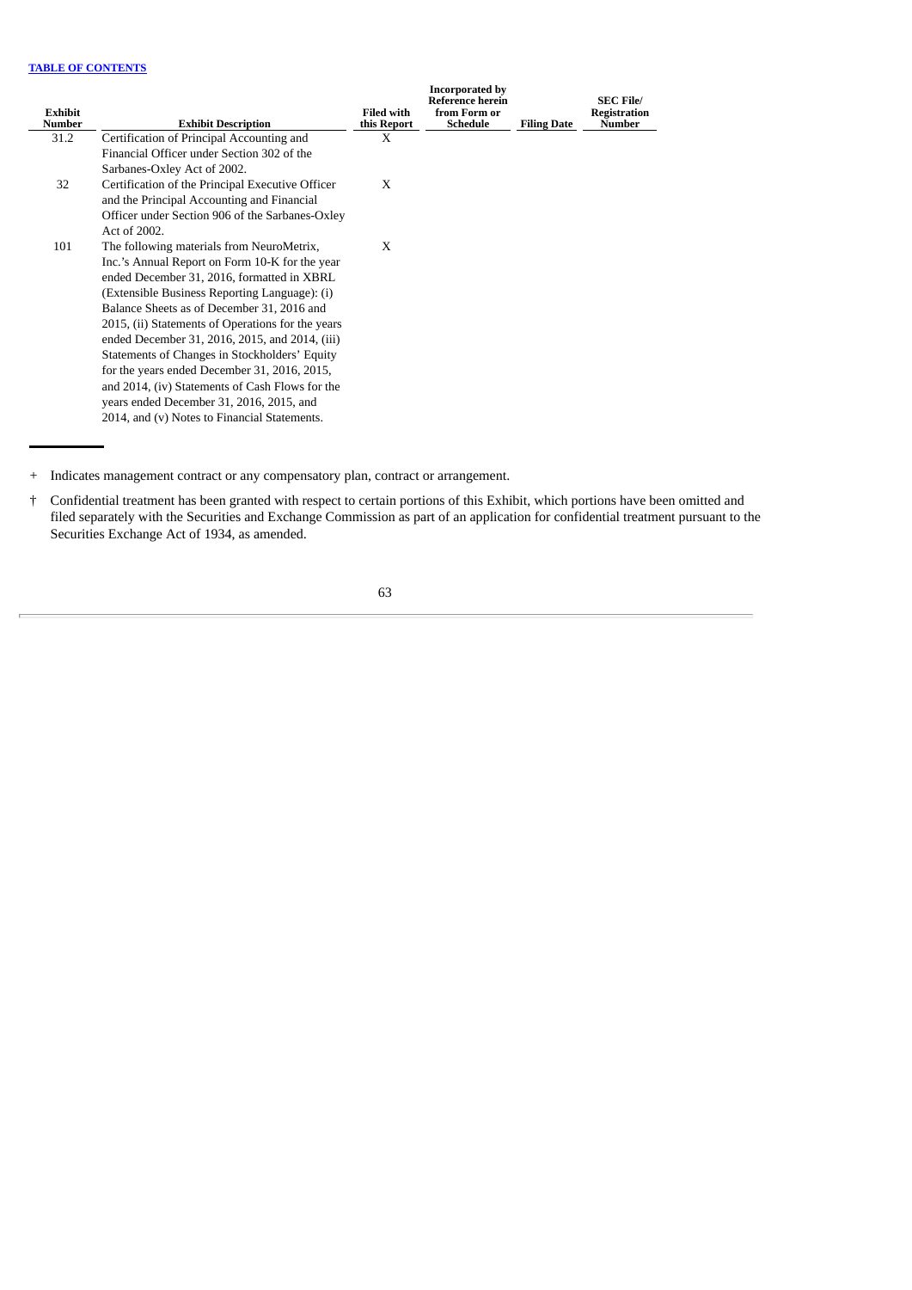| <b>Exhibit</b><br><b>Number</b> | <b>Exhibit Description</b>                        | <b>Filed with</b> | <b>Incorporated by</b><br>Reference herein<br>from Form or<br><b>Schedule</b> |                    | <b>SEC File/</b><br>Registration<br>Number |
|---------------------------------|---------------------------------------------------|-------------------|-------------------------------------------------------------------------------|--------------------|--------------------------------------------|
| 31.2                            | Certification of Principal Accounting and         | this Report<br>X  |                                                                               | <b>Filing Date</b> |                                            |
|                                 | Financial Officer under Section 302 of the        |                   |                                                                               |                    |                                            |
|                                 |                                                   |                   |                                                                               |                    |                                            |
|                                 | Sarbanes-Oxley Act of 2002.                       |                   |                                                                               |                    |                                            |
| 32                              | Certification of the Principal Executive Officer  | X                 |                                                                               |                    |                                            |
|                                 | and the Principal Accounting and Financial        |                   |                                                                               |                    |                                            |
|                                 | Officer under Section 906 of the Sarbanes-Oxley   |                   |                                                                               |                    |                                            |
|                                 | Act of 2002.                                      |                   |                                                                               |                    |                                            |
| 101                             | The following materials from NeuroMetrix,         | X                 |                                                                               |                    |                                            |
|                                 | Inc.'s Annual Report on Form 10-K for the year    |                   |                                                                               |                    |                                            |
|                                 | ended December 31, 2016, formatted in XBRL        |                   |                                                                               |                    |                                            |
|                                 | (Extensible Business Reporting Language): (i)     |                   |                                                                               |                    |                                            |
|                                 | Balance Sheets as of December 31, 2016 and        |                   |                                                                               |                    |                                            |
|                                 | 2015, (ii) Statements of Operations for the years |                   |                                                                               |                    |                                            |
|                                 | ended December 31, 2016, 2015, and 2014, (iii)    |                   |                                                                               |                    |                                            |
|                                 | Statements of Changes in Stockholders' Equity     |                   |                                                                               |                    |                                            |
|                                 | for the years ended December 31, 2016, 2015,      |                   |                                                                               |                    |                                            |
|                                 | and 2014, (iv) Statements of Cash Flows for the   |                   |                                                                               |                    |                                            |
|                                 | years ended December 31, 2016, 2015, and          |                   |                                                                               |                    |                                            |
|                                 | 2014, and (v) Notes to Financial Statements.      |                   |                                                                               |                    |                                            |
|                                 |                                                   |                   |                                                                               |                    |                                            |

<sup>+</sup> Indicates management contract or any compensatory plan, contract or arrangement.

† Confidential treatment has been granted with respect to certain portions of this Exhibit, which portions have been omitted and filed separately with the Securities and Exchange Commission as part of an application for confidential treatment pursuant to the Securities Exchange Act of 1934, as amended.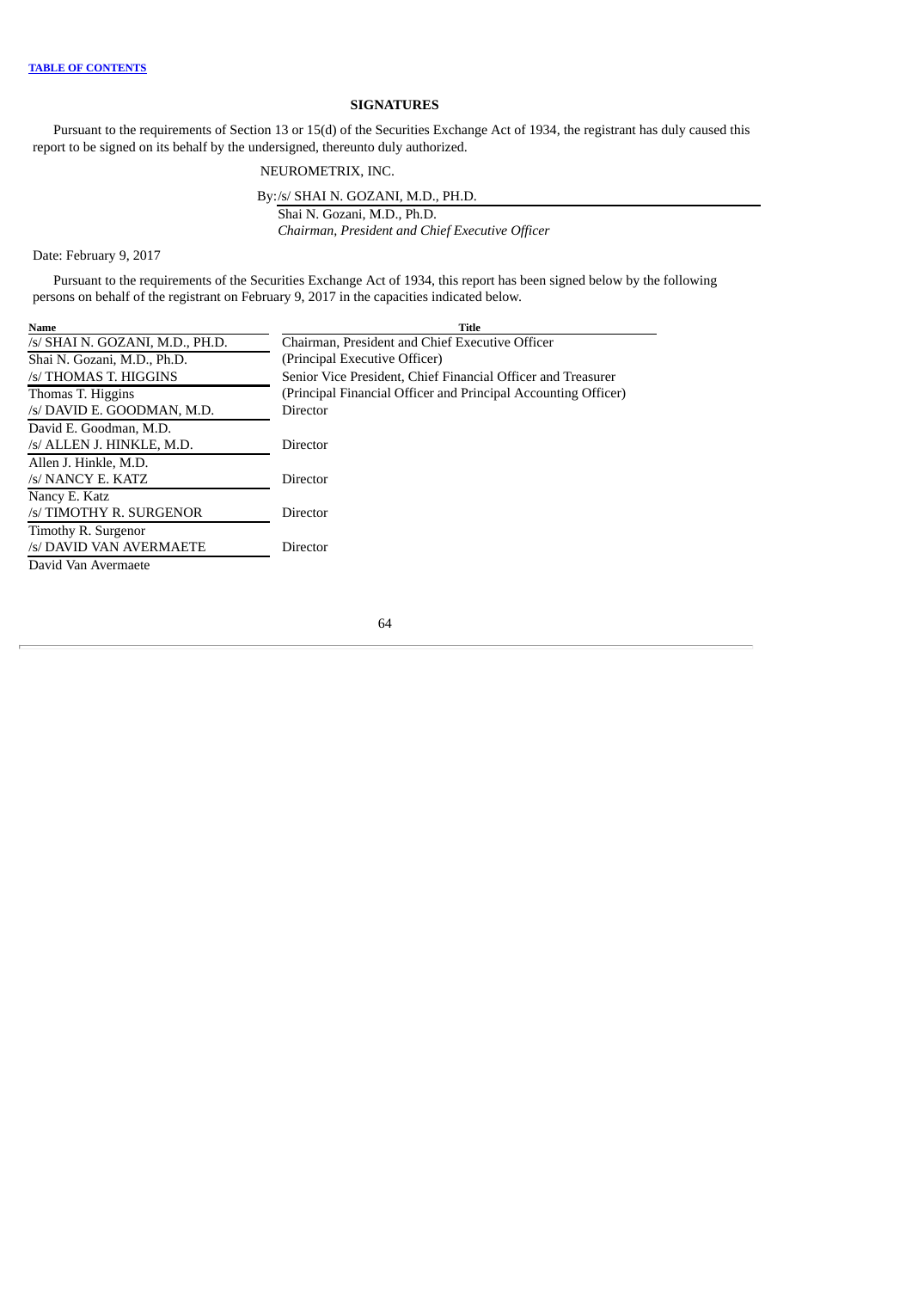## **SIGNATURES**

Pursuant to the requirements of Section 13 or 15(d) of the Securities Exchange Act of 1934, the registrant has duly caused this report to be signed on its behalf by the undersigned, thereunto duly authorized.

## NEUROMETRIX, INC.

By:/s/ SHAI N. GOZANI, M.D., PH.D.

Shai N. Gozani, M.D., Ph.D. *Chairman, President and Chief Executive Officer*

Date: February 9, 2017

Pursuant to the requirements of the Securities Exchange Act of 1934, this report has been signed below by the following persons on behalf of the registrant on February 9, 2017 in the capacities indicated below.

| Name                            | Title                                                          |
|---------------------------------|----------------------------------------------------------------|
| /s/ SHAI N. GOZANI, M.D., PH.D. | Chairman, President and Chief Executive Officer                |
| Shai N. Gozani, M.D., Ph.D.     | (Principal Executive Officer)                                  |
| /s/ THOMAS T. HIGGINS           | Senior Vice President, Chief Financial Officer and Treasurer   |
| Thomas T. Higgins               | (Principal Financial Officer and Principal Accounting Officer) |
| /s/ DAVID E. GOODMAN, M.D.      | Director                                                       |
| David E. Goodman, M.D.          |                                                                |
| /s/ ALLEN J. HINKLE, M.D.       | Director                                                       |
| Allen J. Hinkle, M.D.           |                                                                |
| /s/ NANCY E. KATZ               | Director                                                       |
| Nancy E. Katz                   |                                                                |
| /s/ TIMOTHY R. SURGENOR         | Director                                                       |
| Timothy R. Surgenor             |                                                                |
| /s/ DAVID VAN AVERMAETE         | Director                                                       |
| David Van Avermaete             |                                                                |
|                                 |                                                                |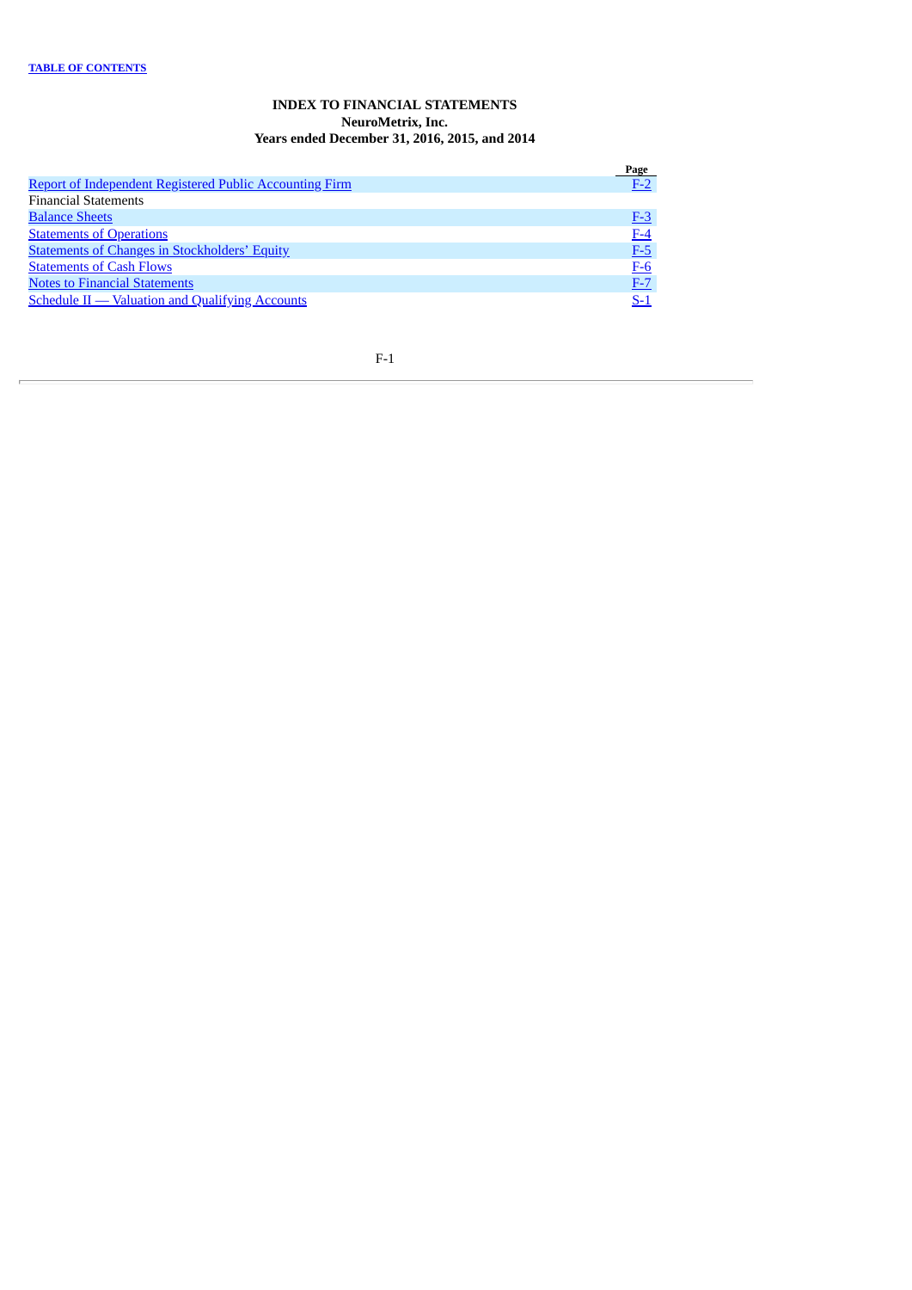## **INDEX TO FINANCIAL STATEMENTS NeuroMetrix, Inc. Years ended December 31, 2016, 2015, and 2014**

<span id="page-67-0"></span>

|                                                                | Page  |
|----------------------------------------------------------------|-------|
| <b>Report of Independent Registered Public Accounting Firm</b> | $F-2$ |
| <b>Financial Statements</b>                                    |       |
| <b>Balance Sheets</b>                                          | $F-3$ |
| <b>Statements of Operations</b>                                | $F-4$ |
| <b>Statements of Changes in Stockholders' Equity</b>           | $F-5$ |
| <b>Statements of Cash Flows</b>                                | $F-6$ |
| <b>Notes to Financial Statements</b>                           | $F-7$ |
| <b>Schedule II — Valuation and Qualifying Accounts</b>         | $S-1$ |
|                                                                |       |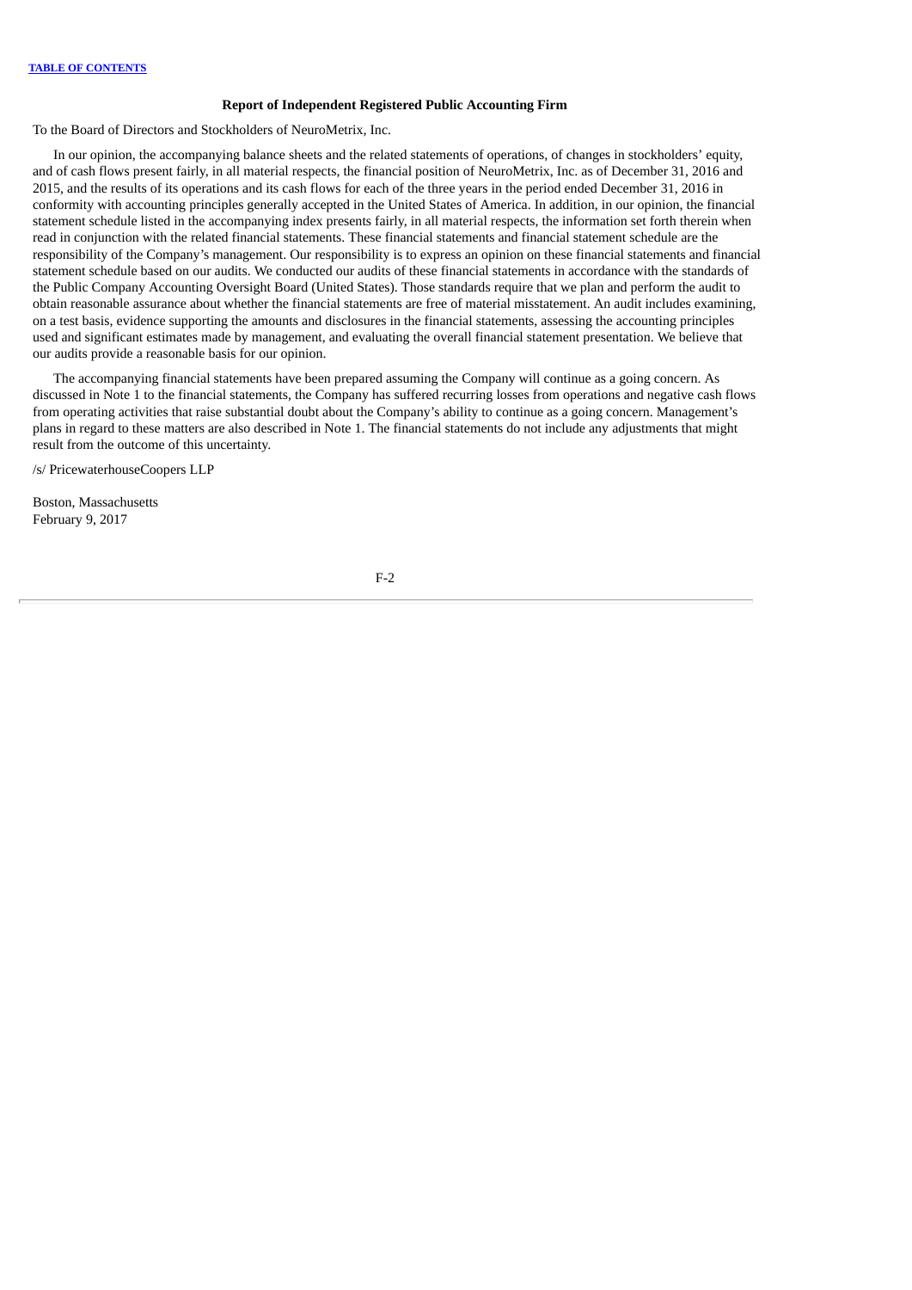#### **Report of Independent Registered Public Accounting Firm**

<span id="page-68-0"></span>To the Board of Directors and Stockholders of NeuroMetrix, Inc.

In our opinion, the accompanying balance sheets and the related statements of operations, of changes in stockholders' equity, and of cash flows present fairly, in all material respects, the financial position of NeuroMetrix, Inc. as of December 31, 2016 and 2015, and the results of its operations and its cash flows for each of the three years in the period ended December 31, 2016 in conformity with accounting principles generally accepted in the United States of America. In addition, in our opinion, the financial statement schedule listed in the accompanying index presents fairly, in all material respects, the information set forth therein when read in conjunction with the related financial statements. These financial statements and financial statement schedule are the responsibility of the Company's management. Our responsibility is to express an opinion on these financial statements and financial statement schedule based on our audits. We conducted our audits of these financial statements in accordance with the standards of the Public Company Accounting Oversight Board (United States). Those standards require that we plan and perform the audit to obtain reasonable assurance about whether the financial statements are free of material misstatement. An audit includes examining, on a test basis, evidence supporting the amounts and disclosures in the financial statements, assessing the accounting principles used and significant estimates made by management, and evaluating the overall financial statement presentation. We believe that our audits provide a reasonable basis for our opinion.

The accompanying financial statements have been prepared assuming the Company will continue as a going concern. As discussed in Note 1 to the financial statements, the Company has suffered recurring losses from operations and negative cash flows from operating activities that raise substantial doubt about the Company's ability to continue as a going concern. Management's plans in regard to these matters are also described in Note 1. The financial statements do not include any adjustments that might result from the outcome of this uncertainty.

/s/ PricewaterhouseCoopers LLP

Boston, Massachusetts February 9, 2017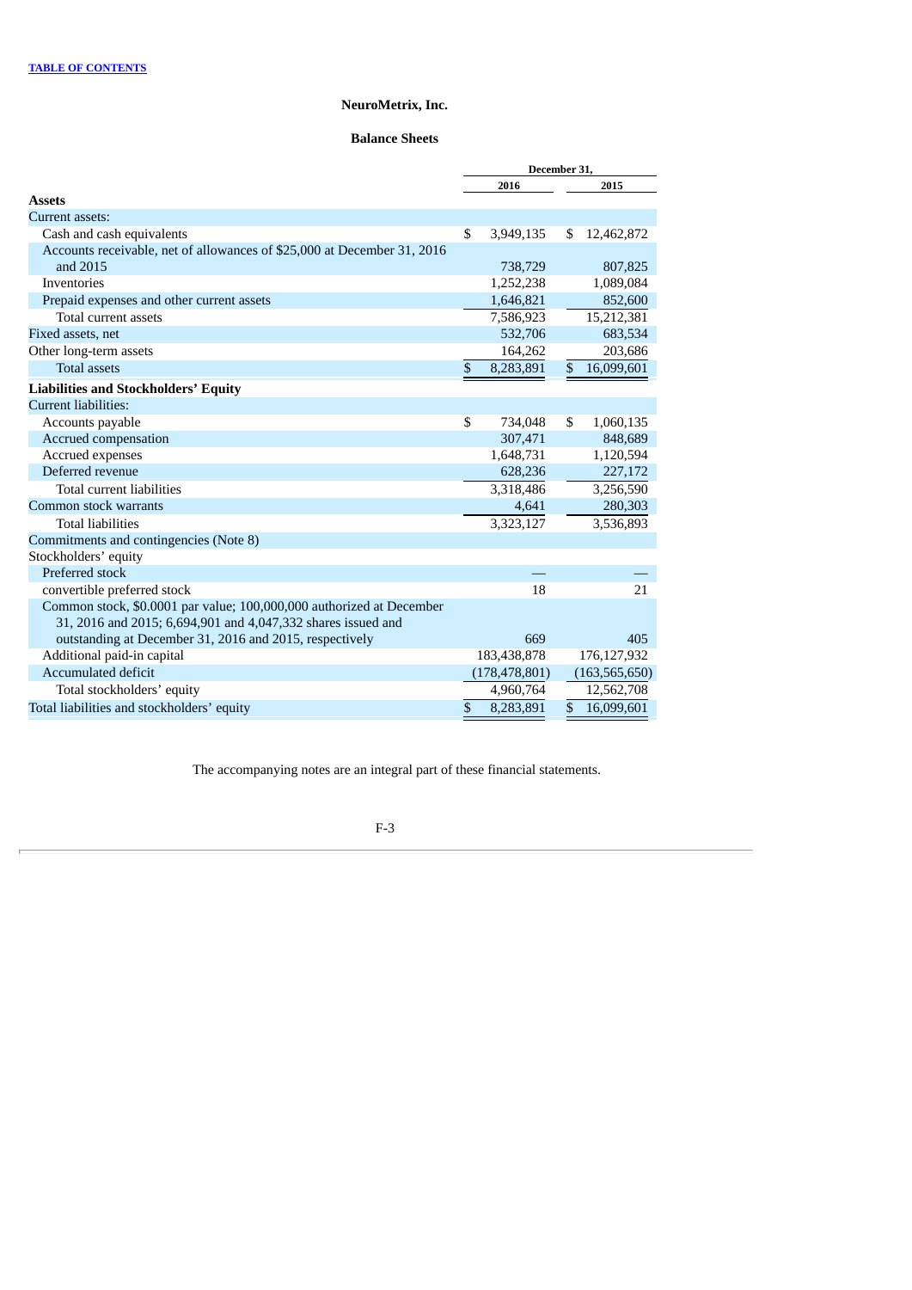# **NeuroMetrix, Inc.**

**Balance Sheets**

<span id="page-69-0"></span>

|                                                                         | December 31, |                 |               |                 |
|-------------------------------------------------------------------------|--------------|-----------------|---------------|-----------------|
|                                                                         |              | 2016            |               | 2015            |
| Assets                                                                  |              |                 |               |                 |
| Current assets:                                                         |              |                 |               |                 |
| Cash and cash equivalents                                               | \$           | 3,949,135       | \$            | 12,462,872      |
| Accounts receivable, net of allowances of \$25,000 at December 31, 2016 |              |                 |               |                 |
| and 2015                                                                |              | 738,729         |               | 807,825         |
| <b>Inventories</b>                                                      |              | 1,252,238       |               | 1,089,084       |
| Prepaid expenses and other current assets                               |              | 1,646,821       |               | 852,600         |
| Total current assets                                                    |              | 7,586,923       |               | 15,212,381      |
| Fixed assets, net                                                       |              | 532,706         |               | 683,534         |
| Other long-term assets                                                  |              | 164,262         |               | 203,686         |
| <b>Total assets</b>                                                     | \$           | 8,283,891       | $\mathbb{S}$  | 16,099,601      |
| <b>Liabilities and Stockholders' Equity</b>                             |              |                 |               |                 |
| <b>Current liabilities:</b>                                             |              |                 |               |                 |
| Accounts payable                                                        | \$           | 734,048         | \$            | 1,060,135       |
| Accrued compensation                                                    |              | 307,471         |               | 848,689         |
| Accrued expenses                                                        |              | 1,648,731       |               | 1,120,594       |
| Deferred revenue                                                        |              | 628,236         |               | 227,172         |
| Total current liabilities                                               |              | 3,318,486       |               | 3,256,590       |
| Common stock warrants                                                   |              | 4,641           |               | 280,303         |
| <b>Total liabilities</b>                                                |              | 3,323,127       |               | 3,536,893       |
| Commitments and contingencies (Note 8)                                  |              |                 |               |                 |
| Stockholders' equity                                                    |              |                 |               |                 |
| Preferred stock                                                         |              |                 |               |                 |
| convertible preferred stock                                             |              | 18              |               | 21              |
| Common stock, \$0.0001 par value; 100,000,000 authorized at December    |              |                 |               |                 |
| 31, 2016 and 2015; 6,694,901 and 4,047,332 shares issued and            |              |                 |               |                 |
| outstanding at December 31, 2016 and 2015, respectively                 |              | 669             |               | 405             |
| Additional paid-in capital                                              |              | 183,438,878     |               | 176, 127, 932   |
| <b>Accumulated deficit</b>                                              |              | (178, 478, 801) |               | (163, 565, 650) |
| Total stockholders' equity                                              |              | 4,960,764       |               | 12,562,708      |
| Total liabilities and stockholders' equity                              | \$           | 8,283,891       | $\mathbf{\$}$ | 16,099,601      |

The accompanying notes are an integral part of these financial statements.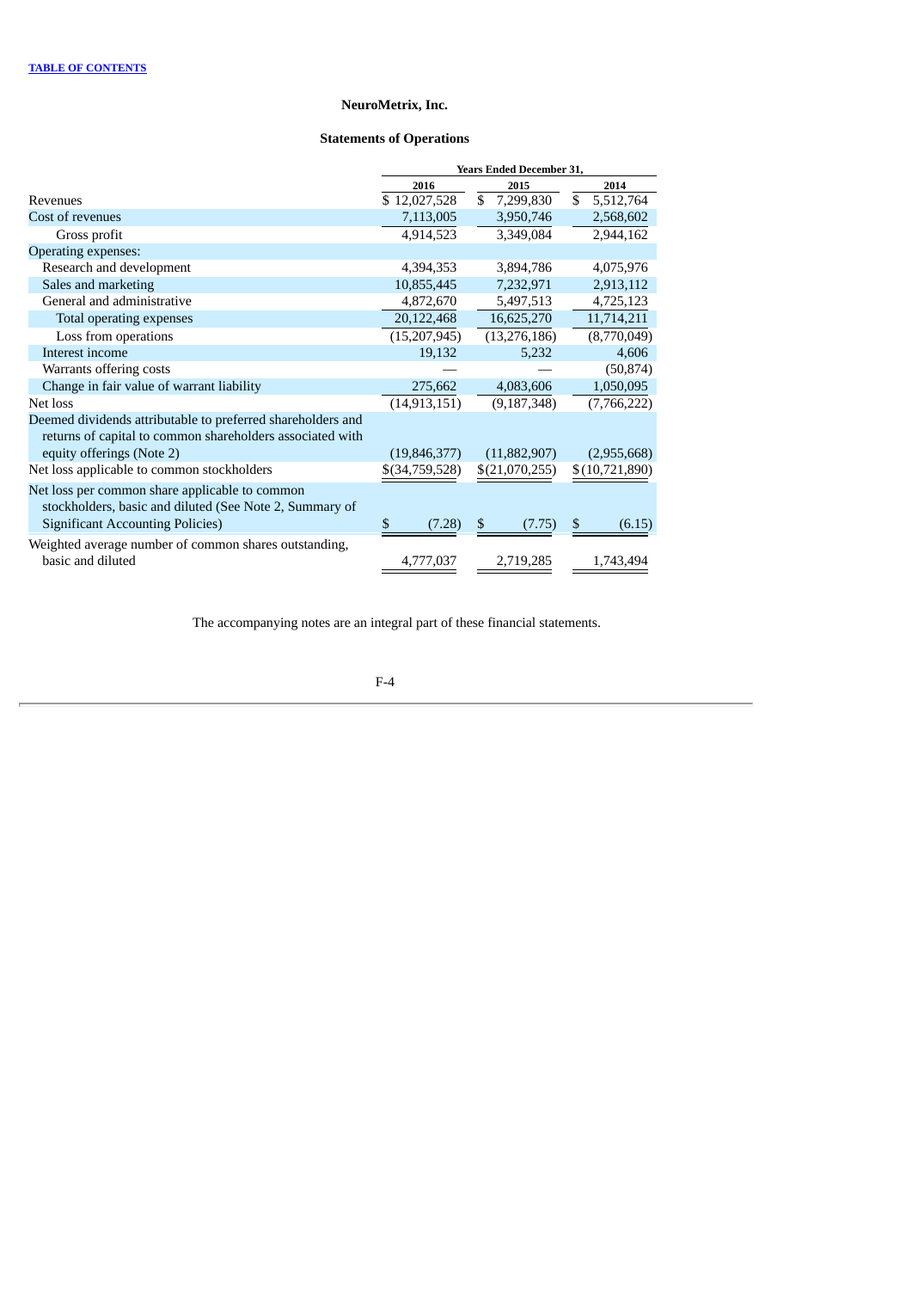# **NeuroMetrix, Inc.**

# **Statements of Operations**

<span id="page-70-0"></span>

|                                                             | <b>Years Ended December 31,</b> |                 |                 |  |  |  |
|-------------------------------------------------------------|---------------------------------|-----------------|-----------------|--|--|--|
|                                                             | 2016                            | 2014            |                 |  |  |  |
| Revenues                                                    | \$12,027,528                    | \$<br>7,299,830 | \$<br>5,512,764 |  |  |  |
| Cost of revenues                                            | 7,113,005                       | 3,950,746       | 2,568,602       |  |  |  |
| Gross profit                                                | 4,914,523                       | 3,349,084       | 2,944,162       |  |  |  |
| <b>Operating expenses:</b>                                  |                                 |                 |                 |  |  |  |
| Research and development                                    | 4,394,353                       | 3,894,786       | 4,075,976       |  |  |  |
| Sales and marketing                                         | 10,855,445                      | 7,232,971       | 2,913,112       |  |  |  |
| General and administrative                                  | 4,872,670                       | 5,497,513       | 4,725,123       |  |  |  |
| Total operating expenses                                    | 20,122,468                      | 16,625,270      | 11,714,211      |  |  |  |
| Loss from operations                                        | (15, 207, 945)                  | (13, 276, 186)  | (8,770,049)     |  |  |  |
| Interest income                                             | 19,132                          | 5,232           | 4,606           |  |  |  |
| Warrants offering costs                                     |                                 |                 | (50, 874)       |  |  |  |
| Change in fair value of warrant liability                   | 275,662                         | 4,083,606       | 1,050,095       |  |  |  |
| Net loss                                                    | (14, 913, 151)                  | (9, 187, 348)   | (7,766,222)     |  |  |  |
| Deemed dividends attributable to preferred shareholders and |                                 |                 |                 |  |  |  |
| returns of capital to common shareholders associated with   |                                 |                 |                 |  |  |  |
| equity offerings (Note 2)                                   | (19, 846, 377)                  | (11,882,907)    | (2,955,668)     |  |  |  |
| Net loss applicable to common stockholders                  | \$(34,759,528)                  | \$(21,070,255)  | \$(10,721,890)  |  |  |  |
| Net loss per common share applicable to common              |                                 |                 |                 |  |  |  |
| stockholders, basic and diluted (See Note 2, Summary of     |                                 |                 |                 |  |  |  |
| <b>Significant Accounting Policies)</b>                     | \$<br>(7.28)                    | \$<br>(7.75)    | \$<br>(6.15)    |  |  |  |
| Weighted average number of common shares outstanding,       |                                 |                 |                 |  |  |  |
| basic and diluted                                           | 4,777,037                       | 2,719,285       | 1,743,494       |  |  |  |
|                                                             |                                 |                 |                 |  |  |  |

The accompanying notes are an integral part of these financial statements.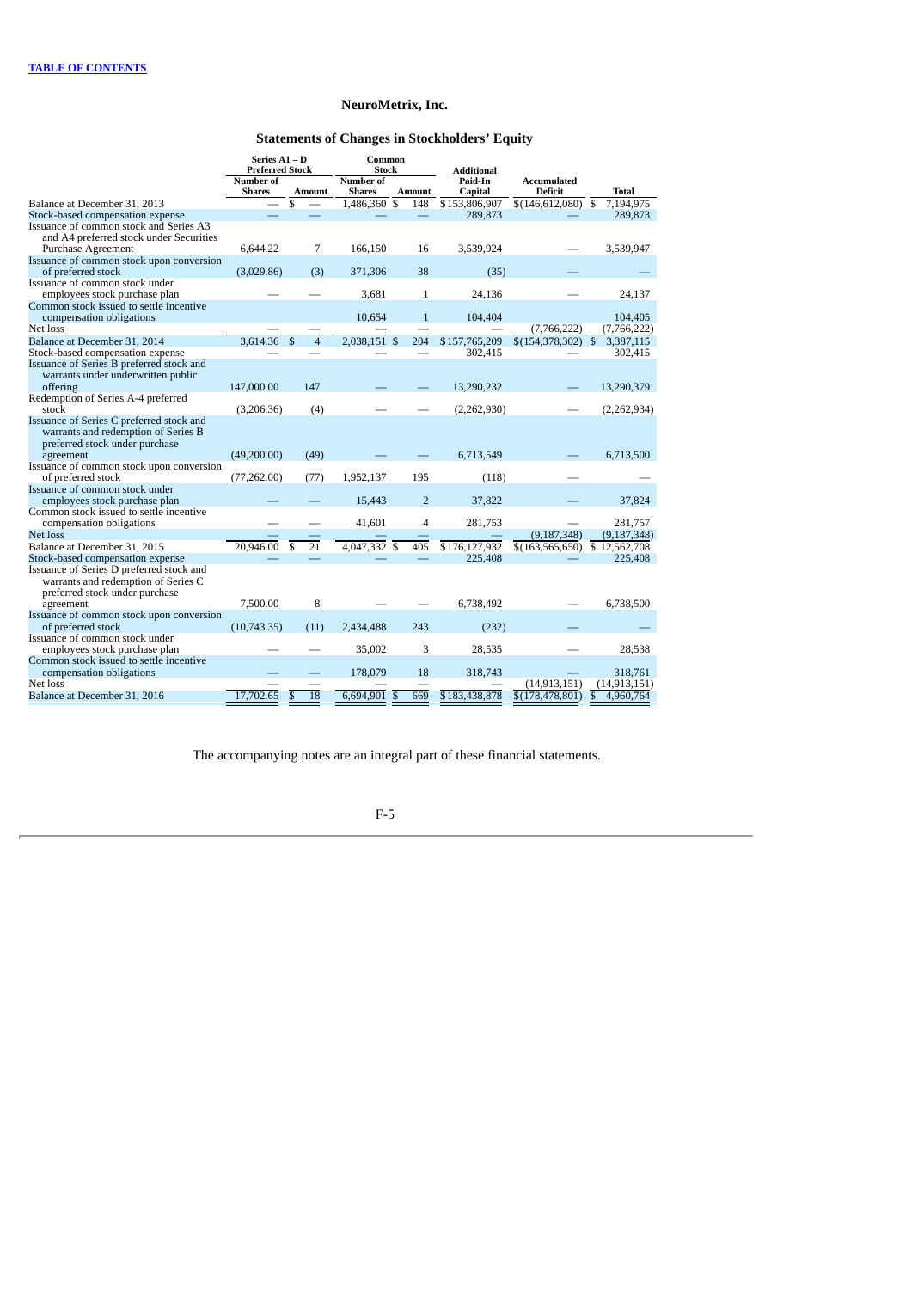## **NeuroMetrix, Inc.**

# **Statements of Changes in Stockholders' Equity**

<span id="page-71-0"></span>

|                                                                                                                                                       | Series A1 - D<br><b>Preferred Stock</b> |                                   | Common         |                       | <b>Stock</b>             |                       | <b>Additional</b>       |  |  |
|-------------------------------------------------------------------------------------------------------------------------------------------------------|-----------------------------------------|-----------------------------------|----------------|-----------------------|--------------------------|-----------------------|-------------------------|--|--|
|                                                                                                                                                       | Number of                               |                                   | Number of      |                       | Paid-In                  | <b>Accumulated</b>    |                         |  |  |
|                                                                                                                                                       | <b>Shares</b>                           | <b>Amount</b>                     | <b>Shares</b>  | <b>Amount</b>         | Capital                  | Deficit               | <b>Total</b>            |  |  |
| Balance at December 31, 2013                                                                                                                          |                                         | $\overline{\mathbb{S}}$           | $1,486,360$ \$ | 148                   | \$153,806,907            | $$(146, 612, 080)$ \$ | 7.194.975               |  |  |
| Stock-based compensation expense                                                                                                                      |                                         |                                   |                |                       | 289.873                  |                       | 289,873                 |  |  |
| Issuance of common stock and Series A3<br>and A4 preferred stock under Securities                                                                     |                                         |                                   |                |                       |                          |                       |                         |  |  |
| Purchase Agreement                                                                                                                                    | 6,644.22                                | 7                                 | 166,150        | 16                    | 3,539,924                |                       | 3,539,947               |  |  |
| Issuance of common stock upon conversion<br>of preferred stock                                                                                        | (3,029.86)                              | (3)                               | 371,306        | 38                    | (35)                     |                       |                         |  |  |
| Issuance of common stock under<br>employees stock purchase plan                                                                                       |                                         |                                   | 3.681          | $\mathbf{1}$          | 24,136                   |                       | 24,137                  |  |  |
| Common stock issued to settle incentive<br>compensation obligations                                                                                   |                                         |                                   | 10,654         | $\mathbf{1}$          | 104,404                  |                       | 104.405                 |  |  |
| Net loss                                                                                                                                              |                                         |                                   |                |                       |                          | (7,766,222)           | (7,766,222)             |  |  |
| Balance at December 31, 2014                                                                                                                          | 3,614.36                                | $\mathcal{S}$<br>$\overline{4}$   | 2,038,151 \$   | 204                   | \$157,765,209            | \$(154, 378, 302)     | 3,387,115<br>- \$       |  |  |
| Stock-based compensation expense<br>Issuance of Series B preferred stock and<br>warrants under underwritten public<br>offering                        | 147,000.00                              | 147                               |                |                       | 302,415<br>13,290,232    |                       | 302,415<br>13,290,379   |  |  |
| Redemption of Series A-4 preferred                                                                                                                    |                                         |                                   |                |                       |                          |                       |                         |  |  |
| stock                                                                                                                                                 | (3,206.36)                              | (4)                               |                |                       | (2,262,930)              |                       | (2,262,934)             |  |  |
| Issuance of Series C preferred stock and<br>warrants and redemption of Series B<br>preferred stock under purchase<br>agreement                        | (49,200.00)                             | (49)                              |                |                       | 6,713,549                |                       | 6,713,500               |  |  |
| Issuance of common stock upon conversion                                                                                                              |                                         |                                   |                |                       |                          |                       |                         |  |  |
| of preferred stock                                                                                                                                    | (77, 262.00)                            | (77)                              | 1,952,137      | 195                   | (118)                    |                       |                         |  |  |
| Issuance of common stock under<br>employees stock purchase plan                                                                                       |                                         |                                   | 15,443         | $\overline{2}$        | 37,822                   |                       | 37,824                  |  |  |
| Common stock issued to settle incentive<br>compensation obligations                                                                                   |                                         |                                   | 41,601         | $\overline{4}$        | 281,753                  |                       | 281,757                 |  |  |
| Net loss                                                                                                                                              |                                         |                                   |                |                       |                          | (9, 187, 348)         | (9, 187, 348)           |  |  |
| Balance at December 31, 2015                                                                                                                          | 20,946.00                               | $\overline{21}$<br>$\mathfrak{L}$ | $4,047,332$ \$ | 405                   | \$176,127,932<br>225,408 | \$(163, 565, 650)     | \$12,562,708<br>225,408 |  |  |
| Stock-based compensation expense<br>Issuance of Series D preferred stock and<br>warrants and redemption of Series C<br>preferred stock under purchase |                                         |                                   |                |                       |                          |                       |                         |  |  |
| agreement                                                                                                                                             | 7,500.00                                | 8                                 |                |                       | 6,738,492                |                       | 6,738,500               |  |  |
| Issuance of common stock upon conversion<br>of preferred stock                                                                                        | (10,743.35)                             | (11)                              | 2,434,488      | 243                   | (232)                    |                       |                         |  |  |
| Issuance of common stock under<br>employees stock purchase plan                                                                                       |                                         |                                   | 35,002         | 3                     | 28,535                   |                       | 28,538                  |  |  |
| Common stock issued to settle incentive<br>compensation obligations                                                                                   |                                         |                                   | 178,079        | 18                    | 318,743                  |                       | 318,761                 |  |  |
| Net loss                                                                                                                                              |                                         |                                   |                |                       |                          | (14, 913, 151)        | (14, 913, 151)          |  |  |
| Balance at December 31, 2016                                                                                                                          | 17,702.65                               | 18<br>$\overline{\mathbb{S}}$     | 6,694,901      | 669<br>$\mathfrak{F}$ | \$183,438,878            | \$(178, 478, 801)     | 4,960,764<br>\$         |  |  |

The accompanying notes are an integral part of these financial statements.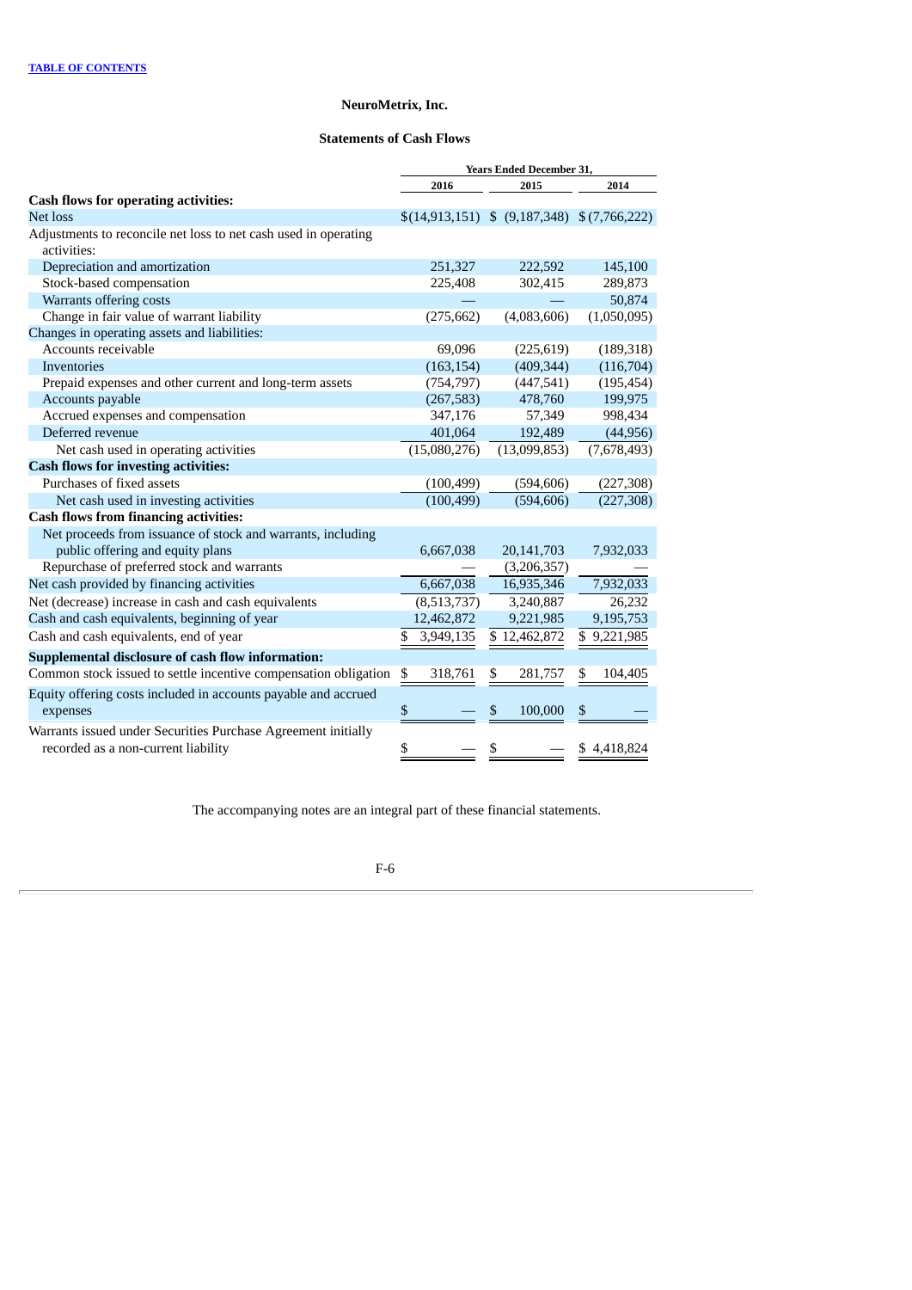# **Statements of Cash Flows**

|                                                                 | <b>Years Ended December 31,</b> |                                               |               |
|-----------------------------------------------------------------|---------------------------------|-----------------------------------------------|---------------|
|                                                                 | 2016                            | 2015                                          | 2014          |
| <b>Cash flows for operating activities:</b>                     |                                 |                                               |               |
| Net loss                                                        |                                 | $$(14,913,151) \$ (9,187,348) \$ (7,766,222)$ |               |
| Adjustments to reconcile net loss to net cash used in operating |                                 |                                               |               |
| activities:                                                     |                                 |                                               |               |
| Depreciation and amortization                                   | 251,327                         | 222,592                                       | 145,100       |
| Stock-based compensation                                        | 225,408                         | 302,415                                       | 289,873       |
| Warrants offering costs                                         |                                 |                                               | 50,874        |
| Change in fair value of warrant liability                       | (275, 662)                      | (4,083,606)                                   | (1,050,095)   |
| Changes in operating assets and liabilities:                    |                                 |                                               |               |
| Accounts receivable                                             | 69,096                          | (225, 619)                                    | (189, 318)    |
| Inventories                                                     | (163, 154)                      | (409, 344)                                    | (116, 704)    |
| Prepaid expenses and other current and long-term assets         | (754, 797)                      | (447, 541)                                    | (195, 454)    |
| Accounts payable                                                | (267, 583)                      | 478,760                                       | 199,975       |
| Accrued expenses and compensation                               | 347,176                         | 57,349                                        | 998,434       |
| Deferred revenue                                                | 401,064                         | 192,489                                       | (44, 956)     |
| Net cash used in operating activities                           | (15,080,276)                    | (13,099,853)                                  | (7,678,493)   |
| <b>Cash flows for investing activities:</b>                     |                                 |                                               |               |
| Purchases of fixed assets                                       | (100, 499)                      | (594, 606)                                    | (227, 308)    |
| Net cash used in investing activities                           | (100, 499)                      | (594, 606)                                    | (227, 308)    |
| <b>Cash flows from financing activities:</b>                    |                                 |                                               |               |
| Net proceeds from issuance of stock and warrants, including     |                                 |                                               |               |
| public offering and equity plans                                | 6,667,038                       | 20,141,703                                    | 7,932,033     |
| Repurchase of preferred stock and warrants                      |                                 | (3,206,357)                                   |               |
| Net cash provided by financing activities                       | 6,667,038                       | 16,935,346                                    | 7,932,033     |
| Net (decrease) increase in cash and cash equivalents            | (8,513,737)                     | 3,240,887                                     | 26,232        |
| Cash and cash equivalents, beginning of year                    | 12,462,872                      | 9,221,985                                     | 9,195,753     |
| Cash and cash equivalents, end of year                          | \$<br>3,949,135                 | \$12,462,872                                  | \$9,221,985   |
| Supplemental disclosure of cash flow information:               |                                 |                                               |               |
| Common stock issued to settle incentive compensation obligation | 318,761<br>\$                   | 281,757<br>S                                  | \$<br>104,405 |
| Equity offering costs included in accounts payable and accrued  |                                 |                                               |               |
| expenses                                                        | \$                              | \$<br>100,000                                 | \$            |
| Warrants issued under Securities Purchase Agreement initially   |                                 |                                               |               |
| recorded as a non-current liability                             | \$                              | \$                                            | \$4,418,824   |

The accompanying notes are an integral part of these financial statements.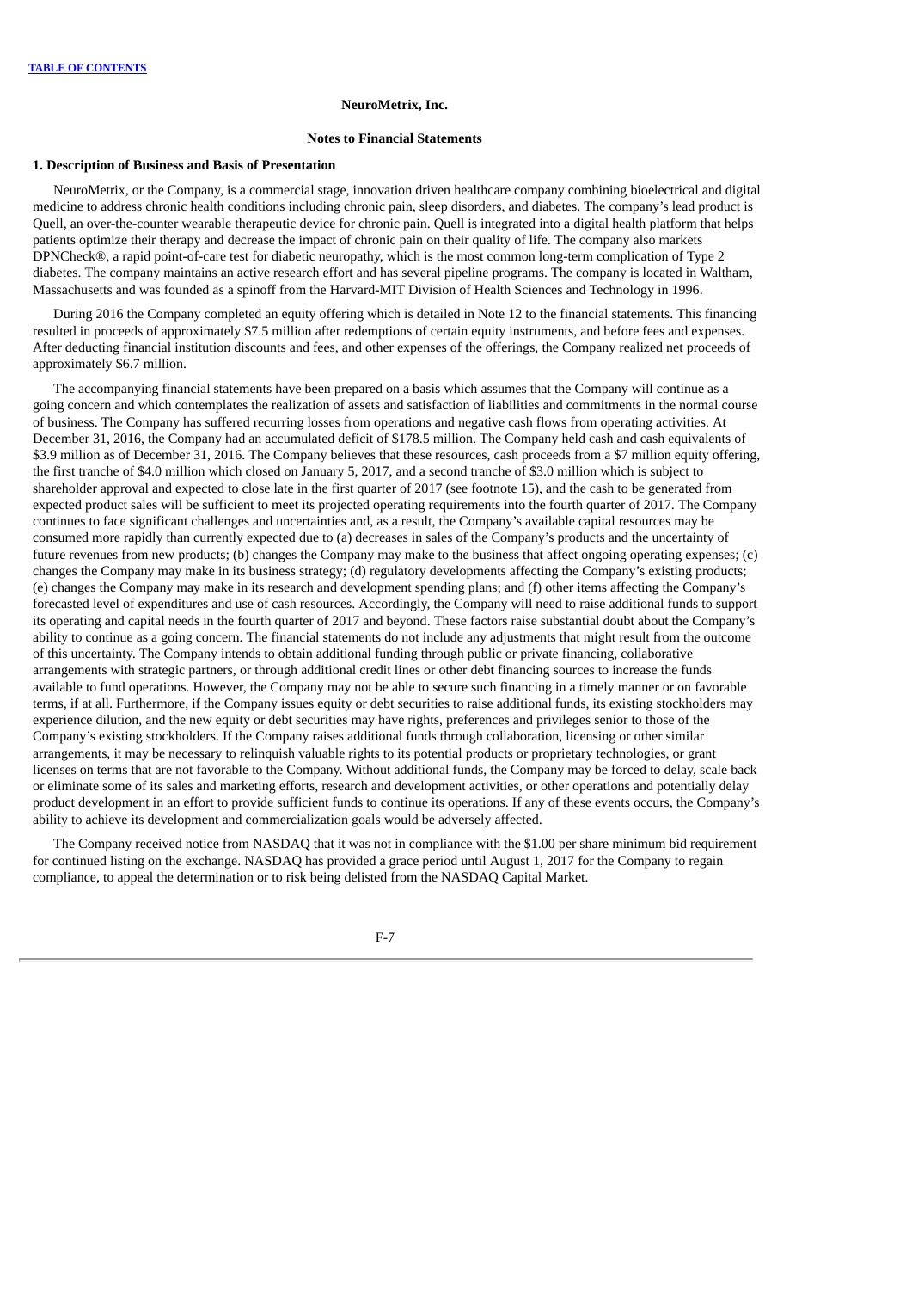#### **Notes to Financial Statements**

#### **1. Description of Business and Basis of Presentation**

NeuroMetrix, or the Company, is a commercial stage, innovation driven healthcare company combining bioelectrical and digital medicine to address chronic health conditions including chronic pain, sleep disorders, and diabetes. The company's lead product is Quell, an over-the-counter wearable therapeutic device for chronic pain. Quell is integrated into a digital health platform that helps patients optimize their therapy and decrease the impact of chronic pain on their quality of life. The company also markets DPNCheck®, a rapid point-of-care test for diabetic neuropathy, which is the most common long-term complication of Type 2 diabetes. The company maintains an active research effort and has several pipeline programs. The company is located in Waltham, Massachusetts and was founded as a spinoff from the Harvard-MIT Division of Health Sciences and Technology in 1996.

During 2016 the Company completed an equity offering which is detailed in Note 12 to the financial statements. This financing resulted in proceeds of approximately \$7.5 million after redemptions of certain equity instruments, and before fees and expenses. After deducting financial institution discounts and fees, and other expenses of the offerings, the Company realized net proceeds of approximately \$6.7 million.

The accompanying financial statements have been prepared on a basis which assumes that the Company will continue as a going concern and which contemplates the realization of assets and satisfaction of liabilities and commitments in the normal course of business. The Company has suffered recurring losses from operations and negative cash flows from operating activities. At December 31, 2016, the Company had an accumulated deficit of \$178.5 million. The Company held cash and cash equivalents of \$3.9 million as of December 31, 2016. The Company believes that these resources, cash proceeds from a \$7 million equity offering, the first tranche of \$4.0 million which closed on January 5, 2017, and a second tranche of \$3.0 million which is subject to shareholder approval and expected to close late in the first quarter of 2017 (see footnote 15), and the cash to be generated from expected product sales will be sufficient to meet its projected operating requirements into the fourth quarter of 2017. The Company continues to face significant challenges and uncertainties and, as a result, the Company's available capital resources may be consumed more rapidly than currently expected due to (a) decreases in sales of the Company's products and the uncertainty of future revenues from new products; (b) changes the Company may make to the business that affect ongoing operating expenses; (c) changes the Company may make in its business strategy; (d) regulatory developments affecting the Company's existing products; (e) changes the Company may make in its research and development spending plans; and (f) other items affecting the Company's forecasted level of expenditures and use of cash resources. Accordingly, the Company will need to raise additional funds to support its operating and capital needs in the fourth quarter of 2017 and beyond. These factors raise substantial doubt about the Company's ability to continue as a going concern. The financial statements do not include any adjustments that might result from the outcome of this uncertainty. The Company intends to obtain additional funding through public or private financing, collaborative arrangements with strategic partners, or through additional credit lines or other debt financing sources to increase the funds available to fund operations. However, the Company may not be able to secure such financing in a timely manner or on favorable terms, if at all. Furthermore, if the Company issues equity or debt securities to raise additional funds, its existing stockholders may experience dilution, and the new equity or debt securities may have rights, preferences and privileges senior to those of the Company's existing stockholders. If the Company raises additional funds through collaboration, licensing or other similar arrangements, it may be necessary to relinquish valuable rights to its potential products or proprietary technologies, or grant licenses on terms that are not favorable to the Company. Without additional funds, the Company may be forced to delay, scale back or eliminate some of its sales and marketing efforts, research and development activities, or other operations and potentially delay product development in an effort to provide sufficient funds to continue its operations. If any of these events occurs, the Company's ability to achieve its development and commercialization goals would be adversely affected.

The Company received notice from NASDAQ that it was not in compliance with the \$1.00 per share minimum bid requirement for continued listing on the exchange. NASDAQ has provided a grace period until August 1, 2017 for the Company to regain compliance, to appeal the determination or to risk being delisted from the NASDAQ Capital Market.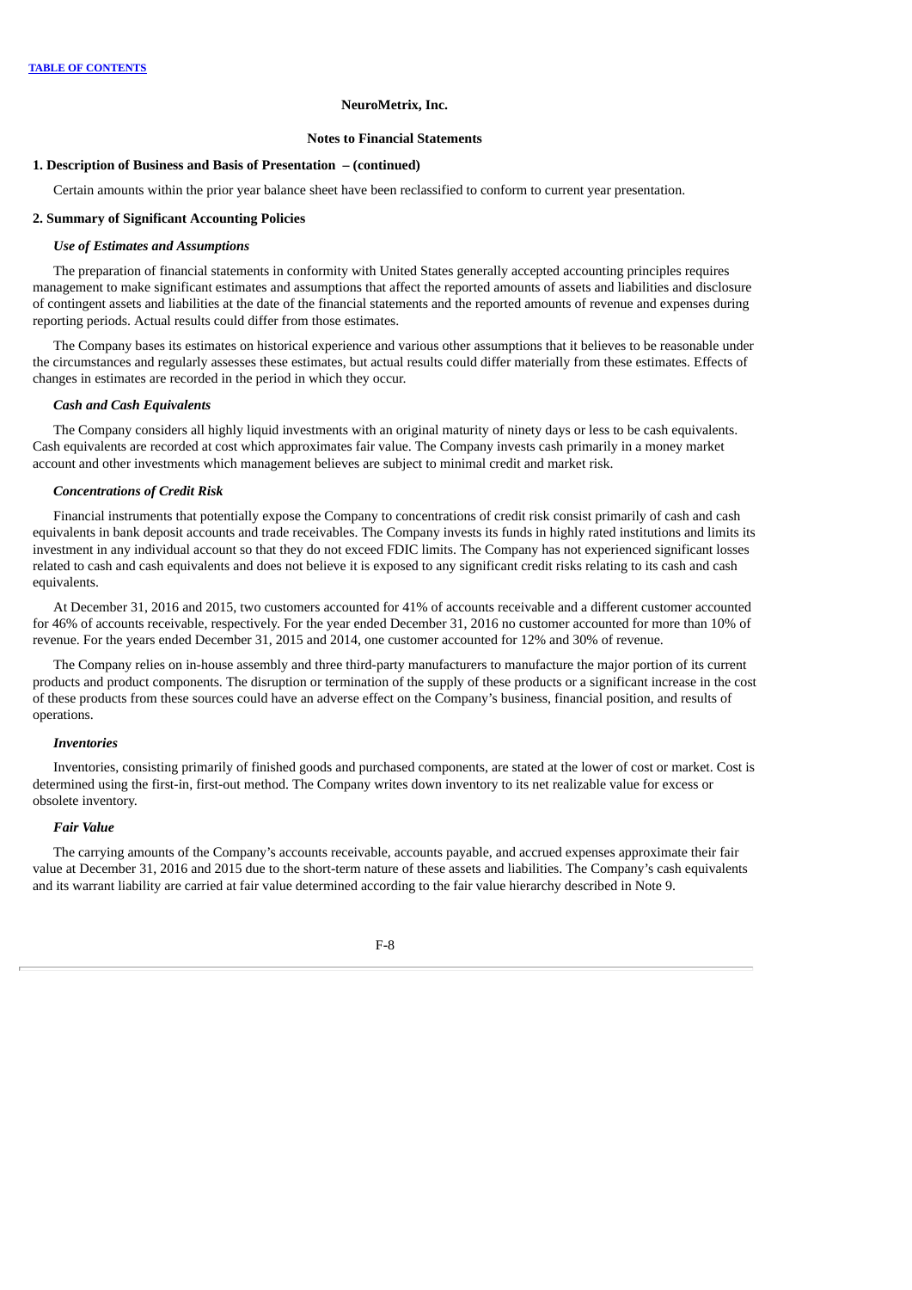#### **Notes to Financial Statements**

### **1. Description of Business and Basis of Presentation – (continued)**

Certain amounts within the prior year balance sheet have been reclassified to conform to current year presentation.

#### **2. Summary of Significant Accounting Policies**

### *Use of Estimates and Assumptions*

The preparation of financial statements in conformity with United States generally accepted accounting principles requires management to make significant estimates and assumptions that affect the reported amounts of assets and liabilities and disclosure of contingent assets and liabilities at the date of the financial statements and the reported amounts of revenue and expenses during reporting periods. Actual results could differ from those estimates.

The Company bases its estimates on historical experience and various other assumptions that it believes to be reasonable under the circumstances and regularly assesses these estimates, but actual results could differ materially from these estimates. Effects of changes in estimates are recorded in the period in which they occur.

### *Cash and Cash Equivalents*

The Company considers all highly liquid investments with an original maturity of ninety days or less to be cash equivalents. Cash equivalents are recorded at cost which approximates fair value. The Company invests cash primarily in a money market account and other investments which management believes are subject to minimal credit and market risk.

### *Concentrations of Credit Risk*

Financial instruments that potentially expose the Company to concentrations of credit risk consist primarily of cash and cash equivalents in bank deposit accounts and trade receivables. The Company invests its funds in highly rated institutions and limits its investment in any individual account so that they do not exceed FDIC limits. The Company has not experienced significant losses related to cash and cash equivalents and does not believe it is exposed to any significant credit risks relating to its cash and cash equivalents.

At December 31, 2016 and 2015, two customers accounted for 41% of accounts receivable and a different customer accounted for 46% of accounts receivable, respectively. For the year ended December 31, 2016 no customer accounted for more than 10% of revenue. For the years ended December 31, 2015 and 2014, one customer accounted for 12% and 30% of revenue.

The Company relies on in-house assembly and three third-party manufacturers to manufacture the major portion of its current products and product components. The disruption or termination of the supply of these products or a significant increase in the cost of these products from these sources could have an adverse effect on the Company's business, financial position, and results of operations.

### *Inventories*

Inventories, consisting primarily of finished goods and purchased components, are stated at the lower of cost or market. Cost is determined using the first-in, first-out method. The Company writes down inventory to its net realizable value for excess or obsolete inventory.

### *Fair Value*

The carrying amounts of the Company's accounts receivable, accounts payable, and accrued expenses approximate their fair value at December 31, 2016 and 2015 due to the short-term nature of these assets and liabilities. The Company's cash equivalents and its warrant liability are carried at fair value determined according to the fair value hierarchy described in Note 9.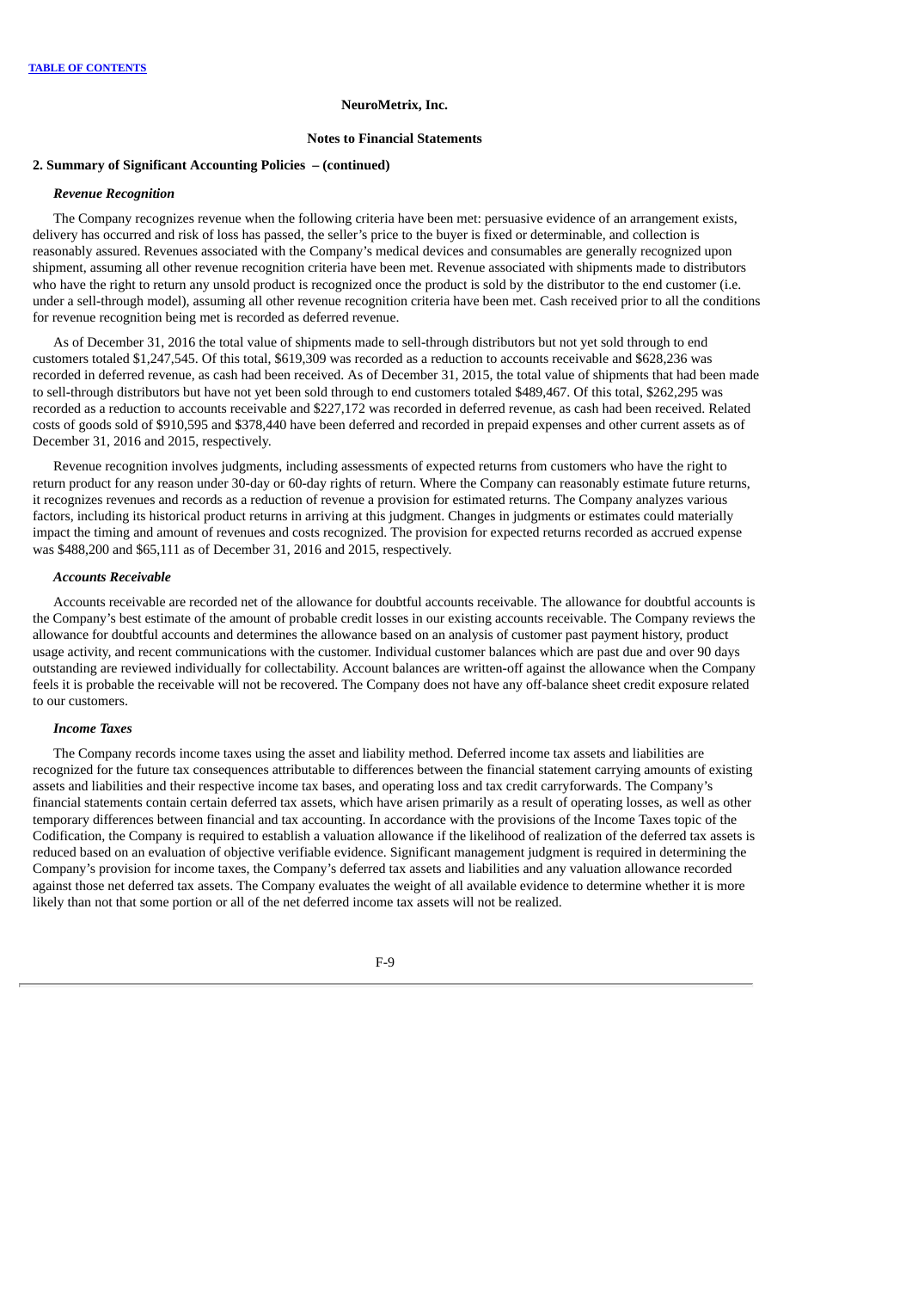#### **Notes to Financial Statements**

#### **2. Summary of Significant Accounting Policies – (continued)**

### *Revenue Recognition*

The Company recognizes revenue when the following criteria have been met: persuasive evidence of an arrangement exists, delivery has occurred and risk of loss has passed, the seller's price to the buyer is fixed or determinable, and collection is reasonably assured. Revenues associated with the Company's medical devices and consumables are generally recognized upon shipment, assuming all other revenue recognition criteria have been met. Revenue associated with shipments made to distributors who have the right to return any unsold product is recognized once the product is sold by the distributor to the end customer (i.e. under a sell-through model), assuming all other revenue recognition criteria have been met. Cash received prior to all the conditions for revenue recognition being met is recorded as deferred revenue.

As of December 31, 2016 the total value of shipments made to sell-through distributors but not yet sold through to end customers totaled \$1,247,545. Of this total, \$619,309 was recorded as a reduction to accounts receivable and \$628,236 was recorded in deferred revenue, as cash had been received. As of December 31, 2015, the total value of shipments that had been made to sell-through distributors but have not yet been sold through to end customers totaled \$489,467. Of this total, \$262,295 was recorded as a reduction to accounts receivable and \$227,172 was recorded in deferred revenue, as cash had been received. Related costs of goods sold of \$910,595 and \$378,440 have been deferred and recorded in prepaid expenses and other current assets as of December 31, 2016 and 2015, respectively.

Revenue recognition involves judgments, including assessments of expected returns from customers who have the right to return product for any reason under 30-day or 60-day rights of return. Where the Company can reasonably estimate future returns, it recognizes revenues and records as a reduction of revenue a provision for estimated returns. The Company analyzes various factors, including its historical product returns in arriving at this judgment. Changes in judgments or estimates could materially impact the timing and amount of revenues and costs recognized. The provision for expected returns recorded as accrued expense was \$488,200 and \$65,111 as of December 31, 2016 and 2015, respectively.

#### *Accounts Receivable*

Accounts receivable are recorded net of the allowance for doubtful accounts receivable. The allowance for doubtful accounts is the Company's best estimate of the amount of probable credit losses in our existing accounts receivable. The Company reviews the allowance for doubtful accounts and determines the allowance based on an analysis of customer past payment history, product usage activity, and recent communications with the customer. Individual customer balances which are past due and over 90 days outstanding are reviewed individually for collectability. Account balances are written-off against the allowance when the Company feels it is probable the receivable will not be recovered. The Company does not have any off-balance sheet credit exposure related to our customers.

### *Income Taxes*

The Company records income taxes using the asset and liability method. Deferred income tax assets and liabilities are recognized for the future tax consequences attributable to differences between the financial statement carrying amounts of existing assets and liabilities and their respective income tax bases, and operating loss and tax credit carryforwards. The Company's financial statements contain certain deferred tax assets, which have arisen primarily as a result of operating losses, as well as other temporary differences between financial and tax accounting. In accordance with the provisions of the Income Taxes topic of the Codification, the Company is required to establish a valuation allowance if the likelihood of realization of the deferred tax assets is reduced based on an evaluation of objective verifiable evidence. Significant management judgment is required in determining the Company's provision for income taxes, the Company's deferred tax assets and liabilities and any valuation allowance recorded against those net deferred tax assets. The Company evaluates the weight of all available evidence to determine whether it is more likely than not that some portion or all of the net deferred income tax assets will not be realized.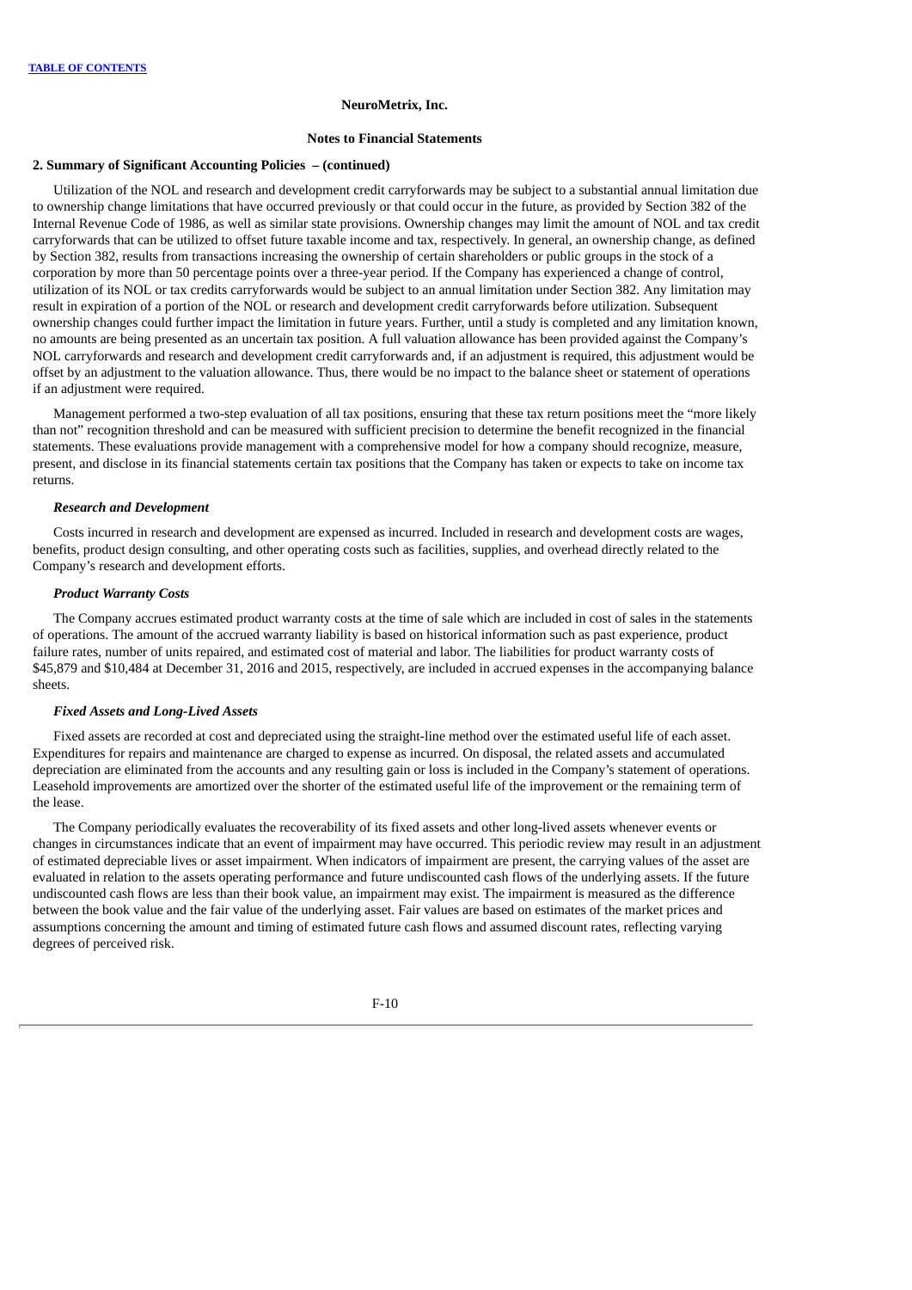#### **Notes to Financial Statements**

#### **2. Summary of Significant Accounting Policies – (continued)**

Utilization of the NOL and research and development credit carryforwards may be subject to a substantial annual limitation due to ownership change limitations that have occurred previously or that could occur in the future, as provided by Section 382 of the Internal Revenue Code of 1986, as well as similar state provisions. Ownership changes may limit the amount of NOL and tax credit carryforwards that can be utilized to offset future taxable income and tax, respectively. In general, an ownership change, as defined by Section 382, results from transactions increasing the ownership of certain shareholders or public groups in the stock of a corporation by more than 50 percentage points over a three-year period. If the Company has experienced a change of control, utilization of its NOL or tax credits carryforwards would be subject to an annual limitation under Section 382. Any limitation may result in expiration of a portion of the NOL or research and development credit carryforwards before utilization. Subsequent ownership changes could further impact the limitation in future years. Further, until a study is completed and any limitation known, no amounts are being presented as an uncertain tax position. A full valuation allowance has been provided against the Company's NOL carryforwards and research and development credit carryforwards and, if an adjustment is required, this adjustment would be offset by an adjustment to the valuation allowance. Thus, there would be no impact to the balance sheet or statement of operations if an adjustment were required.

Management performed a two-step evaluation of all tax positions, ensuring that these tax return positions meet the "more likely than not" recognition threshold and can be measured with sufficient precision to determine the benefit recognized in the financial statements. These evaluations provide management with a comprehensive model for how a company should recognize, measure, present, and disclose in its financial statements certain tax positions that the Company has taken or expects to take on income tax returns.

#### *Research and Development*

Costs incurred in research and development are expensed as incurred. Included in research and development costs are wages, benefits, product design consulting, and other operating costs such as facilities, supplies, and overhead directly related to the Company's research and development efforts.

### *Product Warranty Costs*

The Company accrues estimated product warranty costs at the time of sale which are included in cost of sales in the statements of operations. The amount of the accrued warranty liability is based on historical information such as past experience, product failure rates, number of units repaired, and estimated cost of material and labor. The liabilities for product warranty costs of \$45,879 and \$10,484 at December 31, 2016 and 2015, respectively, are included in accrued expenses in the accompanying balance sheets.

### *Fixed Assets and Long-Lived Assets*

Fixed assets are recorded at cost and depreciated using the straight-line method over the estimated useful life of each asset. Expenditures for repairs and maintenance are charged to expense as incurred. On disposal, the related assets and accumulated depreciation are eliminated from the accounts and any resulting gain or loss is included in the Company's statement of operations. Leasehold improvements are amortized over the shorter of the estimated useful life of the improvement or the remaining term of the lease.

The Company periodically evaluates the recoverability of its fixed assets and other long-lived assets whenever events or changes in circumstances indicate that an event of impairment may have occurred. This periodic review may result in an adjustment of estimated depreciable lives or asset impairment. When indicators of impairment are present, the carrying values of the asset are evaluated in relation to the assets operating performance and future undiscounted cash flows of the underlying assets. If the future undiscounted cash flows are less than their book value, an impairment may exist. The impairment is measured as the difference between the book value and the fair value of the underlying asset. Fair values are based on estimates of the market prices and assumptions concerning the amount and timing of estimated future cash flows and assumed discount rates, reflecting varying degrees of perceived risk.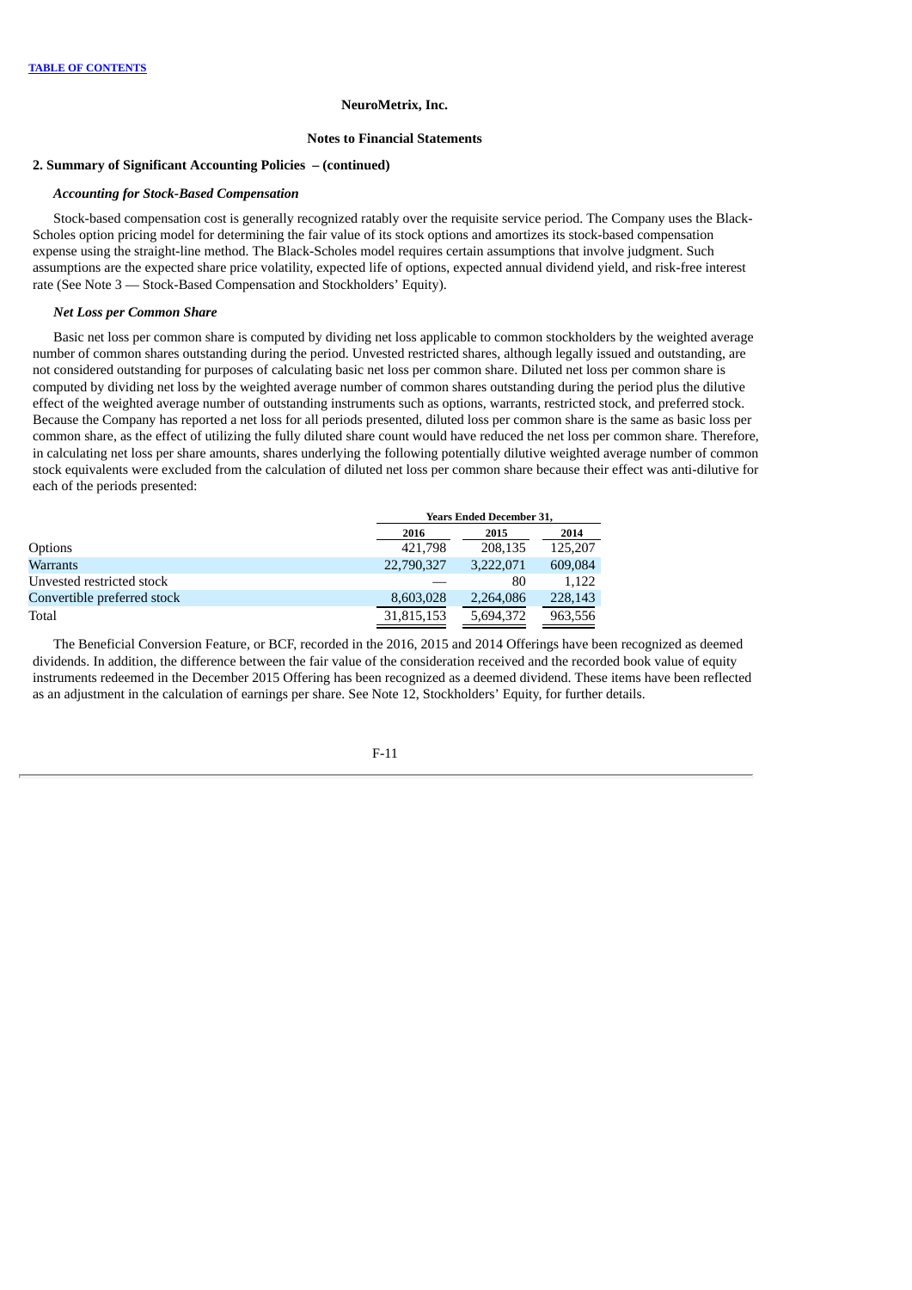#### **Notes to Financial Statements**

#### **2. Summary of Significant Accounting Policies – (continued)**

### *Accounting for Stock-Based Compensation*

Stock-based compensation cost is generally recognized ratably over the requisite service period. The Company uses the Black-Scholes option pricing model for determining the fair value of its stock options and amortizes its stock-based compensation expense using the straight-line method. The Black-Scholes model requires certain assumptions that involve judgment. Such assumptions are the expected share price volatility, expected life of options, expected annual dividend yield, and risk-free interest rate (See Note 3 — Stock-Based Compensation and Stockholders' Equity).

### *Net Loss per Common Share*

Basic net loss per common share is computed by dividing net loss applicable to common stockholders by the weighted average number of common shares outstanding during the period. Unvested restricted shares, although legally issued and outstanding, are not considered outstanding for purposes of calculating basic net loss per common share. Diluted net loss per common share is computed by dividing net loss by the weighted average number of common shares outstanding during the period plus the dilutive effect of the weighted average number of outstanding instruments such as options, warrants, restricted stock, and preferred stock. Because the Company has reported a net loss for all periods presented, diluted loss per common share is the same as basic loss per common share, as the effect of utilizing the fully diluted share count would have reduced the net loss per common share. Therefore, in calculating net loss per share amounts, shares underlying the following potentially dilutive weighted average number of common stock equivalents were excluded from the calculation of diluted net loss per common share because their effect was anti-dilutive for each of the periods presented:

|                             | <b>Years Ended December 31,</b> |           |         |  |
|-----------------------------|---------------------------------|-----------|---------|--|
|                             | 2016                            | 2015      | 2014    |  |
| Options                     | 421,798                         | 208,135   | 125,207 |  |
| Warrants                    | 22,790,327                      | 3,222,071 | 609,084 |  |
| Unvested restricted stock   |                                 | 80        | 1.122   |  |
| Convertible preferred stock | 8,603,028                       | 2,264,086 | 228,143 |  |
| Total                       | 31,815,153                      | 5,694,372 | 963,556 |  |

The Beneficial Conversion Feature, or BCF, recorded in the 2016, 2015 and 2014 Offerings have been recognized as deemed dividends. In addition, the difference between the fair value of the consideration received and the recorded book value of equity instruments redeemed in the December 2015 Offering has been recognized as a deemed dividend. These items have been reflected as an adjustment in the calculation of earnings per share. See Note 12, Stockholders' Equity, for further details.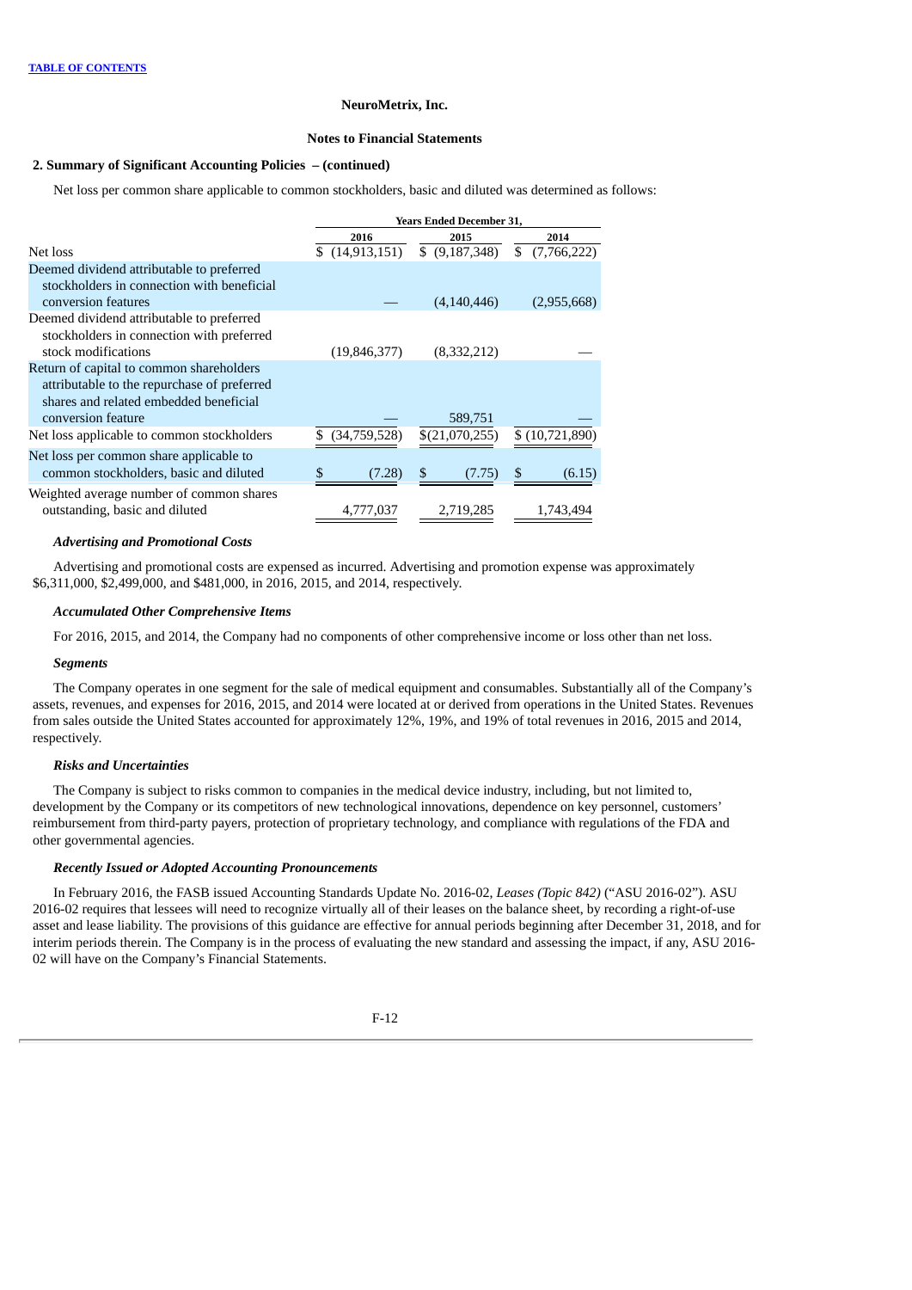#### **Notes to Financial Statements**

#### **2. Summary of Significant Accounting Policies – (continued)**

Net loss per common share applicable to common stockholders, basic and diluted was determined as follows:

|                                             | <b>Years Ended December 31,</b> |                |                   |  |  |  |
|---------------------------------------------|---------------------------------|----------------|-------------------|--|--|--|
|                                             | 2016                            | 2015           | 2014              |  |  |  |
| Net loss                                    | \$(14, 913, 151)                | (9,187,348)    | \$<br>(7,766,222) |  |  |  |
| Deemed dividend attributable to preferred   |                                 |                |                   |  |  |  |
| stockholders in connection with beneficial  |                                 |                |                   |  |  |  |
| conversion features                         |                                 | (4, 140, 446)  | (2,955,668)       |  |  |  |
| Deemed dividend attributable to preferred   |                                 |                |                   |  |  |  |
| stockholders in connection with preferred   |                                 |                |                   |  |  |  |
| stock modifications                         | (19, 846, 377)                  | (8,332,212)    |                   |  |  |  |
| Return of capital to common shareholders    |                                 |                |                   |  |  |  |
| attributable to the repurchase of preferred |                                 |                |                   |  |  |  |
| shares and related embedded beneficial      |                                 |                |                   |  |  |  |
| conversion feature                          |                                 | 589,751        |                   |  |  |  |
| Net loss applicable to common stockholders  | (34,759,528)                    | \$(21,070,255) | \$(10,721,890)    |  |  |  |
| Net loss per common share applicable to     |                                 |                |                   |  |  |  |
| common stockholders, basic and diluted      | \$<br>(7.28)                    | \$<br>(7.75)   | \$<br>(6.15)      |  |  |  |
| Weighted average number of common shares    |                                 |                |                   |  |  |  |
| outstanding, basic and diluted              | 4,777,037                       | 2.719.285      | 1,743,494         |  |  |  |

### *Advertising and Promotional Costs*

Advertising and promotional costs are expensed as incurred. Advertising and promotion expense was approximately \$6,311,000, \$2,499,000, and \$481,000, in 2016, 2015, and 2014, respectively.

### *Accumulated Other Comprehensive Items*

For 2016, 2015, and 2014, the Company had no components of other comprehensive income or loss other than net loss.

### *Segments*

The Company operates in one segment for the sale of medical equipment and consumables. Substantially all of the Company's assets, revenues, and expenses for 2016, 2015, and 2014 were located at or derived from operations in the United States. Revenues from sales outside the United States accounted for approximately 12%, 19%, and 19% of total revenues in 2016, 2015 and 2014, respectively.

### *Risks and Uncertainties*

The Company is subject to risks common to companies in the medical device industry, including, but not limited to, development by the Company or its competitors of new technological innovations, dependence on key personnel, customers' reimbursement from third-party payers, protection of proprietary technology, and compliance with regulations of the FDA and other governmental agencies.

### *Recently Issued or Adopted Accounting Pronouncements*

In February 2016, the FASB issued Accounting Standards Update No. 2016-02, *Leases (Topic 842)* ("ASU 2016-02"). ASU 2016-02 requires that lessees will need to recognize virtually all of their leases on the balance sheet, by recording a right-of-use asset and lease liability. The provisions of this guidance are effective for annual periods beginning after December 31, 2018, and for interim periods therein. The Company is in the process of evaluating the new standard and assessing the impact, if any, ASU 2016- 02 will have on the Company's Financial Statements.

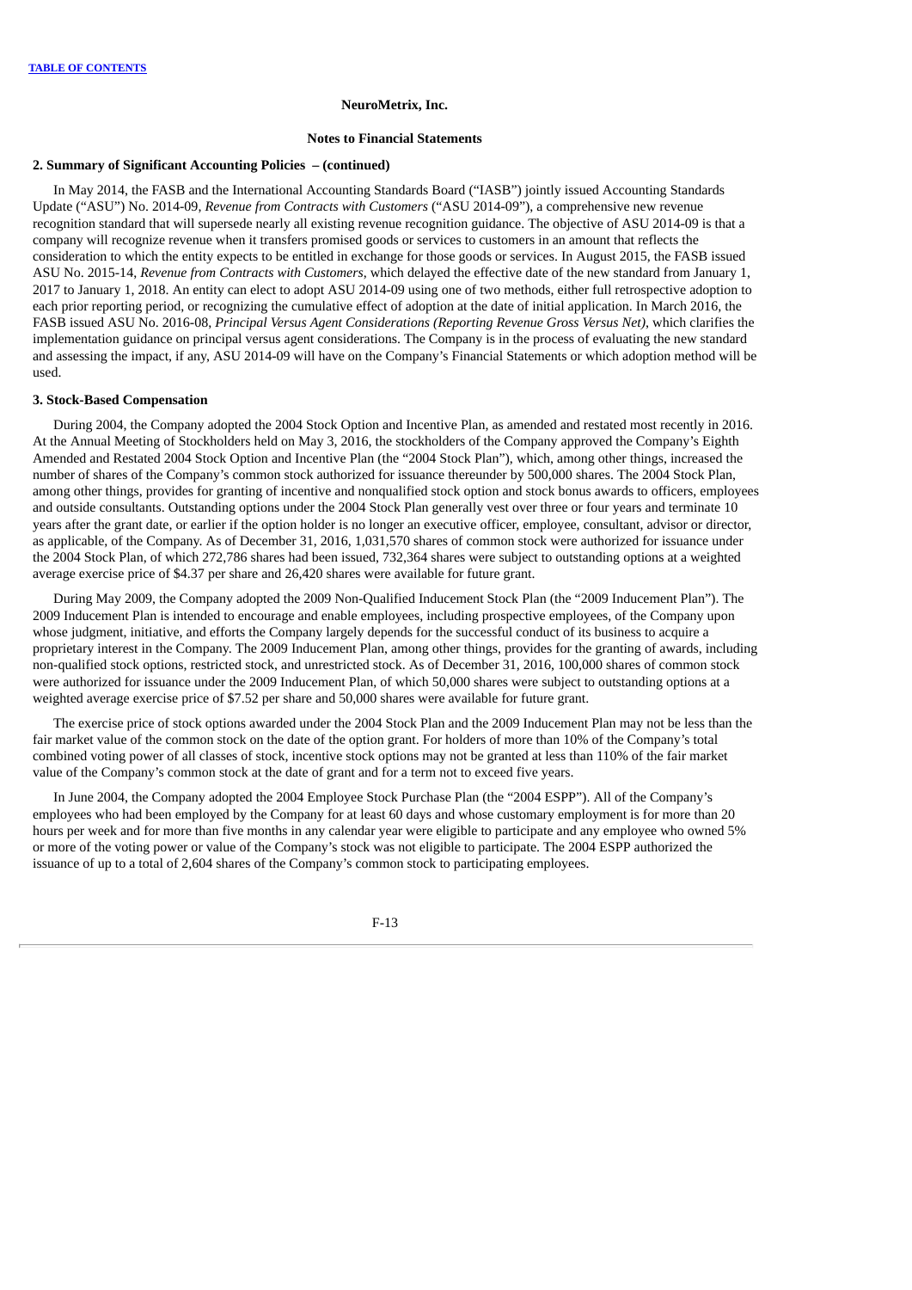#### **Notes to Financial Statements**

#### **2. Summary of Significant Accounting Policies – (continued)**

In May 2014, the FASB and the International Accounting Standards Board ("IASB") jointly issued Accounting Standards Update ("ASU") No. 2014-09, *Revenue from Contracts with Customers* ("ASU 2014-09"), a comprehensive new revenue recognition standard that will supersede nearly all existing revenue recognition guidance. The objective of ASU 2014-09 is that a company will recognize revenue when it transfers promised goods or services to customers in an amount that reflects the consideration to which the entity expects to be entitled in exchange for those goods or services. In August 2015, the FASB issued ASU No. 2015-14, *Revenue from Contracts with Customers*, which delayed the effective date of the new standard from January 1, 2017 to January 1, 2018. An entity can elect to adopt ASU 2014-09 using one of two methods, either full retrospective adoption to each prior reporting period, or recognizing the cumulative effect of adoption at the date of initial application. In March 2016, the FASB issued ASU No. 2016-08, *Principal Versus Agent Considerations (Reporting Revenue Gross Versus Net)*, which clarifies the implementation guidance on principal versus agent considerations. The Company is in the process of evaluating the new standard and assessing the impact, if any, ASU 2014-09 will have on the Company's Financial Statements or which adoption method will be used.

### **3. Stock-Based Compensation**

During 2004, the Company adopted the 2004 Stock Option and Incentive Plan, as amended and restated most recently in 2016. At the Annual Meeting of Stockholders held on May 3, 2016, the stockholders of the Company approved the Company's Eighth Amended and Restated 2004 Stock Option and Incentive Plan (the "2004 Stock Plan"), which, among other things, increased the number of shares of the Company's common stock authorized for issuance thereunder by 500,000 shares. The 2004 Stock Plan, among other things, provides for granting of incentive and nonqualified stock option and stock bonus awards to officers, employees and outside consultants. Outstanding options under the 2004 Stock Plan generally vest over three or four years and terminate 10 years after the grant date, or earlier if the option holder is no longer an executive officer, employee, consultant, advisor or director, as applicable, of the Company. As of December 31, 2016, 1,031,570 shares of common stock were authorized for issuance under the 2004 Stock Plan, of which 272,786 shares had been issued, 732,364 shares were subject to outstanding options at a weighted average exercise price of \$4.37 per share and 26,420 shares were available for future grant.

During May 2009, the Company adopted the 2009 Non-Qualified Inducement Stock Plan (the "2009 Inducement Plan"). The 2009 Inducement Plan is intended to encourage and enable employees, including prospective employees, of the Company upon whose judgment, initiative, and efforts the Company largely depends for the successful conduct of its business to acquire a proprietary interest in the Company. The 2009 Inducement Plan, among other things, provides for the granting of awards, including non-qualified stock options, restricted stock, and unrestricted stock. As of December 31, 2016, 100,000 shares of common stock were authorized for issuance under the 2009 Inducement Plan, of which 50,000 shares were subject to outstanding options at a weighted average exercise price of \$7.52 per share and 50,000 shares were available for future grant.

The exercise price of stock options awarded under the 2004 Stock Plan and the 2009 Inducement Plan may not be less than the fair market value of the common stock on the date of the option grant. For holders of more than 10% of the Company's total combined voting power of all classes of stock, incentive stock options may not be granted at less than 110% of the fair market value of the Company's common stock at the date of grant and for a term not to exceed five years.

In June 2004, the Company adopted the 2004 Employee Stock Purchase Plan (the "2004 ESPP"). All of the Company's employees who had been employed by the Company for at least 60 days and whose customary employment is for more than 20 hours per week and for more than five months in any calendar year were eligible to participate and any employee who owned 5% or more of the voting power or value of the Company's stock was not eligible to participate. The 2004 ESPP authorized the issuance of up to a total of 2,604 shares of the Company's common stock to participating employees.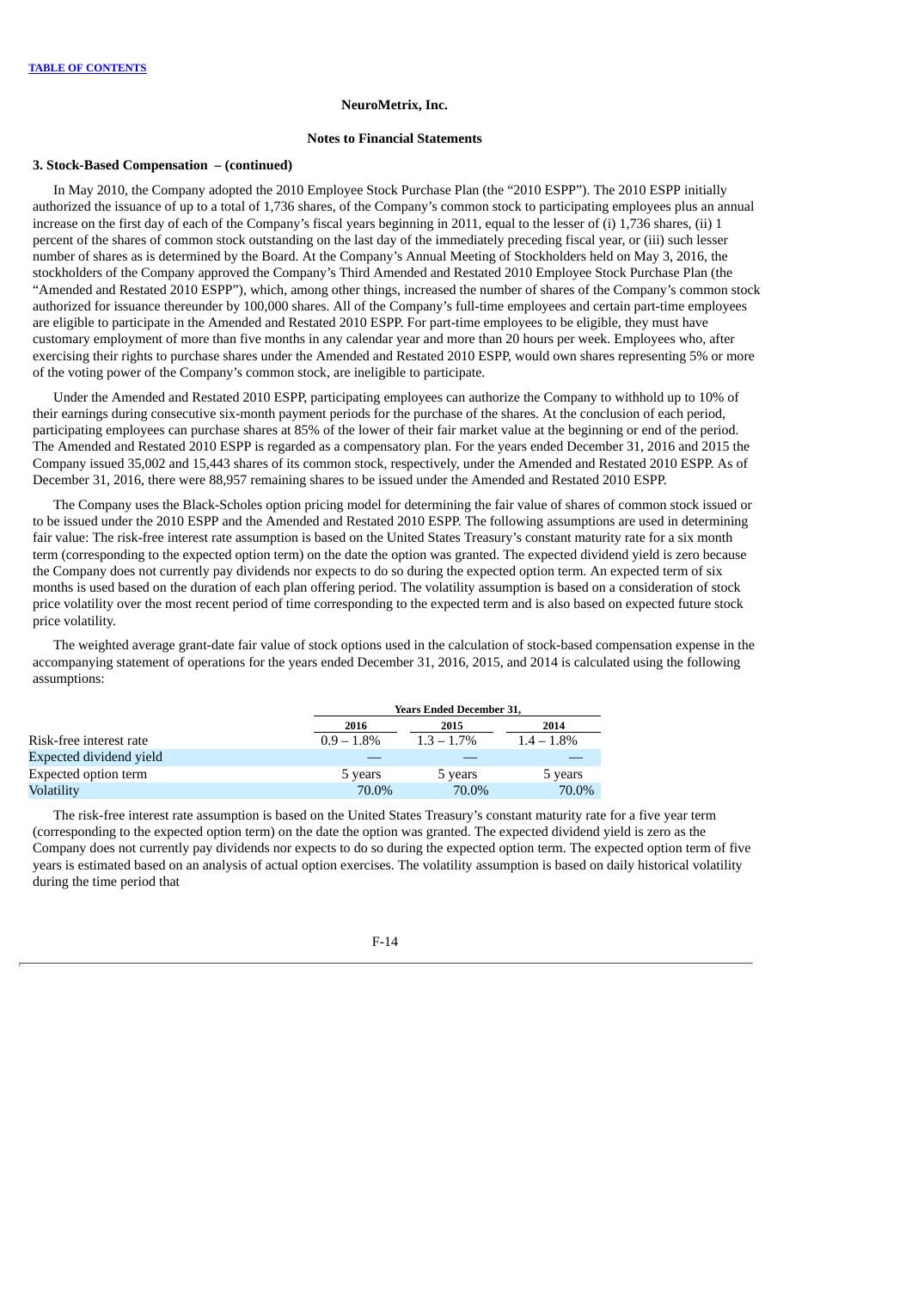#### **Notes to Financial Statements**

#### **3. Stock-Based Compensation – (continued)**

In May 2010, the Company adopted the 2010 Employee Stock Purchase Plan (the "2010 ESPP"). The 2010 ESPP initially authorized the issuance of up to a total of 1,736 shares, of the Company's common stock to participating employees plus an annual increase on the first day of each of the Company's fiscal years beginning in 2011, equal to the lesser of (i) 1,736 shares, (ii) 1 percent of the shares of common stock outstanding on the last day of the immediately preceding fiscal year, or (iii) such lesser number of shares as is determined by the Board. At the Company's Annual Meeting of Stockholders held on May 3, 2016, the stockholders of the Company approved the Company's Third Amended and Restated 2010 Employee Stock Purchase Plan (the "Amended and Restated 2010 ESPP"), which, among other things, increased the number of shares of the Company's common stock authorized for issuance thereunder by 100,000 shares. All of the Company's full-time employees and certain part-time employees are eligible to participate in the Amended and Restated 2010 ESPP. For part-time employees to be eligible, they must have customary employment of more than five months in any calendar year and more than 20 hours per week. Employees who, after exercising their rights to purchase shares under the Amended and Restated 2010 ESPP, would own shares representing 5% or more of the voting power of the Company's common stock, are ineligible to participate.

Under the Amended and Restated 2010 ESPP, participating employees can authorize the Company to withhold up to 10% of their earnings during consecutive six-month payment periods for the purchase of the shares. At the conclusion of each period, participating employees can purchase shares at 85% of the lower of their fair market value at the beginning or end of the period. The Amended and Restated 2010 ESPP is regarded as a compensatory plan. For the years ended December 31, 2016 and 2015 the Company issued 35,002 and 15,443 shares of its common stock, respectively, under the Amended and Restated 2010 ESPP. As of December 31, 2016, there were 88,957 remaining shares to be issued under the Amended and Restated 2010 ESPP.

The Company uses the Black-Scholes option pricing model for determining the fair value of shares of common stock issued or to be issued under the 2010 ESPP and the Amended and Restated 2010 ESPP. The following assumptions are used in determining fair value: The risk-free interest rate assumption is based on the United States Treasury's constant maturity rate for a six month term (corresponding to the expected option term) on the date the option was granted. The expected dividend yield is zero because the Company does not currently pay dividends nor expects to do so during the expected option term. An expected term of six months is used based on the duration of each plan offering period. The volatility assumption is based on a consideration of stock price volatility over the most recent period of time corresponding to the expected term and is also based on expected future stock price volatility.

The weighted average grant-date fair value of stock options used in the calculation of stock-based compensation expense in the accompanying statement of operations for the years ended December 31, 2016, 2015, and 2014 is calculated using the following assumptions:

|                         | <b>Years Ended December 31,</b> |               |               |  |  |
|-------------------------|---------------------------------|---------------|---------------|--|--|
|                         | 2016                            | 2015          | 2014          |  |  |
| Risk-free interest rate | $0.9 - 1.8\%$                   | $1.3 - 1.7\%$ | $1.4 - 1.8\%$ |  |  |
| Expected dividend vield |                                 |               |               |  |  |
| Expected option term    | 5 years                         | 5 years       | 5 years       |  |  |
| Volatility              | 70.0%                           | 70.0%         | 70.0%         |  |  |

The risk-free interest rate assumption is based on the United States Treasury's constant maturity rate for a five year term (corresponding to the expected option term) on the date the option was granted. The expected dividend yield is zero as the Company does not currently pay dividends nor expects to do so during the expected option term. The expected option term of five years is estimated based on an analysis of actual option exercises. The volatility assumption is based on daily historical volatility during the time period that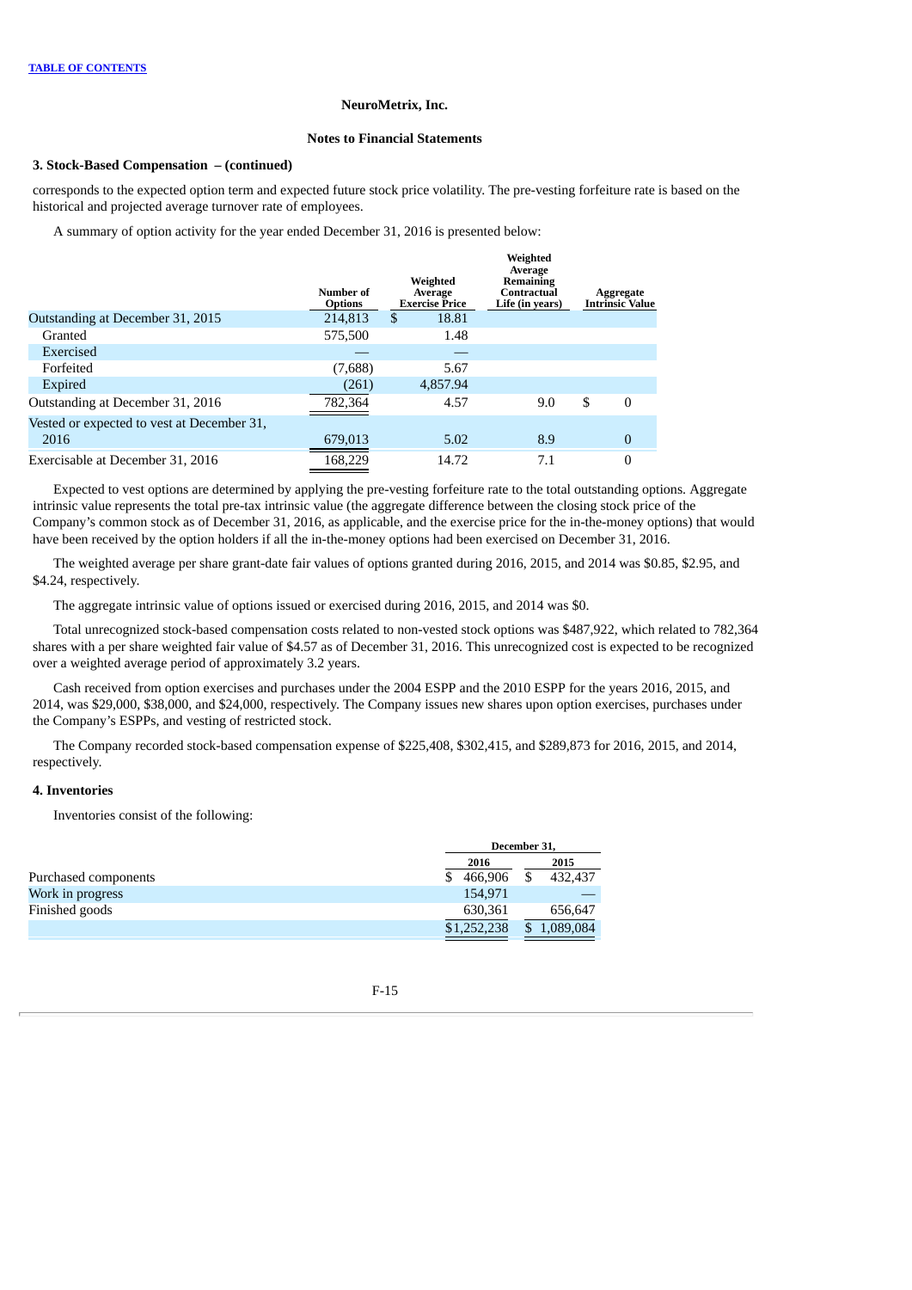### **Notes to Financial Statements**

#### **3. Stock-Based Compensation – (continued)**

corresponds to the expected option term and expected future stock price volatility. The pre-vesting forfeiture rate is based on the historical and projected average turnover rate of employees.

A summary of option activity for the year ended December 31, 2016 is presented below:

|                                            | Number of<br><b>Options</b> | Weighted<br>Average<br><b>Exercise Price</b> | Weighted<br>Average<br>Remaining<br>Contractual<br>Life (in years) | Aggregate<br><b>Intrinsic Value</b> |
|--------------------------------------------|-----------------------------|----------------------------------------------|--------------------------------------------------------------------|-------------------------------------|
| Outstanding at December 31, 2015           | 214,813                     | \$<br>18.81                                  |                                                                    |                                     |
| Granted                                    | 575,500                     | 1.48                                         |                                                                    |                                     |
| Exercised                                  |                             |                                              |                                                                    |                                     |
| Forfeited                                  | (7,688)                     | 5.67                                         |                                                                    |                                     |
| Expired                                    | (261)                       | 4,857.94                                     |                                                                    |                                     |
| Outstanding at December 31, 2016           | 782,364                     | 4.57                                         | 9.0                                                                | \$<br>$\Omega$                      |
| Vested or expected to vest at December 31, |                             |                                              |                                                                    |                                     |
| 2016                                       | 679,013                     | 5.02                                         | 8.9                                                                | 0                                   |
| Exercisable at December 31, 2016           | 168,229                     | 14.72                                        | 7.1                                                                | 0                                   |

Expected to vest options are determined by applying the pre-vesting forfeiture rate to the total outstanding options. Aggregate intrinsic value represents the total pre-tax intrinsic value (the aggregate difference between the closing stock price of the Company's common stock as of December 31, 2016, as applicable, and the exercise price for the in-the-money options) that would have been received by the option holders if all the in-the-money options had been exercised on December 31, 2016.

The weighted average per share grant-date fair values of options granted during 2016, 2015, and 2014 was \$0.85, \$2.95, and \$4.24, respectively.

The aggregate intrinsic value of options issued or exercised during 2016, 2015, and 2014 was \$0.

Total unrecognized stock-based compensation costs related to non-vested stock options was \$487,922, which related to 782,364 shares with a per share weighted fair value of \$4.57 as of December 31, 2016. This unrecognized cost is expected to be recognized over a weighted average period of approximately 3.2 years.

Cash received from option exercises and purchases under the 2004 ESPP and the 2010 ESPP for the years 2016, 2015, and 2014, was \$29,000, \$38,000, and \$24,000, respectively. The Company issues new shares upon option exercises, purchases under the Company's ESPPs, and vesting of restricted stock.

The Company recorded stock-based compensation expense of \$225,408, \$302,415, and \$289,873 for 2016, 2015, and 2014, respectively.

#### **4. Inventories**

Inventories consist of the following:

|                      |             | December 31, |
|----------------------|-------------|--------------|
|                      | 2016        | 2015         |
| Purchased components | 466.906     | 432,437      |
| Work in progress     | 154,971     |              |
| Finished goods       | 630,361     | 656,647      |
|                      | \$1,252,238 | 1,089,084    |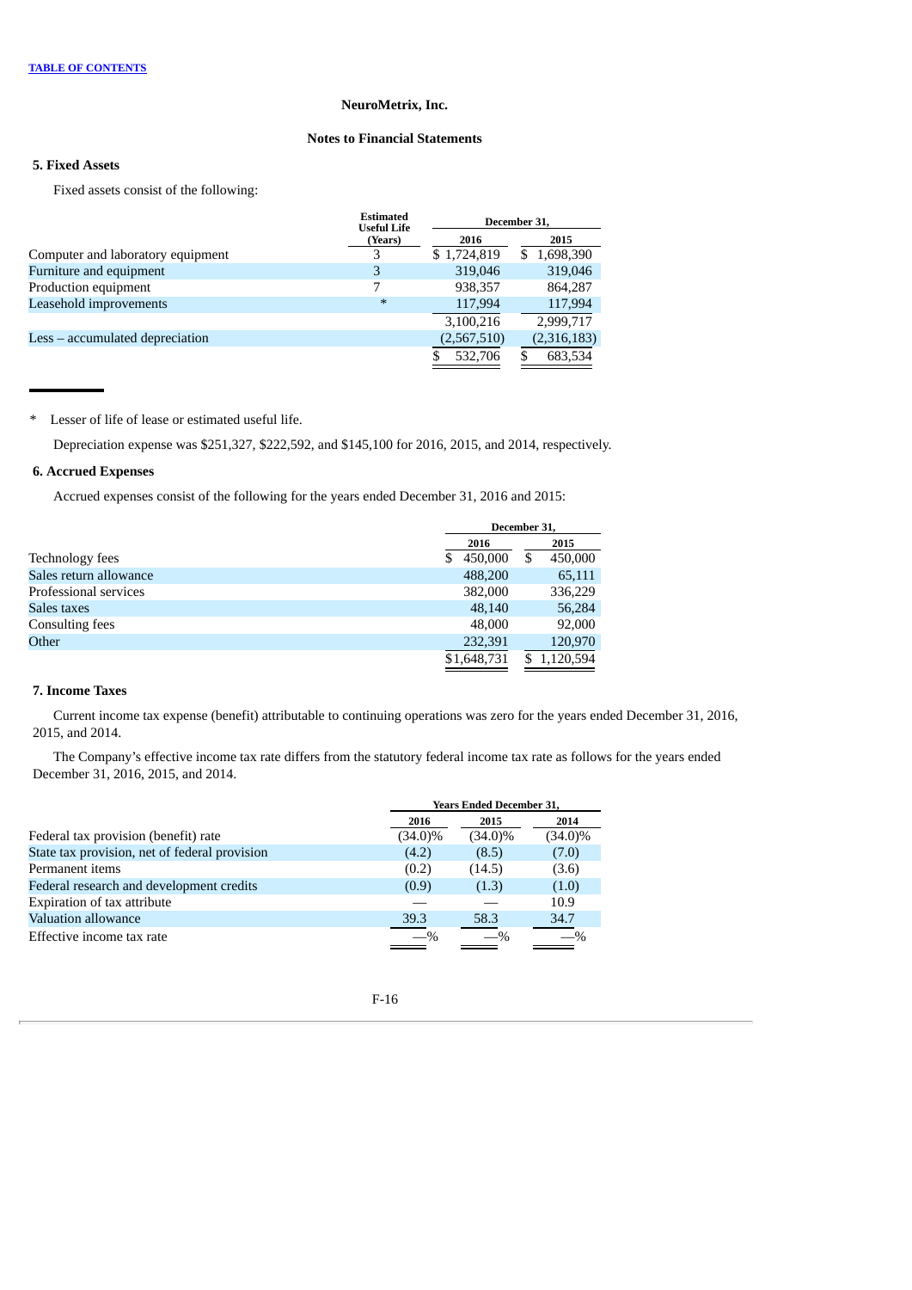# **Notes to Financial Statements**

# **5. Fixed Assets**

Fixed assets consist of the following:

|                                   | <b>Estimated</b><br><b>Useful Life</b> | December 31, |                 |  |  |
|-----------------------------------|----------------------------------------|--------------|-----------------|--|--|
|                                   | (Years)                                |              | 2015            |  |  |
| Computer and laboratory equipment | 3                                      | \$1,724,819  | 1,698,390<br>S. |  |  |
| Furniture and equipment           | 3                                      | 319,046      | 319,046         |  |  |
| Production equipment              |                                        | 938,357      | 864,287         |  |  |
| Leasehold improvements            | $\ast$                                 | 117,994      | 117,994         |  |  |
|                                   |                                        | 3,100,216    | 2,999,717       |  |  |
| Less – accumulated depreciation   |                                        | (2,567,510)  | (2,316,183)     |  |  |
|                                   |                                        | 532,706      | 683,534         |  |  |

\* Lesser of life of lease or estimated useful life.

Depreciation expense was \$251,327, \$222,592, and \$145,100 for 2016, 2015, and 2014, respectively.

# **6. Accrued Expenses**

Accrued expenses consist of the following for the years ended December 31, 2016 and 2015:

|                        |              | December 31. |           |  |
|------------------------|--------------|--------------|-----------|--|
|                        | 2016         |              | 2015      |  |
| Technology fees        | 450,000<br>S | S            | 450,000   |  |
| Sales return allowance | 488,200      |              | 65,111    |  |
| Professional services  | 382,000      |              | 336,229   |  |
| Sales taxes            | 48,140       |              | 56,284    |  |
| Consulting fees        | 48,000       |              | 92,000    |  |
| Other                  | 232,391      |              | 120,970   |  |
|                        | \$1,648,731  |              | 1,120,594 |  |
|                        |              |              |           |  |

### **7. Income Taxes**

Current income tax expense (benefit) attributable to continuing operations was zero for the years ended December 31, 2016, 2015, and 2014.

The Company's effective income tax rate differs from the statutory federal income tax rate as follows for the years ended December 31, 2016, 2015, and 2014.

|                                               | <b>Years Ended December 31,</b> |            |            |
|-----------------------------------------------|---------------------------------|------------|------------|
|                                               | 2016                            | 2015       | 2014       |
| Federal tax provision (benefit) rate          | $(34.0)\%$                      | $(34.0)\%$ | $(34.0)\%$ |
| State tax provision, net of federal provision | (4.2)                           | (8.5)      | (7.0)      |
| Permanent items                               | (0.2)                           | (14.5)     | (3.6)      |
| Federal research and development credits      | (0.9)                           | (1.3)      | (1.0)      |
| Expiration of tax attribute                   |                                 |            | 10.9       |
| Valuation allowance                           | 39.3                            | 58.3       | 34.7       |
| Effective income tax rate                     | $-$ %                           | $-$ %      | $-$ %      |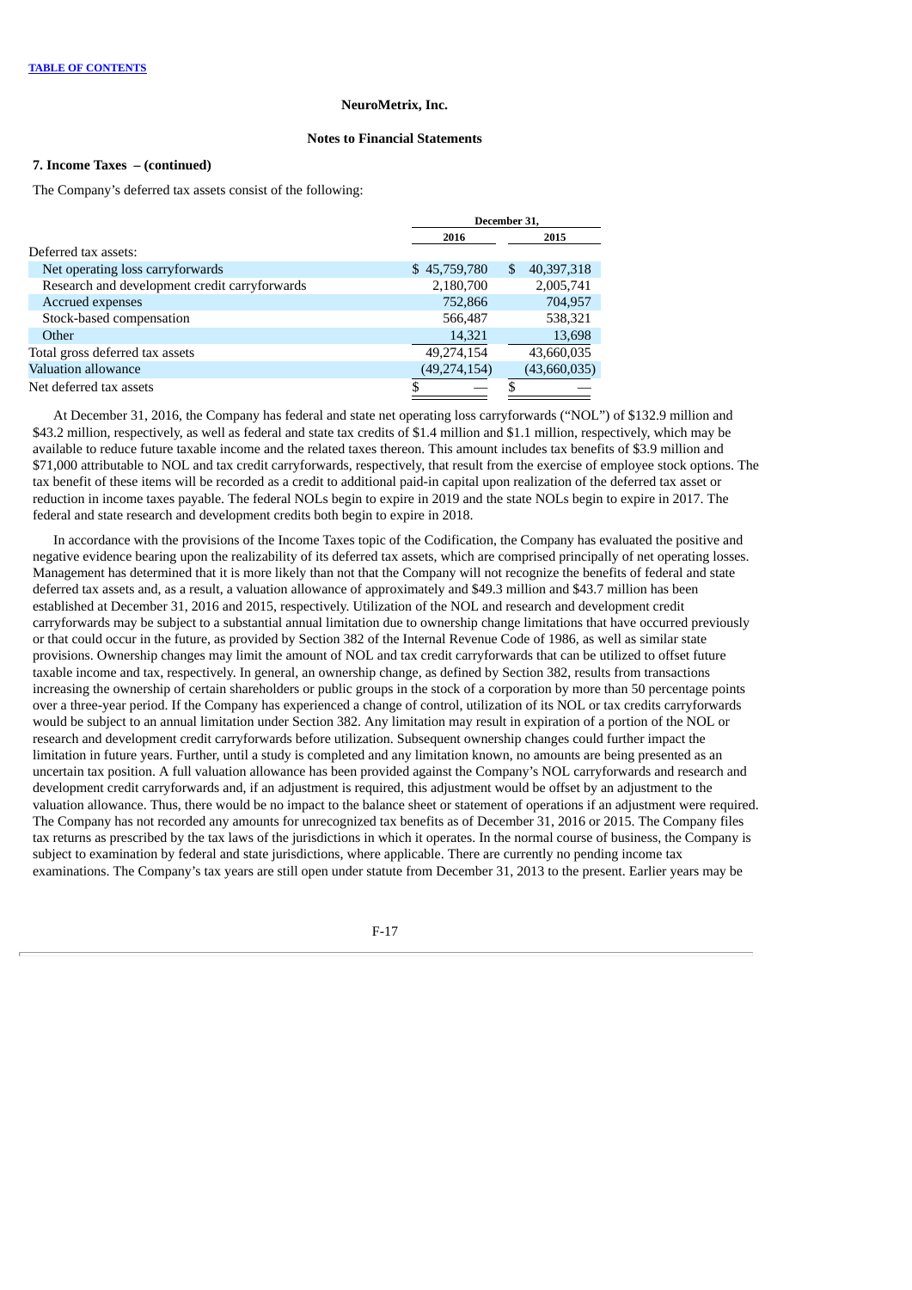#### **Notes to Financial Statements**

#### **7. Income Taxes – (continued)**

The Company's deferred tax assets consist of the following:

|                                               | December 31.   |                  |  |  |
|-----------------------------------------------|----------------|------------------|--|--|
|                                               | 2016           | 2015             |  |  |
| Deferred tax assets:                          |                |                  |  |  |
| Net operating loss carryforwards              | \$45,759,780   | 40,397,318<br>\$ |  |  |
| Research and development credit carryforwards | 2,180,700      | 2,005,741        |  |  |
| <b>Accrued expenses</b>                       | 752,866        | 704,957          |  |  |
| Stock-based compensation                      | 566,487        | 538,321          |  |  |
| Other                                         | 14,321         | 13,698           |  |  |
| Total gross deferred tax assets               | 49,274,154     | 43,660,035       |  |  |
| Valuation allowance                           | (49, 274, 154) | (43,660,035)     |  |  |
| Net deferred tax assets                       | S              |                  |  |  |

At December 31, 2016, the Company has federal and state net operating loss carryforwards ("NOL") of \$132.9 million and \$43.2 million, respectively, as well as federal and state tax credits of \$1.4 million and \$1.1 million, respectively, which may be available to reduce future taxable income and the related taxes thereon. This amount includes tax benefits of \$3.9 million and \$71,000 attributable to NOL and tax credit carryforwards, respectively, that result from the exercise of employee stock options. The tax benefit of these items will be recorded as a credit to additional paid-in capital upon realization of the deferred tax asset or reduction in income taxes payable. The federal NOLs begin to expire in 2019 and the state NOLs begin to expire in 2017. The federal and state research and development credits both begin to expire in 2018.

In accordance with the provisions of the Income Taxes topic of the Codification, the Company has evaluated the positive and negative evidence bearing upon the realizability of its deferred tax assets, which are comprised principally of net operating losses. Management has determined that it is more likely than not that the Company will not recognize the benefits of federal and state deferred tax assets and, as a result, a valuation allowance of approximately and \$49.3 million and \$43.7 million has been established at December 31, 2016 and 2015, respectively. Utilization of the NOL and research and development credit carryforwards may be subject to a substantial annual limitation due to ownership change limitations that have occurred previously or that could occur in the future, as provided by Section 382 of the Internal Revenue Code of 1986, as well as similar state provisions. Ownership changes may limit the amount of NOL and tax credit carryforwards that can be utilized to offset future taxable income and tax, respectively. In general, an ownership change, as defined by Section 382, results from transactions increasing the ownership of certain shareholders or public groups in the stock of a corporation by more than 50 percentage points over a three-year period. If the Company has experienced a change of control, utilization of its NOL or tax credits carryforwards would be subject to an annual limitation under Section 382. Any limitation may result in expiration of a portion of the NOL or research and development credit carryforwards before utilization. Subsequent ownership changes could further impact the limitation in future years. Further, until a study is completed and any limitation known, no amounts are being presented as an uncertain tax position. A full valuation allowance has been provided against the Company's NOL carryforwards and research and development credit carryforwards and, if an adjustment is required, this adjustment would be offset by an adjustment to the valuation allowance. Thus, there would be no impact to the balance sheet or statement of operations if an adjustment were required. The Company has not recorded any amounts for unrecognized tax benefits as of December 31, 2016 or 2015. The Company files tax returns as prescribed by the tax laws of the jurisdictions in which it operates. In the normal course of business, the Company is subject to examination by federal and state jurisdictions, where applicable. There are currently no pending income tax examinations. The Company's tax years are still open under statute from December 31, 2013 to the present. Earlier years may be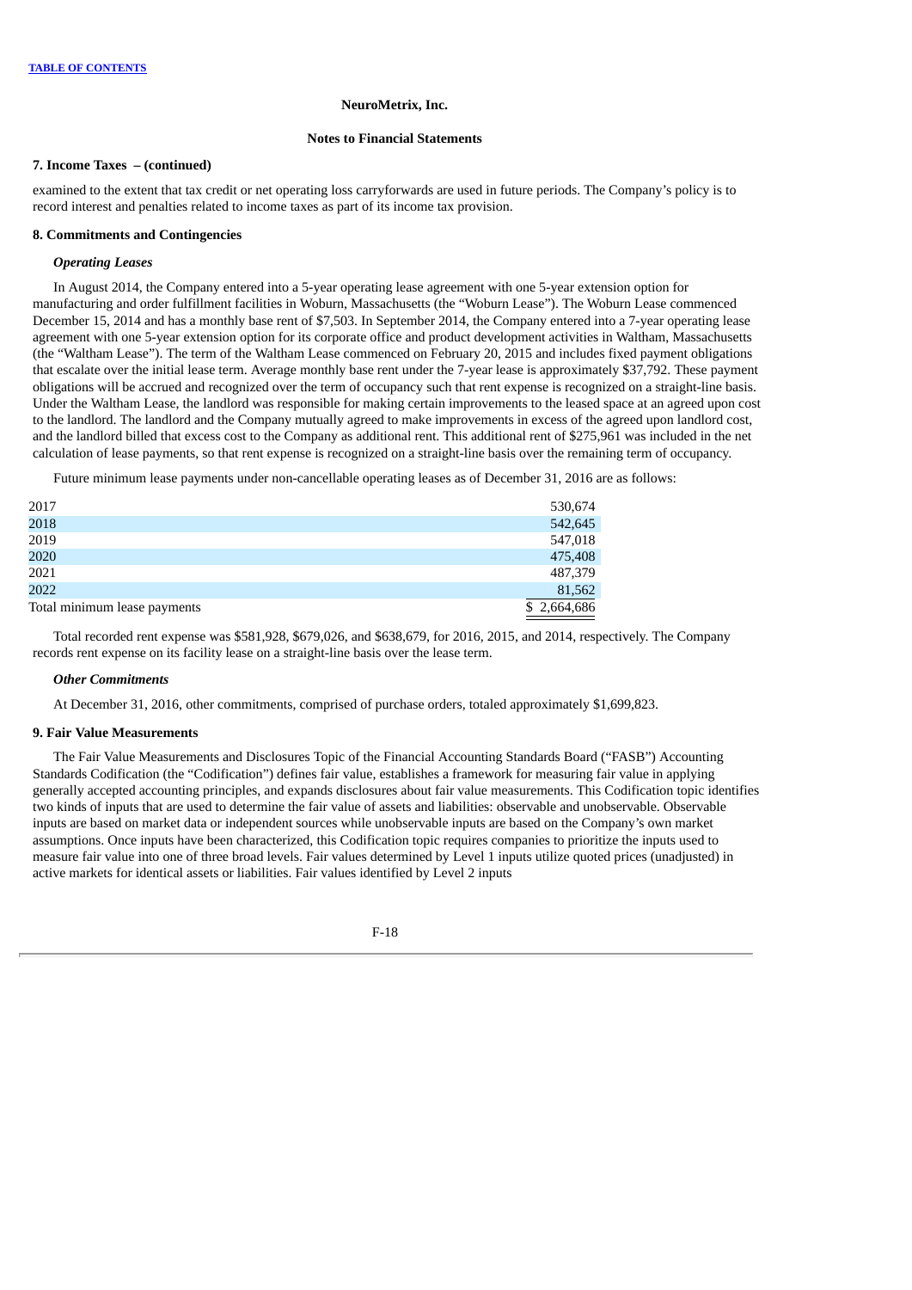#### **Notes to Financial Statements**

### **7. Income Taxes – (continued)**

examined to the extent that tax credit or net operating loss carryforwards are used in future periods. The Company's policy is to record interest and penalties related to income taxes as part of its income tax provision.

#### **8. Commitments and Contingencies**

### *Operating Leases*

In August 2014, the Company entered into a 5-year operating lease agreement with one 5-year extension option for manufacturing and order fulfillment facilities in Woburn, Massachusetts (the "Woburn Lease"). The Woburn Lease commenced December 15, 2014 and has a monthly base rent of \$7,503. In September 2014, the Company entered into a 7-year operating lease agreement with one 5-year extension option for its corporate office and product development activities in Waltham, Massachusetts (the "Waltham Lease"). The term of the Waltham Lease commenced on February 20, 2015 and includes fixed payment obligations that escalate over the initial lease term. Average monthly base rent under the 7-year lease is approximately \$37,792. These payment obligations will be accrued and recognized over the term of occupancy such that rent expense is recognized on a straight-line basis. Under the Waltham Lease, the landlord was responsible for making certain improvements to the leased space at an agreed upon cost to the landlord. The landlord and the Company mutually agreed to make improvements in excess of the agreed upon landlord cost, and the landlord billed that excess cost to the Company as additional rent. This additional rent of \$275,961 was included in the net calculation of lease payments, so that rent expense is recognized on a straight-line basis over the remaining term of occupancy.

Future minimum lease payments under non-cancellable operating leases as of December 31, 2016 are as follows:

| 2017                         | 530,674     |
|------------------------------|-------------|
| 2018                         | 542,645     |
| 2019                         | 547,018     |
| 2020                         | 475,408     |
| 2021                         | 487,379     |
| 2022                         | 81,562      |
| Total minimum lease payments | \$2,664,686 |

Total recorded rent expense was \$581,928, \$679,026, and \$638,679, for 2016, 2015, and 2014, respectively. The Company records rent expense on its facility lease on a straight-line basis over the lease term.

#### *Other Commitments*

At December 31, 2016, other commitments, comprised of purchase orders, totaled approximately \$1,699,823.

#### **9. Fair Value Measurements**

The Fair Value Measurements and Disclosures Topic of the Financial Accounting Standards Board ("FASB") Accounting Standards Codification (the "Codification") defines fair value, establishes a framework for measuring fair value in applying generally accepted accounting principles, and expands disclosures about fair value measurements. This Codification topic identifies two kinds of inputs that are used to determine the fair value of assets and liabilities: observable and unobservable. Observable inputs are based on market data or independent sources while unobservable inputs are based on the Company's own market assumptions. Once inputs have been characterized, this Codification topic requires companies to prioritize the inputs used to measure fair value into one of three broad levels. Fair values determined by Level 1 inputs utilize quoted prices (unadjusted) in active markets for identical assets or liabilities. Fair values identified by Level 2 inputs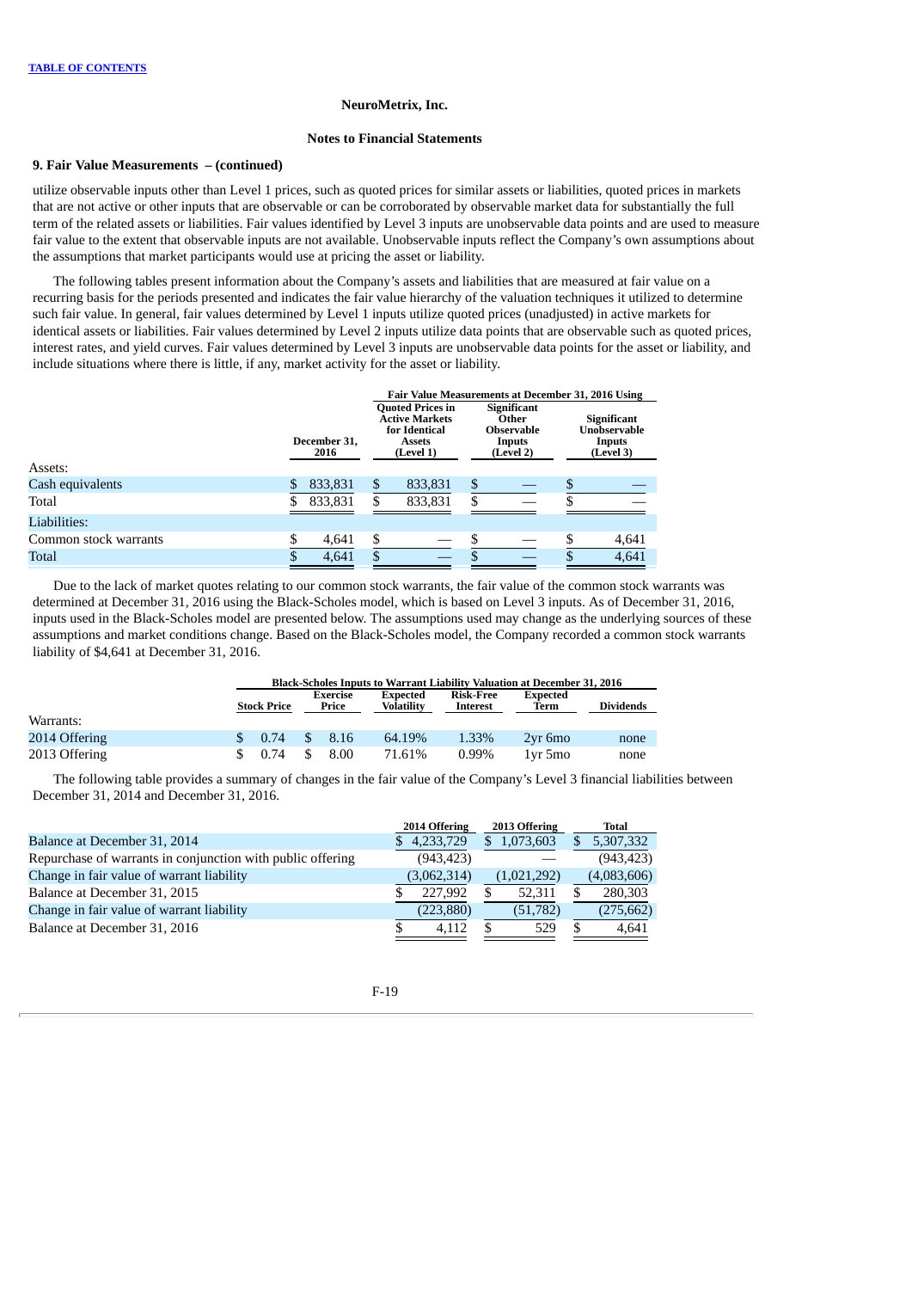### **Notes to Financial Statements**

#### **9. Fair Value Measurements – (continued)**

utilize observable inputs other than Level 1 prices, such as quoted prices for similar assets or liabilities, quoted prices in markets that are not active or other inputs that are observable or can be corroborated by observable market data for substantially the full term of the related assets or liabilities. Fair values identified by Level 3 inputs are unobservable data points and are used to measure fair value to the extent that observable inputs are not available. Unobservable inputs reflect the Company's own assumptions about the assumptions that market participants would use at pricing the asset or liability.

The following tables present information about the Company's assets and liabilities that are measured at fair value on a recurring basis for the periods presented and indicates the fair value hierarchy of the valuation techniques it utilized to determine such fair value. In general, fair values determined by Level 1 inputs utilize quoted prices (unadjusted) in active markets for identical assets or liabilities. Fair values determined by Level 2 inputs utilize data points that are observable such as quoted prices, interest rates, and yield curves. Fair values determined by Level 3 inputs are unobservable data points for the asset or liability, and include situations where there is little, if any, market activity for the asset or liability.

|                       |                      |     | Fair Value Measurements at December 31, 2016 Using                                              |     |                                                                  |     |                                                                         |
|-----------------------|----------------------|-----|-------------------------------------------------------------------------------------------------|-----|------------------------------------------------------------------|-----|-------------------------------------------------------------------------|
|                       | December 31.<br>2016 |     | <b>Quoted Prices in</b><br><b>Active Markets</b><br>for Identical<br><b>Assets</b><br>(Level 1) |     | <b>Significant</b><br>Other<br>Observable<br>Inputs<br>(Level 2) |     | <b>Significant</b><br><b>Unobservable</b><br><b>Inputs</b><br>(Level 3) |
| Assets:               |                      |     |                                                                                                 |     |                                                                  |     |                                                                         |
| Cash equivalents      | \$<br>833,831        | S   | 833,831                                                                                         | \$  |                                                                  | \$. |                                                                         |
| Total                 | 833,831              | ЭĐ. | 833,831                                                                                         | \$. |                                                                  |     |                                                                         |
| Liabilities:          |                      |     |                                                                                                 |     |                                                                  |     |                                                                         |
| Common stock warrants | 4,641                | \$  |                                                                                                 |     |                                                                  | S   | 4,641                                                                   |
| Total                 | 4,641                |     |                                                                                                 |     |                                                                  |     | 4,641                                                                   |

Due to the lack of market quotes relating to our common stock warrants, the fair value of the common stock warrants was determined at December 31, 2016 using the Black-Scholes model, which is based on Level 3 inputs. As of December 31, 2016, inputs used in the Black-Scholes model are presented below. The assumptions used may change as the underlying sources of these assumptions and market conditions change. Based on the Black-Scholes model, the Company recorded a common stock warrants liability of \$4,641 at December 31, 2016.

|               | <b>Black-Scholes Inputs to Warrant Liability Valuation at December 31, 2016</b> |  |                          |                        |                              |                                 |                  |  |  |
|---------------|---------------------------------------------------------------------------------|--|--------------------------|------------------------|------------------------------|---------------------------------|------------------|--|--|
|               | <b>Stock Price</b>                                                              |  | <b>Exercise</b><br>Price | Expected<br>Volatility | <b>Risk-Free</b><br>Interest | <b>Expected</b><br>Term         | <b>Dividends</b> |  |  |
| Warrants:     |                                                                                 |  |                          |                        |                              |                                 |                  |  |  |
| 2014 Offering | 0.74                                                                            |  | 8.16                     | 64.19%                 | 1.33%                        | 2yr 6mo                         | none             |  |  |
| 2013 Offering | 0.74                                                                            |  | 8.00                     | 71.61%                 | $0.99\%$                     | 1 <sub>vr</sub> 5 <sub>mo</sub> | none             |  |  |

The following table provides a summary of changes in the fair value of the Company's Level 3 financial liabilities between December 31, 2014 and December 31, 2016.

|                                                            | 2014 Offering | 2013 Offering  | <b>Total</b> |
|------------------------------------------------------------|---------------|----------------|--------------|
| Balance at December 31, 2014                               | \$4,233,729   | 1,073,603<br>S | 5,307,332    |
| Repurchase of warrants in conjunction with public offering | (943, 423)    |                | (943, 423)   |
| Change in fair value of warrant liability                  | (3,062,314)   | (1,021,292)    | (4,083,606)  |
| Balance at December 31, 2015                               | 227.992       | 52,311         | 280,303      |
| Change in fair value of warrant liability                  | (223, 880)    | (51, 782)      | (275, 662)   |
| Balance at December 31, 2016                               | 4.112         | 529            | 4,641        |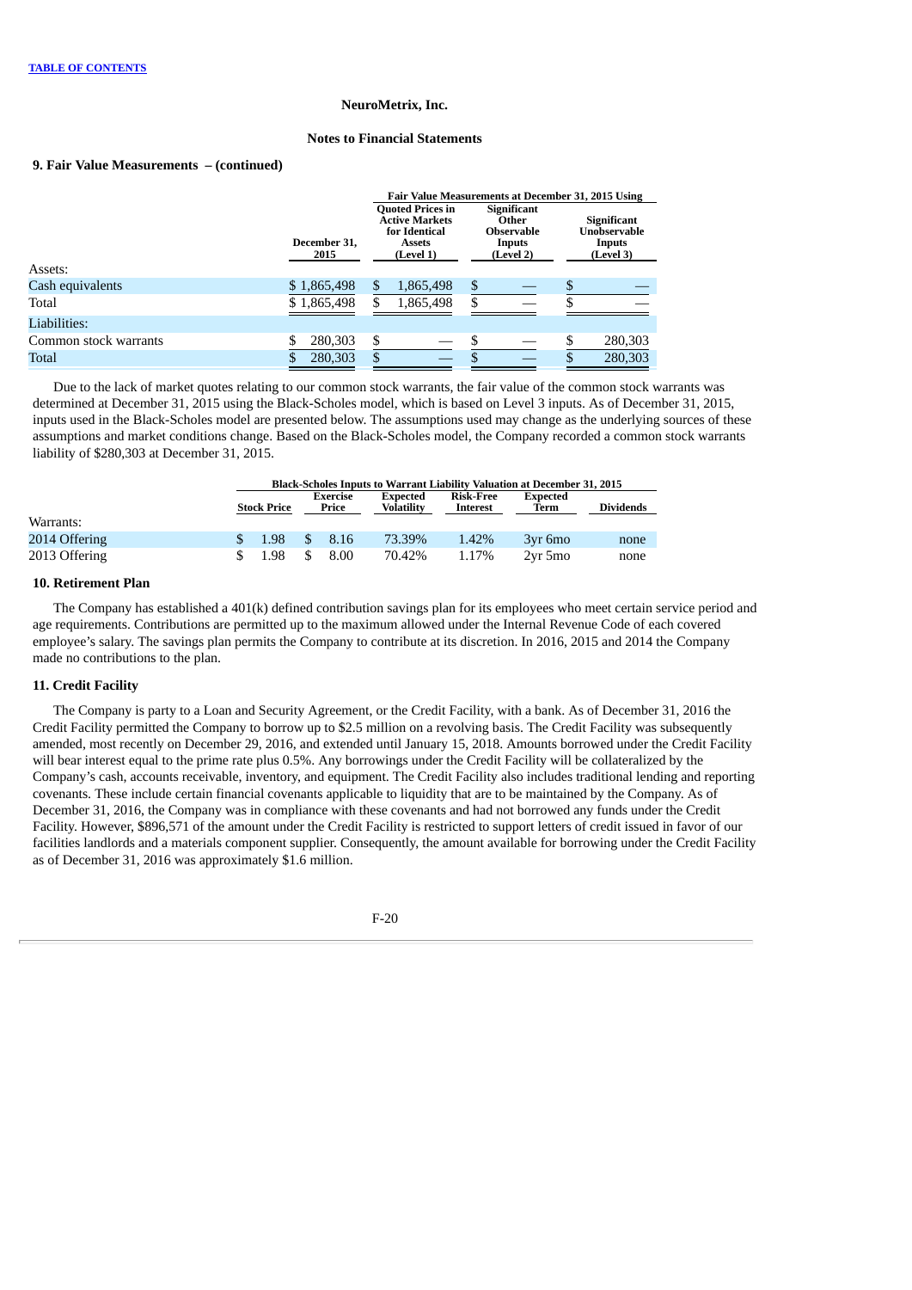#### **Notes to Financial Statements**

#### **9. Fair Value Measurements – (continued)**

|                       |                      |                                                                                          |    | Fair Value Measurements at December 31, 2015 Using        |   |                                                           |
|-----------------------|----------------------|------------------------------------------------------------------------------------------|----|-----------------------------------------------------------|---|-----------------------------------------------------------|
|                       | December 31.<br>2015 | <b>Quoted Prices in</b><br><b>Active Markets</b><br>for Identical<br>Assets<br>(Level 1) |    | Significant<br>Other<br>Observable<br>Inputs<br>(Level 2) |   | <b>Significant</b><br>Unobservable<br>Inputs<br>(Level 3) |
| Assets:               |                      |                                                                                          |    |                                                           |   |                                                           |
| Cash equivalents      | \$1,865,498          | 1,865,498                                                                                | \$ |                                                           |   |                                                           |
| Total                 | \$1,865,498          | 1,865,498                                                                                | S  |                                                           |   |                                                           |
| Liabilities:          |                      |                                                                                          |    |                                                           |   |                                                           |
| Common stock warrants | 280,303              | \$                                                                                       |    |                                                           |   | 280,303                                                   |
| Total                 | 280,303              | \$                                                                                       |    |                                                           | S | 280,303                                                   |

Due to the lack of market quotes relating to our common stock warrants, the fair value of the common stock warrants was determined at December 31, 2015 using the Black-Scholes model, which is based on Level 3 inputs. As of December 31, 2015, inputs used in the Black-Scholes model are presented below. The assumptions used may change as the underlying sources of these assumptions and market conditions change. Based on the Black-Scholes model, the Company recorded a common stock warrants liability of \$280,303 at December 31, 2015.

|               | <b>Black-Scholes Inputs to Warrant Liability Valuation at December 31, 2015</b> |               |                          |                        |                              |                  |                  |  |  |
|---------------|---------------------------------------------------------------------------------|---------------|--------------------------|------------------------|------------------------------|------------------|------------------|--|--|
|               | <b>Stock Price</b>                                                              |               | <b>Exercise</b><br>Price | Expected<br>Volatilitv | <b>Risk-Free</b><br>Interest | Expected<br>Term | <b>Dividends</b> |  |  |
| Warrants:     |                                                                                 |               |                          |                        |                              |                  |                  |  |  |
| 2014 Offering | 1.98                                                                            | $\mathcal{F}$ | 8.16                     | 73.39%                 | 1.42%                        | 3yr 6mo          | none             |  |  |
| 2013 Offering | 1.98                                                                            |               | 8.00                     | 70.42%                 | 1.17%                        | 2yr 5mo          | none             |  |  |

#### **10. Retirement Plan**

The Company has established a 401(k) defined contribution savings plan for its employees who meet certain service period and age requirements. Contributions are permitted up to the maximum allowed under the Internal Revenue Code of each covered employee's salary. The savings plan permits the Company to contribute at its discretion. In 2016, 2015 and 2014 the Company made no contributions to the plan.

### **11. Credit Facility**

The Company is party to a Loan and Security Agreement, or the Credit Facility, with a bank. As of December 31, 2016 the Credit Facility permitted the Company to borrow up to \$2.5 million on a revolving basis. The Credit Facility was subsequently amended, most recently on December 29, 2016, and extended until January 15, 2018. Amounts borrowed under the Credit Facility will bear interest equal to the prime rate plus 0.5%. Any borrowings under the Credit Facility will be collateralized by the Company's cash, accounts receivable, inventory, and equipment. The Credit Facility also includes traditional lending and reporting covenants. These include certain financial covenants applicable to liquidity that are to be maintained by the Company. As of December 31, 2016, the Company was in compliance with these covenants and had not borrowed any funds under the Credit Facility. However, \$896,571 of the amount under the Credit Facility is restricted to support letters of credit issued in favor of our facilities landlords and a materials component supplier. Consequently, the amount available for borrowing under the Credit Facility as of December 31, 2016 was approximately \$1.6 million.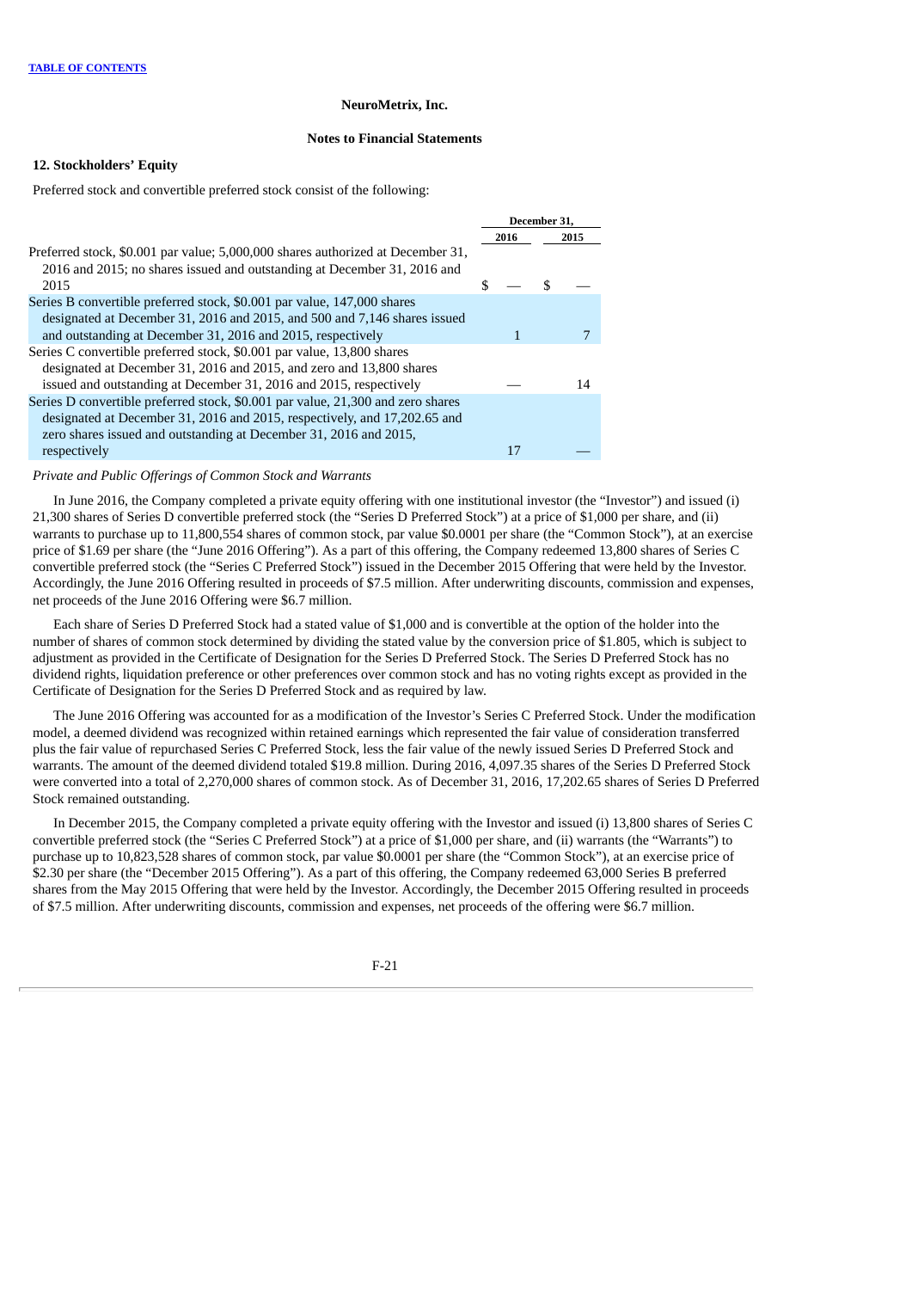#### **Notes to Financial Statements**

#### **12. Stockholders' Equity**

Preferred stock and convertible preferred stock consist of the following:

|                                                                                                                                                                                                                                   |      | December 31. |      |
|-----------------------------------------------------------------------------------------------------------------------------------------------------------------------------------------------------------------------------------|------|--------------|------|
|                                                                                                                                                                                                                                   | 2016 |              | 2015 |
| Preferred stock, \$0.001 par value; 5,000,000 shares authorized at December 31,<br>2016 and 2015; no shares issued and outstanding at December 31, 2016 and<br>2015                                                               |      |              |      |
| Series B convertible preferred stock, \$0.001 par value, 147,000 shares<br>designated at December 31, 2016 and 2015, and 500 and 7,146 shares issued                                                                              |      |              |      |
| and outstanding at December 31, 2016 and 2015, respectively                                                                                                                                                                       |      |              |      |
| Series C convertible preferred stock, \$0.001 par value, 13,800 shares<br>designated at December 31, 2016 and 2015, and zero and 13,800 shares<br>issued and outstanding at December 31, 2016 and 2015, respectively              |      |              | 14   |
| Series D convertible preferred stock, \$0.001 par value, 21,300 and zero shares<br>designated at December 31, 2016 and 2015, respectively, and 17,202.65 and<br>zero shares issued and outstanding at December 31, 2016 and 2015, |      |              |      |
| respectively                                                                                                                                                                                                                      | 17   |              |      |
|                                                                                                                                                                                                                                   |      |              |      |

*Private and Public Offerings of Common Stock and Warrants*

In June 2016, the Company completed a private equity offering with one institutional investor (the "Investor") and issued (i) 21,300 shares of Series D convertible preferred stock (the "Series D Preferred Stock") at a price of \$1,000 per share, and (ii) warrants to purchase up to 11,800,554 shares of common stock, par value \$0.0001 per share (the "Common Stock"), at an exercise price of \$1.69 per share (the "June 2016 Offering"). As a part of this offering, the Company redeemed 13,800 shares of Series C convertible preferred stock (the "Series C Preferred Stock") issued in the December 2015 Offering that were held by the Investor. Accordingly, the June 2016 Offering resulted in proceeds of \$7.5 million. After underwriting discounts, commission and expenses, net proceeds of the June 2016 Offering were \$6.7 million.

Each share of Series D Preferred Stock had a stated value of \$1,000 and is convertible at the option of the holder into the number of shares of common stock determined by dividing the stated value by the conversion price of \$1.805, which is subject to adjustment as provided in the Certificate of Designation for the Series D Preferred Stock. The Series D Preferred Stock has no dividend rights, liquidation preference or other preferences over common stock and has no voting rights except as provided in the Certificate of Designation for the Series D Preferred Stock and as required by law.

The June 2016 Offering was accounted for as a modification of the Investor's Series C Preferred Stock. Under the modification model, a deemed dividend was recognized within retained earnings which represented the fair value of consideration transferred plus the fair value of repurchased Series C Preferred Stock, less the fair value of the newly issued Series D Preferred Stock and warrants. The amount of the deemed dividend totaled \$19.8 million. During 2016, 4,097.35 shares of the Series D Preferred Stock were converted into a total of 2,270,000 shares of common stock. As of December 31, 2016, 17,202.65 shares of Series D Preferred Stock remained outstanding.

In December 2015, the Company completed a private equity offering with the Investor and issued (i) 13,800 shares of Series C convertible preferred stock (the "Series C Preferred Stock") at a price of \$1,000 per share, and (ii) warrants (the "Warrants") to purchase up to 10,823,528 shares of common stock, par value \$0.0001 per share (the "Common Stock"), at an exercise price of \$2.30 per share (the "December 2015 Offering"). As a part of this offering, the Company redeemed 63,000 Series B preferred shares from the May 2015 Offering that were held by the Investor. Accordingly, the December 2015 Offering resulted in proceeds of \$7.5 million. After underwriting discounts, commission and expenses, net proceeds of the offering were \$6.7 million.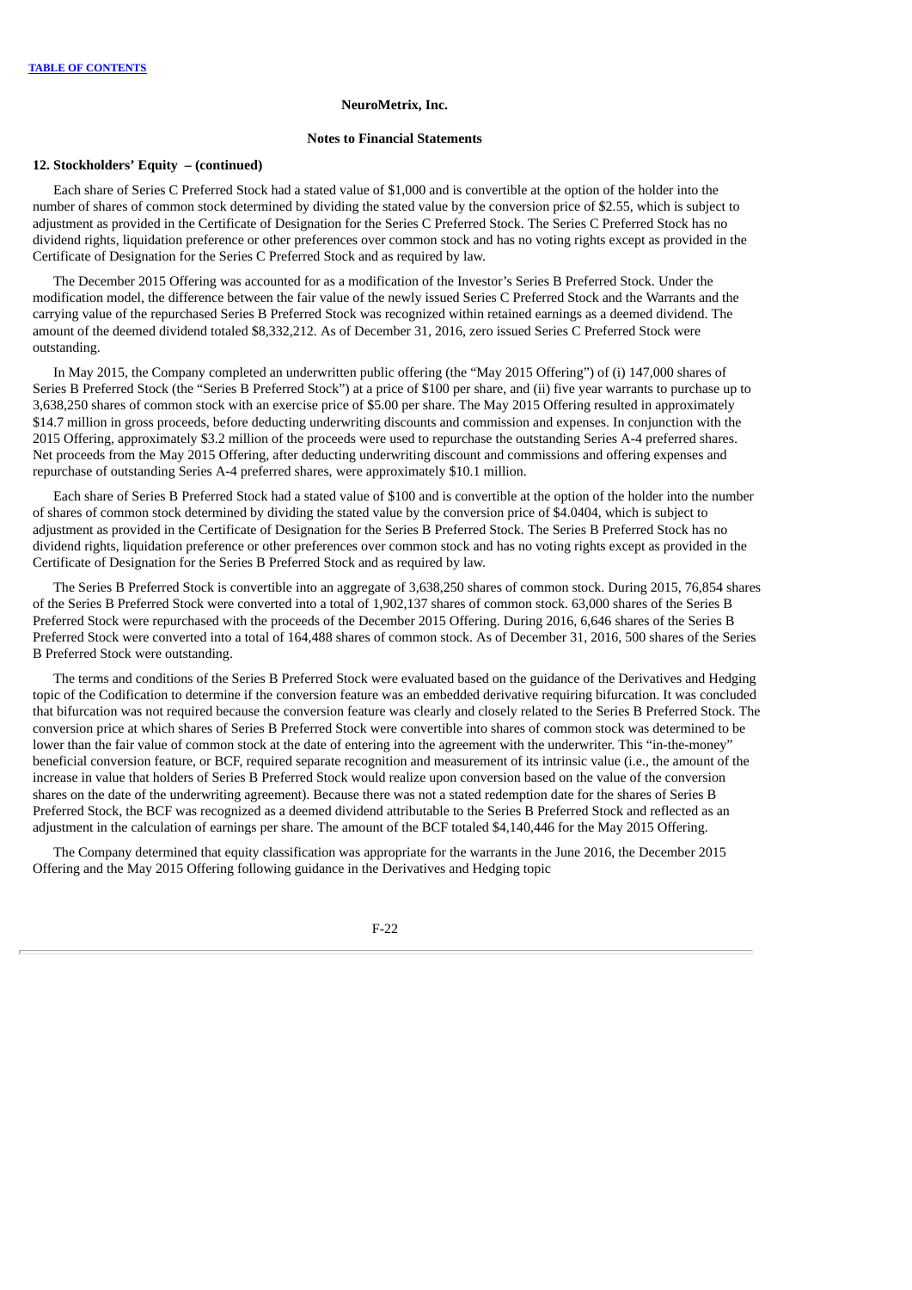#### **Notes to Financial Statements**

## **12. Stockholders' Equity – (continued)**

Each share of Series C Preferred Stock had a stated value of \$1,000 and is convertible at the option of the holder into the number of shares of common stock determined by dividing the stated value by the conversion price of \$2.55, which is subject to adjustment as provided in the Certificate of Designation for the Series C Preferred Stock. The Series C Preferred Stock has no dividend rights, liquidation preference or other preferences over common stock and has no voting rights except as provided in the Certificate of Designation for the Series C Preferred Stock and as required by law.

The December 2015 Offering was accounted for as a modification of the Investor's Series B Preferred Stock. Under the modification model, the difference between the fair value of the newly issued Series C Preferred Stock and the Warrants and the carrying value of the repurchased Series B Preferred Stock was recognized within retained earnings as a deemed dividend. The amount of the deemed dividend totaled \$8,332,212. As of December 31, 2016, zero issued Series C Preferred Stock were outstanding.

In May 2015, the Company completed an underwritten public offering (the "May 2015 Offering") of (i) 147,000 shares of Series B Preferred Stock (the "Series B Preferred Stock") at a price of \$100 per share, and (ii) five year warrants to purchase up to 3,638,250 shares of common stock with an exercise price of \$5.00 per share. The May 2015 Offering resulted in approximately \$14.7 million in gross proceeds, before deducting underwriting discounts and commission and expenses. In conjunction with the 2015 Offering, approximately \$3.2 million of the proceeds were used to repurchase the outstanding Series A-4 preferred shares. Net proceeds from the May 2015 Offering, after deducting underwriting discount and commissions and offering expenses and repurchase of outstanding Series A-4 preferred shares, were approximately \$10.1 million.

Each share of Series B Preferred Stock had a stated value of \$100 and is convertible at the option of the holder into the number of shares of common stock determined by dividing the stated value by the conversion price of \$4.0404, which is subject to adjustment as provided in the Certificate of Designation for the Series B Preferred Stock. The Series B Preferred Stock has no dividend rights, liquidation preference or other preferences over common stock and has no voting rights except as provided in the Certificate of Designation for the Series B Preferred Stock and as required by law.

The Series B Preferred Stock is convertible into an aggregate of 3,638,250 shares of common stock. During 2015, 76,854 shares of the Series B Preferred Stock were converted into a total of 1,902,137 shares of common stock. 63,000 shares of the Series B Preferred Stock were repurchased with the proceeds of the December 2015 Offering. During 2016, 6,646 shares of the Series B Preferred Stock were converted into a total of 164,488 shares of common stock. As of December 31, 2016, 500 shares of the Series B Preferred Stock were outstanding.

The terms and conditions of the Series B Preferred Stock were evaluated based on the guidance of the Derivatives and Hedging topic of the Codification to determine if the conversion feature was an embedded derivative requiring bifurcation. It was concluded that bifurcation was not required because the conversion feature was clearly and closely related to the Series B Preferred Stock. The conversion price at which shares of Series B Preferred Stock were convertible into shares of common stock was determined to be lower than the fair value of common stock at the date of entering into the agreement with the underwriter. This "in-the-money" beneficial conversion feature, or BCF, required separate recognition and measurement of its intrinsic value (i.e., the amount of the increase in value that holders of Series B Preferred Stock would realize upon conversion based on the value of the conversion shares on the date of the underwriting agreement). Because there was not a stated redemption date for the shares of Series B Preferred Stock, the BCF was recognized as a deemed dividend attributable to the Series B Preferred Stock and reflected as an adjustment in the calculation of earnings per share. The amount of the BCF totaled \$4,140,446 for the May 2015 Offering.

The Company determined that equity classification was appropriate for the warrants in the June 2016, the December 2015 Offering and the May 2015 Offering following guidance in the Derivatives and Hedging topic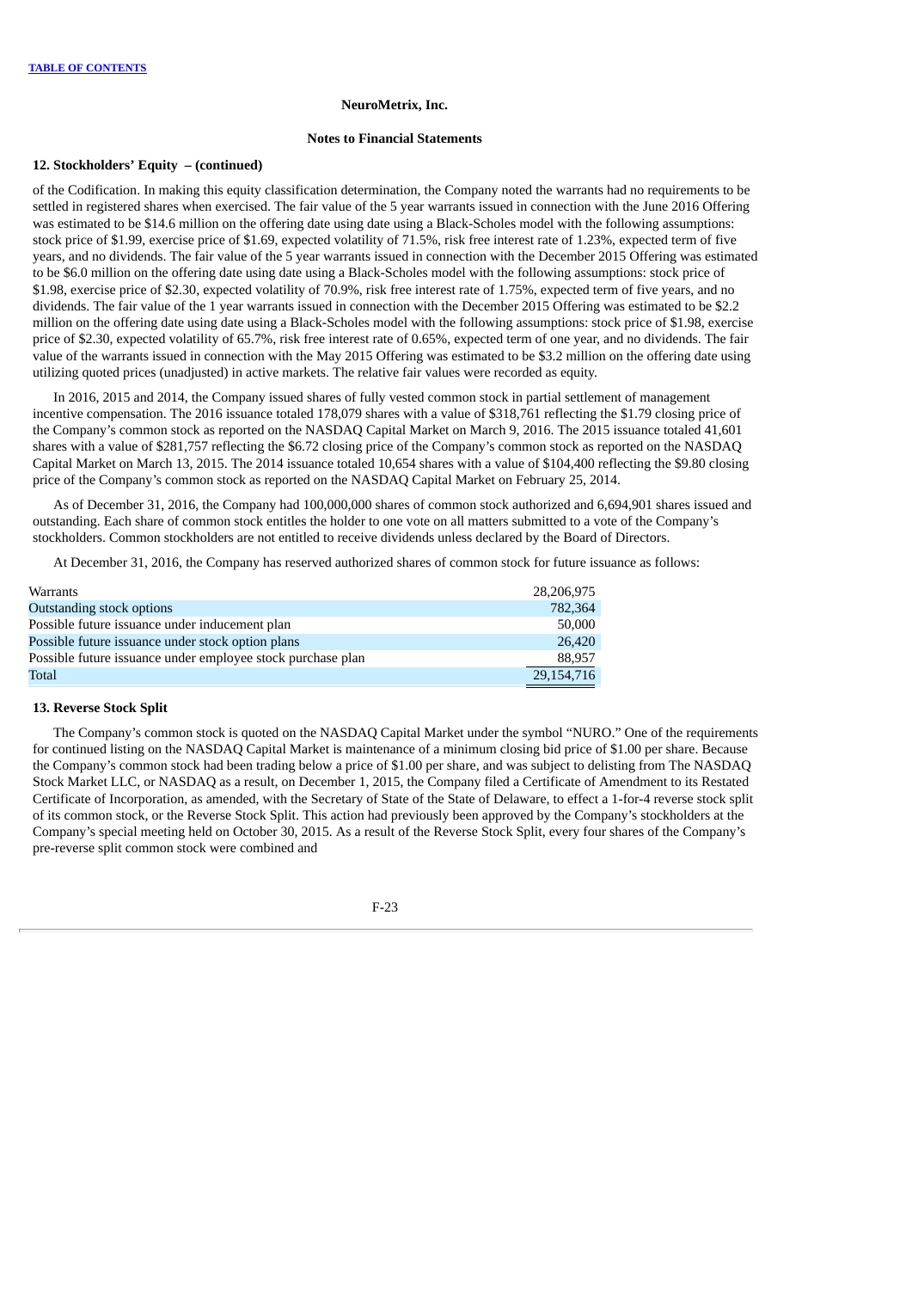#### **Notes to Financial Statements**

### **12. Stockholders' Equity – (continued)**

of the Codification. In making this equity classification determination, the Company noted the warrants had no requirements to be settled in registered shares when exercised. The fair value of the 5 year warrants issued in connection with the June 2016 Offering was estimated to be \$14.6 million on the offering date using date using a Black-Scholes model with the following assumptions: stock price of \$1.99, exercise price of \$1.69, expected volatility of 71.5%, risk free interest rate of 1.23%, expected term of five years, and no dividends. The fair value of the 5 year warrants issued in connection with the December 2015 Offering was estimated to be \$6.0 million on the offering date using date using a Black-Scholes model with the following assumptions: stock price of \$1.98, exercise price of \$2.30, expected volatility of 70.9%, risk free interest rate of 1.75%, expected term of five years, and no dividends. The fair value of the 1 year warrants issued in connection with the December 2015 Offering was estimated to be \$2.2 million on the offering date using date using a Black-Scholes model with the following assumptions: stock price of \$1.98, exercise price of \$2.30, expected volatility of 65.7%, risk free interest rate of 0.65%, expected term of one year, and no dividends. The fair value of the warrants issued in connection with the May 2015 Offering was estimated to be \$3.2 million on the offering date using utilizing quoted prices (unadjusted) in active markets. The relative fair values were recorded as equity.

In 2016, 2015 and 2014, the Company issued shares of fully vested common stock in partial settlement of management incentive compensation. The 2016 issuance totaled 178,079 shares with a value of \$318,761 reflecting the \$1.79 closing price of the Company's common stock as reported on the NASDAQ Capital Market on March 9, 2016. The 2015 issuance totaled 41,601 shares with a value of \$281,757 reflecting the \$6.72 closing price of the Company's common stock as reported on the NASDAQ Capital Market on March 13, 2015. The 2014 issuance totaled 10,654 shares with a value of \$104,400 reflecting the \$9.80 closing price of the Company's common stock as reported on the NASDAQ Capital Market on February 25, 2014.

As of December 31, 2016, the Company had 100,000,000 shares of common stock authorized and 6,694,901 shares issued and outstanding. Each share of common stock entitles the holder to one vote on all matters submitted to a vote of the Company's stockholders. Common stockholders are not entitled to receive dividends unless declared by the Board of Directors.

At December 31, 2016, the Company has reserved authorized shares of common stock for future issuance as follows:

| Warrants                                                    | 28,206,975   |
|-------------------------------------------------------------|--------------|
| <b>Outstanding stock options</b>                            | 782,364      |
| Possible future issuance under inducement plan              | 50,000       |
| Possible future issuance under stock option plans           | 26,420       |
| Possible future issuance under employee stock purchase plan | 88.957       |
| Total                                                       | 29, 154, 716 |

#### **13. Reverse Stock Split**

The Company's common stock is quoted on the NASDAQ Capital Market under the symbol "NURO." One of the requirements for continued listing on the NASDAQ Capital Market is maintenance of a minimum closing bid price of \$1.00 per share. Because the Company's common stock had been trading below a price of \$1.00 per share, and was subject to delisting from The NASDAQ Stock Market LLC, or NASDAQ as a result, on December 1, 2015, the Company filed a Certificate of Amendment to its Restated Certificate of Incorporation, as amended, with the Secretary of State of the State of Delaware, to effect a 1-for-4 reverse stock split of its common stock, or the Reverse Stock Split. This action had previously been approved by the Company's stockholders at the Company's special meeting held on October 30, 2015. As a result of the Reverse Stock Split, every four shares of the Company's pre-reverse split common stock were combined and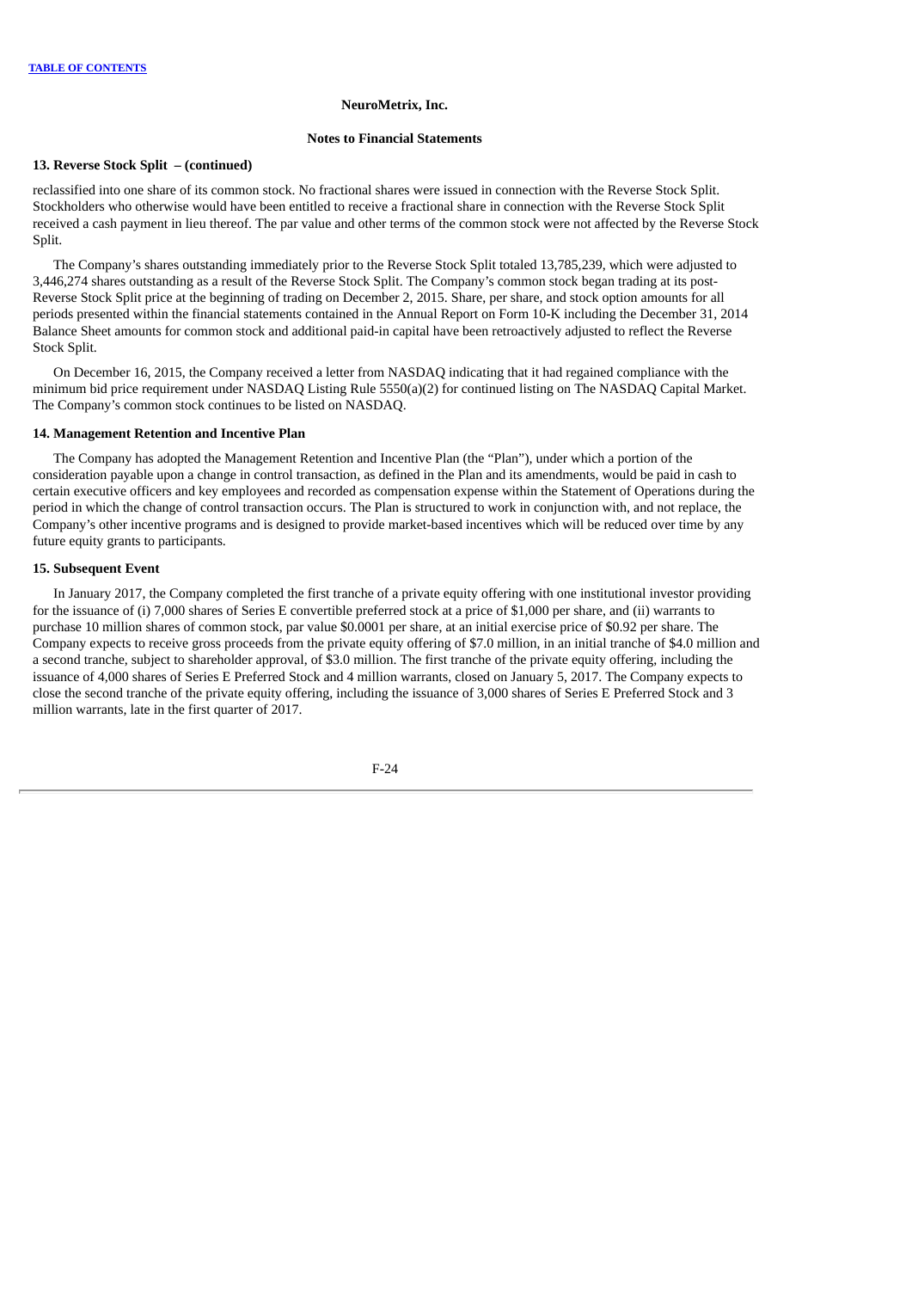#### **Notes to Financial Statements**

## **13. Reverse Stock Split – (continued)**

reclassified into one share of its common stock. No fractional shares were issued in connection with the Reverse Stock Split. Stockholders who otherwise would have been entitled to receive a fractional share in connection with the Reverse Stock Split received a cash payment in lieu thereof. The par value and other terms of the common stock were not affected by the Reverse Stock Split.

The Company's shares outstanding immediately prior to the Reverse Stock Split totaled 13,785,239, which were adjusted to 3,446,274 shares outstanding as a result of the Reverse Stock Split. The Company's common stock began trading at its post-Reverse Stock Split price at the beginning of trading on December 2, 2015. Share, per share, and stock option amounts for all periods presented within the financial statements contained in the Annual Report on Form 10-K including the December 31, 2014 Balance Sheet amounts for common stock and additional paid-in capital have been retroactively adjusted to reflect the Reverse Stock Split.

On December 16, 2015, the Company received a letter from NASDAQ indicating that it had regained compliance with the minimum bid price requirement under NASDAQ Listing Rule 5550(a)(2) for continued listing on The NASDAQ Capital Market. The Company's common stock continues to be listed on NASDAQ.

#### **14. Management Retention and Incentive Plan**

The Company has adopted the Management Retention and Incentive Plan (the "Plan"), under which a portion of the consideration payable upon a change in control transaction, as defined in the Plan and its amendments, would be paid in cash to certain executive officers and key employees and recorded as compensation expense within the Statement of Operations during the period in which the change of control transaction occurs. The Plan is structured to work in conjunction with, and not replace, the Company's other incentive programs and is designed to provide market-based incentives which will be reduced over time by any future equity grants to participants.

### **15. Subsequent Event**

In January 2017, the Company completed the first tranche of a private equity offering with one institutional investor providing for the issuance of (i) 7,000 shares of Series E convertible preferred stock at a price of \$1,000 per share, and (ii) warrants to purchase 10 million shares of common stock, par value \$0.0001 per share, at an initial exercise price of \$0.92 per share. The Company expects to receive gross proceeds from the private equity offering of \$7.0 million, in an initial tranche of \$4.0 million and a second tranche, subject to shareholder approval, of \$3.0 million. The first tranche of the private equity offering, including the issuance of 4,000 shares of Series E Preferred Stock and 4 million warrants, closed on January 5, 2017. The Company expects to close the second tranche of the private equity offering, including the issuance of 3,000 shares of Series E Preferred Stock and 3 million warrants, late in the first quarter of 2017.

$$
F-24
$$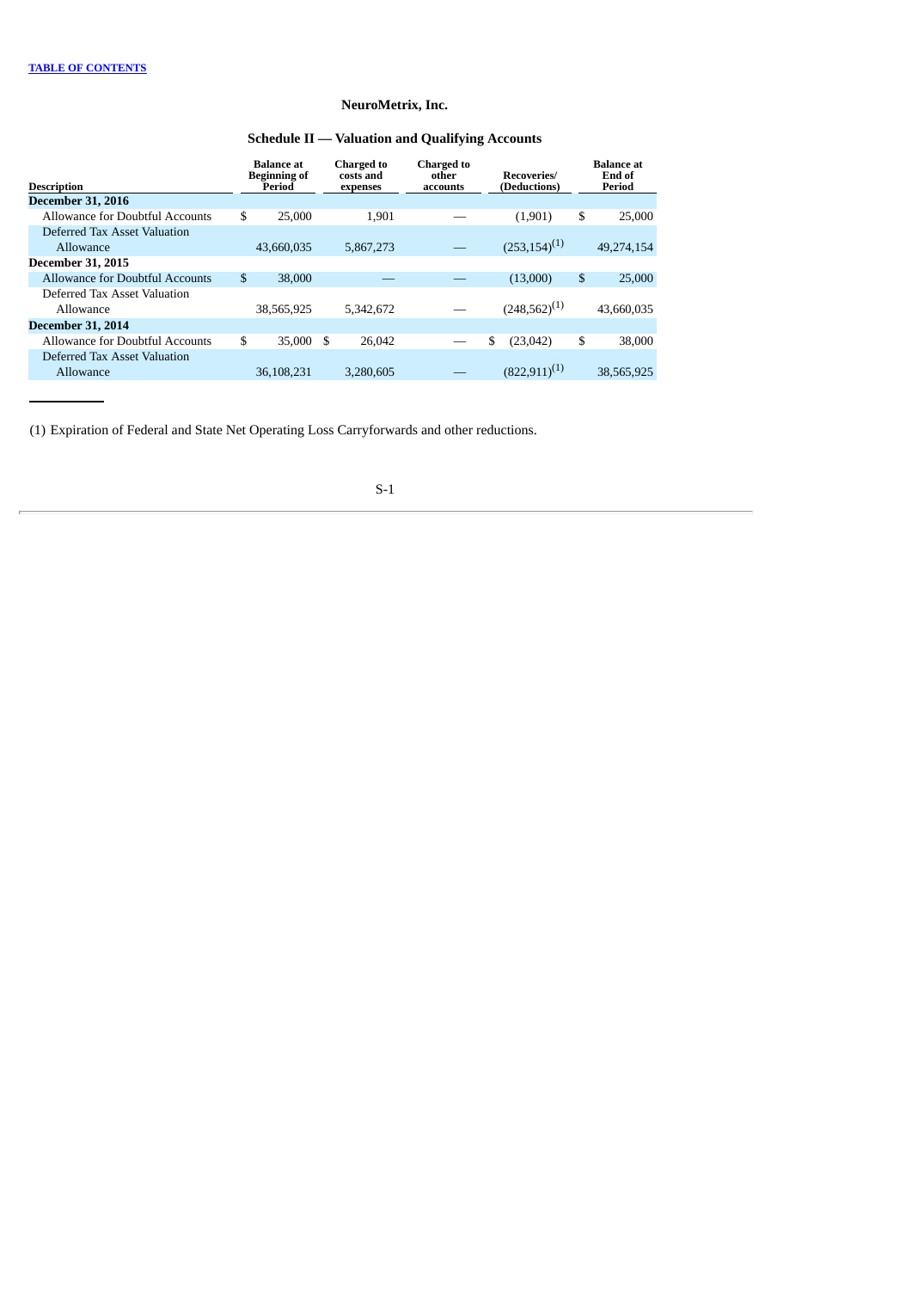# **Schedule II — Valuation and Qualifying Accounts**

|                                 |    | <b>Balance</b> at<br><b>Beginning of</b> |    |           |          |    |                    | <b>Charged</b> to<br>costs and |            |  | <b>Charged to</b><br>other |  | Recoveries/ |  | <b>Balance</b> at<br>End of |  |
|---------------------------------|----|------------------------------------------|----|-----------|----------|----|--------------------|--------------------------------|------------|--|----------------------------|--|-------------|--|-----------------------------|--|
| <b>Description</b>              |    | Period                                   |    | expenses  | accounts |    | (Deductions)       |                                | Period     |  |                            |  |             |  |                             |  |
| <b>December 31, 2016</b>        |    |                                          |    |           |          |    |                    |                                |            |  |                            |  |             |  |                             |  |
| Allowance for Doubtful Accounts | \$ | 25,000                                   |    | 1.901     |          |    | (1,901)            | \$                             | 25,000     |  |                            |  |             |  |                             |  |
| Deferred Tax Asset Valuation    |    |                                          |    |           |          |    |                    |                                |            |  |                            |  |             |  |                             |  |
| Allowance                       |    | 43.660.035                               |    | 5.867.273 |          |    | $(253, 154)^{(1)}$ |                                | 49.274.154 |  |                            |  |             |  |                             |  |
| <b>December 31, 2015</b>        |    |                                          |    |           |          |    |                    |                                |            |  |                            |  |             |  |                             |  |
| Allowance for Doubtful Accounts | \$ | 38,000                                   |    |           |          |    | (13,000)           | \$                             | 25,000     |  |                            |  |             |  |                             |  |
| Deferred Tax Asset Valuation    |    |                                          |    |           |          |    |                    |                                |            |  |                            |  |             |  |                             |  |
| Allowance                       |    | 38,565,925                               |    | 5.342.672 |          |    | $(248,562)^{(1)}$  |                                | 43.660.035 |  |                            |  |             |  |                             |  |
| <b>December 31, 2014</b>        |    |                                          |    |           |          |    |                    |                                |            |  |                            |  |             |  |                             |  |
| Allowance for Doubtful Accounts | \$ | 35,000                                   | \$ | 26,042    |          | \$ | (23,042)           | \$                             | 38,000     |  |                            |  |             |  |                             |  |
| Deferred Tax Asset Valuation    |    |                                          |    |           |          |    |                    |                                |            |  |                            |  |             |  |                             |  |
| Allowance                       |    | 36,108,231                               |    | 3.280.605 |          |    | $(822, 911)^{(1)}$ |                                | 38,565,925 |  |                            |  |             |  |                             |  |
|                                 |    |                                          |    |           |          |    |                    |                                |            |  |                            |  |             |  |                             |  |

(1) Expiration of Federal and State Net Operating Loss Carryforwards and other reductions.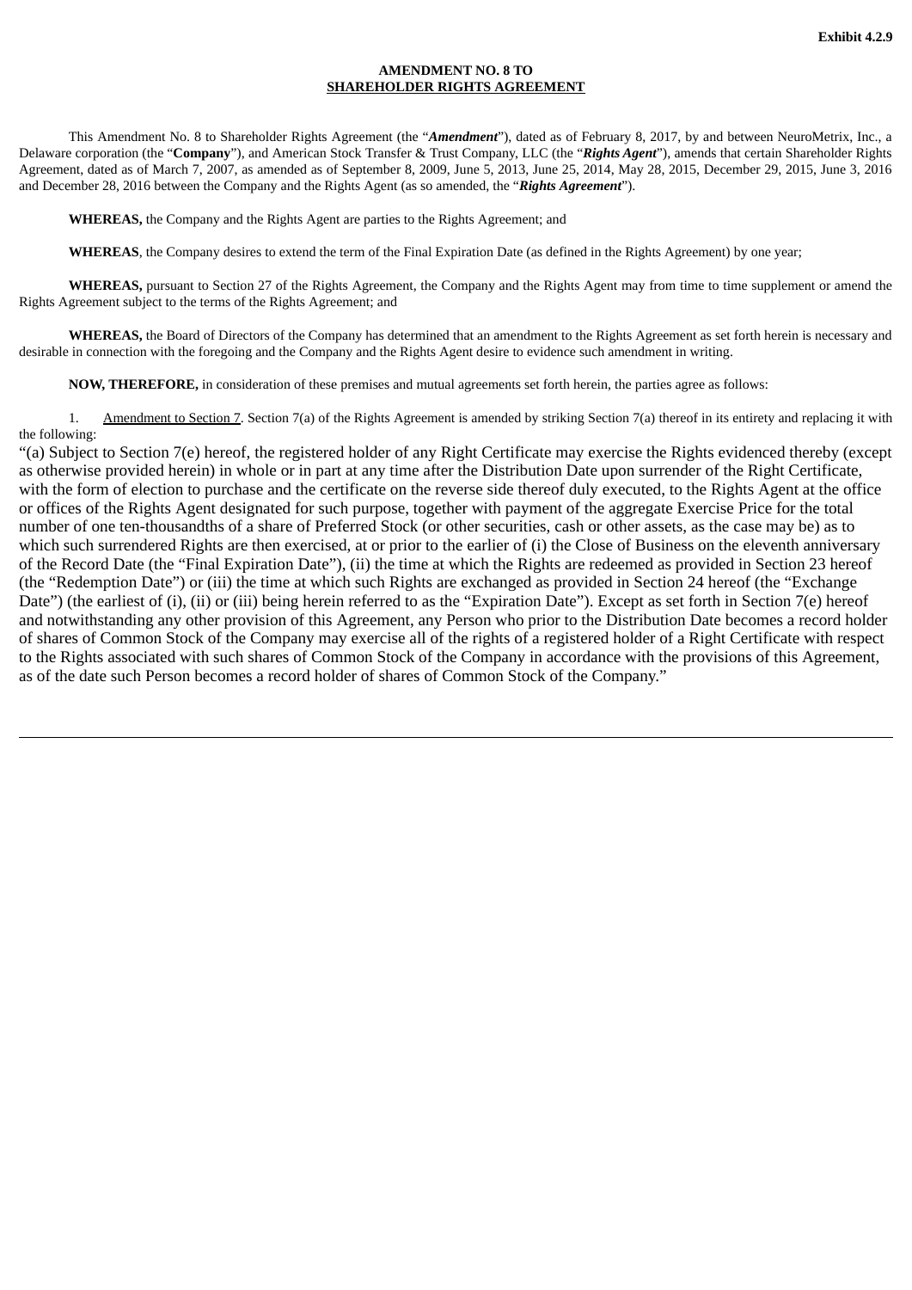## **AMENDMENT NO. 8 TO SHAREHOLDER RIGHTS AGREEMENT**

This Amendment No. 8 to Shareholder Rights Agreement (the "*Amendment*"), dated as of February 8, 2017, by and between NeuroMetrix, Inc., a Delaware corporation (the "**Company**"), and American Stock Transfer & Trust Company, LLC (the "*Rights Agent*"), amends that certain Shareholder Rights Agreement, dated as of March 7, 2007, as amended as of September 8, 2009, June 5, 2013, June 25, 2014, May 28, 2015, December 29, 2015, June 3, 2016 and December 28, 2016 between the Company and the Rights Agent (as so amended, the "*Rights Agreement*").

**WHEREAS,** the Company and the Rights Agent are parties to the Rights Agreement; and

**WHEREAS**, the Company desires to extend the term of the Final Expiration Date (as defined in the Rights Agreement) by one year;

**WHEREAS,** pursuant to Section 27 of the Rights Agreement, the Company and the Rights Agent may from time to time supplement or amend the Rights Agreement subject to the terms of the Rights Agreement; and

**WHEREAS,** the Board of Directors of the Company has determined that an amendment to the Rights Agreement as set forth herein is necessary and desirable in connection with the foregoing and the Company and the Rights Agent desire to evidence such amendment in writing.

**NOW, THEREFORE,** in consideration of these premises and mutual agreements set forth herein, the parties agree as follows:

1. Amendment to Section 7. Section 7(a) of the Rights Agreement is amended by striking Section 7(a) thereof in its entirety and replacing it with the following:

"(a) Subject to Section 7(e) hereof, the registered holder of any Right Certificate may exercise the Rights evidenced thereby (except as otherwise provided herein) in whole or in part at any time after the Distribution Date upon surrender of the Right Certificate, with the form of election to purchase and the certificate on the reverse side thereof duly executed, to the Rights Agent at the office or offices of the Rights Agent designated for such purpose, together with payment of the aggregate Exercise Price for the total number of one ten-thousandths of a share of Preferred Stock (or other securities, cash or other assets, as the case may be) as to which such surrendered Rights are then exercised, at or prior to the earlier of (i) the Close of Business on the eleventh anniversary of the Record Date (the "Final Expiration Date"), (ii) the time at which the Rights are redeemed as provided in Section 23 hereof (the "Redemption Date") or (iii) the time at which such Rights are exchanged as provided in Section 24 hereof (the "Exchange Date") (the earliest of (i), (ii) or (iii) being herein referred to as the "Expiration Date"). Except as set forth in Section 7(e) hereof and notwithstanding any other provision of this Agreement, any Person who prior to the Distribution Date becomes a record holder of shares of Common Stock of the Company may exercise all of the rights of a registered holder of a Right Certificate with respect to the Rights associated with such shares of Common Stock of the Company in accordance with the provisions of this Agreement, as of the date such Person becomes a record holder of shares of Common Stock of the Company."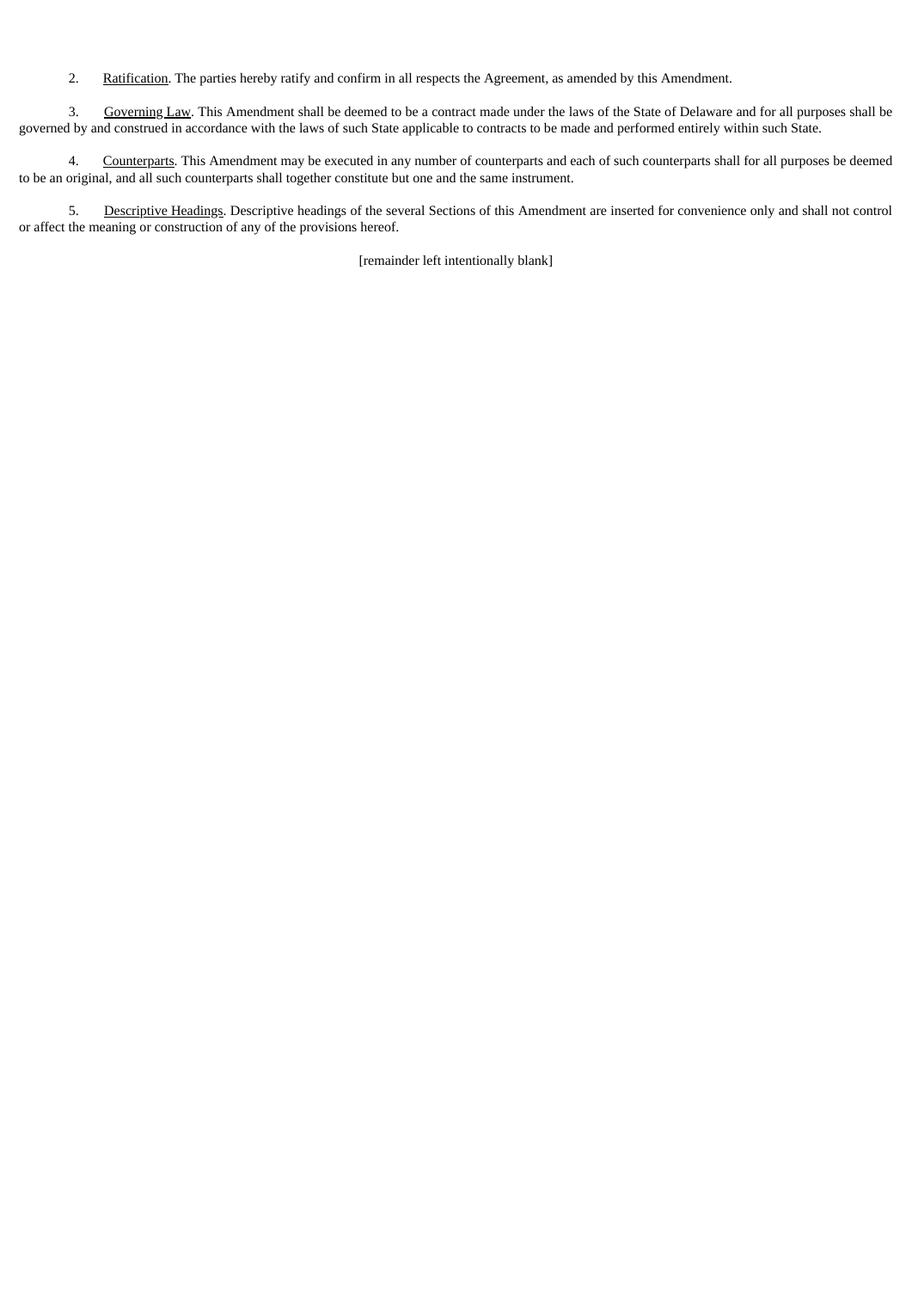2. Ratification. The parties hereby ratify and confirm in all respects the Agreement, as amended by this Amendment.

3. Governing Law. This Amendment shall be deemed to be a contract made under the laws of the State of Delaware and for all purposes shall be governed by and construed in accordance with the laws of such State applicable to contracts to be made and performed entirely within such State.

4. Counterparts. This Amendment may be executed in any number of counterparts and each of such counterparts shall for all purposes be deemed to be an original, and all such counterparts shall together constitute but one and the same instrument.

5. Descriptive Headings. Descriptive headings of the several Sections of this Amendment are inserted for convenience only and shall not control or affect the meaning or construction of any of the provisions hereof.

[remainder left intentionally blank]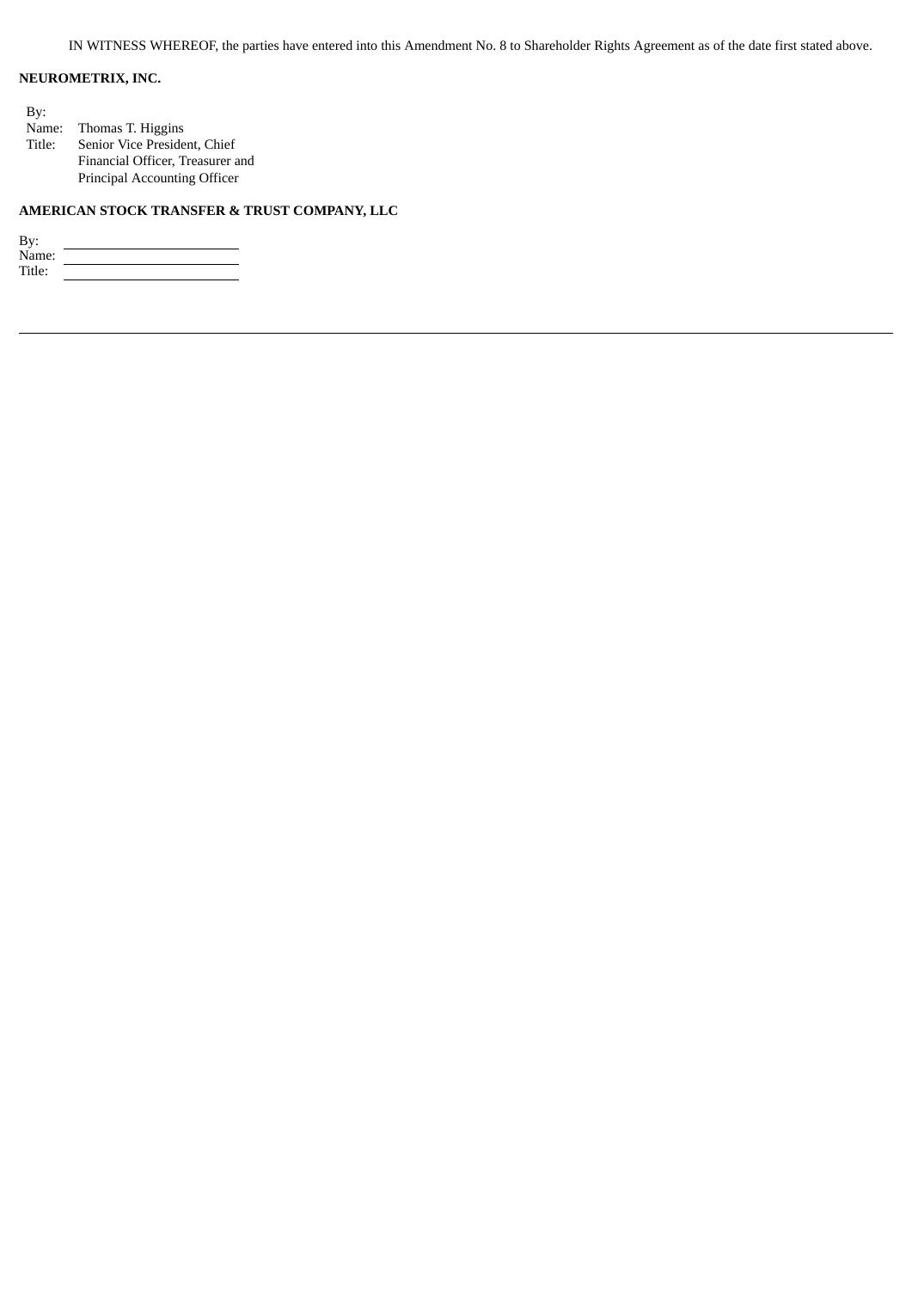## **NEUROMETRIX, INC.**

- By:<br>Name: Name: Thomas T. Higgins<br>Title: Senior Vice Preside Senior Vice President, Chief Financial Officer, Treasurer and
	- Principal Accounting Officer

# **AMERICAN STOCK TRANSFER & TRUST COMPANY, LLC**

By: Name: Title: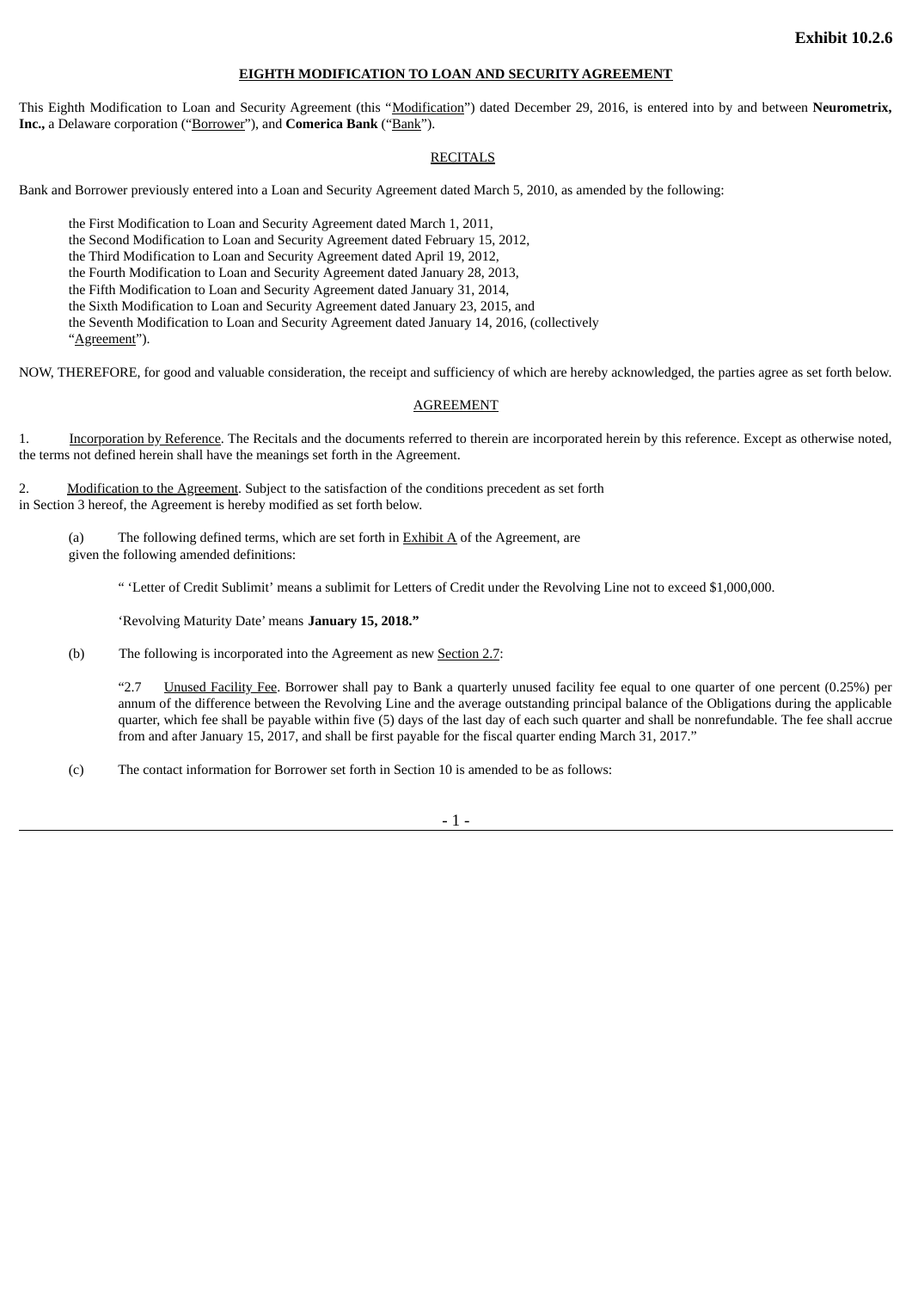# **EIGHTH MODIFICATION TO LOAN AND SECURITY AGREEMENT**

This Eighth Modification to Loan and Security Agreement (this "Modification") dated December 29, 2016, is entered into by and between **Neurometrix, Inc.,** a Delaware corporation ("Borrower"), and **Comerica Bank** ("Bank").

### **RECITALS**

Bank and Borrower previously entered into a Loan and Security Agreement dated March 5, 2010, as amended by the following:

the First Modification to Loan and Security Agreement dated March 1, 2011,

the Second Modification to Loan and Security Agreement dated February 15, 2012,

the Third Modification to Loan and Security Agreement dated April 19, 2012,

the Fourth Modification to Loan and Security Agreement dated January 28, 2013,

the Fifth Modification to Loan and Security Agreement dated January 31, 2014,

the Sixth Modification to Loan and Security Agreement dated January 23, 2015, and

the Seventh Modification to Loan and Security Agreement dated January 14, 2016, (collectively

"Agreement").

NOW, THEREFORE, for good and valuable consideration, the receipt and sufficiency of which are hereby acknowledged, the parties agree as set forth below.

## AGREEMENT

1. Incorporation by Reference. The Recitals and the documents referred to therein are incorporated herein by this reference. Except as otherwise noted, the terms not defined herein shall have the meanings set forth in the Agreement.

2. Modification to the Agreement. Subject to the satisfaction of the conditions precedent as set forth in Section 3 hereof, the Agreement is hereby modified as set forth below.

(a) The following defined terms, which are set forth in  $Exhibit A$  of the Agreement, are given the following amended definitions:

" 'Letter of Credit Sublimit' means a sublimit for Letters of Credit under the Revolving Line not to exceed \$1,000,000.

'Revolving Maturity Date' means **January 15, 2018."**

(b) The following is incorporated into the Agreement as new Section 2.7:

"2.7 Unused Facility Fee. Borrower shall pay to Bank a quarterly unused facility fee equal to one quarter of one percent (0.25%) per annum of the difference between the Revolving Line and the average outstanding principal balance of the Obligations during the applicable quarter, which fee shall be payable within five (5) days of the last day of each such quarter and shall be nonrefundable. The fee shall accrue from and after January 15, 2017, and shall be first payable for the fiscal quarter ending March 31, 2017."

(c) The contact information for Borrower set forth in Section 10 is amended to be as follows:

- 1 -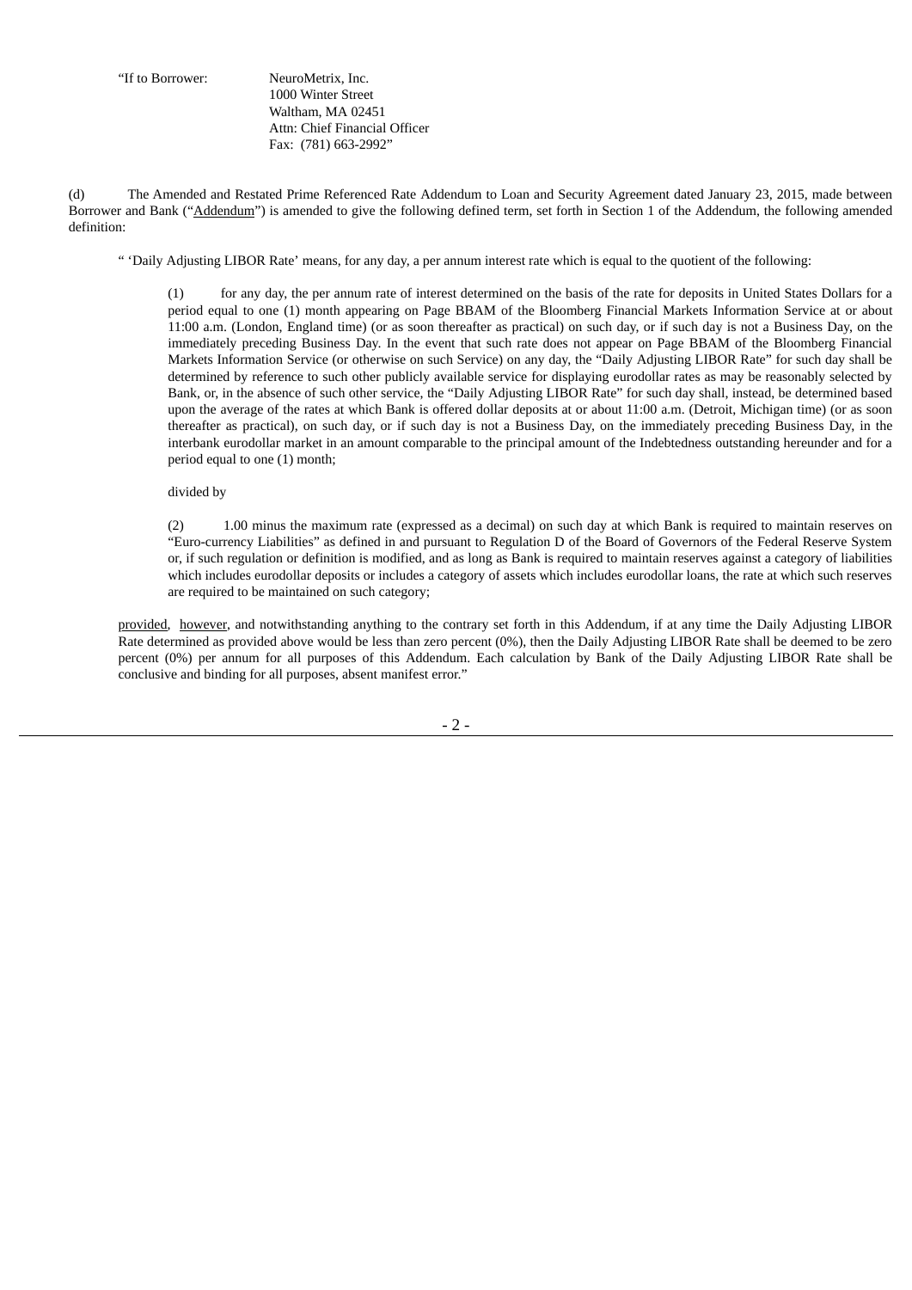"If to Borrower: NeuroMetrix, Inc.

1000 Winter Street Waltham, MA 02451 Attn: Chief Financial Officer Fax: (781) 663-2992"

(d) The Amended and Restated Prime Referenced Rate Addendum to Loan and Security Agreement dated January 23, 2015, made between Borrower and Bank ("Addendum") is amended to give the following defined term, set forth in Section 1 of the Addendum, the following amended definition:

" 'Daily Adjusting LIBOR Rate' means, for any day, a per annum interest rate which is equal to the quotient of the following:

(1) for any day, the per annum rate of interest determined on the basis of the rate for deposits in United States Dollars for a period equal to one (1) month appearing on Page BBAM of the Bloomberg Financial Markets Information Service at or about 11:00 a.m. (London, England time) (or as soon thereafter as practical) on such day, or if such day is not a Business Day, on the immediately preceding Business Day. In the event that such rate does not appear on Page BBAM of the Bloomberg Financial Markets Information Service (or otherwise on such Service) on any day, the "Daily Adjusting LIBOR Rate" for such day shall be determined by reference to such other publicly available service for displaying eurodollar rates as may be reasonably selected by Bank, or, in the absence of such other service, the "Daily Adjusting LIBOR Rate" for such day shall, instead, be determined based upon the average of the rates at which Bank is offered dollar deposits at or about 11:00 a.m. (Detroit, Michigan time) (or as soon thereafter as practical), on such day, or if such day is not a Business Day, on the immediately preceding Business Day, in the interbank eurodollar market in an amount comparable to the principal amount of the Indebtedness outstanding hereunder and for a period equal to one (1) month;

divided by

(2) 1.00 minus the maximum rate (expressed as a decimal) on such day at which Bank is required to maintain reserves on "Euro-currency Liabilities" as defined in and pursuant to Regulation D of the Board of Governors of the Federal Reserve System or, if such regulation or definition is modified, and as long as Bank is required to maintain reserves against a category of liabilities which includes eurodollar deposits or includes a category of assets which includes eurodollar loans, the rate at which such reserves are required to be maintained on such category;

provided, however, and notwithstanding anything to the contrary set forth in this Addendum, if at any time the Daily Adjusting LIBOR Rate determined as provided above would be less than zero percent (0%), then the Daily Adjusting LIBOR Rate shall be deemed to be zero percent (0%) per annum for all purposes of this Addendum. Each calculation by Bank of the Daily Adjusting LIBOR Rate shall be conclusive and binding for all purposes, absent manifest error."

- 2 -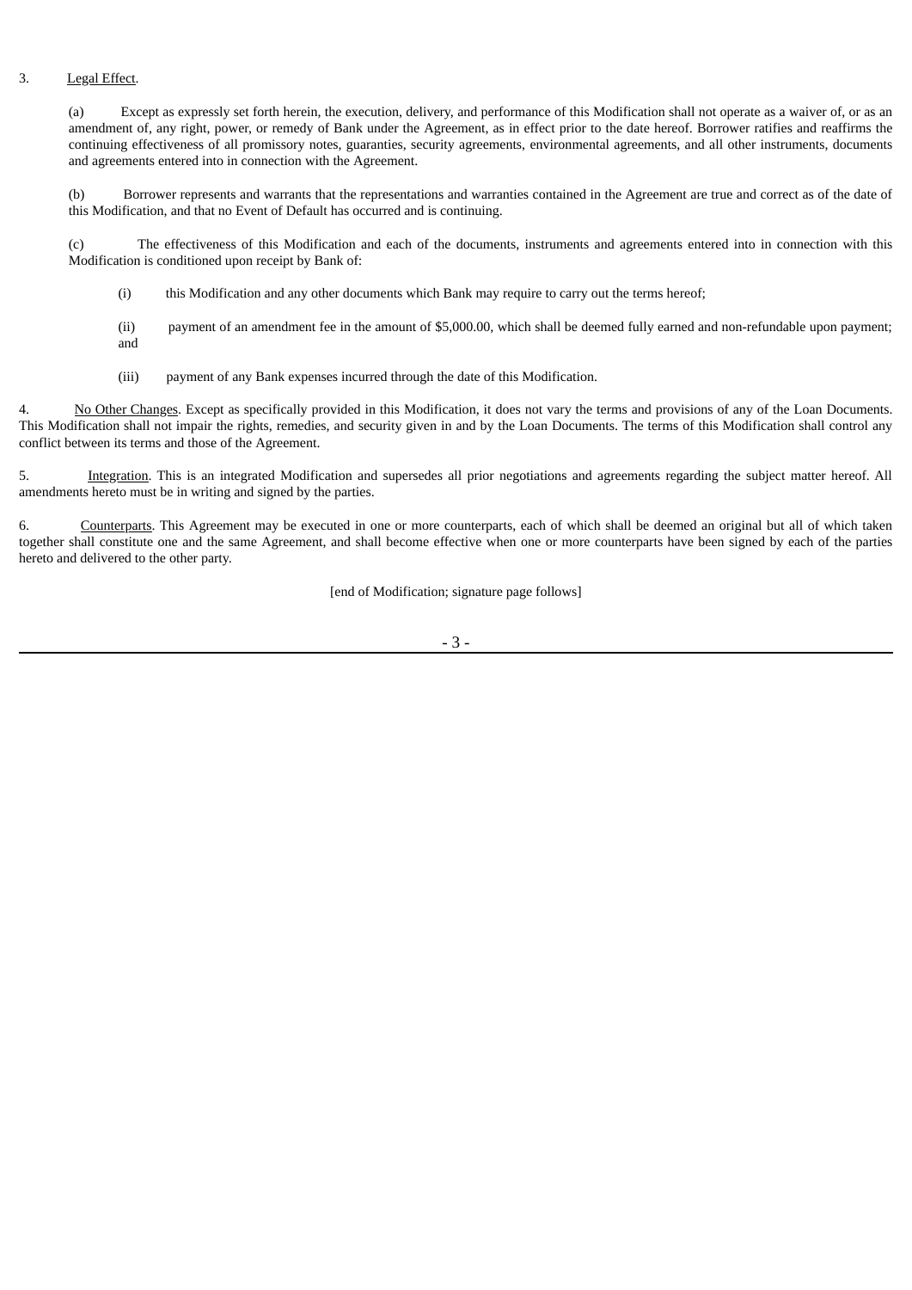## 3. Legal Effect.

(a) Except as expressly set forth herein, the execution, delivery, and performance of this Modification shall not operate as a waiver of, or as an amendment of, any right, power, or remedy of Bank under the Agreement, as in effect prior to the date hereof. Borrower ratifies and reaffirms the continuing effectiveness of all promissory notes, guaranties, security agreements, environmental agreements, and all other instruments, documents and agreements entered into in connection with the Agreement.

(b) Borrower represents and warrants that the representations and warranties contained in the Agreement are true and correct as of the date of this Modification, and that no Event of Default has occurred and is continuing.

(c) The effectiveness of this Modification and each of the documents, instruments and agreements entered into in connection with this Modification is conditioned upon receipt by Bank of:

- (i) this Modification and any other documents which Bank may require to carry out the terms hereof;
- (ii) payment of an amendment fee in the amount of \$5,000.00, which shall be deemed fully earned and non-refundable upon payment; and
- (iii) payment of any Bank expenses incurred through the date of this Modification.

4. No Other Changes. Except as specifically provided in this Modification, it does not vary the terms and provisions of any of the Loan Documents. This Modification shall not impair the rights, remedies, and security given in and by the Loan Documents. The terms of this Modification shall control any conflict between its terms and those of the Agreement.

5. Integration. This is an integrated Modification and supersedes all prior negotiations and agreements regarding the subject matter hereof. All amendments hereto must be in writing and signed by the parties.

6. Counterparts. This Agreement may be executed in one or more counterparts, each of which shall be deemed an original but all of which taken together shall constitute one and the same Agreement, and shall become effective when one or more counterparts have been signed by each of the parties hereto and delivered to the other party.

[end of Modification; signature page follows]

- 3 -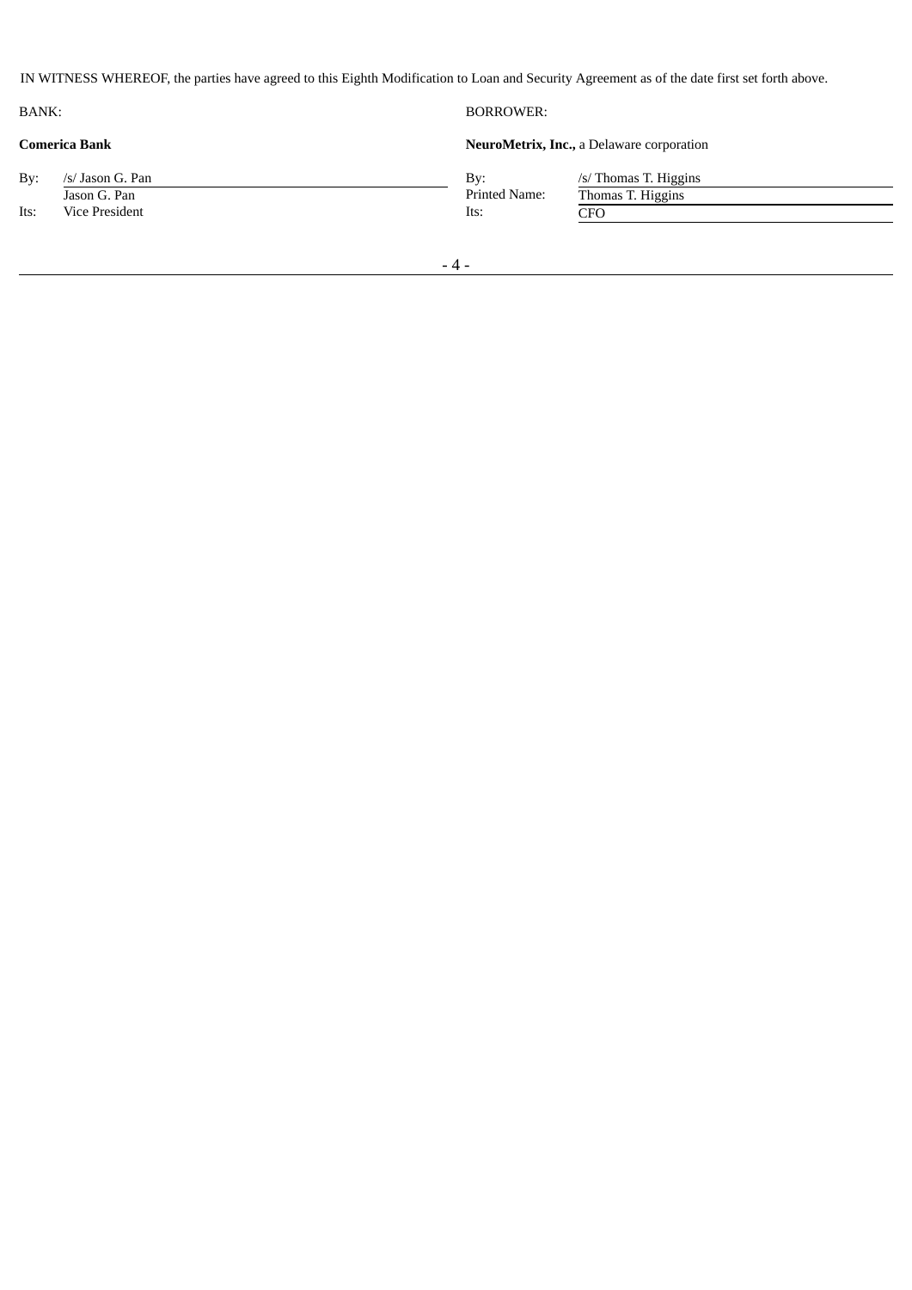IN WITNESS WHEREOF, the parties have agreed to this Eighth Modification to Loan and Security Agreement as of the date first set forth above.

| <b>BANK:</b> |                       | <b>BORROWER:</b>     |                                                  |  |  |  |  |
|--------------|-----------------------|----------------------|--------------------------------------------------|--|--|--|--|
|              | <b>Comerica Bank</b>  |                      | <b>NeuroMetrix, Inc., a Delaware corporation</b> |  |  |  |  |
| $\rm\,By:$   | /s/ Jason G. Pan      | By:                  | /s/ Thomas T. Higgins                            |  |  |  |  |
|              | Jason G. Pan          | <b>Printed Name:</b> | Thomas T. Higgins                                |  |  |  |  |
| Its:         | <b>Vice President</b> | Its:                 | <b>CFO</b>                                       |  |  |  |  |
|              |                       |                      |                                                  |  |  |  |  |
|              |                       | $-4-$                |                                                  |  |  |  |  |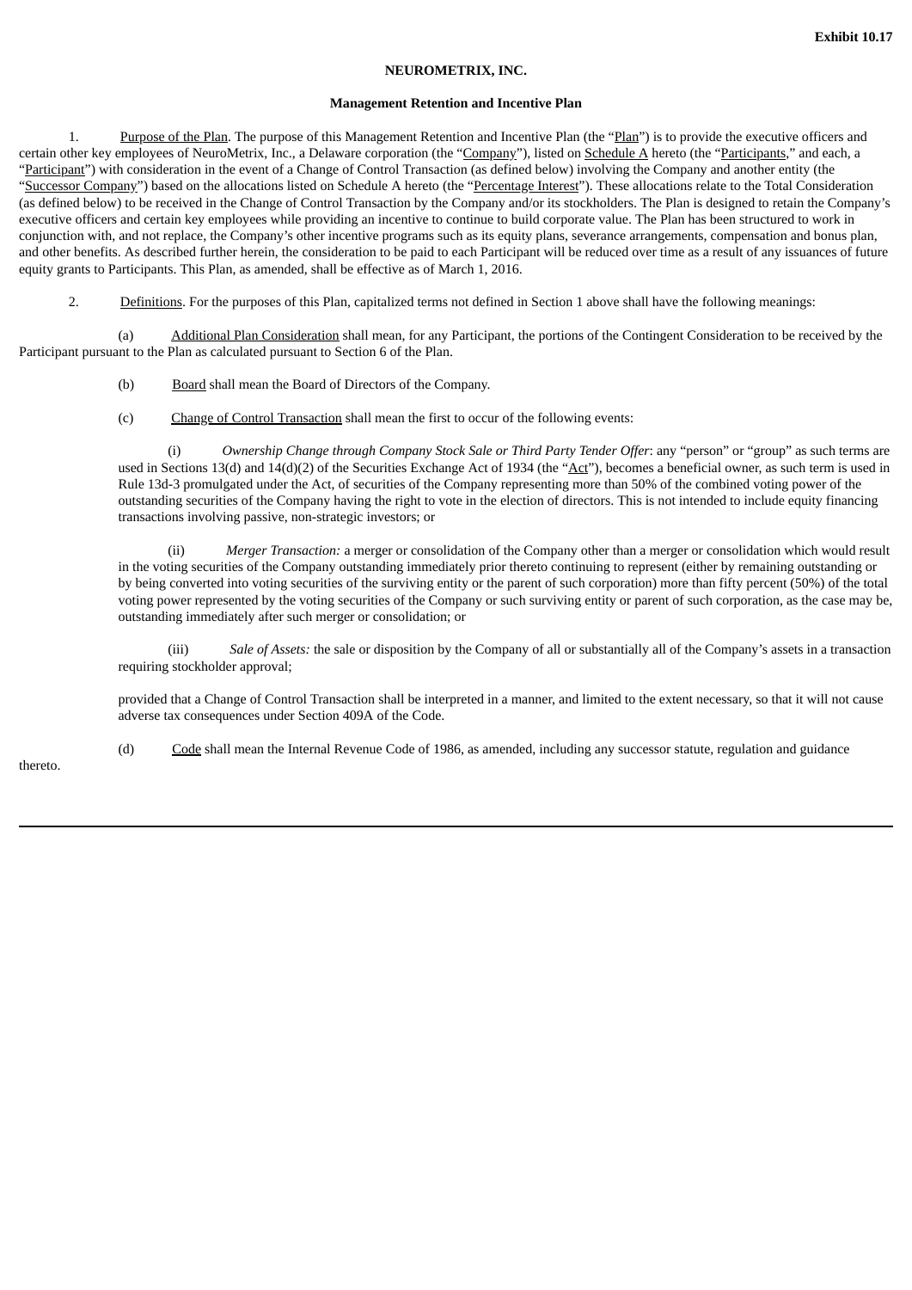### **NEUROMETRIX, INC.**

#### **Management Retention and Incentive Plan**

1. Purpose of the Plan. The purpose of this Management Retention and Incentive Plan (the "Plan") is to provide the executive officers and certain other key employees of NeuroMetrix, Inc., a Delaware corporation (the "Company"), listed on Schedule A hereto (the "Participants," and each, a "Participant") with consideration in the event of a Change of Control Transaction (as defined below) involving the Company and another entity (the "Successor Company") based on the allocations listed on Schedule A hereto (the "Percentage Interest"). These allocations relate to the Total Consideration (as defined below) to be received in the Change of Control Transaction by the Company and/or its stockholders. The Plan is designed to retain the Company's executive officers and certain key employees while providing an incentive to continue to build corporate value. The Plan has been structured to work in conjunction with, and not replace, the Company's other incentive programs such as its equity plans, severance arrangements, compensation and bonus plan, and other benefits. As described further herein, the consideration to be paid to each Participant will be reduced over time as a result of any issuances of future equity grants to Participants. This Plan, as amended, shall be effective as of March 1, 2016.

2. Definitions. For the purposes of this Plan, capitalized terms not defined in Section 1 above shall have the following meanings:

(a) Additional Plan Consideration shall mean, for any Participant, the portions of the Contingent Consideration to be received by the Participant pursuant to the Plan as calculated pursuant to Section 6 of the Plan.

- (b) Board shall mean the Board of Directors of the Company.
- (c) Change of Control Transaction shall mean the first to occur of the following events:

(i) *Ownership Change through Company Stock Sale or Third Party Tender Offer*: any "person" or "group" as such terms are used in Sections 13(d) and 14(d)(2) of the Securities Exchange Act of 1934 (the "Act"), becomes a beneficial owner, as such term is used in Rule 13d-3 promulgated under the Act, of securities of the Company representing more than 50% of the combined voting power of the outstanding securities of the Company having the right to vote in the election of directors. This is not intended to include equity financing transactions involving passive, non-strategic investors; or

(ii) *Merger Transaction:* a merger or consolidation of the Company other than a merger or consolidation which would result in the voting securities of the Company outstanding immediately prior thereto continuing to represent (either by remaining outstanding or by being converted into voting securities of the surviving entity or the parent of such corporation) more than fifty percent (50%) of the total voting power represented by the voting securities of the Company or such surviving entity or parent of such corporation, as the case may be, outstanding immediately after such merger or consolidation; or

(iii) *Sale of Assets:* the sale or disposition by the Company of all or substantially all of the Company's assets in a transaction requiring stockholder approval;

provided that a Change of Control Transaction shall be interpreted in a manner, and limited to the extent necessary, so that it will not cause adverse tax consequences under Section 409A of the Code.

(d) Code shall mean the Internal Revenue Code of 1986, as amended, including any successor statute, regulation and guidance

thereto.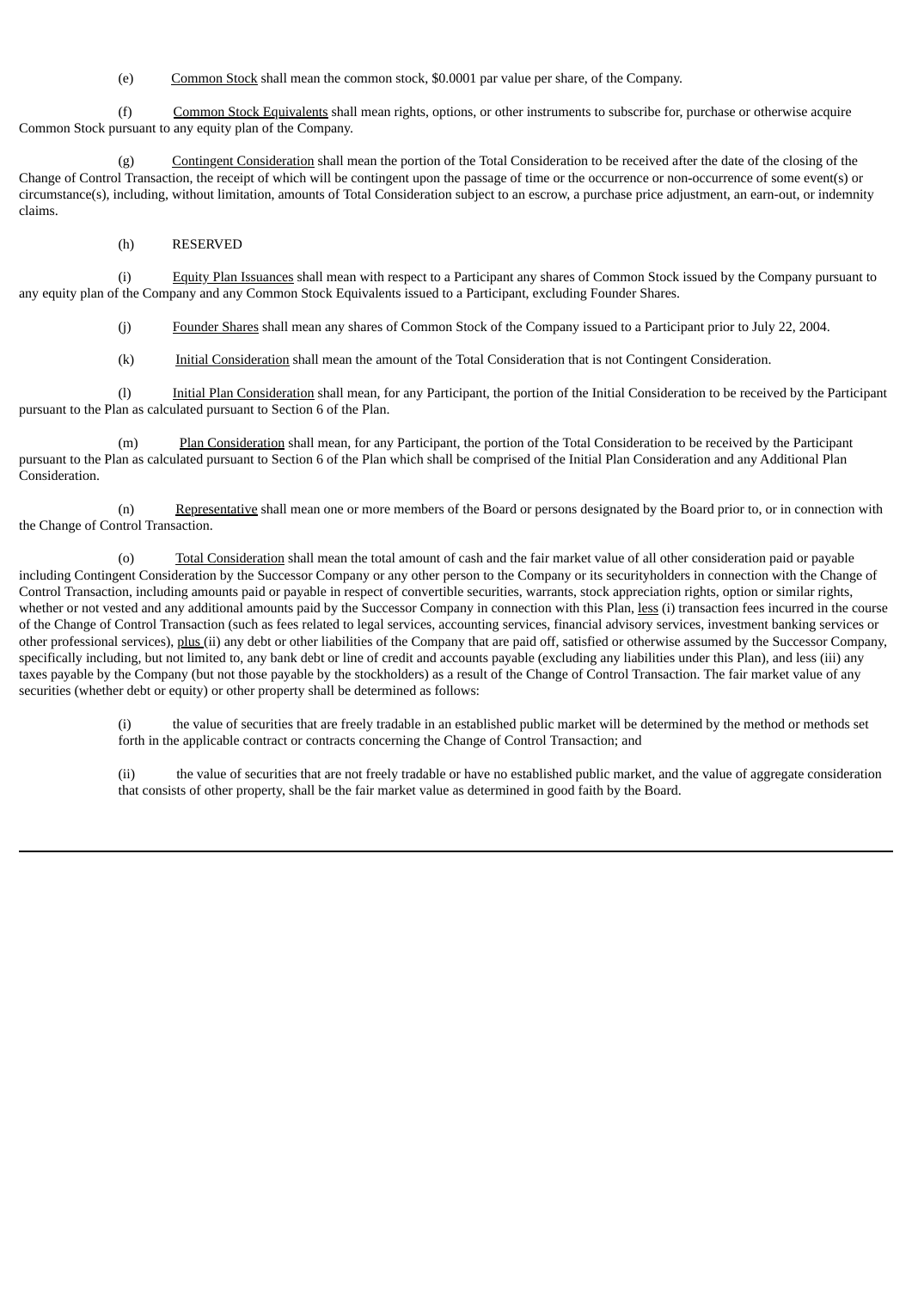(e) Common Stock shall mean the common stock, \$0.0001 par value per share, of the Company.

(f) Common Stock Equivalents shall mean rights, options, or other instruments to subscribe for, purchase or otherwise acquire Common Stock pursuant to any equity plan of the Company.

(g) Contingent Consideration shall mean the portion of the Total Consideration to be received after the date of the closing of the Change of Control Transaction, the receipt of which will be contingent upon the passage of time or the occurrence or non-occurrence of some event(s) or circumstance(s), including, without limitation, amounts of Total Consideration subject to an escrow, a purchase price adjustment, an earn-out, or indemnity claims.

### (h) RESERVED

(i) Equity Plan Issuances shall mean with respect to a Participant any shares of Common Stock issued by the Company pursuant to any equity plan of the Company and any Common Stock Equivalents issued to a Participant, excluding Founder Shares.

(j) Founder Shares shall mean any shares of Common Stock of the Company issued to a Participant prior to July 22, 2004.

(k) Initial Consideration shall mean the amount of the Total Consideration that is not Contingent Consideration.

(l) Initial Plan Consideration shall mean, for any Participant, the portion of the Initial Consideration to be received by the Participant pursuant to the Plan as calculated pursuant to Section 6 of the Plan.

Plan Consideration shall mean, for any Participant, the portion of the Total Consideration to be received by the Participant pursuant to the Plan as calculated pursuant to Section 6 of the Plan which shall be comprised of the Initial Plan Consideration and any Additional Plan Consideration.

(n) Representative shall mean one or more members of the Board or persons designated by the Board prior to, or in connection with the Change of Control Transaction.

(o) Total Consideration shall mean the total amount of cash and the fair market value of all other consideration paid or payable including Contingent Consideration by the Successor Company or any other person to the Company or its securityholders in connection with the Change of Control Transaction, including amounts paid or payable in respect of convertible securities, warrants, stock appreciation rights, option or similar rights, whether or not vested and any additional amounts paid by the Successor Company in connection with this Plan, less (i) transaction fees incurred in the course of the Change of Control Transaction (such as fees related to legal services, accounting services, financial advisory services, investment banking services or other professional services), plus (ii) any debt or other liabilities of the Company that are paid off, satisfied or otherwise assumed by the Successor Company, specifically including, but not limited to, any bank debt or line of credit and accounts payable (excluding any liabilities under this Plan), and less (iii) any taxes payable by the Company (but not those payable by the stockholders) as a result of the Change of Control Transaction. The fair market value of any securities (whether debt or equity) or other property shall be determined as follows:

> (i) the value of securities that are freely tradable in an established public market will be determined by the method or methods set forth in the applicable contract or contracts concerning the Change of Control Transaction; and

(ii) the value of securities that are not freely tradable or have no established public market, and the value of aggregate consideration that consists of other property, shall be the fair market value as determined in good faith by the Board.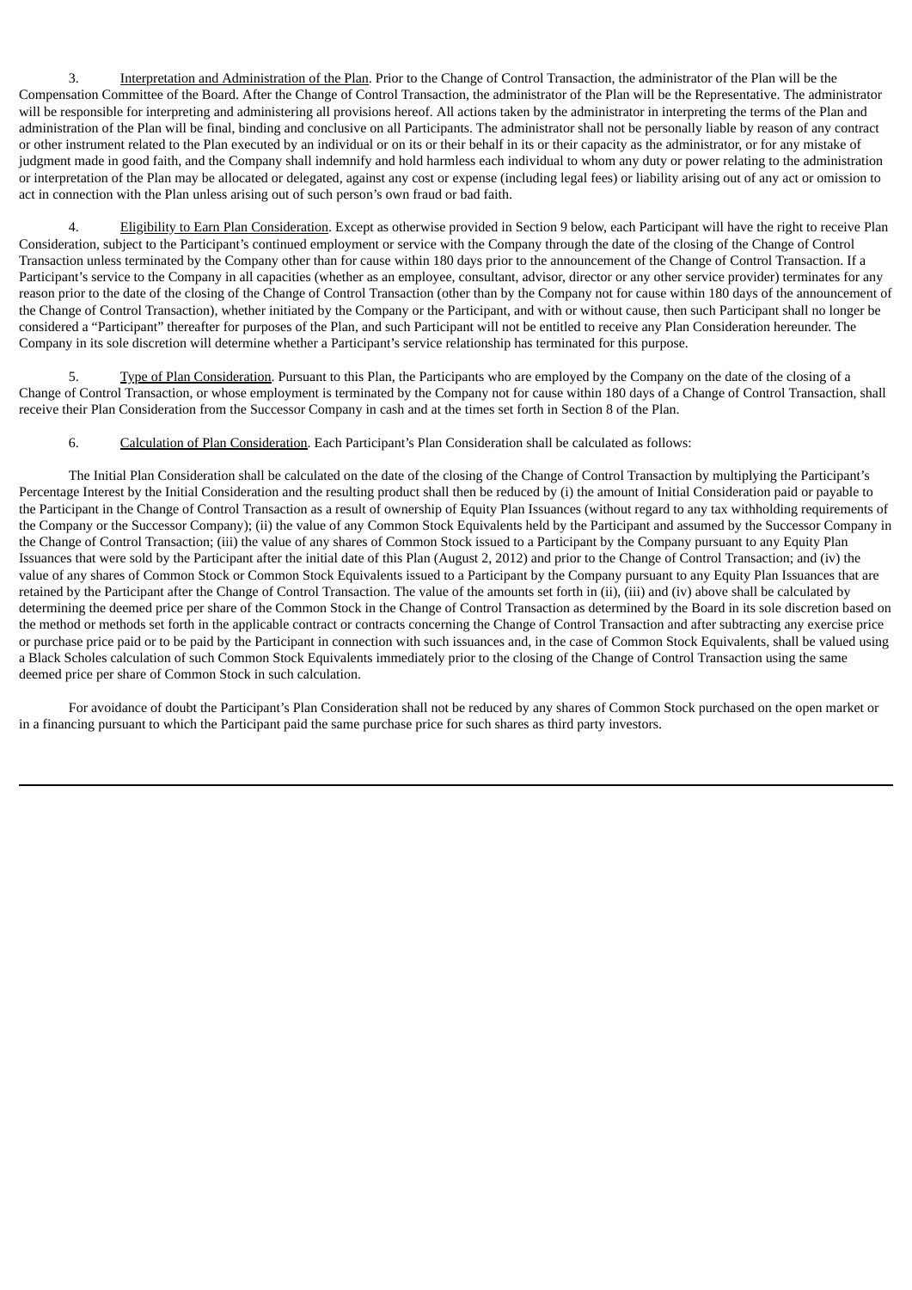3. Interpretation and Administration of the Plan. Prior to the Change of Control Transaction, the administrator of the Plan will be the Compensation Committee of the Board. After the Change of Control Transaction, the administrator of the Plan will be the Representative. The administrator will be responsible for interpreting and administering all provisions hereof. All actions taken by the administrator in interpreting the terms of the Plan and administration of the Plan will be final, binding and conclusive on all Participants. The administrator shall not be personally liable by reason of any contract or other instrument related to the Plan executed by an individual or on its or their behalf in its or their capacity as the administrator, or for any mistake of judgment made in good faith, and the Company shall indemnify and hold harmless each individual to whom any duty or power relating to the administration or interpretation of the Plan may be allocated or delegated, against any cost or expense (including legal fees) or liability arising out of any act or omission to act in connection with the Plan unless arising out of such person's own fraud or bad faith.

4. Eligibility to Earn Plan Consideration. Except as otherwise provided in Section 9 below, each Participant will have the right to receive Plan Consideration, subject to the Participant's continued employment or service with the Company through the date of the closing of the Change of Control Transaction unless terminated by the Company other than for cause within 180 days prior to the announcement of the Change of Control Transaction. If a Participant's service to the Company in all capacities (whether as an employee, consultant, advisor, director or any other service provider) terminates for any reason prior to the date of the closing of the Change of Control Transaction (other than by the Company not for cause within 180 days of the announcement of the Change of Control Transaction), whether initiated by the Company or the Participant, and with or without cause, then such Participant shall no longer be considered a "Participant" thereafter for purposes of the Plan, and such Participant will not be entitled to receive any Plan Consideration hereunder. The Company in its sole discretion will determine whether a Participant's service relationship has terminated for this purpose.

Type of Plan Consideration. Pursuant to this Plan, the Participants who are employed by the Company on the date of the closing of a Change of Control Transaction, or whose employment is terminated by the Company not for cause within 180 days of a Change of Control Transaction, shall receive their Plan Consideration from the Successor Company in cash and at the times set forth in Section 8 of the Plan.

6. Calculation of Plan Consideration. Each Participant's Plan Consideration shall be calculated as follows:

The Initial Plan Consideration shall be calculated on the date of the closing of the Change of Control Transaction by multiplying the Participant's Percentage Interest by the Initial Consideration and the resulting product shall then be reduced by (i) the amount of Initial Consideration paid or payable to the Participant in the Change of Control Transaction as a result of ownership of Equity Plan Issuances (without regard to any tax withholding requirements of the Company or the Successor Company); (ii) the value of any Common Stock Equivalents held by the Participant and assumed by the Successor Company in the Change of Control Transaction; (iii) the value of any shares of Common Stock issued to a Participant by the Company pursuant to any Equity Plan Issuances that were sold by the Participant after the initial date of this Plan (August 2, 2012) and prior to the Change of Control Transaction; and (iv) the value of any shares of Common Stock or Common Stock Equivalents issued to a Participant by the Company pursuant to any Equity Plan Issuances that are retained by the Participant after the Change of Control Transaction. The value of the amounts set forth in (ii), (iii) and (iv) above shall be calculated by determining the deemed price per share of the Common Stock in the Change of Control Transaction as determined by the Board in its sole discretion based on the method or methods set forth in the applicable contract or contracts concerning the Change of Control Transaction and after subtracting any exercise price or purchase price paid or to be paid by the Participant in connection with such issuances and, in the case of Common Stock Equivalents, shall be valued using a Black Scholes calculation of such Common Stock Equivalents immediately prior to the closing of the Change of Control Transaction using the same deemed price per share of Common Stock in such calculation.

For avoidance of doubt the Participant's Plan Consideration shall not be reduced by any shares of Common Stock purchased on the open market or in a financing pursuant to which the Participant paid the same purchase price for such shares as third party investors.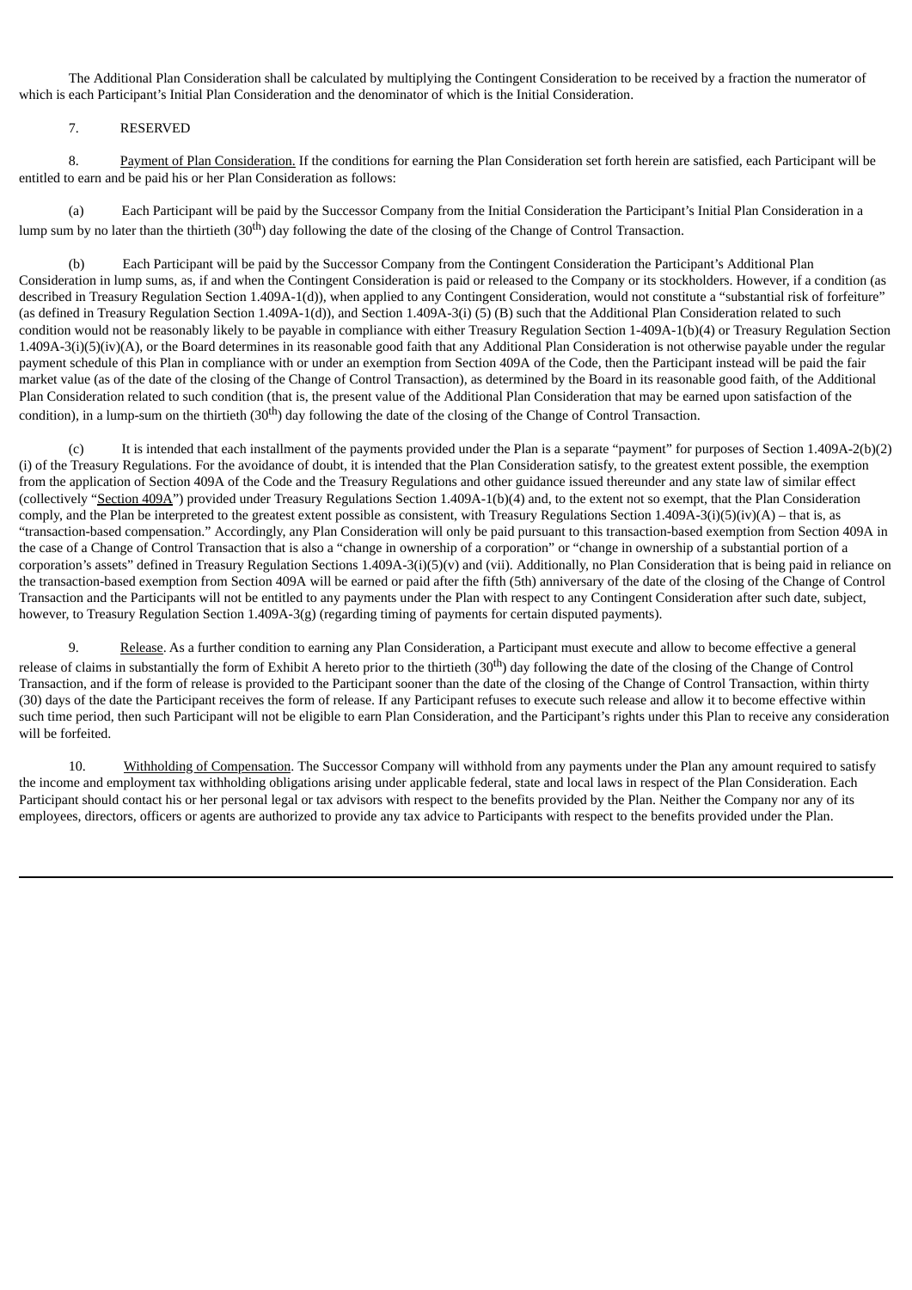The Additional Plan Consideration shall be calculated by multiplying the Contingent Consideration to be received by a fraction the numerator of which is each Participant's Initial Plan Consideration and the denominator of which is the Initial Consideration.

# 7. RESERVED

8. Payment of Plan Consideration. If the conditions for earning the Plan Consideration set forth herein are satisfied, each Participant will be entitled to earn and be paid his or her Plan Consideration as follows:

(a) Each Participant will be paid by the Successor Company from the Initial Consideration the Participant's Initial Plan Consideration in a lump sum by no later than the thirtieth (30<sup>th</sup>) day following the date of the closing of the Change of Control Transaction.

(b) Each Participant will be paid by the Successor Company from the Contingent Consideration the Participant's Additional Plan Consideration in lump sums, as, if and when the Contingent Consideration is paid or released to the Company or its stockholders. However, if a condition (as described in Treasury Regulation Section 1.409A-1(d)), when applied to any Contingent Consideration, would not constitute a "substantial risk of forfeiture" (as defined in Treasury Regulation Section 1.409A-1(d)), and Section 1.409A-3(i) (5) (B) such that the Additional Plan Consideration related to such condition would not be reasonably likely to be payable in compliance with either Treasury Regulation Section 1-409A-1(b)(4) or Treasury Regulation Section 1.409A-3(i)(5)(iv)(A), or the Board determines in its reasonable good faith that any Additional Plan Consideration is not otherwise payable under the regular payment schedule of this Plan in compliance with or under an exemption from Section 409A of the Code, then the Participant instead will be paid the fair market value (as of the date of the closing of the Change of Control Transaction), as determined by the Board in its reasonable good faith, of the Additional Plan Consideration related to such condition (that is, the present value of the Additional Plan Consideration that may be earned upon satisfaction of the condition), in a lump-sum on the thirtieth  $(30<sup>th</sup>)$  day following the date of the closing of the Change of Control Transaction.

(c) It is intended that each installment of the payments provided under the Plan is a separate "payment" for purposes of Section 1.409A-2(b)(2) (i) of the Treasury Regulations. For the avoidance of doubt, it is intended that the Plan Consideration satisfy, to the greatest extent possible, the exemption from the application of Section 409A of the Code and the Treasury Regulations and other guidance issued thereunder and any state law of similar effect (collectively "Section 409A") provided under Treasury Regulations Section 1.409A-1(b)(4) and, to the extent not so exempt, that the Plan Consideration comply, and the Plan be interpreted to the greatest extent possible as consistent, with Treasury Regulations Section 1.409A-3(i)(5)(iv)(A) – that is, as "transaction-based compensation." Accordingly, any Plan Consideration will only be paid pursuant to this transaction-based exemption from Section 409A in the case of a Change of Control Transaction that is also a "change in ownership of a corporation" or "change in ownership of a substantial portion of a corporation's assets" defined in Treasury Regulation Sections 1.409A-3(i)(5)( $\overline{v}$ ) and (vii). Additionally, no Plan Consideration that is being paid in reliance on the transaction-based exemption from Section 409A will be earned or paid after the fifth (5th) anniversary of the date of the closing of the Change of Control Transaction and the Participants will not be entitled to any payments under the Plan with respect to any Contingent Consideration after such date, subject, however, to Treasury Regulation Section 1.409A-3(g) (regarding timing of payments for certain disputed payments).

9. Release. As a further condition to earning any Plan Consideration, a Participant must execute and allow to become effective a general release of claims in substantially the form of Exhibit A hereto prior to the thirtieth (30<sup>th</sup>) day following the date of the closing of the Change of Control Transaction, and if the form of release is provided to the Participant sooner than the date of the closing of the Change of Control Transaction, within thirty (30) days of the date the Participant receives the form of release. If any Participant refuses to execute such release and allow it to become effective within such time period, then such Participant will not be eligible to earn Plan Consideration, and the Participant's rights under this Plan to receive any consideration will be forfeited.

10. Withholding of Compensation. The Successor Company will withhold from any payments under the Plan any amount required to satisfy the income and employment tax withholding obligations arising under applicable federal, state and local laws in respect of the Plan Consideration. Each Participant should contact his or her personal legal or tax advisors with respect to the benefits provided by the Plan. Neither the Company nor any of its employees, directors, officers or agents are authorized to provide any tax advice to Participants with respect to the benefits provided under the Plan.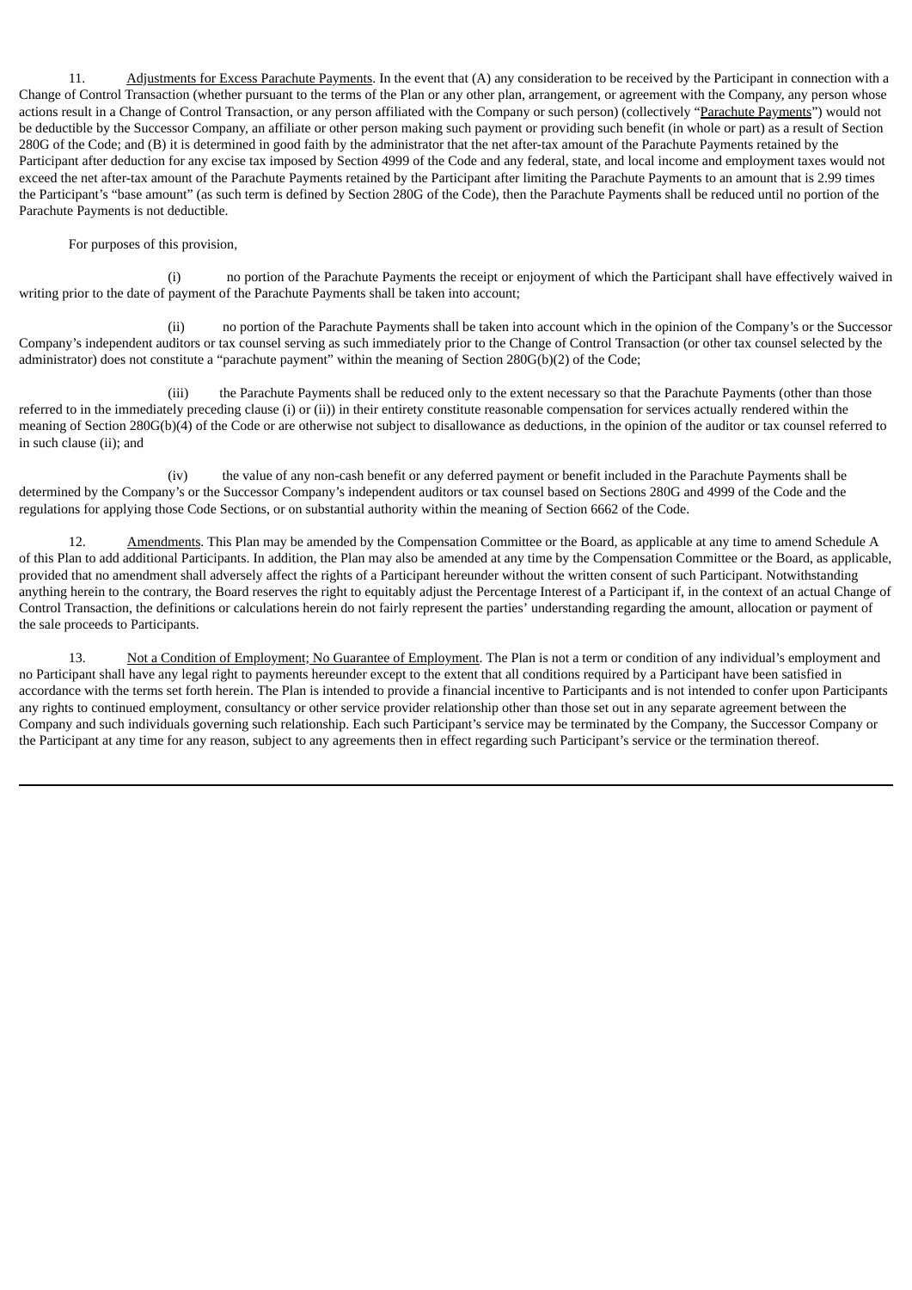11. Adjustments for Excess Parachute Payments. In the event that (A) any consideration to be received by the Participant in connection with a Change of Control Transaction (whether pursuant to the terms of the Plan or any other plan, arrangement, or agreement with the Company, any person whose actions result in a Change of Control Transaction, or any person affiliated with the Company or such person) (collectively "Parachute Payments") would not be deductible by the Successor Company, an affiliate or other person making such payment or providing such benefit (in whole or part) as a result of Section 280G of the Code; and (B) it is determined in good faith by the administrator that the net after-tax amount of the Parachute Payments retained by the Participant after deduction for any excise tax imposed by Section 4999 of the Code and any federal, state, and local income and employment taxes would not exceed the net after-tax amount of the Parachute Payments retained by the Participant after limiting the Parachute Payments to an amount that is 2.99 times the Participant's "base amount" (as such term is defined by Section 280G of the Code), then the Parachute Payments shall be reduced until no portion of the Parachute Payments is not deductible.

### For purposes of this provision,

(i) no portion of the Parachute Payments the receipt or enjoyment of which the Participant shall have effectively waived in writing prior to the date of payment of the Parachute Payments shall be taken into account;

(ii) no portion of the Parachute Payments shall be taken into account which in the opinion of the Company's or the Successor Company's independent auditors or tax counsel serving as such immediately prior to the Change of Control Transaction (or other tax counsel selected by the administrator) does not constitute a "parachute payment" within the meaning of Section 280G(b)(2) of the Code;

(iii) the Parachute Payments shall be reduced only to the extent necessary so that the Parachute Payments (other than those referred to in the immediately preceding clause (i) or (ii)) in their entirety constitute reasonable compensation for services actually rendered within the meaning of Section 280G(b)(4) of the Code or are otherwise not subject to disallowance as deductions, in the opinion of the auditor or tax counsel referred to in such clause (ii); and

(iv) the value of any non-cash benefit or any deferred payment or benefit included in the Parachute Payments shall be determined by the Company's or the Successor Company's independent auditors or tax counsel based on Sections 280G and 4999 of the Code and the regulations for applying those Code Sections, or on substantial authority within the meaning of Section 6662 of the Code.

12. Amendments. This Plan may be amended by the Compensation Committee or the Board, as applicable at any time to amend Schedule A of this Plan to add additional Participants. In addition, the Plan may also be amended at any time by the Compensation Committee or the Board, as applicable, provided that no amendment shall adversely affect the rights of a Participant hereunder without the written consent of such Participant. Notwithstanding anything herein to the contrary, the Board reserves the right to equitably adjust the Percentage Interest of a Participant if, in the context of an actual Change of Control Transaction, the definitions or calculations herein do not fairly represent the parties' understanding regarding the amount, allocation or payment of the sale proceeds to Participants.

13. Not a Condition of Employment; No Guarantee of Employment. The Plan is not a term or condition of any individual's employment and no Participant shall have any legal right to payments hereunder except to the extent that all conditions required by a Participant have been satisfied in accordance with the terms set forth herein. The Plan is intended to provide a financial incentive to Participants and is not intended to confer upon Participants any rights to continued employment, consultancy or other service provider relationship other than those set out in any separate agreement between the Company and such individuals governing such relationship. Each such Participant's service may be terminated by the Company, the Successor Company or the Participant at any time for any reason, subject to any agreements then in effect regarding such Participant's service or the termination thereof.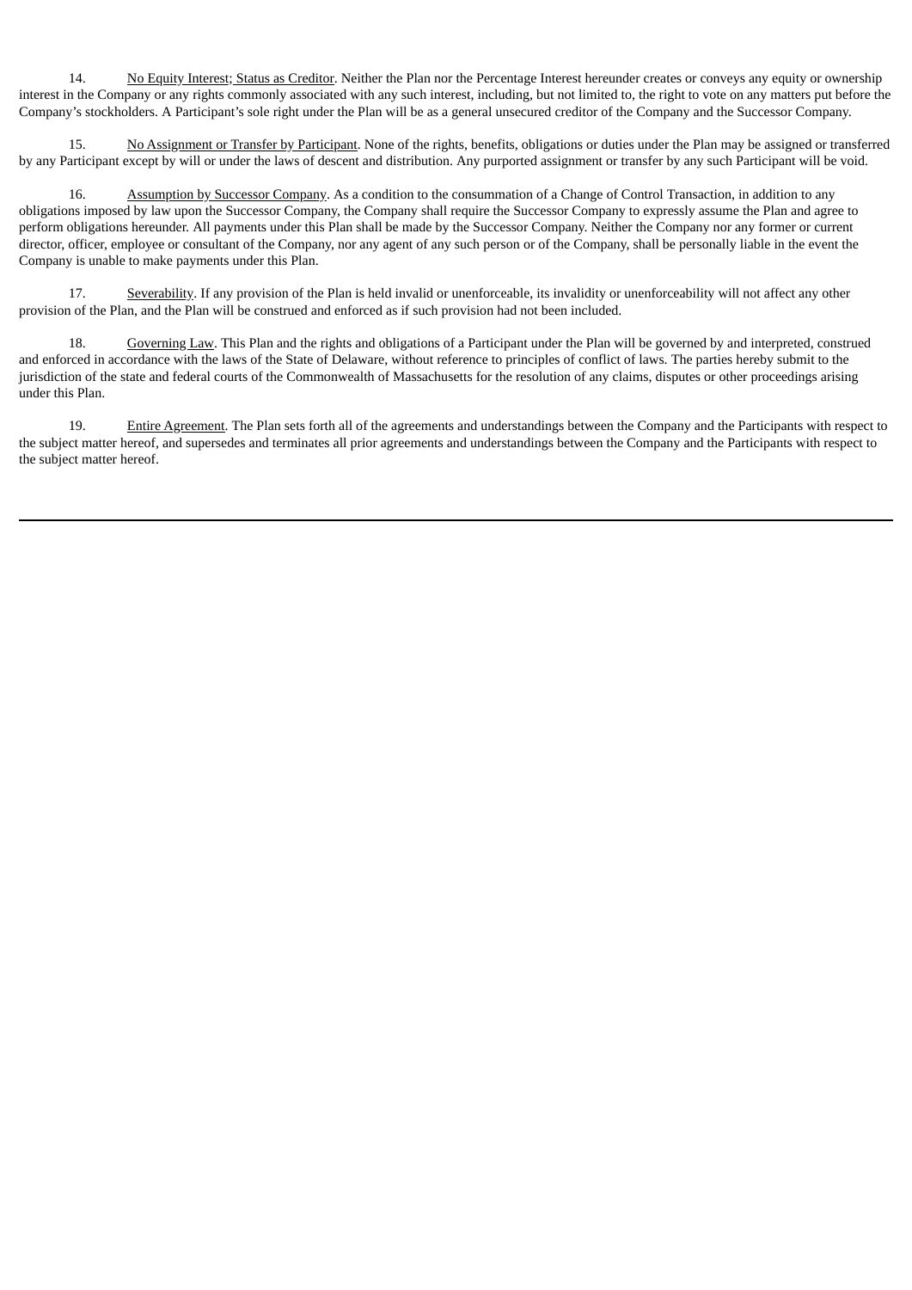14. No Equity Interest; Status as Creditor. Neither the Plan nor the Percentage Interest hereunder creates or conveys any equity or ownership interest in the Company or any rights commonly associated with any such interest, including, but not limited to, the right to vote on any matters put before the Company's stockholders. A Participant's sole right under the Plan will be as a general unsecured creditor of the Company and the Successor Company.

15. No Assignment or Transfer by Participant. None of the rights, benefits, obligations or duties under the Plan may be assigned or transferred by any Participant except by will or under the laws of descent and distribution. Any purported assignment or transfer by any such Participant will be void.

16. Assumption by Successor Company. As a condition to the consummation of a Change of Control Transaction, in addition to any obligations imposed by law upon the Successor Company, the Company shall require the Successor Company to expressly assume the Plan and agree to perform obligations hereunder. All payments under this Plan shall be made by the Successor Company. Neither the Company nor any former or current director, officer, employee or consultant of the Company, nor any agent of any such person or of the Company, shall be personally liable in the event the Company is unable to make payments under this Plan.

17. Severability. If any provision of the Plan is held invalid or unenforceable, its invalidity or unenforceability will not affect any other provision of the Plan, and the Plan will be construed and enforced as if such provision had not been included.

Governing Law. This Plan and the rights and obligations of a Participant under the Plan will be governed by and interpreted, construed and enforced in accordance with the laws of the State of Delaware, without reference to principles of conflict of laws. The parties hereby submit to the jurisdiction of the state and federal courts of the Commonwealth of Massachusetts for the resolution of any claims, disputes or other proceedings arising under this Plan.

19. Entire Agreement. The Plan sets forth all of the agreements and understandings between the Company and the Participants with respect to the subject matter hereof, and supersedes and terminates all prior agreements and understandings between the Company and the Participants with respect to the subject matter hereof.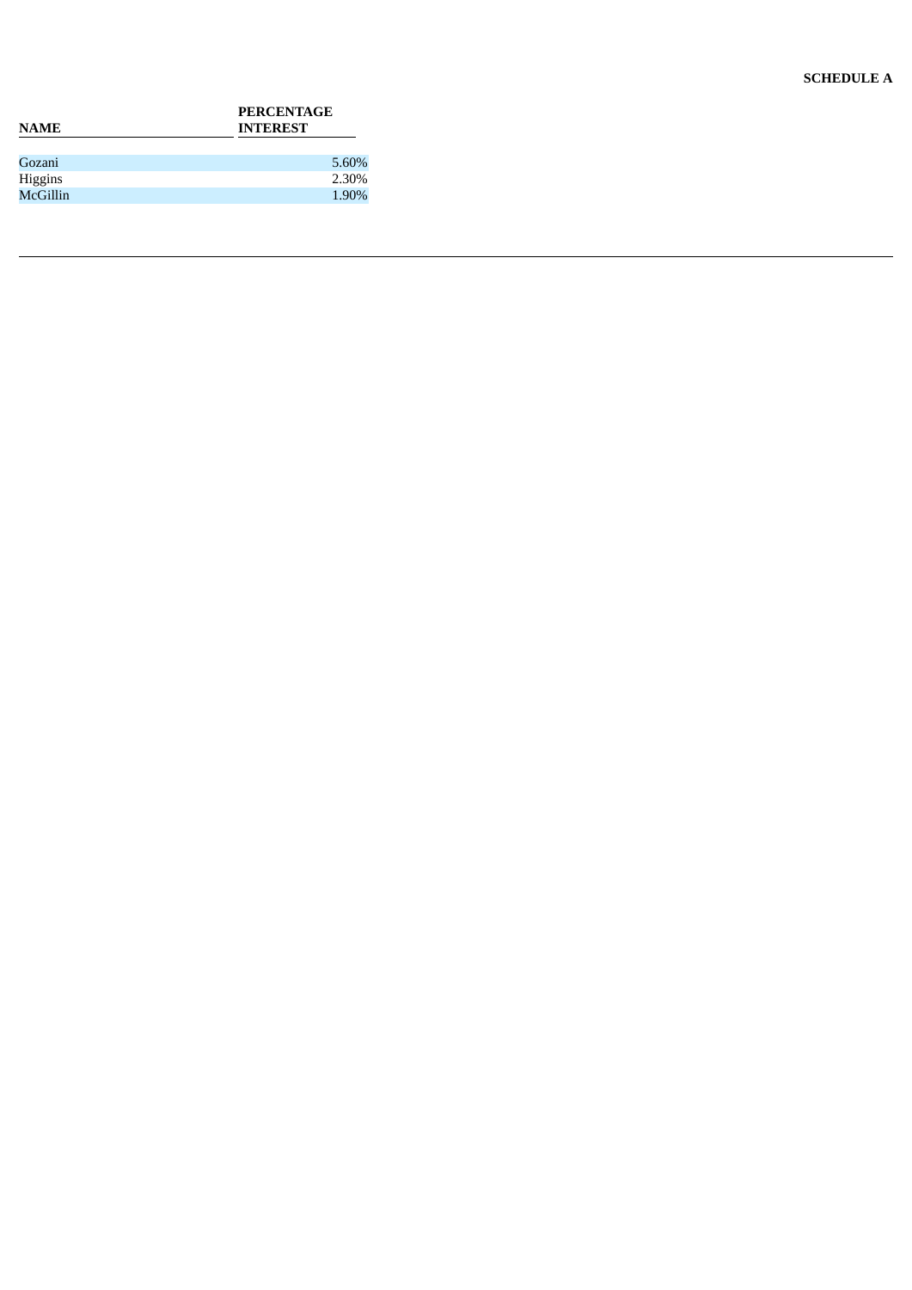|             | <b>PERCENTAGE</b> |
|-------------|-------------------|
| <b>NAME</b> | <b>INTEREST</b>   |
| Gozani      | 5.60%             |
| Higgins     | 2.30%             |
| McGillin    | 1.90%             |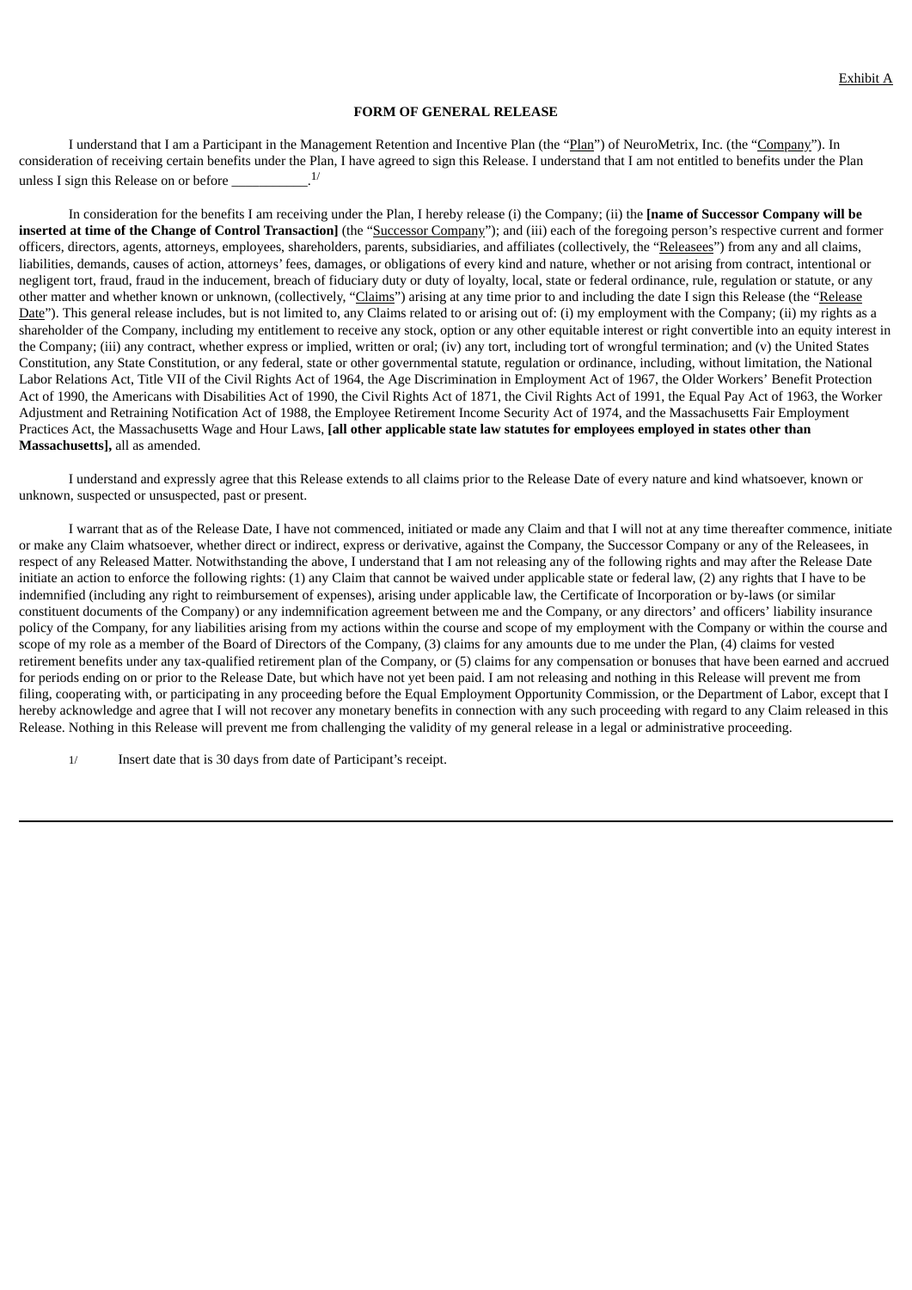### **FORM OF GENERAL RELEASE**

I understand that I am a Participant in the Management Retention and Incentive Plan (the "Plan") of NeuroMetrix, Inc. (the "Company"). In consideration of receiving certain benefits under the Plan, I have agreed to sign this Release. I understand that I am not entitled to benefits under the Plan unless I sign this Release on or before 1/

In consideration for the benefits I am receiving under the Plan, I hereby release (i) the Company; (ii) the **[name of Successor Company will be inserted at time of the Change of Control Transaction]** (the "Successor Company"); and (iii) each of the foregoing person's respective current and former officers, directors, agents, attorneys, employees, shareholders, parents, subsidiaries, and affiliates (collectively, the "Releasees") from any and all claims, liabilities, demands, causes of action, attorneys' fees, damages, or obligations of every kind and nature, whether or not arising from contract, intentional or negligent tort, fraud, fraud in the inducement, breach of fiduciary duty or duty of loyalty, local, state or federal ordinance, rule, regulation or statute, or any other matter and whether known or unknown, (collectively, "Claims") arising at any time prior to and including the date I sign this Release (the "Release Date"). This general release includes, but is not limited to, any Claims related to or arising out of: (i) my employment with the Company; (ii) my rights as a shareholder of the Company, including my entitlement to receive any stock, option or any other equitable interest or right convertible into an equity interest in the Company; (iii) any contract, whether express or implied, written or oral; (iv) any tort, including tort of wrongful termination; and (v) the United States Constitution, any State Constitution, or any federal, state or other governmental statute, regulation or ordinance, including, without limitation, the National Labor Relations Act, Title VII of the Civil Rights Act of 1964, the Age Discrimination in Employment Act of 1967, the Older Workers' Benefit Protection Act of 1990, the Americans with Disabilities Act of 1990, the Civil Rights Act of 1871, the Civil Rights Act of 1991, the Equal Pay Act of 1963, the Worker Adjustment and Retraining Notification Act of 1988, the Employee Retirement Income Security Act of 1974, and the Massachusetts Fair Employment Practices Act, the Massachusetts Wage and Hour Laws, [all other applicable state law statutes for employees employed in states other than **Massachusetts],** all as amended.

I understand and expressly agree that this Release extends to all claims prior to the Release Date of every nature and kind whatsoever, known or unknown, suspected or unsuspected, past or present.

I warrant that as of the Release Date, I have not commenced, initiated or made any Claim and that I will not at any time thereafter commence, initiate or make any Claim whatsoever, whether direct or indirect, express or derivative, against the Company, the Successor Company or any of the Releasees, in respect of any Released Matter. Notwithstanding the above, I understand that I am not releasing any of the following rights and may after the Release Date initiate an action to enforce the following rights: (1) any Claim that cannot be waived under applicable state or federal law, (2) any rights that I have to be indemnified (including any right to reimbursement of expenses), arising under applicable law, the Certificate of Incorporation or by-laws (or similar constituent documents of the Company) or any indemnification agreement between me and the Company, or any directors' and officers' liability insurance policy of the Company, for any liabilities arising from my actions within the course and scope of my employment with the Company or within the course and scope of my role as a member of the Board of Directors of the Company, (3) claims for any amounts due to me under the Plan, (4) claims for vested retirement benefits under any tax-qualified retirement plan of the Company, or (5) claims for any compensation or bonuses that have been earned and accrued for periods ending on or prior to the Release Date, but which have not yet been paid. I am not releasing and nothing in this Release will prevent me from filing, cooperating with, or participating in any proceeding before the Equal Employment Opportunity Commission, or the Department of Labor, except that I hereby acknowledge and agree that I will not recover any monetary benefits in connection with any such proceeding with regard to any Claim released in this Release. Nothing in this Release will prevent me from challenging the validity of my general release in a legal or administrative proceeding.

1/ Insert date that is 30 days from date of Participant's receipt.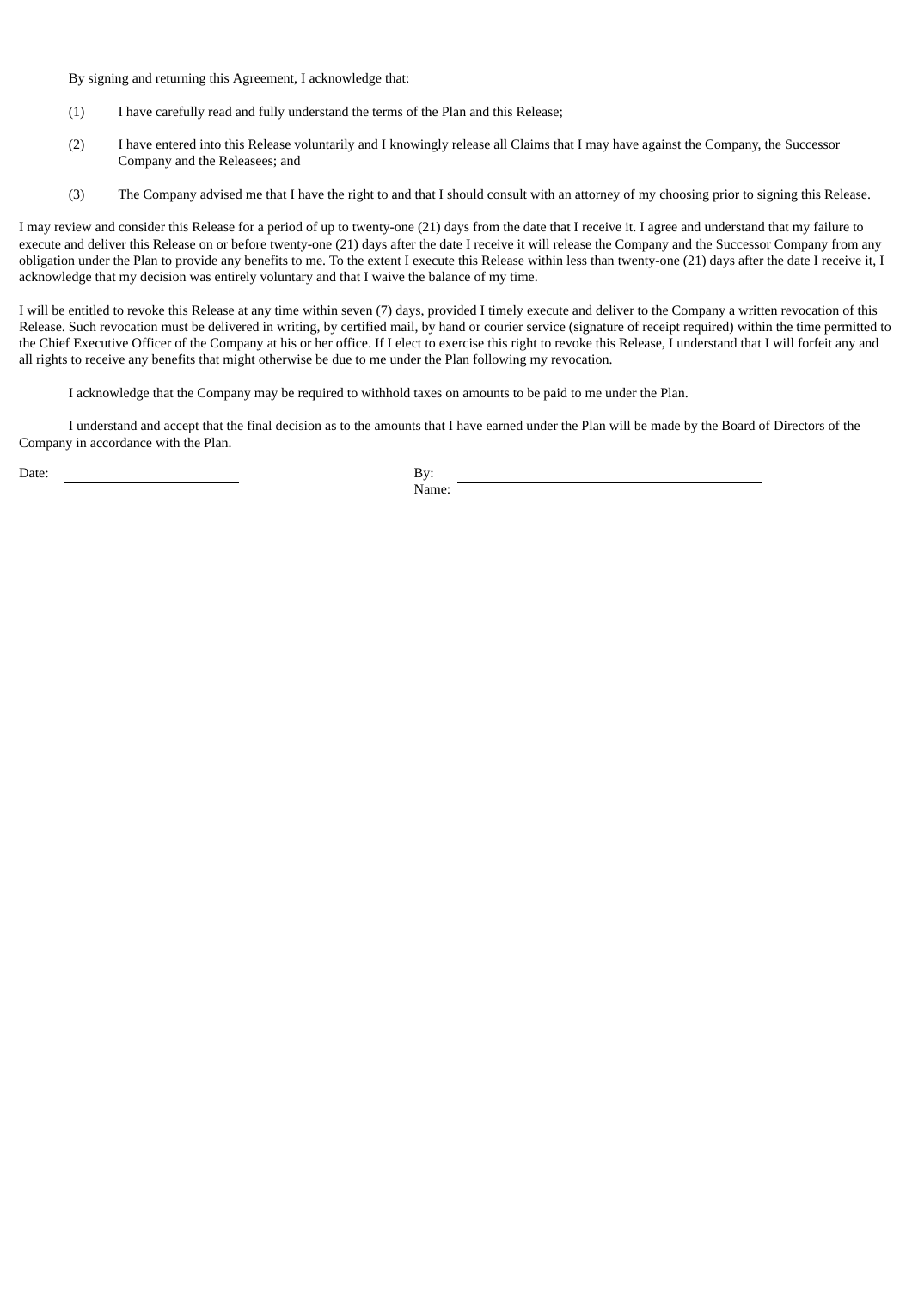By signing and returning this Agreement, I acknowledge that:

- (1) I have carefully read and fully understand the terms of the Plan and this Release;
- (2) I have entered into this Release voluntarily and I knowingly release all Claims that I may have against the Company, the Successor Company and the Releasees; and
- (3) The Company advised me that I have the right to and that I should consult with an attorney of my choosing prior to signing this Release.

I may review and consider this Release for a period of up to twenty-one (21) days from the date that I receive it. I agree and understand that my failure to execute and deliver this Release on or before twenty-one (21) days after the date I receive it will release the Company and the Successor Company from any obligation under the Plan to provide any benefits to me. To the extent I execute this Release within less than twenty-one (21) days after the date I receive it, I acknowledge that my decision was entirely voluntary and that I waive the balance of my time.

I will be entitled to revoke this Release at any time within seven (7) days, provided I timely execute and deliver to the Company a written revocation of this Release. Such revocation must be delivered in writing, by certified mail, by hand or courier service (signature of receipt required) within the time permitted to the Chief Executive Officer of the Company at his or her office. If I elect to exercise this right to revoke this Release, I understand that I will forfeit any and all rights to receive any benefits that might otherwise be due to me under the Plan following my revocation.

I acknowledge that the Company may be required to withhold taxes on amounts to be paid to me under the Plan.

I understand and accept that the final decision as to the amounts that I have earned under the Plan will be made by the Board of Directors of the Company in accordance with the Plan.

Date: By:

Name: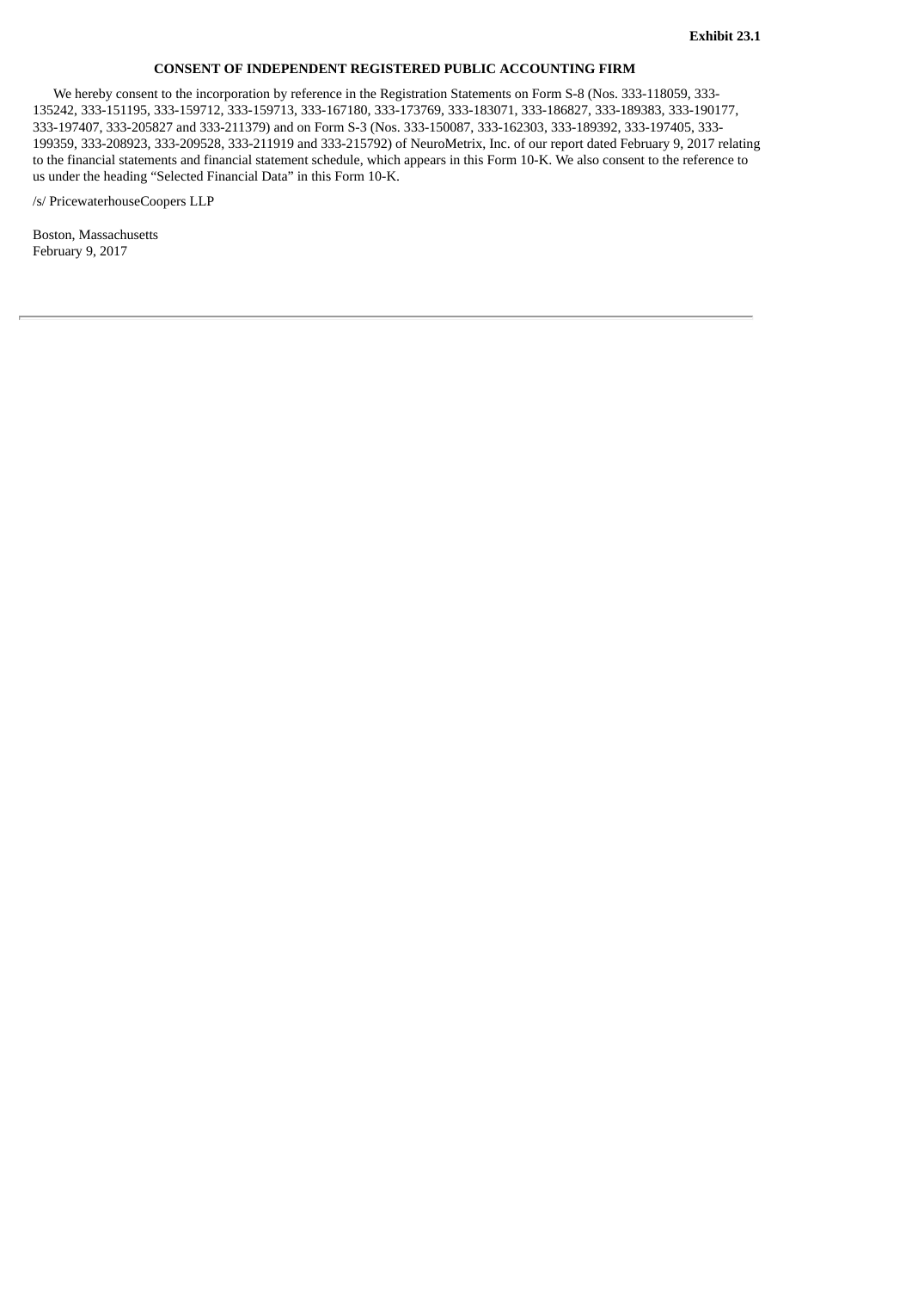## **CONSENT OF INDEPENDENT REGISTERED PUBLIC ACCOUNTING FIRM**

We hereby consent to the incorporation by reference in the Registration Statements on Form S-8 (Nos. 333-118059, 333- 135242, 333-151195, 333-159712, 333-159713, 333-167180, 333-173769, 333-183071, 333-186827, 333-189383, 333-190177, 333-197407, 333-205827 and 333-211379) and on Form S-3 (Nos. 333-150087, 333-162303, 333-189392, 333-197405, 333- 199359, 333-208923, 333-209528, 333-211919 and 333-215792) of NeuroMetrix, Inc. of our report dated February 9, 2017 relating to the financial statements and financial statement schedule, which appears in this Form 10-K. We also consent to the reference to us under the heading "Selected Financial Data" in this Form 10-K.

/s/ PricewaterhouseCoopers LLP

Boston, Massachusetts February 9, 2017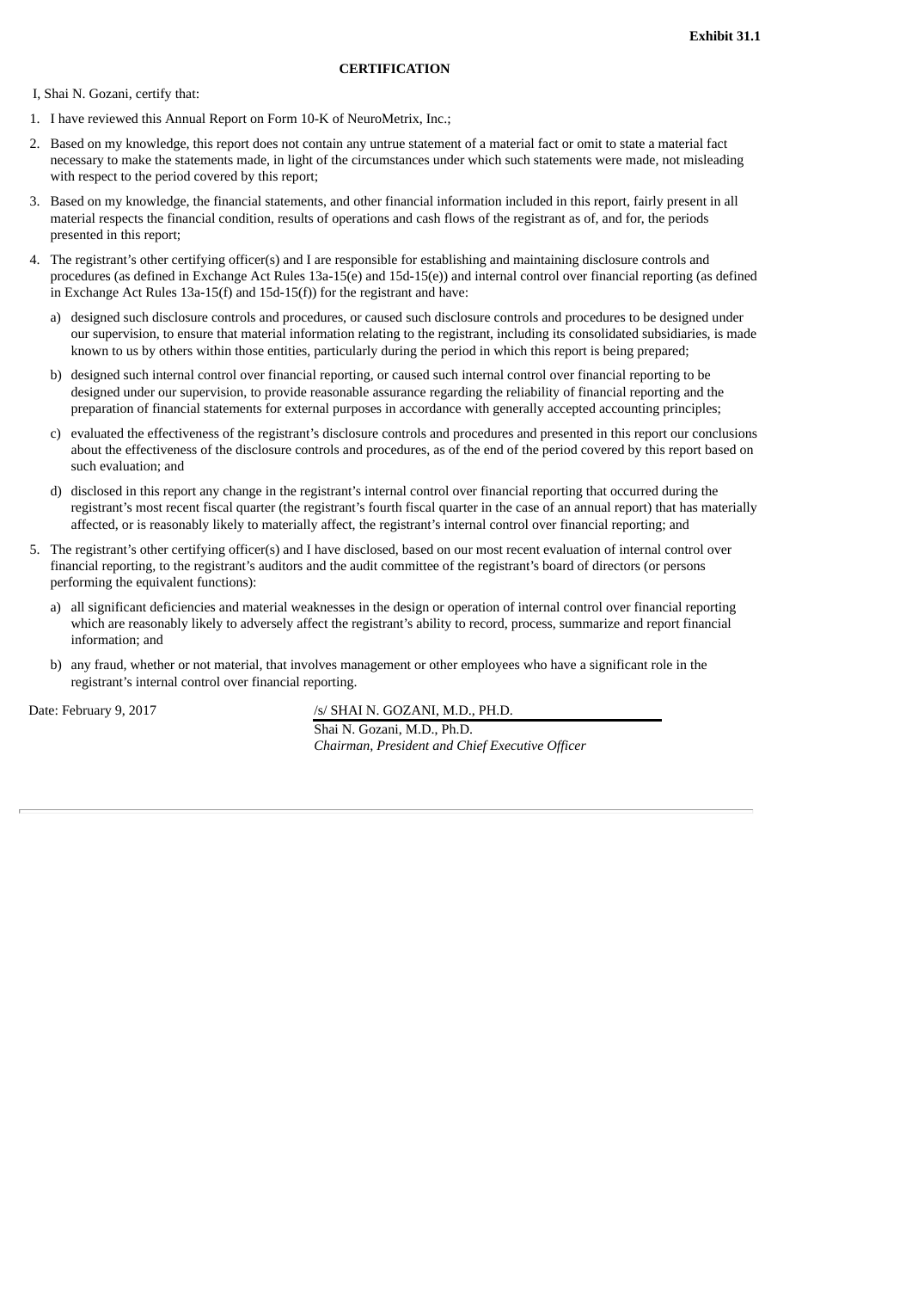I, Shai N. Gozani, certify that:

- 1. I have reviewed this Annual Report on Form 10-K of NeuroMetrix, Inc.;
- 2. Based on my knowledge, this report does not contain any untrue statement of a material fact or omit to state a material fact necessary to make the statements made, in light of the circumstances under which such statements were made, not misleading with respect to the period covered by this report;
- 3. Based on my knowledge, the financial statements, and other financial information included in this report, fairly present in all material respects the financial condition, results of operations and cash flows of the registrant as of, and for, the periods presented in this report;
- 4. The registrant's other certifying officer(s) and I are responsible for establishing and maintaining disclosure controls and procedures (as defined in Exchange Act Rules 13a-15(e) and 15d-15(e)) and internal control over financial reporting (as defined in Exchange Act Rules 13a-15(f) and 15d-15(f)) for the registrant and have:
	- a) designed such disclosure controls and procedures, or caused such disclosure controls and procedures to be designed under our supervision, to ensure that material information relating to the registrant, including its consolidated subsidiaries, is made known to us by others within those entities, particularly during the period in which this report is being prepared;
	- b) designed such internal control over financial reporting, or caused such internal control over financial reporting to be designed under our supervision, to provide reasonable assurance regarding the reliability of financial reporting and the preparation of financial statements for external purposes in accordance with generally accepted accounting principles;
	- c) evaluated the effectiveness of the registrant's disclosure controls and procedures and presented in this report our conclusions about the effectiveness of the disclosure controls and procedures, as of the end of the period covered by this report based on such evaluation; and
	- d) disclosed in this report any change in the registrant's internal control over financial reporting that occurred during the registrant's most recent fiscal quarter (the registrant's fourth fiscal quarter in the case of an annual report) that has materially affected, or is reasonably likely to materially affect, the registrant's internal control over financial reporting; and
- 5. The registrant's other certifying officer(s) and I have disclosed, based on our most recent evaluation of internal control over financial reporting, to the registrant's auditors and the audit committee of the registrant's board of directors (or persons performing the equivalent functions):
	- a) all significant deficiencies and material weaknesses in the design or operation of internal control over financial reporting which are reasonably likely to adversely affect the registrant's ability to record, process, summarize and report financial information; and
	- b) any fraud, whether or not material, that involves management or other employees who have a significant role in the registrant's internal control over financial reporting.

Date: February 9, 2017 /s/ SHAI N. GOZANI, M.D., PH.D.

Shai N. Gozani, M.D., Ph.D. *Chairman, President and Chief Executive Officer*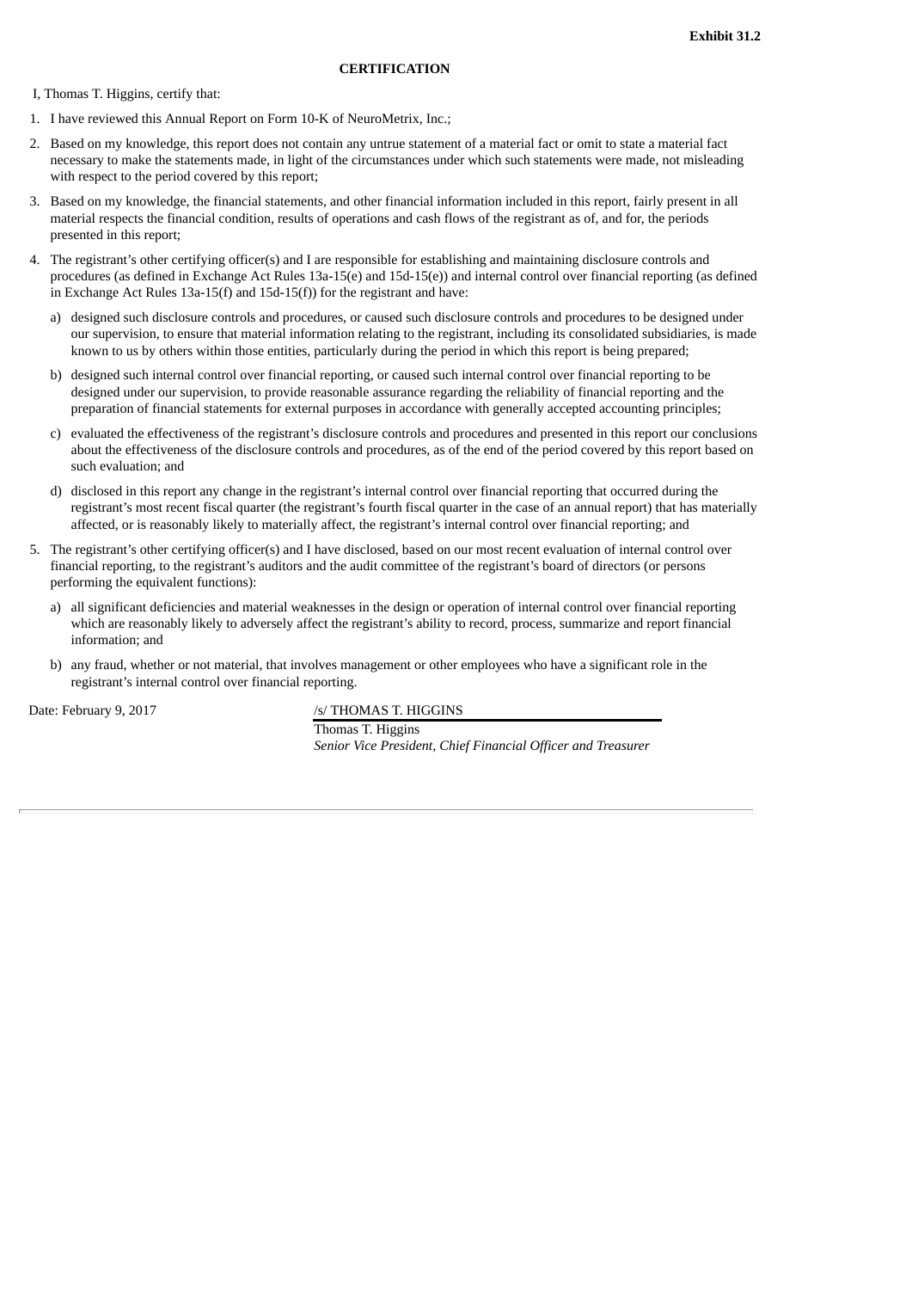I, Thomas T. Higgins, certify that:

- 1. I have reviewed this Annual Report on Form 10-K of NeuroMetrix, Inc.;
- 2. Based on my knowledge, this report does not contain any untrue statement of a material fact or omit to state a material fact necessary to make the statements made, in light of the circumstances under which such statements were made, not misleading with respect to the period covered by this report;
- 3. Based on my knowledge, the financial statements, and other financial information included in this report, fairly present in all material respects the financial condition, results of operations and cash flows of the registrant as of, and for, the periods presented in this report;
- 4. The registrant's other certifying officer(s) and I are responsible for establishing and maintaining disclosure controls and procedures (as defined in Exchange Act Rules 13a-15(e) and 15d-15(e)) and internal control over financial reporting (as defined in Exchange Act Rules 13a-15(f) and 15d-15(f)) for the registrant and have:
	- a) designed such disclosure controls and procedures, or caused such disclosure controls and procedures to be designed under our supervision, to ensure that material information relating to the registrant, including its consolidated subsidiaries, is made known to us by others within those entities, particularly during the period in which this report is being prepared;
	- b) designed such internal control over financial reporting, or caused such internal control over financial reporting to be designed under our supervision, to provide reasonable assurance regarding the reliability of financial reporting and the preparation of financial statements for external purposes in accordance with generally accepted accounting principles;
	- c) evaluated the effectiveness of the registrant's disclosure controls and procedures and presented in this report our conclusions about the effectiveness of the disclosure controls and procedures, as of the end of the period covered by this report based on such evaluation; and
	- d) disclosed in this report any change in the registrant's internal control over financial reporting that occurred during the registrant's most recent fiscal quarter (the registrant's fourth fiscal quarter in the case of an annual report) that has materially affected, or is reasonably likely to materially affect, the registrant's internal control over financial reporting; and
- 5. The registrant's other certifying officer(s) and I have disclosed, based on our most recent evaluation of internal control over financial reporting, to the registrant's auditors and the audit committee of the registrant's board of directors (or persons performing the equivalent functions):
	- a) all significant deficiencies and material weaknesses in the design or operation of internal control over financial reporting which are reasonably likely to adversely affect the registrant's ability to record, process, summarize and report financial information; and
	- b) any fraud, whether or not material, that involves management or other employees who have a significant role in the registrant's internal control over financial reporting.

Date: February 9, 2017 /s/ THOMAS T. HIGGINS

Thomas T. Higgins *Senior Vice President, Chief Financial Officer and Treasurer*